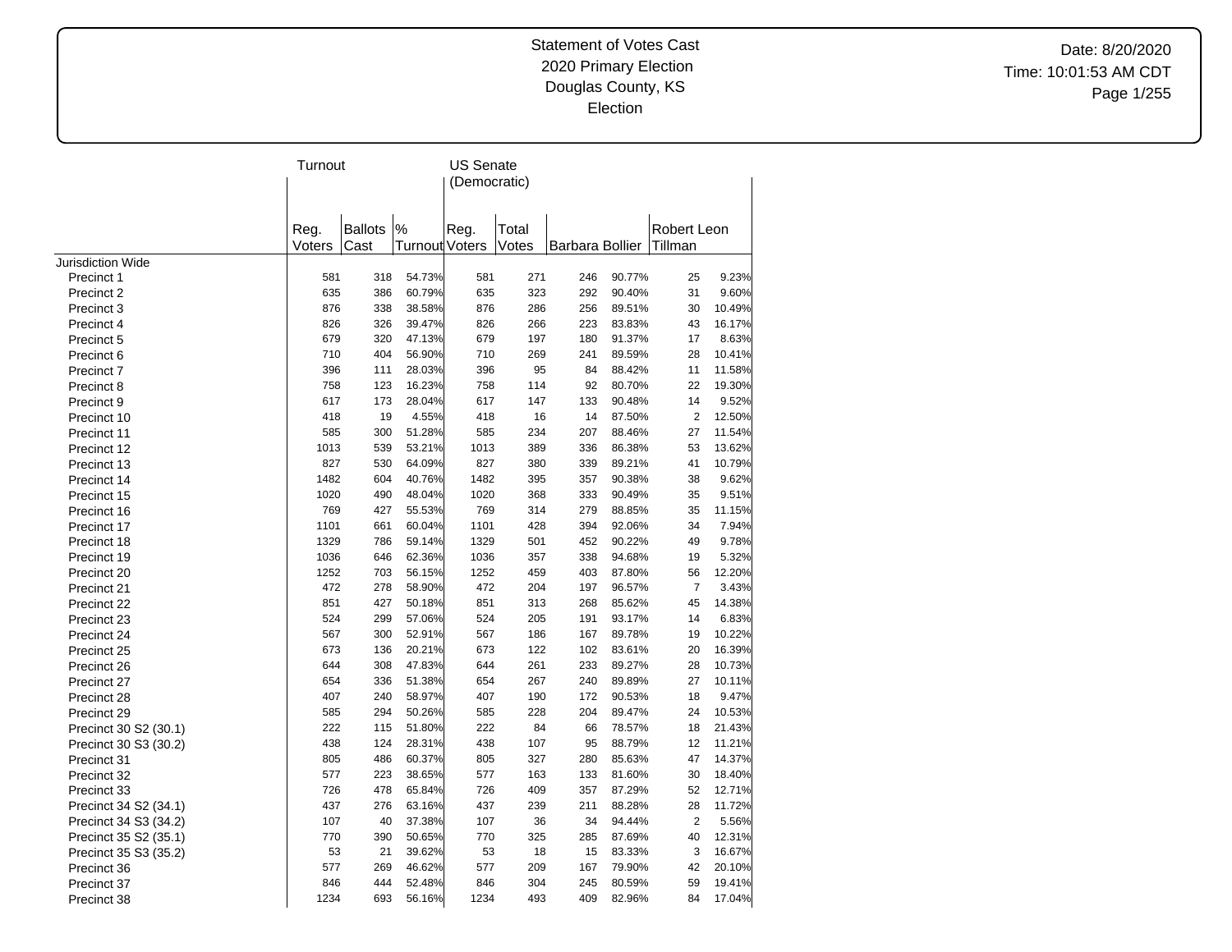Date: 8/20/2020 Time: 10:01:53 AM CDT Page 1/255

|                          | Turnout        |                        |                        | <b>US Senate</b><br>(Democratic) |                |                 |        |                        |        |
|--------------------------|----------------|------------------------|------------------------|----------------------------------|----------------|-----------------|--------|------------------------|--------|
|                          | Reg.<br>Voters | <b>Ballots</b><br>Cast | $\%$<br>Turnout Voters | Reg.                             | Total<br>Votes | Barbara Bollier |        | Robert Leon<br>Tillman |        |
| <b>Jurisdiction Wide</b> |                |                        |                        |                                  |                |                 |        |                        |        |
| Precinct 1               | 581            | 318                    | 54.73%                 | 581                              | 271            | 246             | 90.77% | 25                     | 9.23%  |
| Precinct 2               | 635            | 386                    | 60.79%                 | 635                              | 323            | 292             | 90.40% | 31                     | 9.60%  |
| Precinct 3               | 876            | 338                    | 38.58%                 | 876                              | 286            | 256             | 89.51% | 30                     | 10.49% |
| Precinct 4               | 826            | 326                    | 39.47%                 | 826                              | 266            | 223             | 83.83% | 43                     | 16.17% |
| Precinct 5               | 679            | 320                    | 47.13%                 | 679                              | 197            | 180             | 91.37% | 17                     | 8.63%  |
| Precinct 6               | 710            | 404                    | 56.90%                 | 710                              | 269            | 241             | 89.59% | 28                     | 10.41% |
| Precinct 7               | 396            | 111                    | 28.03%                 | 396                              | 95             | 84              | 88.42% | 11                     | 11.58% |
| Precinct 8               | 758            | 123                    | 16.23%                 | 758                              | 114            | 92              | 80.70% | 22                     | 19.30% |
| Precinct 9               | 617            | 173                    | 28.04%                 | 617                              | 147            | 133             | 90.48% | 14                     | 9.52%  |
| Precinct 10              | 418            | 19                     | 4.55%                  | 418                              | 16             | 14              | 87.50% | $\overline{2}$         | 12.50% |
| Precinct 11              | 585            | 300                    | 51.28%                 | 585                              | 234            | 207             | 88.46% | 27                     | 11.54% |
| Precinct 12              | 1013           | 539                    | 53.21%                 | 1013                             | 389            | 336             | 86.38% | 53                     | 13.62% |
| Precinct 13              | 827            | 530                    | 64.09%                 | 827                              | 380            | 339             | 89.21% | 41                     | 10.79% |
| Precinct 14              | 1482           | 604                    | 40.76%                 | 1482                             | 395            | 357             | 90.38% | 38                     | 9.62%  |
| Precinct 15              | 1020           | 490                    | 48.04%                 | 1020                             | 368            | 333             | 90.49% | 35                     | 9.51%  |
| Precinct 16              | 769            | 427                    | 55.53%                 | 769                              | 314            | 279             | 88.85% | 35                     | 11.15% |
| Precinct 17              | 1101           | 661                    | 60.04%                 | 1101                             | 428            | 394             | 92.06% | 34                     | 7.94%  |
| Precinct 18              | 1329           | 786                    | 59.14%                 | 1329                             | 501            | 452             | 90.22% | 49                     | 9.78%  |
| Precinct 19              | 1036           | 646                    | 62.36%                 | 1036                             | 357            | 338             | 94.68% | 19                     | 5.32%  |
| Precinct 20              | 1252           | 703                    | 56.15%                 | 1252                             | 459            | 403             | 87.80% | 56                     | 12.20% |
| Precinct 21              | 472            | 278                    | 58.90%                 | 472                              | 204            | 197             | 96.57% | $\overline{7}$         | 3.43%  |
| Precinct 22              | 851            | 427                    | 50.18%                 | 851                              | 313            | 268             | 85.62% | 45                     | 14.38% |
| Precinct 23              | 524            | 299                    | 57.06%                 | 524                              | 205            | 191             | 93.17% | 14                     | 6.83%  |
| Precinct 24              | 567            | 300                    | 52.91%                 | 567                              | 186            | 167             | 89.78% | 19                     | 10.22% |
| Precinct 25              | 673            | 136                    | 20.21%                 | 673                              | 122            | 102             | 83.61% | 20                     | 16.39% |
| Precinct 26              | 644            | 308                    | 47.83%                 | 644                              | 261            | 233             | 89.27% | 28                     | 10.73% |
| Precinct 27              | 654            | 336                    | 51.38%                 | 654                              | 267            | 240             | 89.89% | 27                     | 10.11% |
| Precinct 28              | 407            | 240                    | 58.97%                 | 407                              | 190            | 172             | 90.53% | 18                     | 9.47%  |
| Precinct 29              | 585            | 294                    | 50.26%                 | 585                              | 228            | 204             | 89.47% | 24                     | 10.53% |
| Precinct 30 S2 (30.1)    | 222            | 115                    | 51.80%                 | 222                              | 84             | 66              | 78.57% | 18                     | 21.43% |
| Precinct 30 S3 (30.2)    | 438            | 124                    | 28.31%                 | 438                              | 107            | 95              | 88.79% | 12                     | 11.21% |
| Precinct 31              | 805            | 486                    | 60.37%                 | 805                              | 327            | 280             | 85.63% | 47                     | 14.37% |
| Precinct 32              | 577            | 223                    | 38.65%                 | 577                              | 163            | 133             | 81.60% | 30                     | 18.40% |
| Precinct 33              | 726            | 478                    | 65.84%                 | 726                              | 409            | 357             | 87.29% | 52                     | 12.71% |
| Precinct 34 S2 (34.1)    | 437            | 276                    | 63.16%                 | 437                              | 239            | 211             | 88.28% | 28                     | 11.72% |
| Precinct 34 S3 (34.2)    | 107            | 40                     | 37.38%                 | 107                              | 36             | 34              | 94.44% | $\overline{2}$         | 5.56%  |
| Precinct 35 S2 (35.1)    | 770            | 390                    | 50.65%                 | 770                              | 325            | 285             | 87.69% | 40                     | 12.31% |
| Precinct 35 S3 (35.2)    | 53             | 21                     | 39.62%                 | 53                               | 18             | 15              | 83.33% | 3                      | 16.67% |
| Precinct 36              | 577            | 269                    | 46.62%                 | 577                              | 209            | 167             | 79.90% | 42                     | 20.10% |
| Precinct 37              | 846            | 444                    | 52.48%                 | 846                              | 304            | 245             | 80.59% | 59                     | 19.41% |
| Precinct 38              | 1234           | 693                    | 56.16%                 | 1234                             | 493            | 409             | 82.96% | 84                     | 17.04% |
|                          |                |                        |                        |                                  |                |                 |        |                        |        |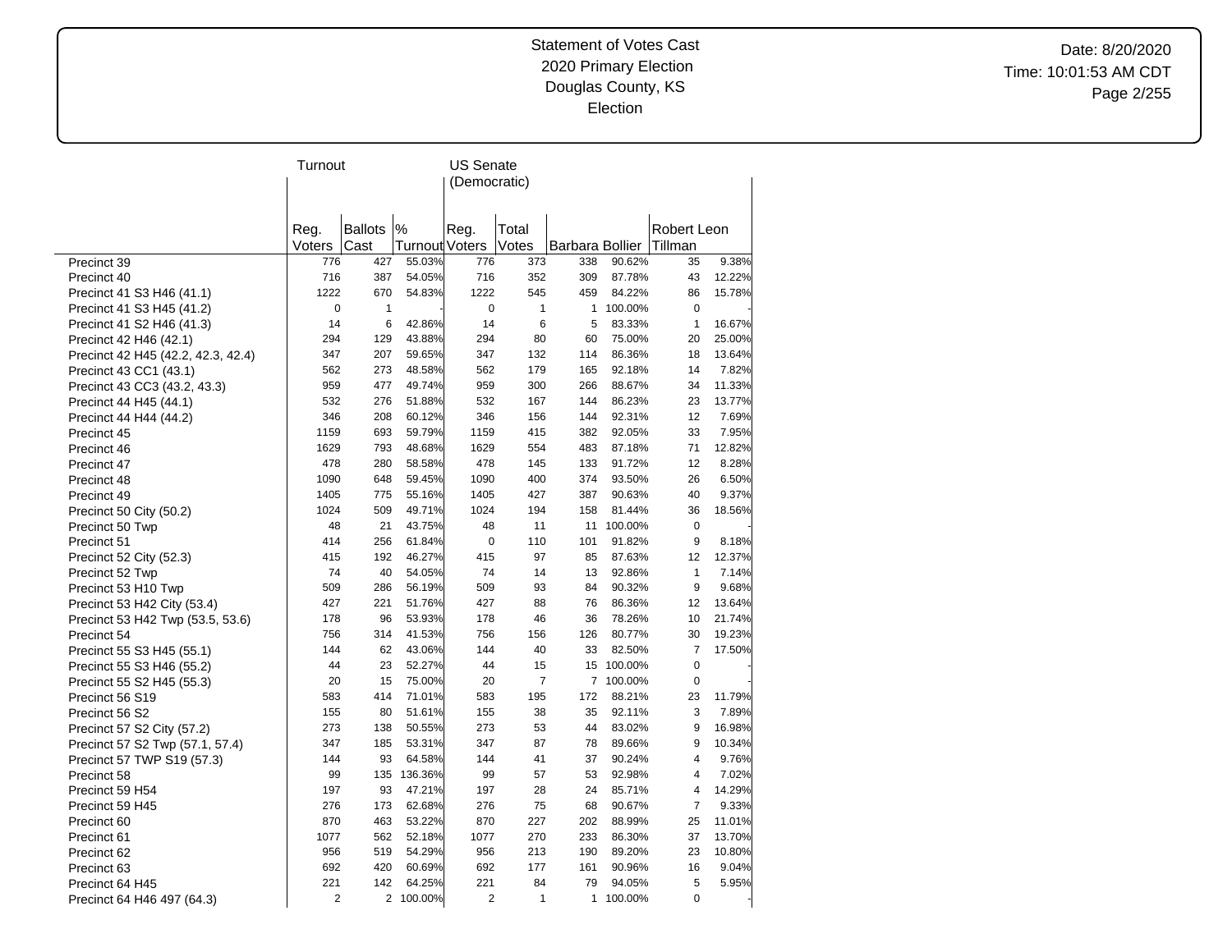Date: 8/20/2020 Time: 10:01:53 AM CDT Page 2/255

|                                    | Turnout |                |                | US Senate      |                |                 |            |                |        |
|------------------------------------|---------|----------------|----------------|----------------|----------------|-----------------|------------|----------------|--------|
|                                    |         |                |                | (Democratic)   |                |                 |            |                |        |
|                                    |         |                |                |                |                |                 |            |                |        |
|                                    |         |                |                |                |                |                 |            |                |        |
|                                    | Reg.    | <b>Ballots</b> | %              | Reg.           | Total          |                 |            | Robert Leon    |        |
|                                    | Voters  | Cast           | Turnout Voters |                | Votes          | Barbara Bollier |            | Tillman        |        |
| Precinct 39                        | 776     | 427            | 55.03%         | 776            | 373            | 338             | 90.62%     | 35             | 9.38%  |
| Precinct 40                        | 716     | 387            | 54.05%         | 716            | 352            | 309             | 87.78%     | 43             | 12.22% |
| Precinct 41 S3 H46 (41.1)          | 1222    | 670            | 54.83%         | 1222           | 545            | 459             | 84.22%     | 86             | 15.78% |
| Precinct 41 S3 H45 (41.2)          | 0       | 1              |                | $\pmb{0}$      | $\mathbf{1}$   | $\mathbf{1}$    | 100.00%    | $\mathbf 0$    |        |
| Precinct 41 S2 H46 (41.3)          | 14      | 6              | 42.86%         | 14             | 6              | 5               | 83.33%     | $\mathbf{1}$   | 16.67% |
| Precinct 42 H46 (42.1)             | 294     | 129            | 43.88%         | 294            | 80             | 60              | 75.00%     | 20             | 25.00% |
| Precinct 42 H45 (42.2, 42.3, 42.4) | 347     | 207            | 59.65%         | 347            | 132            | 114             | 86.36%     | 18             | 13.64% |
| Precinct 43 CC1 (43.1)             | 562     | 273            | 48.58%         | 562            | 179            | 165             | 92.18%     | 14             | 7.82%  |
| Precinct 43 CC3 (43.2, 43.3)       | 959     | 477            | 49.74%         | 959            | 300            | 266             | 88.67%     | 34             | 11.33% |
| Precinct 44 H45 (44.1)             | 532     | 276            | 51.88%         | 532            | 167            | 144             | 86.23%     | 23             | 13.77% |
| Precinct 44 H44 (44.2)             | 346     | 208            | 60.12%         | 346            | 156            | 144             | 92.31%     | 12             | 7.69%  |
| Precinct 45                        | 1159    | 693            | 59.79%         | 1159           | 415            | 382             | 92.05%     | 33             | 7.95%  |
| Precinct 46                        | 1629    | 793            | 48.68%         | 1629           | 554            | 483             | 87.18%     | 71             | 12.82% |
| Precinct 47                        | 478     | 280            | 58.58%         | 478            | 145            | 133             | 91.72%     | 12             | 8.28%  |
| Precinct 48                        | 1090    | 648            | 59.45%         | 1090           | 400            | 374             | 93.50%     | 26             | 6.50%  |
| Precinct 49                        | 1405    | 775            | 55.16%         | 1405           | 427            | 387             | 90.63%     | 40             | 9.37%  |
| Precinct 50 City (50.2)            | 1024    | 509            | 49.71%         | 1024           | 194            | 158             | 81.44%     | 36             | 18.56% |
| Precinct 50 Twp                    | 48      | 21             | 43.75%         | 48             | 11             |                 | 11 100.00% | $\mathbf 0$    |        |
| Precinct 51                        | 414     | 256            | 61.84%         | $\pmb{0}$      | 110            | 101             | 91.82%     | 9              | 8.18%  |
| Precinct 52 City (52.3)            | 415     | 192            | 46.27%         | 415            | 97             | 85              | 87.63%     | 12             | 12.37% |
| Precinct 52 Twp                    | 74      | 40             | 54.05%         | 74             | 14             | 13              | 92.86%     | $\mathbf{1}$   | 7.14%  |
| Precinct 53 H10 Twp                | 509     | 286            | 56.19%         | 509            | 93             | 84              | 90.32%     | 9              | 9.68%  |
| Precinct 53 H42 City (53.4)        | 427     | 221            | 51.76%         | 427            | 88             | 76              | 86.36%     | 12             | 13.64% |
| Precinct 53 H42 Twp (53.5, 53.6)   | 178     | 96             | 53.93%         | 178            | 46             | 36              | 78.26%     | 10             | 21.74% |
| Precinct 54                        | 756     | 314            | 41.53%         | 756            | 156            | 126             | 80.77%     | 30             | 19.23% |
| Precinct 55 S3 H45 (55.1)          | 144     | 62             | 43.06%         | 144            | 40             | 33              | 82.50%     | 7              | 17.50% |
| Precinct 55 S3 H46 (55.2)          | 44      | 23             | 52.27%         | 44             | 15             |                 | 15 100.00% | 0              |        |
| Precinct 55 S2 H45 (55.3)          | 20      | 15             | 75.00%         | 20             | $\overline{7}$ |                 | 7 100.00%  | $\mathbf 0$    |        |
| Precinct 56 S19                    | 583     | 414            | 71.01%         | 583            | 195            | 172             | 88.21%     | 23             | 11.79% |
| Precinct 56 S2                     | 155     | 80             | 51.61%         | 155            | 38             | 35              | 92.11%     | 3              | 7.89%  |
| Precinct 57 S2 City (57.2)         | 273     | 138            | 50.55%         | 273            | 53             | 44              | 83.02%     | 9              | 16.98% |
| Precinct 57 S2 Twp (57.1, 57.4)    | 347     | 185            | 53.31%         | 347            | 87             | 78              | 89.66%     | 9              | 10.34% |
| Precinct 57 TWP S19 (57.3)         | 144     | 93             | 64.58%         | 144            | 41             | 37              | 90.24%     | $\overline{4}$ | 9.76%  |
| Precinct 58                        | 99      | 135            | 136.36%        | 99             | 57             | 53              | 92.98%     | 4              | 7.02%  |
| Precinct 59 H54                    | 197     | 93             | 47.21%         | 197            | 28             | 24              | 85.71%     | 4              | 14.29% |
| Precinct 59 H45                    | 276     | 173            | 62.68%         | 276            | 75             | 68              | 90.67%     | $\overline{7}$ | 9.33%  |
| Precinct 60                        | 870     | 463            | 53.22%         | 870            | 227            | 202             | 88.99%     | 25             | 11.01% |
| Precinct 61                        | 1077    | 562            | 52.18%         | 1077           | 270            | 233             | 86.30%     | 37             | 13.70% |
| Precinct 62                        | 956     | 519            | 54.29%         | 956            | 213            | 190             | 89.20%     | 23             | 10.80% |
| Precinct 63                        | 692     | 420            | 60.69%         | 692            | 177            | 161             | 90.96%     | 16             | 9.04%  |
| Precinct 64 H45                    | 221     | 142            | 64.25%         | 221            | 84             | 79              | 94.05%     | 5              | 5.95%  |
| Precinct 64 H46 497 (64.3)         | 2       |                | 2 100.00%      | $\overline{2}$ | $\mathbf{1}$   | 1               | 100.00%    | 0              |        |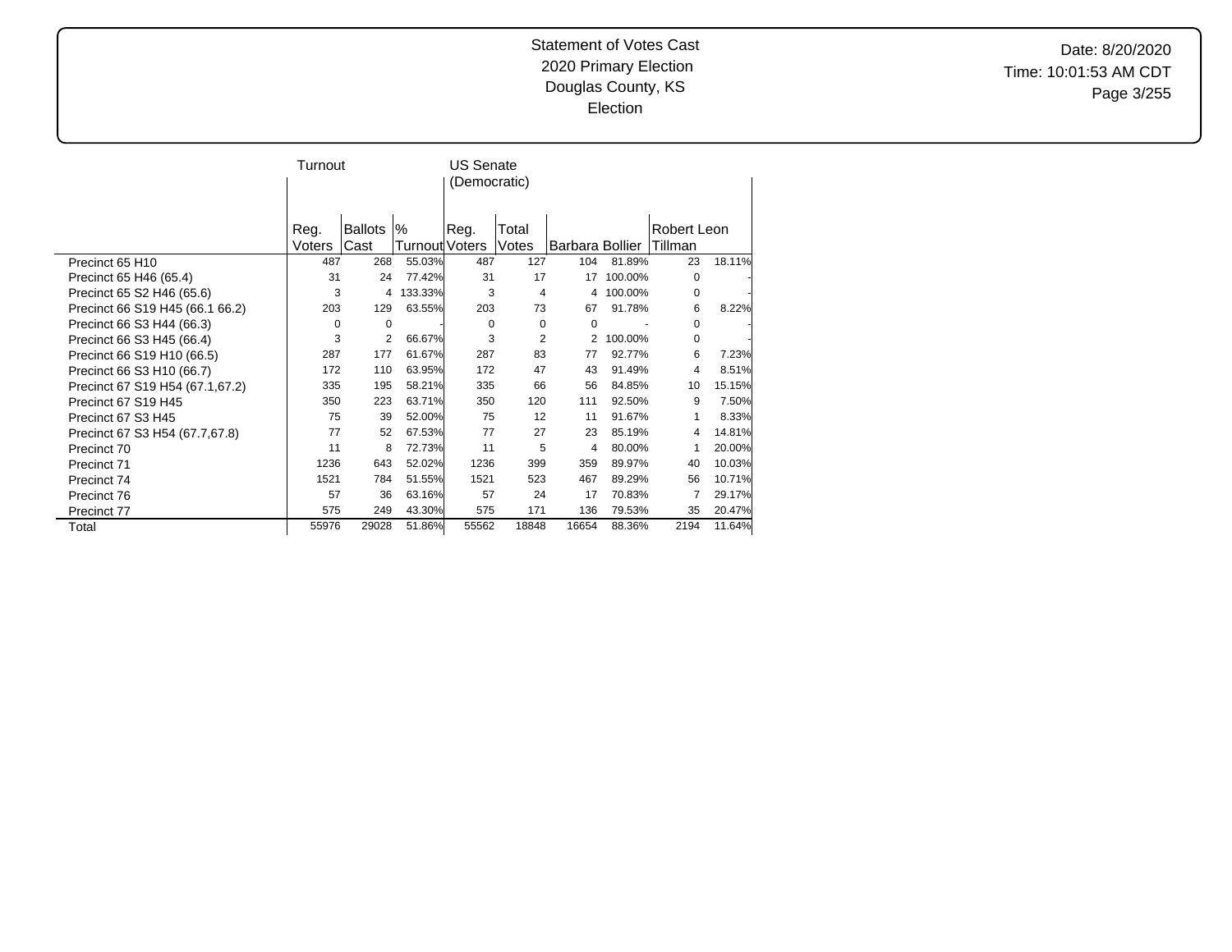Date: 8/20/2020 Time: 10:01:53 AM CDT Page 3/255

|                                           | Turnout       |             |                          | <b>US Senate</b><br>(Democratic) |              |                               |         |               |        |
|-------------------------------------------|---------------|-------------|--------------------------|----------------------------------|--------------|-------------------------------|---------|---------------|--------|
|                                           | Reg.          | Ballots     | $\%$                     | Reg.                             | Total        |                               |         | Robert Leon   |        |
|                                           | Voters<br>487 | Cast<br>268 | Turnout Voters<br>55.03% | 487                              | Votes<br>127 | <b>Barbara Bollier</b><br>104 | 81.89%  | Tillman<br>23 | 18.11% |
| Precinct 65 H10<br>Precinct 65 H46 (65.4) | 31            | 24          | 77.42%                   | 31                               | 17           | 17                            | 100.00% | 0             |        |
| Precinct 65 S2 H46 (65.6)                 | 3             | 4           | 133.33%                  | 3                                | 4            | 4                             | 100.00% | 0             |        |
| Precinct 66 S19 H45 (66.1 66.2)           | 203           | 129         | 63.55%                   | 203                              | 73           | 67                            | 91.78%  | 6             | 8.22%  |
| Precinct 66 S3 H44 (66.3)                 | 0             | $\Omega$    |                          | 0                                | 0            | $\Omega$                      |         | 0             |        |
| Precinct 66 S3 H45 (66.4)                 | 3             | 2           | 66.67%                   | 3                                | 2            | 2                             | 100.00% | 0             |        |
| Precinct 66 S19 H10 (66.5)                | 287           | 177         | 61.67%                   | 287                              | 83           | 77                            | 92.77%  | 6             | 7.23%  |
| Precinct 66 S3 H10 (66.7)                 | 172           | 110         | 63.95%                   | 172                              | 47           | 43                            | 91.49%  | 4             | 8.51%  |
| Precinct 67 S19 H54 (67.1,67.2)           | 335           | 195         | 58.21%                   | 335                              | 66           | 56                            | 84.85%  | 10            | 15.15% |
| Precinct 67 S19 H45                       | 350           | 223         | 63.71%                   | 350                              | 120          | 111                           | 92.50%  | 9             | 7.50%  |
| Precinct 67 S3 H45                        | 75            | 39          | 52.00%                   | 75                               | 12           | 11                            | 91.67%  | 1             | 8.33%  |
| Precinct 67 S3 H54 (67.7,67.8)            | 77            | 52          | 67.53%                   | 77                               | 27           | 23                            | 85.19%  | 4             | 14.81% |
| Precinct 70                               | 11            | 8           | 72.73%                   | 11                               | 5            | 4                             | 80.00%  | 1             | 20.00% |
| Precinct 71                               | 1236          | 643         | 52.02%                   | 1236                             | 399          | 359                           | 89.97%  | 40            | 10.03% |
| Precinct 74                               | 1521          | 784         | 51.55%                   | 1521                             | 523          | 467                           | 89.29%  | 56            | 10.71% |
| Precinct 76                               | 57            | 36          | 63.16%                   | 57                               | 24           | 17                            | 70.83%  | 7             | 29.17% |
| Precinct 77                               | 575           | 249         | 43.30%                   | 575                              | 171          | 136                           | 79.53%  | 35            | 20.47% |
| Total                                     | 55976         | 29028       | 51.86%                   | 55562                            | 18848        | 16654                         | 88.36%  | 2194          | 11.64% |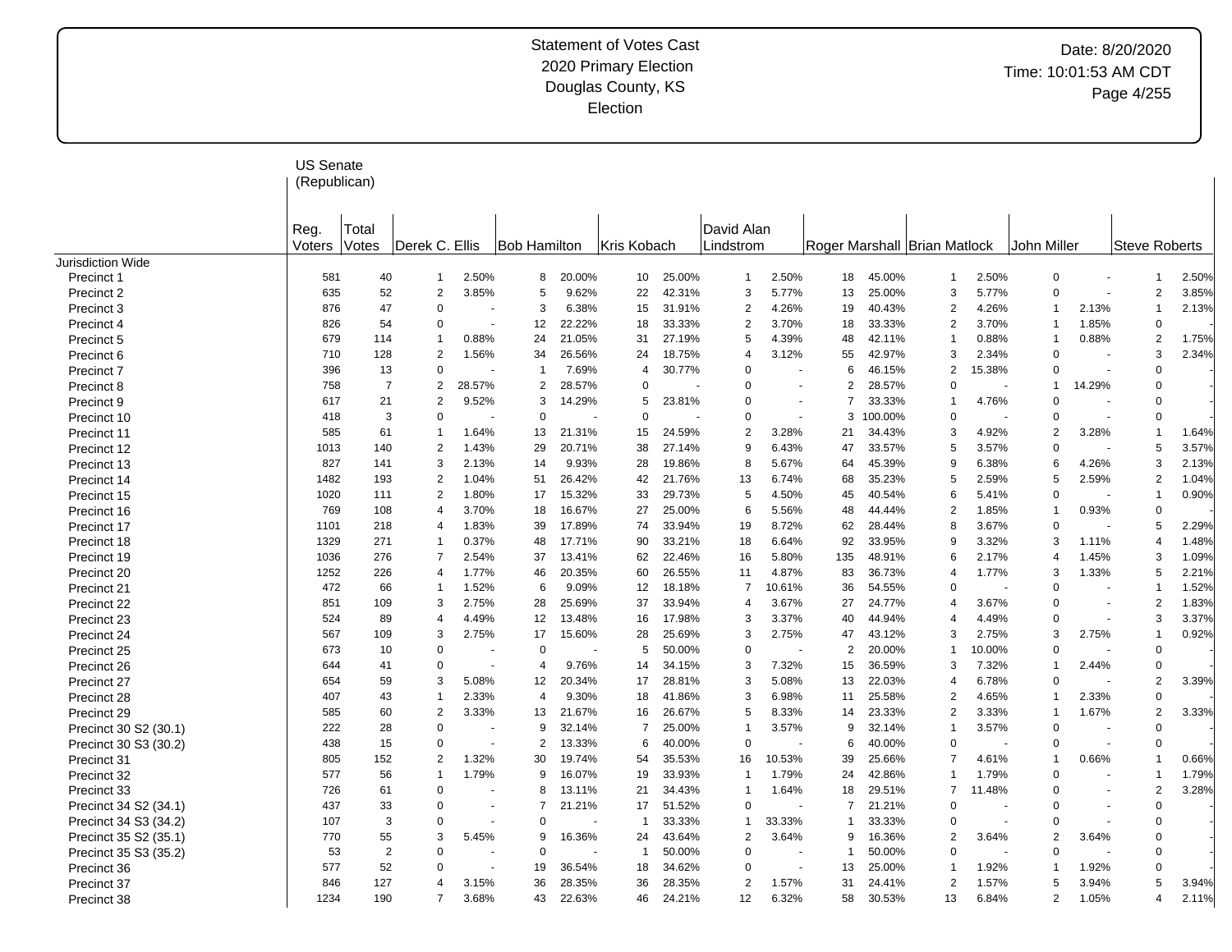|                       | <b>US Senate</b><br>(Republican) |                |                               |        |                |        |             |        |                         |        |                |         |                              |        |                |        |                      |       |
|-----------------------|----------------------------------|----------------|-------------------------------|--------|----------------|--------|-------------|--------|-------------------------|--------|----------------|---------|------------------------------|--------|----------------|--------|----------------------|-------|
|                       | Reg.<br>Voters                   | Total<br>Votes | Derek C. Ellis                |        | Bob Hamilton   |        | Kris Kobach |        | David Alan<br>Lindstrom |        |                |         | Roger Marshall Brian Matlock |        | John Miller    |        | <b>Steve Roberts</b> |       |
| Jurisdiction Wide     |                                  |                |                               |        |                |        |             |        |                         |        |                |         |                              |        |                |        |                      |       |
| Precinct 1            | 581                              | 40             | -1                            | 2.50%  | 8              | 20.00% | 10          | 25.00% | $\overline{1}$          | 2.50%  | 18             | 45.00%  | 1                            | 2.50%  | $\mathbf 0$    |        | 1                    | 2.50% |
| Precinct 2            | 635                              | 52             | $\sqrt{2}$                    | 3.85%  | 5              | 9.62%  | 22          | 42.31% | 3                       | 5.77%  | 13             | 25.00%  | 3                            | 5.77%  | $\Omega$       |        | $\overline{2}$       | 3.85% |
| Precinct 3            | 876                              | 47             | $\Omega$                      |        | 3              | 6.38%  | 15          | 31.91% | $\overline{2}$          | 4.26%  | 19             | 40.43%  | $\overline{2}$               | 4.26%  | $\overline{1}$ | 2.13%  | 1                    | 2.13% |
| Precinct 4            | 826                              | 54             | $\mathbf 0$                   |        | 12             | 22.22% | 18          | 33.33% | $\overline{2}$          | 3.70%  | 18             | 33.33%  | 2                            | 3.70%  | $\mathbf{1}$   | 1.85%  | $\Omega$             |       |
| Precinct 5            | 679                              | 114            | $\overline{1}$                | 0.88%  | 24             | 21.05% | 31          | 27.19% | 5                       | 4.39%  | 48             | 42.11%  | 1                            | 0.88%  | $\overline{1}$ | 0.88%  | $\overline{2}$       | 1.75% |
| Precinct 6            | 710                              | 128            | $\overline{2}$                | 1.56%  | 34             | 26.56% | 24          | 18.75% | $\overline{4}$          | 3.12%  | 55             | 42.97%  | 3                            | 2.34%  | $\mathbf 0$    |        | 3                    | 2.34% |
| Precinct 7            | 396                              | 13             | $\mathbf 0$                   |        | $\overline{1}$ | 7.69%  | 4           | 30.77% | $\mathbf 0$             |        | 6              | 46.15%  | $\overline{2}$               | 15.38% | $\overline{0}$ |        | $\mathbf 0$          |       |
| Precinct 8            | 758                              |                | $\overline{2}$<br>7           | 28.57% | 2              | 28.57% | $\mathbf 0$ |        | $\mathbf 0$             |        | $\overline{2}$ | 28.57%  | $\Omega$                     |        | $\overline{1}$ | 14.29% | $\Omega$             |       |
| Precinct 9            | 617                              | 21             | $\overline{2}$                | 9.52%  | 3              | 14.29% | 5           | 23.81% | $\mathbf 0$             |        | 7              | 33.33%  | 1                            | 4.76%  | $\overline{0}$ |        | $\Omega$             |       |
| Precinct 10           | 418                              |                | 3<br>$\mathbf 0$              |        | $\Omega$       |        | $\mathbf 0$ |        | $\mathbf 0$             |        | 3              | 100.00% | 0                            |        | $\overline{0}$ |        | $\Omega$             |       |
| Precinct 11           | 585                              | 61             | $\overline{1}$                | 1.64%  | 13             | 21.31% | 15          | 24.59% | $\overline{2}$          | 3.28%  | 21             | 34.43%  | 3                            | 4.92%  | $\overline{2}$ | 3.28%  | 1                    | 1.64% |
| Precinct 12           | 1013                             | 140            | $\overline{2}$                | 1.43%  | 29             | 20.71% | 38          | 27.14% | 9                       | 6.43%  | 47             | 33.57%  | 5                            | 3.57%  | $\overline{0}$ |        | 5                    | 3.57% |
| Precinct 13           | 827                              | 141            | 3                             | 2.13%  | 14             | 9.93%  | 28          | 19.86% | 8                       | 5.67%  | 64             | 45.39%  | 9                            | 6.38%  | 6              | 4.26%  | 3                    | 2.13% |
| Precinct 14           | 1482                             | 193            | $\overline{2}$                | 1.04%  | 51             | 26.42% | 42          | 21.76% | 13                      | 6.74%  | 68             | 35.23%  | 5                            | 2.59%  | 5              | 2.59%  | 2                    | 1.04% |
| Precinct 15           | 1020                             | 111            | $\sqrt{2}$                    | 1.80%  | 17             | 15.32% | 33          | 29.73% | 5                       | 4.50%  | 45             | 40.54%  | 6                            | 5.41%  | $\overline{0}$ |        | 1                    | 0.90% |
| Precinct 16           | 769                              | 108            | $\overline{4}$                | 3.70%  | 18             | 16.67% | 27          | 25.00% | 6                       | 5.56%  | 48             | 44.44%  | 2                            | 1.85%  | $\overline{1}$ | 0.93%  | $\Omega$             |       |
| Precinct 17           | 1101                             | 218            | $\overline{4}$                | 1.83%  | 39             | 17.89% | 74          | 33.94% | 19                      | 8.72%  | 62             | 28.44%  | 8                            | 3.67%  | $\mathbf 0$    |        | 5                    | 2.29% |
| Precinct 18           | 1329                             | 271            | $\overline{1}$                | 0.37%  | 48             | 17.71% | 90          | 33.21% | 18                      | 6.64%  | 92             | 33.95%  | 9                            | 3.32%  | 3              | 1.11%  | 4                    | 1.48% |
| Precinct 19           | 1036                             | 276            | $\overline{7}$                | 2.54%  | 37             | 13.41% | 62          | 22.46% | 16                      | 5.80%  | 135            | 48.91%  | 6                            | 2.17%  | $\overline{4}$ | 1.45%  | 3                    | 1.09% |
|                       | 1252                             | 226            | $\overline{4}$                | 1.77%  | 46             | 20.35% | 60          | 26.55% | 11                      | 4.87%  | 83             | 36.73%  | 4                            | 1.77%  | 3              | 1.33%  | 5                    | 2.21% |
| Precinct 20           | 472                              | 66             | $\overline{1}$                | 1.52%  | 6              | 9.09%  | 12          | 18.18% | $\overline{7}$          | 10.61% | 36             | 54.55%  | $\Omega$                     |        | $\overline{0}$ |        | 1                    | 1.52% |
| Precinct 21           | 851                              | 109            | 3                             | 2.75%  | 28             | 25.69% | 37          | 33.94% | $\overline{4}$          | 3.67%  | 27             | 24.77%  | $\overline{4}$               | 3.67%  | $\overline{0}$ |        | $\overline{2}$       | 1.83% |
| Precinct 22           |                                  |                | $\overline{4}$                |        |                |        |             |        | 3                       | 3.37%  |                |         | 4                            |        | $\overline{0}$ |        | 3                    |       |
| Precinct 23           | 524                              | 89             |                               | 4.49%  | 12             | 13.48% | 16          | 17.98% |                         |        | 40             | 44.94%  | 3                            | 4.49%  |                |        |                      | 3.37% |
| Precinct 24           | 567                              | 109            | 3                             | 2.75%  | 17             | 15.60% | 28          | 25.69% | 3                       | 2.75%  | 47             | 43.12%  |                              | 2.75%  | 3              | 2.75%  | 1                    | 0.92% |
| Precinct 25           | 673                              | 10             | $\mathbf 0$                   |        | $\mathbf 0$    |        | 5           | 50.00% | $\mathbf 0$             |        | $\overline{2}$ | 20.00%  |                              | 10.00% | $\Omega$       |        | $\Omega$             |       |
| Precinct 26           | 644                              | 41             | $\mathbf 0$                   |        | $\overline{4}$ | 9.76%  | 14          | 34.15% | 3                       | 7.32%  | 15             | 36.59%  | 3                            | 7.32%  | $\overline{1}$ | 2.44%  | $\Omega$             |       |
| Precinct 27           | 654                              | 59             | 3                             | 5.08%  | 12             | 20.34% | 17          | 28.81% | 3                       | 5.08%  | 13             | 22.03%  | 4                            | 6.78%  | $\overline{0}$ |        | 2                    | 3.39% |
| Precinct 28           | 407                              | 43             | -1                            | 2.33%  | 4              | 9.30%  | 18          | 41.86% | 3                       | 6.98%  | 11             | 25.58%  | 2                            | 4.65%  | $\mathbf 1$    | 2.33%  | 0                    |       |
| Precinct 29           | 585                              | 60             | $\overline{c}$                | 3.33%  | 13             | 21.67% | 16          | 26.67% | 5                       | 8.33%  | 14             | 23.33%  | 2                            | 3.33%  | $\overline{1}$ | 1.67%  | 2                    | 3.33% |
| Precinct 30 S2 (30.1) | 222                              | 28             | $\mathbf 0$                   |        | 9              | 32.14% | 7           | 25.00% | $\overline{1}$          | 3.57%  | 9              | 32.14%  | 1                            | 3.57%  | $\mathbf 0$    |        | $\Omega$             |       |
| Precinct 30 S3 (30.2) | 438                              | 15             | $\mathbf 0$                   |        | 2              | 13.33% | 6           | 40.00% | $\mathbf 0$             |        | 6              | 40.00%  | $\Omega$                     |        | $\overline{0}$ |        | $\mathbf 0$          |       |
| Precinct 31           | 805                              | 152            | $\overline{2}$                | 1.32%  | 30             | 19.74% | 54          | 35.53% | 16                      | 10.53% | 39             | 25.66%  | $\overline{7}$               | 4.61%  | $\overline{1}$ | 0.66%  | 1                    | 0.66% |
| Precinct 32           | 577                              | 56             | $\overline{1}$                | 1.79%  | 9              | 16.07% | 19          | 33.93% | -1                      | 1.79%  | 24             | 42.86%  | -1                           | 1.79%  | $\mathbf 0$    |        | 1                    | 1.79% |
| Precinct 33           | 726                              | 61             | $\overline{0}$                |        | 8              | 13.11% | 21          | 34.43% | $\overline{1}$          | 1.64%  | 18             | 29.51%  | $\overline{7}$               | 11.48% | $\overline{0}$ |        | $\overline{2}$       | 3.28% |
| Precinct 34 S2 (34.1) | 437                              | 33             | $\Omega$                      |        | $\overline{7}$ | 21.21% | 17          | 51.52% | $\overline{0}$          |        | 7              | 21.21%  | $\Omega$                     |        | $\Omega$       |        | $\Omega$             |       |
| Precinct 34 S3 (34.2) | 107                              |                | 3<br>$\Omega$                 |        | $\Omega$       |        | -1          | 33.33% | $\overline{1}$          | 33.33% |                | 33.33%  | 0                            |        | $\Omega$       |        | $\Omega$             |       |
| Precinct 35 S2 (35.1) | 770                              | 55             | 3                             | 5.45%  | 9              | 16.36% | 24          | 43.64% | $\overline{2}$          | 3.64%  | 9              | 16.36%  | 2                            | 3.64%  | $\overline{2}$ | 3.64%  | $\Omega$             |       |
| Precinct 35 S3 (35.2) | 53                               |                | $\overline{2}$<br>$\mathbf 0$ |        | $\Omega$       |        | -1          | 50.00% | $\mathbf 0$             |        | -1             | 50.00%  | $\Omega$                     |        | $\Omega$       |        | $\Omega$             |       |
| Precinct 36           | 577                              | 52             | $\Omega$                      |        | 19             | 36.54% | 18          | 34.62% | $\overline{0}$          |        | 13             | 25.00%  |                              | 1.92%  | $\mathbf 1$    | 1.92%  | $\Omega$             |       |
| Precinct 37           | 846                              | 127            | $\overline{4}$                | 3.15%  | 36             | 28.35% | 36          | 28.35% | $\overline{2}$          | 1.57%  | 31             | 24.41%  | 2                            | 1.57%  | 5              | 3.94%  | 5                    | 3.94% |
| Precinct 38           | 1234                             | 190            | $\overline{7}$                | 3.68%  | 43             | 22.63% | 46          | 24.21% | 12                      | 6.32%  | 58             | 30.53%  | 13                           | 6.84%  | $\overline{2}$ | 1.05%  | 4                    | 2.11% |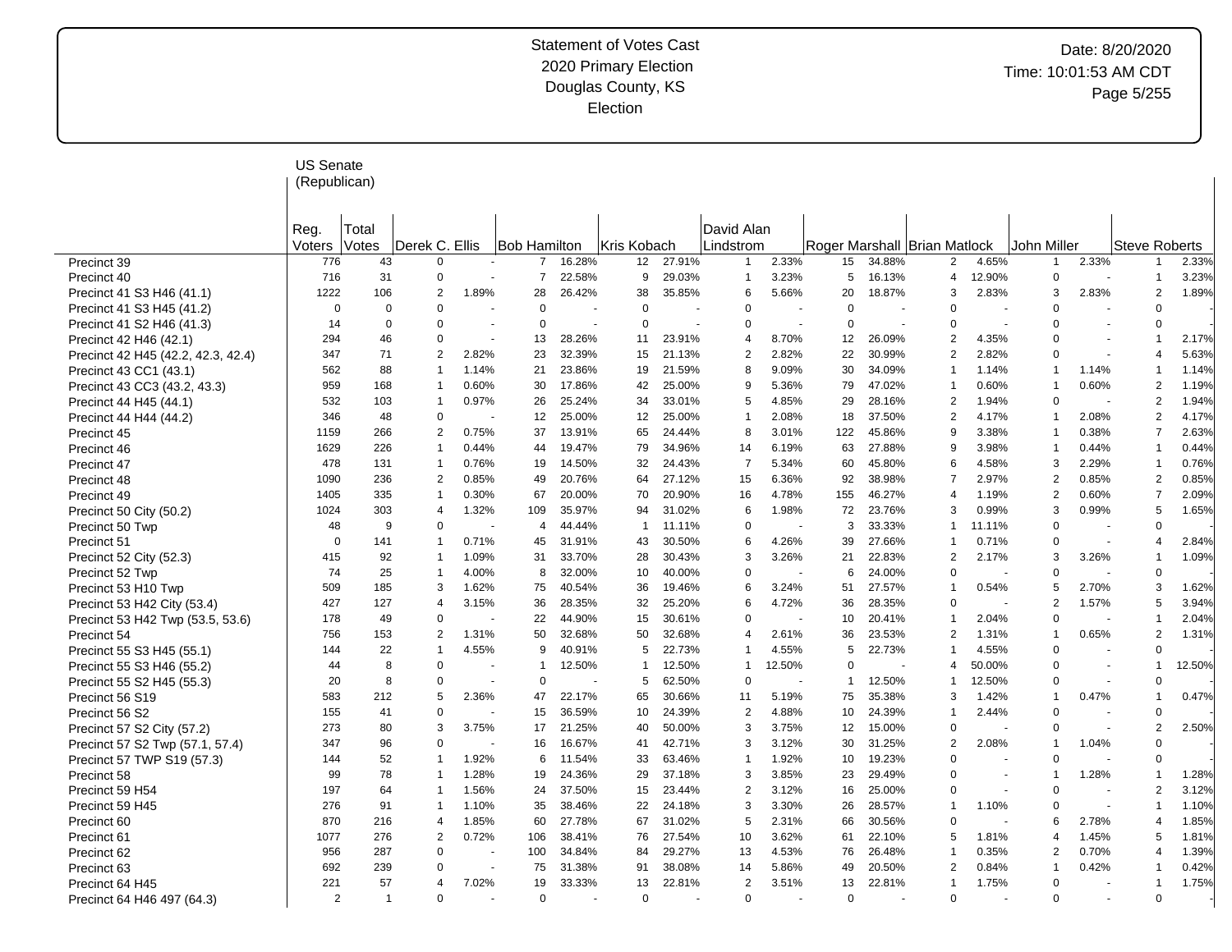|                                    | <b>US Senate</b><br>(Republican) |          |                       |       |                                      |        |                |        |                |        |                |        |                              |                          |                |       |                      |        |
|------------------------------------|----------------------------------|----------|-----------------------|-------|--------------------------------------|--------|----------------|--------|----------------|--------|----------------|--------|------------------------------|--------------------------|----------------|-------|----------------------|--------|
|                                    |                                  |          |                       |       |                                      |        |                |        |                |        |                |        |                              |                          |                |       |                      |        |
|                                    |                                  |          |                       |       |                                      |        |                |        |                |        |                |        |                              |                          |                |       |                      |        |
|                                    | Reg.                             | Total    |                       |       |                                      |        |                |        | David Alan     |        |                |        |                              |                          |                |       |                      |        |
|                                    | Voters                           | Votes    | Derek C. Ellis        |       | Bob Hamilton                         |        | Kris Kobach    |        | Lindstrom      |        |                |        | Roger Marshall Brian Matlock |                          | John Miller    |       | <b>Steve Roberts</b> |        |
| Precinct 39                        | 776                              | 43       | $\mathbf 0$           |       |                                      | 16.28% | 12             | 27.91% | -1             | 2.33%  | 15             | 34.88% | $\overline{2}$               | 4.65%                    | $\mathbf{1}$   | 2.33% | $\mathbf 1$          | 2.33%  |
| Precinct 40                        | 716                              | 31       | $\mathbf 0$           |       | $\overline{7}$                       | 22.58% | 9              | 29.03% | 1              | 3.23%  | 5              | 16.13% | 4                            | 12.90%                   | $\mathbf 0$    |       | $\mathbf 1$          | 3.23%  |
| Precinct 41 S3 H46 (41.1)          | 1222                             | 106      | 2                     | 1.89% | 28                                   | 26.42% | 38             | 35.85% | 6              | 5.66%  | 20             | 18.87% | 3                            | 2.83%                    | 3              | 2.83% | 2                    | 1.89%  |
| Precinct 41 S3 H45 (41.2)          | $\mathbf 0$                      | $\Omega$ | $\Omega$              |       | $\Omega$                             |        | $\Omega$       |        | $\Omega$       |        | $\Omega$       |        | $\Omega$                     |                          | $\Omega$       |       | $\Omega$             |        |
| Precinct 41 S2 H46 (41.3)          | 14                               | 0        | $\Omega$              |       | $\Omega$<br>$\overline{\phantom{a}}$ |        | $\Omega$       | $\sim$ | $\Omega$       |        | $\Omega$       |        | $\Omega$                     |                          | $\Omega$       |       | $\Omega$             |        |
| Precinct 42 H46 (42.1)             | 294                              | 46       | $\mathbf 0$           |       | 13                                   | 28.26% | 11             | 23.91% | 4              | 8.70%  | 12             | 26.09% | $\overline{2}$               | 4.35%                    | $\mathbf 0$    |       | 1                    | 2.17%  |
| Precinct 42 H45 (42.2, 42.3, 42.4) | 347                              | 71       | 2                     | 2.82% | 23                                   | 32.39% | 15             | 21.13% | 2              | 2.82%  | 22             | 30.99% | $\overline{2}$               | 2.82%                    | $\mathbf 0$    |       | 4                    | 5.63%  |
| Precinct 43 CC1 (43.1)             | 562                              | 88       | $\mathbf{1}$          | 1.14% | 21                                   | 23.86% | 19             | 21.59% | 8              | 9.09%  | 30             | 34.09% | -1                           | 1.14%                    | $\mathbf{1}$   | 1.14% | -1                   | 1.14%  |
| Precinct 43 CC3 (43.2, 43.3)       | 959                              | 168      | $\mathbf{1}$          | 0.60% | 30                                   | 17.86% | 42             | 25.00% | 9              | 5.36%  | 79             | 47.02% | -1                           | 0.60%                    | $\mathbf{1}$   | 0.60% | $\overline{2}$       | 1.19%  |
| Precinct 44 H45 (44.1)             | 532                              | 103      | $\mathbf{1}$          | 0.97% | 26                                   | 25.24% | 34             | 33.01% | 5              | 4.85%  | 29             | 28.16% | $\mathcal{P}$                | 1.94%                    | $\mathbf 0$    |       | $\overline{2}$       | 1.94%  |
| Precinct 44 H44 (44.2)             | 346                              | 48       | $\mathbf 0$           |       | 12                                   | 25.00% | 12             | 25.00% | $\mathbf 1$    | 2.08%  | 18             | 37.50% | $\overline{2}$               | 4.17%                    | $\mathbf 1$    | 2.08% | $\overline{2}$       | 4.17%  |
| Precinct 45                        | 1159                             | 266      | 2                     | 0.75% | 37                                   | 13.91% | 65             | 24.44% | 8              | 3.01%  | 122            | 45.86% | 9                            | 3.38%                    | 1              | 0.38% | $\overline{7}$       | 2.63%  |
| Precinct 46                        | 1629                             | 226      | $\mathbf{1}$          | 0.44% | 44                                   | 19.47% | 79             | 34.96% | 14             | 6.19%  | 63             | 27.88% |                              | 3.98%                    | 1              | 0.44% | 1                    | 0.44%  |
| Precinct 47                        | 478                              | 131      | $\mathbf{1}$          | 0.76% | 19                                   | 14.50% | 32             | 24.43% | $\overline{7}$ | 5.34%  | 60             | 45.80% | ี                            | 4.58%                    | 3              | 2.29% | 1                    | 0.76%  |
| Precinct 48                        | 1090                             | 236      | 2                     | 0.85% | 49                                   | 20.76% | 64             | 27.12% | 15             | 6.36%  | 92             | 38.98% |                              | 2.97%                    | $\overline{2}$ | 0.85% | $\overline{2}$       | 0.85%  |
| Precinct 49                        | 1405                             | 335      | $\mathbf{1}$          | 0.30% | 67                                   | 20.00% | 70             | 20.90% | 16             | 4.78%  | 155            | 46.27% | $\overline{4}$               | 1.19%                    | 2              | 0.60% | 7                    | 2.09%  |
| Precinct 50 City (50.2)            | 1024                             | 303      | $\overline{4}$        | 1.32% | 109                                  | 35.97% | 94             | 31.02% | 6              | 1.98%  | 72             | 23.76% | 3                            | 0.99%                    | 3              | 0.99% | 5                    | 1.65%  |
| Precinct 50 Twp                    | 48                               | 9        | $\Omega$              |       | 4                                    | 44.44% | -1             | 11.11% | 0              |        | 3              | 33.33% | -1                           | 11.11%                   | $\mathbf 0$    |       | $\Omega$             |        |
| Precinct 51                        | $\Omega$                         | 141      | $\mathbf{1}$          | 0.71% | 45                                   | 31.91% | 43             | 30.50% | 6              | 4.26%  | 39             | 27.66% |                              | 0.71%                    | $\mathbf 0$    |       | 4                    | 2.84%  |
| Precinct 52 City (52.3)            | 415                              | 92       | $\mathbf{1}$          | 1.09% | 31                                   | 33.70% | 28             | 30.43% | 3              | 3.26%  | 21             | 22.83% | $\mathfrak{p}$               | 2.17%                    | 3              | 3.26% | $\overline{1}$       | 1.09%  |
| Precinct 52 Twp                    | 74                               | 25       | $\mathbf{1}$          | 4.00% | 8                                    | 32.00% | 10             | 40.00% | $\mathbf 0$    |        | 6              | 24.00% | $\Omega$                     |                          | $\mathbf 0$    |       | $\Omega$             |        |
| Precinct 53 H10 Twp                | 509                              | 185      | 3                     | 1.62% | 75                                   | 40.54% | 36             | 19.46% | 6              | 3.24%  | 51             | 27.57% |                              | 0.54%                    | 5              | 2.70% | 3                    | 1.62%  |
| Precinct 53 H42 City (53.4)        | 427                              | 127      | $\boldsymbol{\Delta}$ | 3.15% | 36                                   | 28.35% | 32             | 25.20% | 6              | 4.72%  | 36             | 28.35% | $\Omega$                     |                          | $\overline{2}$ | 1.57% | 5                    | 3.94%  |
| Precinct 53 H42 Twp (53.5, 53.6)   | 178                              | 49       | $\Omega$              |       | 22                                   | 44.90% | 15             | 30.61% | $\Omega$       |        | 10             | 20.41% |                              | 2.04%                    | $\Omega$       |       | $\overline{1}$       | 2.04%  |
| Precinct 54                        | 756                              | 153      | 2                     | 1.31% | 50                                   | 32.68% | 50             | 32.68% | $\overline{4}$ | 2.61%  | 36             | 23.53% | 2                            | 1.31%                    | $\mathbf 1$    | 0.65% | $\overline{2}$       | 1.31%  |
| Precinct 55 S3 H45 (55.1)          | 144                              | 22       | $\mathbf{1}$          | 4.55% | 9                                    | 40.91% | 5              | 22.73% | $\overline{1}$ | 4.55%  | 5              | 22.73% |                              | 4.55%                    | $\mathbf 0$    |       | $\Omega$             |        |
| Precinct 55 S3 H46 (55.2)          | 44                               | 8        | $\Omega$              |       | $\mathbf 1$                          | 12.50% | -1             | 12.50% | $\mathbf{1}$   | 12.50% | $\mathbf 0$    |        | 4                            | 50.00%                   | $\mathbf 0$    |       | 1                    | 12.50% |
| Precinct 55 S2 H45 (55.3)          | 20                               | 8        | 0                     |       | $\mathbf 0$                          |        | 5              | 62.50% | 0              |        | $\mathbf{1}$   | 12.50% | -1                           | 12.50%                   | 0              |       | $\mathbf 0$          |        |
| Precinct 56 S19                    | 583                              | 212      | 5                     | 2.36% | 47                                   | 22.17% | 65             | 30.66% | 11             | 5.19%  | 75             | 35.38% | 3                            | 1.42%                    | $\mathbf 1$    | 0.47% | 1                    | 0.47%  |
| Precinct 56 S2                     | 155                              | 41       | $\mathbf 0$           |       | 15                                   | 36.59% | 10             | 24.39% | 2              | 4.88%  | 10             | 24.39% |                              | 2.44%                    | $\mathbf 0$    |       | $\Omega$             |        |
| Precinct 57 S2 City (57.2)         | 273                              | 80       | 3                     | 3.75% | 17                                   | 21.25% | 40             | 50.00% | 3              | 3.75%  | 12             | 15.00% |                              |                          | $\Omega$       |       | $\overline{2}$       | 2.50%  |
| Precinct 57 S2 Twp (57.1, 57.4)    | 347                              | 96       | $\mathbf 0$           |       | 16                                   | 16.67% | 41             | 42.71% | 3              | 3.12%  | 30             | 31.25% | 2                            | 2.08%                    | $\mathbf 1$    | 1.04% | $\Omega$             |        |
| Precinct 57 TWP S19 (57.3)         | 144                              | 52       | -1                    | 1.92% | 6                                    | 11.54% | 33             | 63.46% | -1             | 1.92%  | 10             | 19.23% | $\Omega$                     |                          | $\mathbf 0$    |       | $\Omega$             |        |
| Precinct 58                        | 99                               | 78       | $\mathbf{1}$          | 1.28% | 19                                   | 24.36% | 29             | 37.18% | 3              | 3.85%  | 23             | 29.49% | $\Omega$                     | $\overline{\phantom{a}}$ | $\mathbf 1$    | 1.28% | 1                    | 1.28%  |
| Precinct 59 H54                    | 197                              | 64       | $\mathbf{1}$          | 1.56% | 24                                   | 37.50% | 15             | 23.44% | 2              | 3.12%  | 16             | 25.00% | $\Omega$                     |                          | $\Omega$       |       | $\overline{2}$       | 3.12%  |
| Precinct 59 H45                    | 276                              | 91       | $\mathbf{1}$          | 1.10% | 35                                   | 38.46% | 22             | 24.18% | 3              | 3.30%  | 26             | 28.57% |                              | 1.10%                    | $\mathbf 0$    |       | $\overline{1}$       | 1.10%  |
| Precinct 60                        | 870                              | 216      | 4                     | 1.85% | 60                                   | 27.78% | 67             | 31.02% | 5              | 2.31%  | 66             | 30.56% | $\Omega$                     |                          | 6              | 2.78% | 4                    | 1.85%  |
|                                    | 1077                             | 276      | $\overline{2}$        | 0.72% | 106                                  | 38.41% | 76             | 27.54% | 10             | 3.62%  | 61             | 22.10% | 5                            | 1.81%                    | $\overline{4}$ | 1.45% | 5                    | 1.81%  |
| Precinct 61                        | 956                              | 287      | $\mathbf 0$           |       | 100                                  | 34.84% | 84             | 29.27% | 13             | 4.53%  | 76             | 26.48% |                              | 0.35%                    | $\overline{2}$ | 0.70% | 4                    | 1.39%  |
| Precinct 62                        | 692                              | 239      | $\Omega$              |       | 75                                   | 31.38% | 91             | 38.08% | 14             | 5.86%  | 49             | 20.50% | $\overline{2}$               | 0.84%                    | $\mathbf{1}$   | 0.42% | -1                   | 0.42%  |
| Precinct 63                        |                                  |          | $\overline{4}$        |       |                                      |        |                |        | $\overline{2}$ |        |                |        | -1                           |                          | $\mathbf 0$    |       | 1                    |        |
| Precinct 64 H45                    | 221<br>$\overline{2}$            | 57<br>1  | $\Omega$              | 7.02% | 19<br>$\Omega$                       | 33.33% | 13<br>$\Omega$ | 22.81% |                | 3.51%  | 13<br>$\Omega$ | 22.81% | $\Omega$                     | 1.75%                    | $\Omega$       |       | $\Omega$             | 1.75%  |
| Precinct 64 H46 497 (64.3)         |                                  |          |                       |       |                                      |        |                |        | 0              |        |                |        |                              |                          |                |       |                      |        |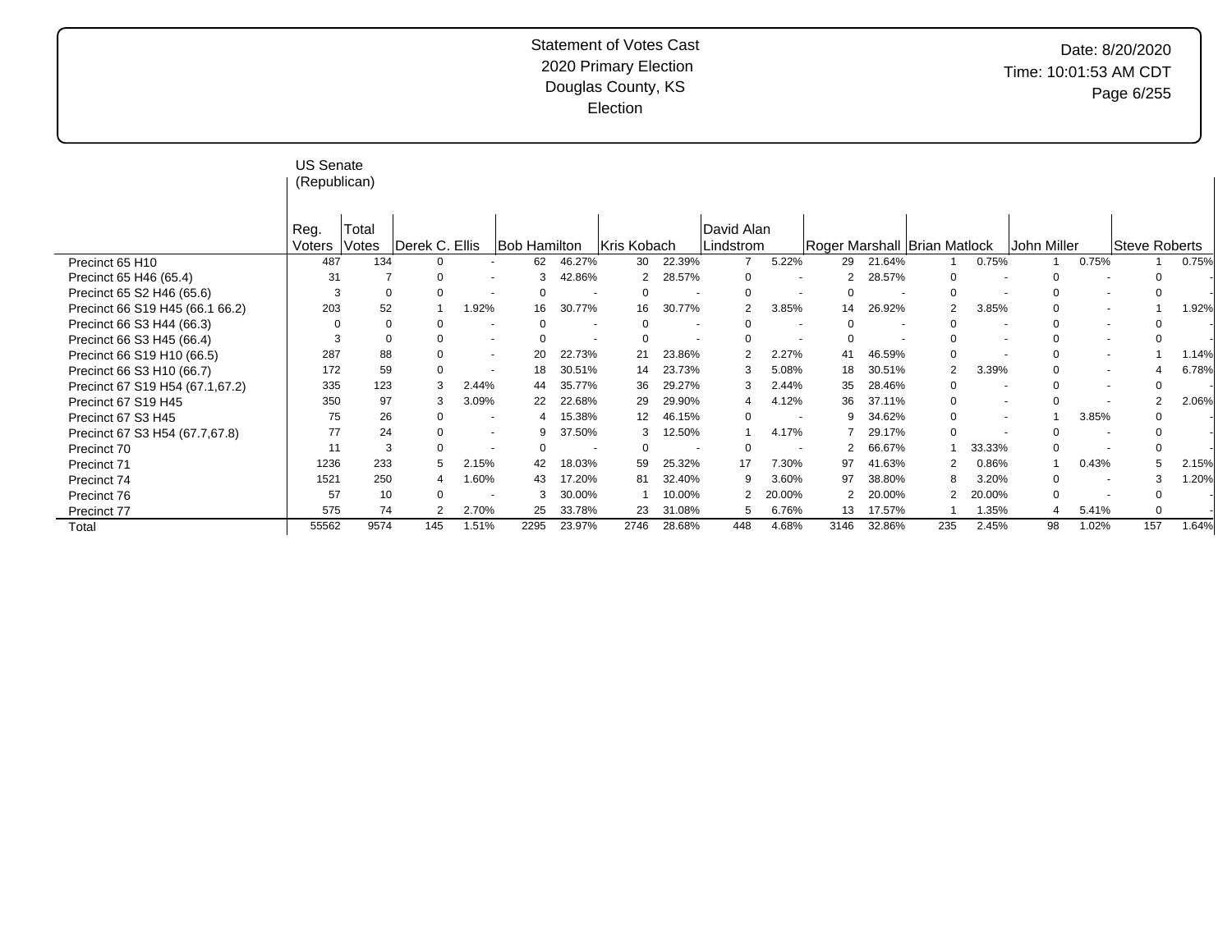# Date: 8/20/2020 Time: 10:01:53 AM CDT Page 6/255

|                                 | <b>US Senate</b><br>(Republican) |          |                |                          |                     |        |                |                          |                |                          |                |        |                                |                          |             |                          |                |       |
|---------------------------------|----------------------------------|----------|----------------|--------------------------|---------------------|--------|----------------|--------------------------|----------------|--------------------------|----------------|--------|--------------------------------|--------------------------|-------------|--------------------------|----------------|-------|
|                                 | Reg.                             | Total    |                |                          |                     |        |                |                          | David Alan     |                          |                |        |                                |                          |             |                          |                |       |
|                                 | Voters                           | Votes    | Derek C. Ellis |                          | <b>Bob Hamilton</b> |        | Kris Kobach    |                          | Lindstrom      |                          |                |        | Roger Marshall   Brian Matlock |                          | John Miller |                          | Steve Roberts  |       |
| Precinct 65 H10                 | 487                              | 134      |                |                          | 62                  | 46.27% | 30             | 22.39%                   |                | 5.22%                    | 29             | 21.64% |                                | 0.75%                    |             | 0.75%                    |                | 0.75% |
| Precinct 65 H46 (65.4)          | 31                               |          |                |                          | 3                   | 42.86% | $\overline{2}$ | 28.57%                   | 0              | $\overline{\phantom{a}}$ |                | 28.57% | 0                              |                          | 0           |                          |                |       |
| Precinct 65 S2 H46 (65.6)       | 3                                | $\Omega$ | $\cap$         |                          | $\Omega$            |        | $\Omega$       | $\overline{\phantom{a}}$ | $\Omega$       |                          |                |        | $\Omega$                       | $\overline{\phantom{a}}$ | $\Omega$    | $\overline{a}$           |                |       |
| Precinct 66 S19 H45 (66.1 66.2) | 203                              | 52       |                | 1.92%                    | 16                  | 30.77% | 16             | 30.77%                   | $\mathfrak{p}$ | 3.85%                    | 14             | 26.92% | 2                              | 3.85%                    | $\Omega$    | $\overline{\phantom{a}}$ |                | 1.92% |
| Precinct 66 S3 H44 (66.3)       | $\Omega$                         | $\Omega$ |                |                          | $\Omega$            |        |                |                          |                | $\overline{\phantom{a}}$ |                |        | 0                              |                          |             |                          |                |       |
| Precinct 66 S3 H45 (66.4)       | 3                                |          |                | $\sim$                   | $\Omega$            |        | $\Omega$       |                          | $\Omega$       | $\overline{\phantom{a}}$ | $\Omega$       |        | 0                              | ٠                        |             | $\sim$                   |                |       |
| Precinct 66 S19 H10 (66.5)      | 287                              | 88       |                |                          | 20                  | 22.73% | 21             | 23.86%                   | 2              | 2.27%                    | 41             | 46.59% | 0                              |                          | $\Omega$    |                          |                | 1.14% |
| Precinct 66 S3 H10 (66.7)       | 172                              | 59       |                |                          | 18                  | 30.51% | 14             | 23.73%                   | 3              | 5.08%                    | 18             | 30.51% | 2                              | 3.39%                    | $\Omega$    | $\overline{\phantom{a}}$ |                | 6.78% |
| Precinct 67 S19 H54 (67.1,67.2) | 335                              | 123      |                | 2.44%                    | 44                  | 35.77% | 36             | 29.27%                   | 3              | 2.44%                    | 35             | 28.46% | 0                              |                          |             |                          |                |       |
| Precinct 67 S19 H45             | 350                              | 97       | 3              | 3.09%                    | 22                  | 22.68% | 29             | 29.90%                   | 4              | 4.12%                    | 36             | 37.11% | 0                              | $\overline{\phantom{a}}$ | $\Omega$    |                          | $\overline{2}$ | 2.06% |
| Precinct 67 S3 H45              | 75                               | 26       | $\Omega$       |                          |                     | 15.38% | 12             | 46.15%                   | 0              |                          | 9              | 34.62% | 0                              | $\overline{\phantom{a}}$ |             | 3.85%                    |                |       |
| Precinct 67 S3 H54 (67.7,67.8)  | 77                               | 24       |                | $\overline{\phantom{a}}$ | 9                   | 37.50% | 3              | 12.50%                   |                | 4.17%                    |                | 29.17% | $\Omega$                       |                          | $\Omega$    |                          |                |       |
| Precinct 70                     | 11                               | 3        | $\Omega$       |                          | $\Omega$            |        | $\Omega$       |                          | $\Omega$       |                          |                | 66.67% |                                | 33.33%                   | 0           |                          | 0              |       |
| Precinct 71                     | 1236                             | 233      |                | 2.15%                    | 42                  | 18.03% | 59             | 25.32%                   | 17             | 7.30%                    | 97             | 41.63% | 2                              | 0.86%                    |             | 0.43%                    |                | 2.15% |
| Precinct 74                     | 1521                             | 250      |                | 1.60%                    | 43                  | 17.20% | 81             | 32.40%                   | 9              | 3.60%                    | 97             | 38.80% | 8                              | 3.20%                    | 0           |                          | 3              | 1.20% |
| Precinct 76                     | 57                               | 10       | $\Omega$       |                          | 3                   | 30.00% |                | 10.00%                   | 2              | 20.00%                   | $\overline{2}$ | 20.00% | 2                              | 20.00%                   | $\mathbf 0$ |                          | $\Omega$       |       |
| Precinct 77                     | 575                              | 74       |                | 2.70%                    | 25                  | 33.78% | 23             | 31.08%                   | 5              | 6.76%                    | 13             | 17.57% |                                | 1.35%                    |             | 5.41%                    | 0              |       |
| Total                           | 55562                            | 9574     | 145            | 1.51%                    | 2295                | 23.97% | 2746           | 28.68%                   | 448            | 4.68%                    | 3146           | 32.86% | 235                            | 2.45%                    | 98          | 1.02%                    | 157            | 1.64% |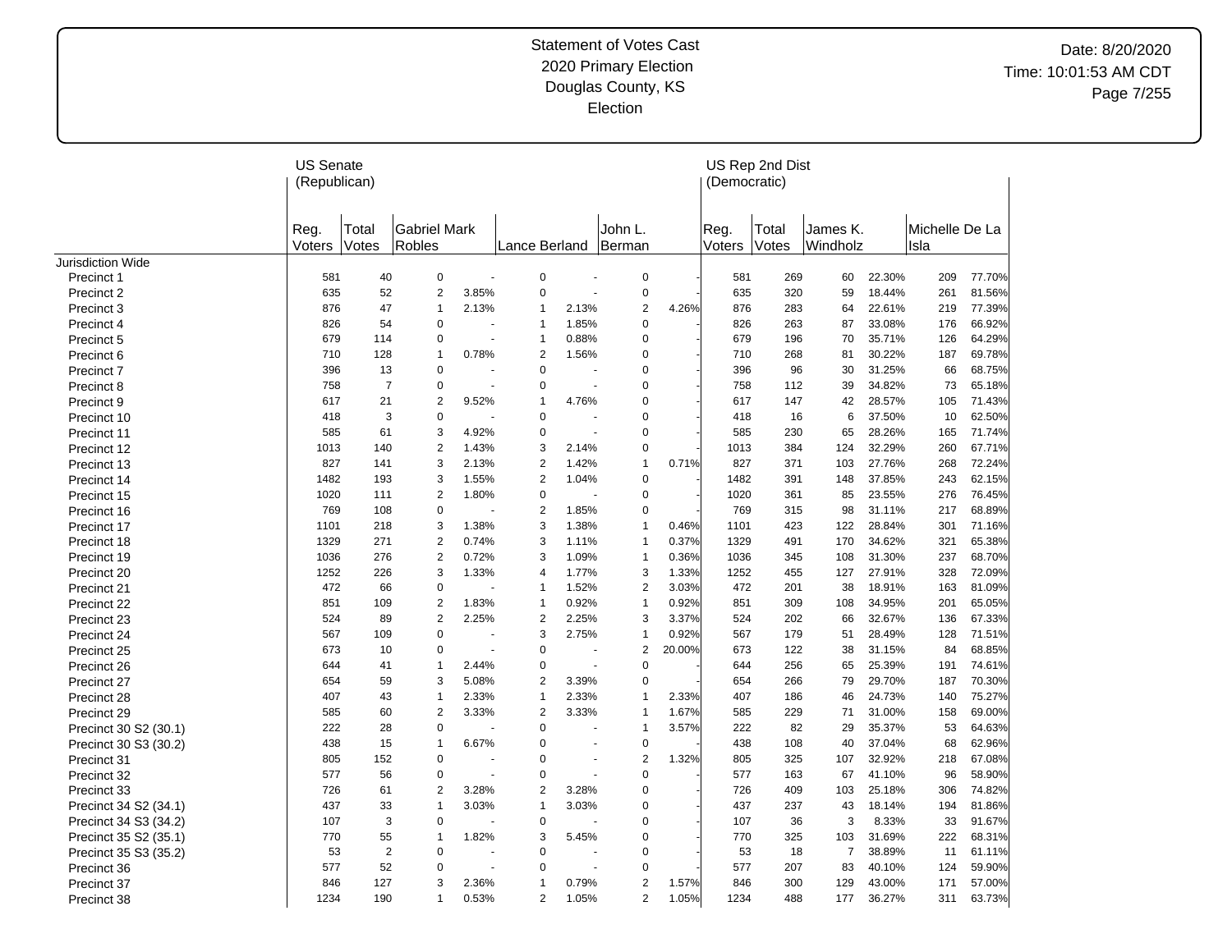|                                                | <b>US Senate</b><br>(Republican) |                |                               |                |                  |       |                   |        | (Democratic)   | US Rep 2nd Dist |                      |        |                        |        |
|------------------------------------------------|----------------------------------|----------------|-------------------------------|----------------|------------------|-------|-------------------|--------|----------------|-----------------|----------------------|--------|------------------------|--------|
|                                                | Reg.<br>Voters                   | Total<br>Votes | <b>Gabriel Mark</b><br>Robles |                | Lance Berland    |       | John L.<br>Berman |        | Reg.<br>Voters | Total<br>Votes  | James K.<br>Windholz |        | Michelle De La<br>Isla |        |
| <b>Jurisdiction Wide</b>                       |                                  |                |                               |                |                  |       |                   |        |                |                 |                      |        |                        |        |
| Precinct 1                                     | 581                              | 40             | 0                             |                | 0                |       | 0                 |        | 581            | 269             | 60                   | 22.30% | 209                    | 77.70% |
| Precinct 2                                     | 635                              | 52             | $\boldsymbol{2}$              | 3.85%          | $\mathbf 0$      |       | $\mathbf 0$       |        | 635            | 320             | 59                   | 18.44% | 261                    | 81.56% |
| Precinct 3                                     | 876                              | 47             | 1                             | 2.13%          | -1               | 2.13% | $\overline{2}$    | 4.26%  | 876            | 283             | 64                   | 22.61% | 219                    | 77.39% |
| Precinct 4                                     | 826                              | 54             | $\mathbf 0$                   |                | $\mathbf 1$      | 1.85% | $\pmb{0}$         |        | 826            | 263             | 87                   | 33.08% | 176                    | 66.92% |
| Precinct 5                                     | 679                              | 114            | 0                             | $\blacksquare$ | $\mathbf 1$      | 0.88% | $\pmb{0}$         |        | 679            | 196             | 70                   | 35.71% | 126                    | 64.29% |
| Precinct 6                                     | 710                              | 128            | $\overline{1}$                | 0.78%          | $\overline{2}$   | 1.56% | $\mathbf 0$       |        | 710            | 268             | 81                   | 30.22% | 187                    | 69.78% |
| Precinct 7                                     | 396                              | 13             | $\mathbf 0$                   |                | $\mathbf 0$      |       | 0                 |        | 396            | 96              | 30                   | 31.25% | 66                     | 68.75% |
| Precinct 8                                     | 758                              | $\overline{7}$ | $\mathbf 0$                   |                | 0                |       | 0                 |        | 758            | 112             | 39                   | 34.82% | 73                     | 65.18% |
| Precinct 9                                     | 617                              | 21             | $\overline{2}$                | 9.52%          | $\mathbf{1}$     | 4.76% | 0                 |        | 617            | 147             | 42                   | 28.57% | 105                    | 71.43% |
| Precinct 10                                    | 418                              | 3              | $\mathbf 0$                   |                | $\mathbf 0$      |       | $\mathbf 0$       |        | 418            | 16              | 6                    | 37.50% | 10                     | 62.50% |
| Precinct 11                                    | 585                              | 61             | 3                             | 4.92%          | $\mathbf 0$      | ÷,    | $\mathbf 0$       |        | 585            | 230             | 65                   | 28.26% | 165                    | 71.74% |
| Precinct 12                                    | 1013                             | 140            | $\overline{2}$                | 1.43%          | 3                | 2.14% | $\Omega$          |        | 1013           | 384             | 124                  | 32.29% | 260                    | 67.71% |
| Precinct 13                                    | 827                              | 141            | 3                             | 2.13%          | $\overline{2}$   | 1.42% | $\mathbf 1$       | 0.71%  | 827            | 371             | 103                  | 27.76% | 268                    | 72.24% |
| Precinct 14                                    | 1482                             | 193            | 3                             | 1.55%          | $\overline{2}$   | 1.04% | $\mathbf 0$       |        | 1482           | 391             | 148                  | 37.85% | 243                    | 62.15% |
| Precinct 15                                    | 1020                             | 111            | $\overline{2}$                | 1.80%          | $\mathbf 0$      |       | 0                 |        | 1020           | 361             | 85                   | 23.55% | 276                    | 76.45% |
| Precinct 16                                    | 769                              | 108            | $\mathbf 0$                   |                | $\overline{2}$   | 1.85% | $\mathbf 0$       |        | 769            | 315             | 98                   | 31.11% | 217                    | 68.89% |
| Precinct 17                                    | 1101                             | 218            | 3                             | 1.38%          | 3                | 1.38% | $\mathbf{1}$      | 0.46%  | 1101           | 423             | 122                  | 28.84% | 301                    | 71.16% |
| Precinct 18                                    | 1329                             | 271            | 2                             | 0.74%          | 3                | 1.11% | $\mathbf{1}$      | 0.37%  | 1329           | 491             | 170                  | 34.62% | 321                    | 65.38% |
| Precinct 19                                    | 1036                             | 276            | $\overline{2}$                | 0.72%          | 3                | 1.09% | $\mathbf{1}$      | 0.36%  | 1036           | 345             | 108                  | 31.30% | 237                    | 68.70% |
| Precinct 20                                    | 1252                             | 226            | 3                             | 1.33%          | $\overline{4}$   | 1.77% | 3                 | 1.33%  | 1252           | 455             | 127                  | 27.91% | 328                    | 72.09% |
| Precinct 21                                    | 472                              | 66             | $\mathbf 0$                   |                | $\mathbf{1}$     | 1.52% | $\overline{2}$    | 3.03%  | 472            | 201             | 38                   | 18.91% | 163                    | 81.09% |
| Precinct 22                                    | 851                              | 109            | $\overline{2}$                | 1.83%          | $\mathbf{1}$     | 0.92% | $\mathbf{1}$      | 0.92%  | 851            | 309             | 108                  | 34.95% | 201                    | 65.05% |
| Precinct 23                                    | 524                              | 89             | $\overline{2}$                | 2.25%          | $\overline{2}$   | 2.25% | 3                 | 3.37%  | 524            | 202             | 66                   | 32.67% | 136                    | 67.33% |
| Precinct 24                                    | 567                              | 109            | $\mathbf 0$                   |                | 3                | 2.75% | $\overline{1}$    | 0.92%  | 567            | 179             | 51                   | 28.49% | 128                    | 71.51% |
| Precinct 25                                    | 673                              | 10             | $\Omega$                      |                | $\overline{0}$   |       | $\overline{2}$    | 20.00% | 673            | 122             | 38                   | 31.15% | 84                     | 68.85% |
| Precinct 26                                    | 644                              | 41             | $\overline{1}$                | 2.44%          | $\Omega$         |       | $\mathbf 0$       |        | 644            | 256             | 65                   | 25.39% | 191                    | 74.61% |
| Precinct 27                                    | 654                              | 59             | 3                             | 5.08%          | $\overline{2}$   | 3.39% | $\mathbf 0$       |        | 654            | 266             | 79                   | 29.70% | 187                    | 70.30% |
| Precinct 28                                    | 407                              | 43             | $\overline{1}$                | 2.33%          | $\mathbf{1}$     | 2.33% | $\mathbf{1}$      | 2.33%  | 407            | 186             | 46                   | 24.73% | 140                    | 75.27% |
| Precinct 29                                    | 585                              | 60             | $\overline{2}$                | 3.33%          | $\overline{2}$   | 3.33% | $\mathbf{1}$      | 1.67%  | 585            | 229             | 71                   | 31.00% | 158                    | 69.00% |
|                                                | 222                              | 28             | $\mathbf 0$                   |                | $\mathbf 0$      |       | $\mathbf{1}$      | 3.57%  | 222            | 82              | 29                   | 35.37% | 53                     | 64.63% |
| Precinct 30 S2 (30.1)<br>Precinct 30 S3 (30.2) | 438                              | 15             | $\overline{1}$                | 6.67%          | 0                |       | $\mathbf 0$       |        | 438            | 108             | 40                   | 37.04% | 68                     | 62.96% |
| Precinct 31                                    | 805                              | 152            | 0                             |                | $\mathbf 0$      |       | $\overline{2}$    | 1.32%  | 805            | 325             | 107                  | 32.92% | 218                    | 67.08% |
| Precinct 32                                    | 577                              | 56             | $\mathbf 0$                   | ä,             | 0                |       | $\mathbf 0$       |        | 577            | 163             | 67                   | 41.10% | 96                     | 58.90% |
|                                                | 726                              | 61             | $\overline{2}$                | 3.28%          | 2                | 3.28% | 0                 |        | 726            | 409             | 103                  | 25.18% | 306                    | 74.82% |
| Precinct 33                                    | 437                              | 33             | $\overline{1}$                | 3.03%          | $\mathbf{1}$     | 3.03% | 0                 |        | 437            | 237             | 43                   | 18.14% | 194                    | 81.86% |
| Precinct 34 S2 (34.1)                          | 107                              | 3              | $\pmb{0}$                     |                | 0                |       | 0                 |        | 107            | 36              | 3                    | 8.33%  |                        | 91.67% |
| Precinct 34 S3 (34.2)                          |                                  |                |                               |                |                  |       | $\Omega$          |        |                |                 |                      |        | 33                     |        |
| Precinct 35 S2 (35.1)                          | 770                              | 55             | 1<br>$\mathbf 0$              | 1.82%          | 3<br>$\mathbf 0$ | 5.45% | 0                 |        | 770            | 325             | 103                  | 31.69% | 222                    | 68.31% |
| Precinct 35 S3 (35.2)                          | 53                               | $\overline{2}$ |                               |                |                  |       |                   |        | 53             | 18              | 7                    | 38.89% | 11                     | 61.11% |
| Precinct 36                                    | 577                              | 52             | $\mathbf 0$                   |                | $\mathbf 0$      |       | $\mathbf 0$       |        | 577            | 207             | 83                   | 40.10% | 124                    | 59.90% |
| Precinct 37                                    | 846                              | 127            | 3                             | 2.36%          | -1               | 0.79% | 2                 | 1.57%  | 846            | 300             | 129                  | 43.00% | 171                    | 57.00% |
| Precinct 38                                    | 1234                             | 190            | $\mathbf{1}$                  | 0.53%          | $\overline{2}$   | 1.05% | $\overline{2}$    | 1.05%  | 1234           | 488             | 177                  | 36.27% | 311                    | 63.73% |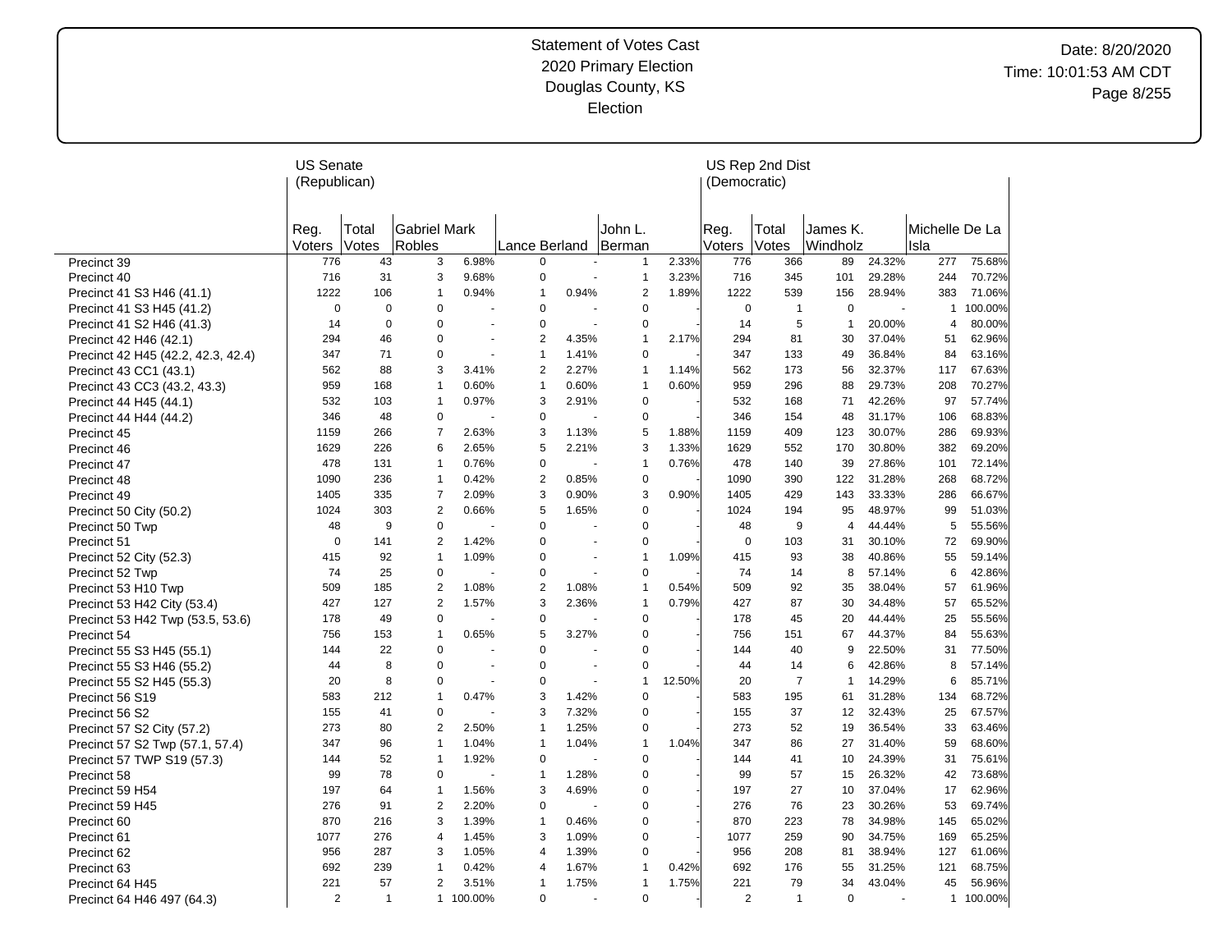|                                    | <b>US Senate</b><br>(Republican) |                |                               |                |                |                      |                         |        | (Democratic)   | US Rep 2nd Dist |                      |                |                        |           |
|------------------------------------|----------------------------------|----------------|-------------------------------|----------------|----------------|----------------------|-------------------------|--------|----------------|-----------------|----------------------|----------------|------------------------|-----------|
|                                    | Reg.<br>Voters                   | Total<br>Votes | <b>Gabriel Mark</b><br>Robles |                | Lance Berland  |                      | John L.<br>Berman       |        | Reg.<br>Voters | Total<br>Votes  | James K.<br>Windholz |                | Michelle De La<br>Isla |           |
| Precinct 39                        | 776                              | 43             | 3                             | 6.98%          | $\Omega$       |                      | 1                       | 2.33%  | 776            | 366             | 89                   | 24.32%         | 277                    | 75.68%    |
| Precinct 40                        | 716                              | 31             | 3                             | 9.68%          | 0              |                      | 1                       | 3.23%  | 716            | 345             | 101                  | 29.28%         | 244                    | 70.72%    |
| Precinct 41 S3 H46 (41.1)          | 1222                             | 106            | 1                             | 0.94%          | 1              | 0.94%                | $\overline{\mathbf{c}}$ | 1.89%  | 1222           | 539             | 156                  | 28.94%         | 383                    | 71.06%    |
| Precinct 41 S3 H45 (41.2)          | $\pmb{0}$                        | $\pmb{0}$      | 0                             | ÷.             | 0              |                      | 0                       |        | $\mathbf 0$    | 1               | 0                    | $\overline{a}$ | 1                      | 100.00%   |
| Precinct 41 S2 H46 (41.3)          | 14                               | $\Omega$       | 0                             |                | 0              |                      | 0                       |        | 14             | 5               | $\mathbf{1}$         | 20.00%         | 4                      | 80.00%    |
| Precinct 42 H46 (42.1)             | 294                              | 46             | 0                             | ÷,             | $\overline{2}$ | 4.35%                | $\mathbf{1}$            | 2.17%  | 294            | 81              | 30                   | 37.04%         | 51                     | 62.96%    |
| Precinct 42 H45 (42.2, 42.3, 42.4) | 347                              | 71             | 0                             | ÷,             | $\mathbf{1}$   | 1.41%                | 0                       |        | 347            | 133             | 49                   | 36.84%         | 84                     | 63.16%    |
| Precinct 43 CC1 (43.1)             | 562                              | 88             | 3                             | 3.41%          | 2              | 2.27%                | $\mathbf{1}$            | 1.14%  | 562            | 173             | 56                   | 32.37%         | 117                    | 67.63%    |
| Precinct 43 CC3 (43.2, 43.3)       | 959                              | 168            | $\mathbf{1}$                  | 0.60%          | $\mathbf{1}$   | 0.60%                | $\mathbf{1}$            | 0.60%  | 959            | 296             | 88                   | 29.73%         | 208                    | 70.27%    |
| Precinct 44 H45 (44.1)             | 532                              | 103            | $\mathbf{1}$                  | 0.97%          | 3              | 2.91%                | 0                       |        | 532            | 168             | 71                   | 42.26%         | 97                     | 57.74%    |
| Precinct 44 H44 (44.2)             | 346                              | 48             | 0                             |                | 0              |                      | 0                       |        | 346            | 154             | 48                   | 31.17%         | 106                    | 68.83%    |
| Precinct 45                        | 1159                             | 266            | $\overline{7}$                | 2.63%          | 3              | 1.13%                | 5                       | 1.88%  | 1159           | 409             | 123                  | 30.07%         | 286                    | 69.93%    |
| Precinct 46                        | 1629                             | 226            | 6                             | 2.65%          | 5              | 2.21%                | 3                       | 1.33%  | 1629           | 552             | 170                  | 30.80%         | 382                    | 69.20%    |
| Precinct 47                        | 478                              | 131            | $\mathbf{1}$                  | 0.76%          | 0              |                      | $\mathbf{1}$            | 0.76%  | 478            | 140             | 39                   | 27.86%         | 101                    | 72.14%    |
| Precinct 48                        | 1090                             | 236            | $\mathbf{1}$                  | 0.42%          | 2              | 0.85%                | 0                       |        | 1090           | 390             | 122                  | 31.28%         | 268                    | 68.72%    |
| Precinct 49                        | 1405                             | 335            | 7                             | 2.09%          | 3              | 0.90%                | 3                       | 0.90%  | 1405           | 429             | 143                  | 33.33%         | 286                    | 66.67%    |
| Precinct 50 City (50.2)            | 1024                             | 303            | $\overline{2}$                | 0.66%          | 5              | 1.65%                | 0                       |        | 1024           | 194             | 95                   | 48.97%         | 99                     | 51.03%    |
| Precinct 50 Twp                    | 48                               | 9              | 0                             |                | 0              |                      | 0                       |        | 48             | 9               | 4                    | 44.44%         | 5                      | 55.56%    |
| Precinct 51                        | $\mathbf 0$                      | 141            | $\overline{2}$                | 1.42%          | 0              |                      | 0                       |        | $\mathbf 0$    | 103             | 31                   | 30.10%         | 72                     | 69.90%    |
| Precinct 52 City (52.3)            | 415                              | 92             | $\mathbf{1}$                  | 1.09%          | 0              |                      | $\mathbf{1}$            | 1.09%  | 415            | 93              | 38                   | 40.86%         | 55                     | 59.14%    |
| Precinct 52 Twp                    | 74                               | 25             | 0                             |                | 0              |                      | 0                       |        | 74             | 14              | 8                    | 57.14%         | 6                      | 42.86%    |
| Precinct 53 H10 Twp                | 509                              | 185            | $\overline{2}$                | 1.08%          | $\overline{2}$ | 1.08%                | $\mathbf{1}$            | 0.54%  | 509            | 92              | 35                   | 38.04%         | 57                     | 61.96%    |
| Precinct 53 H42 City (53.4)        | 427                              | 127            | $\overline{2}$                | 1.57%          | 3              | 2.36%                | $\mathbf{1}$            | 0.79%  | 427            | 87              | 30                   | 34.48%         | 57                     | 65.52%    |
| Precinct 53 H42 Twp (53.5, 53.6)   | 178                              | 49             | 0                             |                | 0              |                      | 0                       |        | 178            | 45              | 20                   | 44.44%         | 25                     | 55.56%    |
| Precinct 54                        | 756                              | 153            | 1                             | 0.65%          | 5              | 3.27%                | 0                       |        | 756            | 151             | 67                   | 44.37%         | 84                     | 55.63%    |
| Precinct 55 S3 H45 (55.1)          | 144                              | 22             | 0                             |                | 0              | ÷.                   | 0                       |        | 144            | 40              | 9                    | 22.50%         | 31                     | 77.50%    |
| Precinct 55 S3 H46 (55.2)          | 44                               | 8              | 0                             |                | 0              | $\ddot{\phantom{1}}$ | 0                       |        | 44             | 14              | 6                    | 42.86%         | 8                      | 57.14%    |
| Precinct 55 S2 H45 (55.3)          | 20                               | 8              | 0                             | $\blacksquare$ | 0              | $\blacksquare$       | $\mathbf{1}$            | 12.50% | 20             | $\overline{7}$  | $\mathbf{1}$         | 14.29%         | 6                      | 85.71%    |
| Precinct 56 S19                    | 583                              | 212            | $\mathbf{1}$                  | 0.47%          | 3              | 1.42%                | 0                       |        | 583            | 195             | 61                   | 31.28%         | 134                    | 68.72%    |
| Precinct 56 S2                     | 155                              | 41             | 0                             |                | 3              | 7.32%                | 0                       |        | 155            | 37              | 12                   | 32.43%         | 25                     | 67.57%    |
| Precinct 57 S2 City (57.2)         | 273                              | 80             | $\overline{2}$                | 2.50%          | $\mathbf{1}$   | 1.25%                | 0                       |        | 273            | 52              | 19                   | 36.54%         | 33                     | 63.46%    |
| Precinct 57 S2 Twp (57.1, 57.4)    | 347                              | 96             | $\mathbf{1}$                  | 1.04%          | $\mathbf{1}$   | 1.04%                | $\mathbf{1}$            | 1.04%  | 347            | 86              | 27                   | 31.40%         | 59                     | 68.60%    |
| Precinct 57 TWP S19 (57.3)         | 144                              | 52             | $\mathbf{1}$                  | 1.92%          | 0              |                      | 0                       |        | 144            | 41              | 10                   | 24.39%         | 31                     | 75.61%    |
| Precinct 58                        | 99                               | 78             | 0                             |                | $\mathbf{1}$   | 1.28%                | 0                       |        | 99             | 57              | 15                   | 26.32%         | 42                     | 73.68%    |
| Precinct 59 H54                    | 197                              | 64             | $\mathbf{1}$                  | 1.56%          | 3              | 4.69%                | 0                       |        | 197            | 27              | 10                   | 37.04%         | 17                     | 62.96%    |
| Precinct 59 H45                    | 276                              | 91             | 2                             | 2.20%          | 0              |                      | 0                       |        | 276            | 76              | 23                   | 30.26%         | 53                     | 69.74%    |
| Precinct 60                        | 870                              | 216            | 3                             | 1.39%          | $\mathbf{1}$   | 0.46%                | 0                       |        | 870            | 223             | 78                   | 34.98%         | 145                    | 65.02%    |
| Precinct 61                        | 1077                             | 276            | 4                             | 1.45%          | 3              | 1.09%                | 0                       |        | 1077           | 259             | 90                   | 34.75%         | 169                    | 65.25%    |
| Precinct 62                        | 956                              | 287            | 3                             | 1.05%          | 4              | 1.39%                | 0                       |        | 956            | 208             | 81                   | 38.94%         | 127                    | 61.06%    |
| Precinct 63                        | 692                              | 239            | 1                             | 0.42%          | 4              | 1.67%                | 1                       | 0.42%  | 692            | 176             | 55                   | 31.25%         | 121                    | 68.75%    |
| Precinct 64 H45                    | 221                              | 57             | 2                             | 3.51%          | $\mathbf{1}$   | 1.75%                | 1                       | 1.75%  | 221            | 79              | 34                   | 43.04%         | 45                     | 56.96%    |
| Precinct 64 H46 497 (64.3)         | $\overline{2}$                   | $\mathbf{1}$   |                               | 1 100.00%      | 0              |                      | 0                       |        | $\overline{2}$ | $\mathbf{1}$    | $\mathbf 0$          |                |                        | 1 100.00% |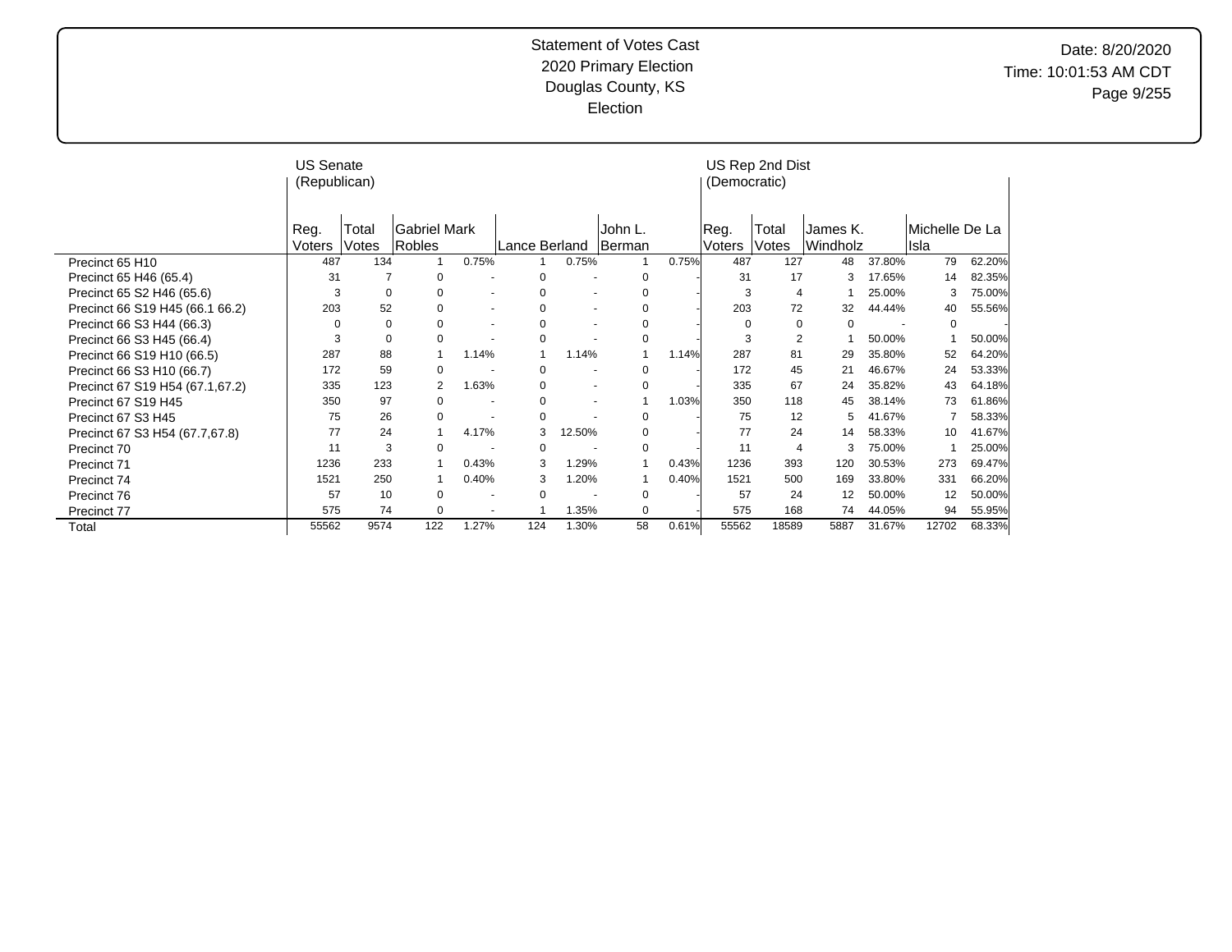|                                 | <b>US Senate</b><br>(Republican) |                |                        |                          |               |                          |                   |       | (Democratic)          | US Rep 2nd Dist |                      |        |                         |        |
|---------------------------------|----------------------------------|----------------|------------------------|--------------------------|---------------|--------------------------|-------------------|-------|-----------------------|-----------------|----------------------|--------|-------------------------|--------|
|                                 | Reg.<br>Voters                   | Total<br>Votes | Gabriel Mark<br>Robles |                          | Lance Berland |                          | John L.<br>Berman |       | Reg.<br><b>Voters</b> | Total<br>Votes  | James K.<br>Windholz |        | lMichelle De La<br>Isla |        |
| Precinct 65 H10                 | 487                              | 134            |                        | 0.75%                    |               | 0.75%                    |                   | 0.75% | 487                   | 127             | 48                   | 37.80% | 79                      | 62.20% |
| Precinct 65 H46 (65.4)          | 31                               |                | $\mathbf 0$            |                          | 0             |                          | 0                 |       | 31                    | 17              | 3                    | 17.65% | 14                      | 82.35% |
| Precinct 65 S2 H46 (65.6)       | 3                                | 0              | 0                      | $\overline{\phantom{a}}$ | $\Omega$      | $\overline{\phantom{a}}$ | 0                 |       | 3                     | 4               |                      | 25.00% | 3                       | 75.00% |
| Precinct 66 S19 H45 (66.1 66.2) | 203                              | 52             | 0                      | $\sim$                   | 0             | $\overline{\phantom{a}}$ | 0                 |       | 203                   | 72              | 32                   | 44.44% | 40                      | 55.56% |
| Precinct 66 S3 H44 (66.3)       | 0                                | $\mathbf 0$    | 0                      |                          | 0             | $\blacksquare$           | 0                 |       | 0                     | 0               | 0                    |        | $\mathbf 0$             |        |
| Precinct 66 S3 H45 (66.4)       | 3                                | 0              | $\mathbf 0$            |                          | 0             |                          | 0                 |       | 3                     | $\overline{2}$  |                      | 50.00% |                         | 50.00% |
| Precinct 66 S19 H10 (66.5)      | 287                              | 88             | $\mathbf{1}$           | 1.14%                    | 1             | 1.14%                    | 1                 | 1.14% | 287                   | 81              | 29                   | 35.80% | 52                      | 64.20% |
| Precinct 66 S3 H10 (66.7)       | 172                              | 59             | $\mathbf 0$            |                          | 0             | $\blacksquare$           | $\mathbf 0$       |       | 172                   | 45              | 21                   | 46.67% | 24                      | 53.33% |
| Precinct 67 S19 H54 (67.1,67.2) | 335                              | 123            | 2                      | 1.63%                    | $\Omega$      | $\overline{\phantom{a}}$ | 0                 |       | 335                   | 67              | 24                   | 35.82% | 43                      | 64.18% |
| Precinct 67 S19 H45             | 350                              | 97             | $\Omega$               |                          | 0             | $\overline{\phantom{a}}$ |                   | 1.03% | 350                   | 118             | 45                   | 38.14% | 73                      | 61.86% |
| Precinct 67 S3 H45              | 75                               | 26             | $\Omega$               |                          | 0             |                          | 0                 |       | 75                    | 12              | 5                    | 41.67% |                         | 58.33% |
| Precinct 67 S3 H54 (67.7,67.8)  | 77                               | 24             |                        | 4.17%                    | 3             | 12.50%                   | 0                 |       | 77                    | 24              | 14                   | 58.33% | 10                      | 41.67% |
| Precinct 70                     | 11                               | 3              | $\Omega$               |                          | $\Omega$      |                          | $\mathbf 0$       |       | 11                    | 4               | 3                    | 75.00% |                         | 25.00% |
| Precinct 71                     | 1236                             | 233            |                        | 0.43%                    | 3             | 1.29%                    | 1                 | 0.43% | 1236                  | 393             | 120                  | 30.53% | 273                     | 69.47% |
| Precinct 74                     | 1521                             | 250            |                        | 0.40%                    | 3             | 1.20%                    |                   | 0.40% | 1521                  | 500             | 169                  | 33.80% | 331                     | 66.20% |
| Precinct 76                     | 57                               | 10             | 0                      |                          | $\mathbf 0$   |                          | 0                 |       | 57                    | 24              | 12                   | 50.00% | 12                      | 50.00% |
| Precinct 77                     | 575                              | 74             | 0                      | $\overline{\phantom{a}}$ | 4             | 1.35%                    | 0                 |       | 575                   | 168             | 74                   | 44.05% | 94                      | 55.95% |
| Total                           | 55562                            | 9574           | 122                    | 1.27%                    | 124           | 1.30%                    | 58                | 0.61% | 55562                 | 18589           | 5887                 | 31.67% | 12702                   | 68.33% |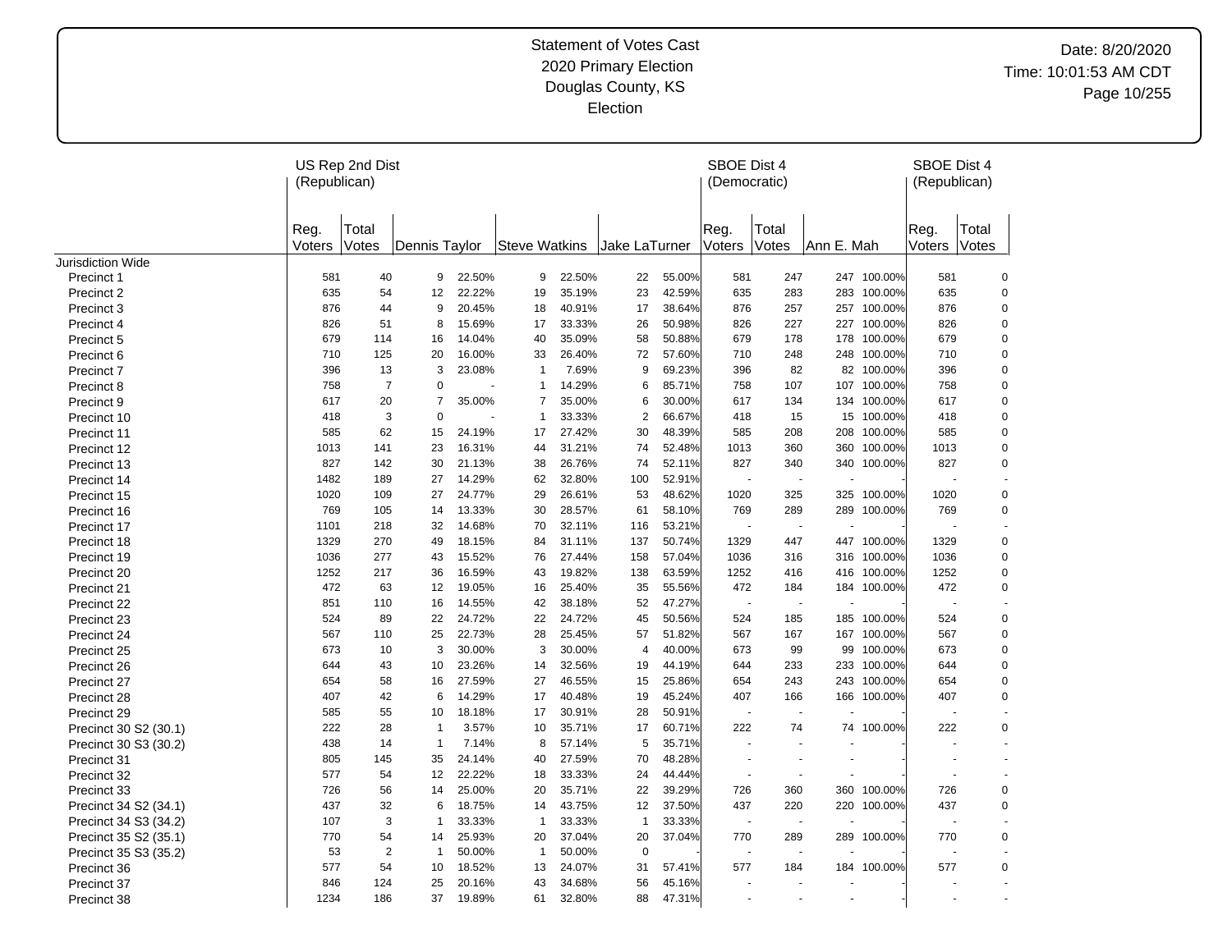|                          | US Rep 2nd Dist<br>(Republican) |                |               |        |                      |        |                |        | SBOE Dist 4<br>(Democratic) |                |            |             | <b>SBOE Dist 4</b><br>(Republican) |             |
|--------------------------|---------------------------------|----------------|---------------|--------|----------------------|--------|----------------|--------|-----------------------------|----------------|------------|-------------|------------------------------------|-------------|
|                          | Reg.<br>Voters                  | Total<br>Votes | Dennis Taylor |        | <b>Steve Watkins</b> |        | Jake LaTurner  |        | Reg.<br>Voters              | Total<br>Votes | Ann E. Mah |             | Reg.<br>Voters Votes               | Total       |
| <b>Jurisdiction Wide</b> |                                 |                |               |        |                      |        |                |        |                             |                |            |             |                                    |             |
| Precinct 1               | 581                             | 40             | 9             | 22.50% | 9                    | 22.50% | 22             | 55.00% | 581                         | 247            | 247        | 100.00%     | 581                                | $\mathbf 0$ |
| Precinct 2               | 635                             | 54             | 12            | 22.22% | 19                   | 35.19% | 23             | 42.59% | 635                         | 283            | 283        | 100.00%     | 635                                | $\mathbf 0$ |
| Precinct 3               | 876                             | 44             | 9             | 20.45% | 18                   | 40.91% | 17             | 38.64% | 876                         | 257            |            | 257 100.00% | 876                                | $\mathbf 0$ |
| Precinct 4               | 826                             | 51             | 8             | 15.69% | 17                   | 33.33% | 26             | 50.98% | 826                         | 227            |            | 227 100.00% | 826                                | $\mathbf 0$ |
| Precinct 5               | 679                             | 114            | 16            | 14.04% | 40                   | 35.09% | 58             | 50.88% | 679                         | 178            | 178        | 100.00%     | 679                                | $\pmb{0}$   |
| Precinct 6               | 710                             | 125            | 20            | 16.00% | 33                   | 26.40% | 72             | 57.60% | 710                         | 248            | 248        | 100.00%     | 710                                | $\mathbf 0$ |
| Precinct 7               | 396                             | 13             | 3             | 23.08% | $\overline{1}$       | 7.69%  | 9              | 69.23% | 396                         | 82             | 82         | 100.00%     | 396                                | $\mathbf 0$ |
| Precinct 8               | 758                             | $\overline{7}$ | 0             |        | -1                   | 14.29% | 6              | 85.71% | 758                         | 107            |            | 107 100.00% | 758                                | $\mathbf 0$ |
| Precinct 9               | 617                             | 20             | 7             | 35.00% | $\overline{7}$       | 35.00% | 6              | 30.00% | 617                         | 134            | 134        | 100.00%     | 617                                | $\mathbf 0$ |
| Precinct 10              | 418                             | 3              | $\mathbf 0$   |        | $\overline{1}$       | 33.33% | $\overline{2}$ | 66.67% | 418                         | 15             |            | 15 100.00%  | 418                                | $\mathbf 0$ |
| <b>Precinct 11</b>       | 585                             | 62             | 15            | 24.19% | 17                   | 27.42% | 30             | 48.39% | 585                         | 208            | 208        | 100.00%     | 585                                | 0           |
| Precinct 12              | 1013                            | 141            | 23            | 16.31% | 44                   | 31.21% | 74             | 52.48% | 1013                        | 360            | 360        | 100.00%     | 1013                               | 0           |
| Precinct 13              | 827                             | 142            | 30            | 21.13% | 38                   | 26.76% | 74             | 52.11% | 827                         | 340            |            | 340 100.00% | 827                                | 0           |
| Precinct 14              | 1482                            | 189            | 27            | 14.29% | 62                   | 32.80% | 100            | 52.91% |                             | $\sim$         |            |             |                                    |             |
| Precinct 15              | 1020                            | 109            | 27            | 24.77% | 29                   | 26.61% | 53             | 48.62% | 1020                        | 325            | 325        | 100.00%     | 1020                               | 0           |
| Precinct 16              | 769                             | 105            | 14            | 13.33% | 30                   | 28.57% | 61             | 58.10% | 769                         | 289            |            | 289 100.00% | 769                                | $\mathbf 0$ |
| Precinct 17              | 1101                            | 218            | 32            | 14.68% | 70                   | 32.11% | 116            | 53.21% |                             |                |            |             |                                    |             |
| Precinct 18              | 1329                            | 270            | 49            | 18.15% | 84                   | 31.11% | 137            | 50.74% | 1329                        | 447            |            | 447 100.00% | 1329                               | 0           |
| Precinct 19              | 1036                            | 277            | 43            | 15.52% | 76                   | 27.44% | 158            | 57.04% | 1036                        | 316            | 316        | 100.00%     | 1036                               | $\mathbf 0$ |
| Precinct 20              | 1252                            | 217            | 36            | 16.59% | 43                   | 19.82% | 138            | 63.59% | 1252                        | 416            | 416        | 100.00%     | 1252                               | $\pmb{0}$   |
| Precinct 21              | 472                             | 63             | 12            | 19.05% | 16                   | 25.40% | 35             | 55.56% | 472                         | 184            |            | 184 100.00% | 472                                | $\mathbf 0$ |
| Precinct 22              | 851                             | 110            | 16            | 14.55% | 42                   | 38.18% | 52             | 47.27% | $\overline{\phantom{a}}$    | $\sim$         |            |             |                                    |             |
| Precinct 23              | 524                             | 89             | 22            | 24.72% | 22                   | 24.72% | 45             | 50.56% | 524                         | 185            | 185        | 100.00%     | 524                                | $\mathbf 0$ |
| Precinct 24              | 567                             | 110            | 25            | 22.73% | 28                   | 25.45% | 57             | 51.82% | 567                         | 167            |            | 167 100.00% | 567                                | 0           |
| Precinct 25              | 673                             | 10             | 3             | 30.00% | 3                    | 30.00% | $\overline{4}$ | 40.00% | 673                         | 99             | 99         | 100.00%     | 673                                | 0           |
| Precinct 26              | 644                             | 43             | 10            | 23.26% | 14                   | 32.56% | 19             | 44.19% | 644                         | 233            | 233        | 100.00%     | 644                                | 0           |
| Precinct 27              | 654                             | 58             | 16            | 27.59% | 27                   | 46.55% | 15             | 25.86% | 654                         | 243            | 243        | 100.00%     | 654                                | 0           |
| Precinct 28              | 407                             | 42             | 6             | 14.29% | 17                   | 40.48% | 19             | 45.24% | 407                         | 166            | 166        | 100.00%     | 407                                | $\pmb{0}$   |
| Precinct 29              | 585                             | 55             | 10            | 18.18% | 17                   | 30.91% | 28             | 50.91% |                             |                |            |             |                                    |             |
| Precinct 30 S2 (30.1)    | 222                             | 28             | $\mathbf{1}$  | 3.57%  | 10                   | 35.71% | 17             | 60.71% | 222                         | 74             | 74         | 100.00%     | 222                                | 0           |
| Precinct 30 S3 (30.2)    | 438                             | 14             | $\mathbf{1}$  | 7.14%  | 8                    | 57.14% | 5              | 35.71% |                             |                |            |             |                                    |             |
| Precinct 31              | 805                             | 145            | 35            | 24.14% | 40                   | 27.59% | 70             | 48.28% |                             |                |            |             |                                    |             |
| Precinct 32              | 577                             | 54             | 12            | 22.22% | 18                   | 33.33% | 24             | 44.44% | $\sim$                      | $\sim$         |            |             |                                    |             |
| Precinct 33              | 726                             | 56             | 14            | 25.00% | 20                   | 35.71% | 22             | 39.29% | 726                         | 360            | 360        | 100.00%     | 726                                | $\mathbf 0$ |
| Precinct 34 S2 (34.1)    | 437                             | 32             | 6             | 18.75% | 14                   | 43.75% | 12             | 37.50% | 437                         | 220            | 220        | 100.00%     | 437                                | $\pmb{0}$   |
| Precinct 34 S3 (34.2)    | 107                             | 3              | -1            | 33.33% | $\overline{1}$       | 33.33% | $\overline{1}$ | 33.33% | $\overline{\phantom{a}}$    | $\sim$         |            |             |                                    |             |
| Precinct 35 S2 (35.1)    | 770                             | 54             | 14            | 25.93% | 20                   | 37.04% | 20             | 37.04% | 770                         | 289            | 289        | 100.00%     | 770                                | $\pmb{0}$   |
| Precinct 35 S3 (35.2)    | 53                              | $\overline{2}$ | $\mathbf{1}$  | 50.00% | $\overline{1}$       | 50.00% | $\mathbf 0$    |        |                             |                |            |             |                                    |             |
| Precinct 36              | 577                             | 54             | 10            | 18.52% | 13                   | 24.07% | 31             | 57.41% | 577                         | 184            |            | 184 100.00% | 577                                | 0           |
| Precinct 37              | 846                             | 124            | 25            | 20.16% | 43                   | 34.68% | 56             | 45.16% |                             |                |            |             |                                    |             |
| Precinct 38              | 1234                            | 186            | 37            | 19.89% | 61                   | 32.80% | 88             | 47.31% |                             | $\overline{a}$ |            |             |                                    |             |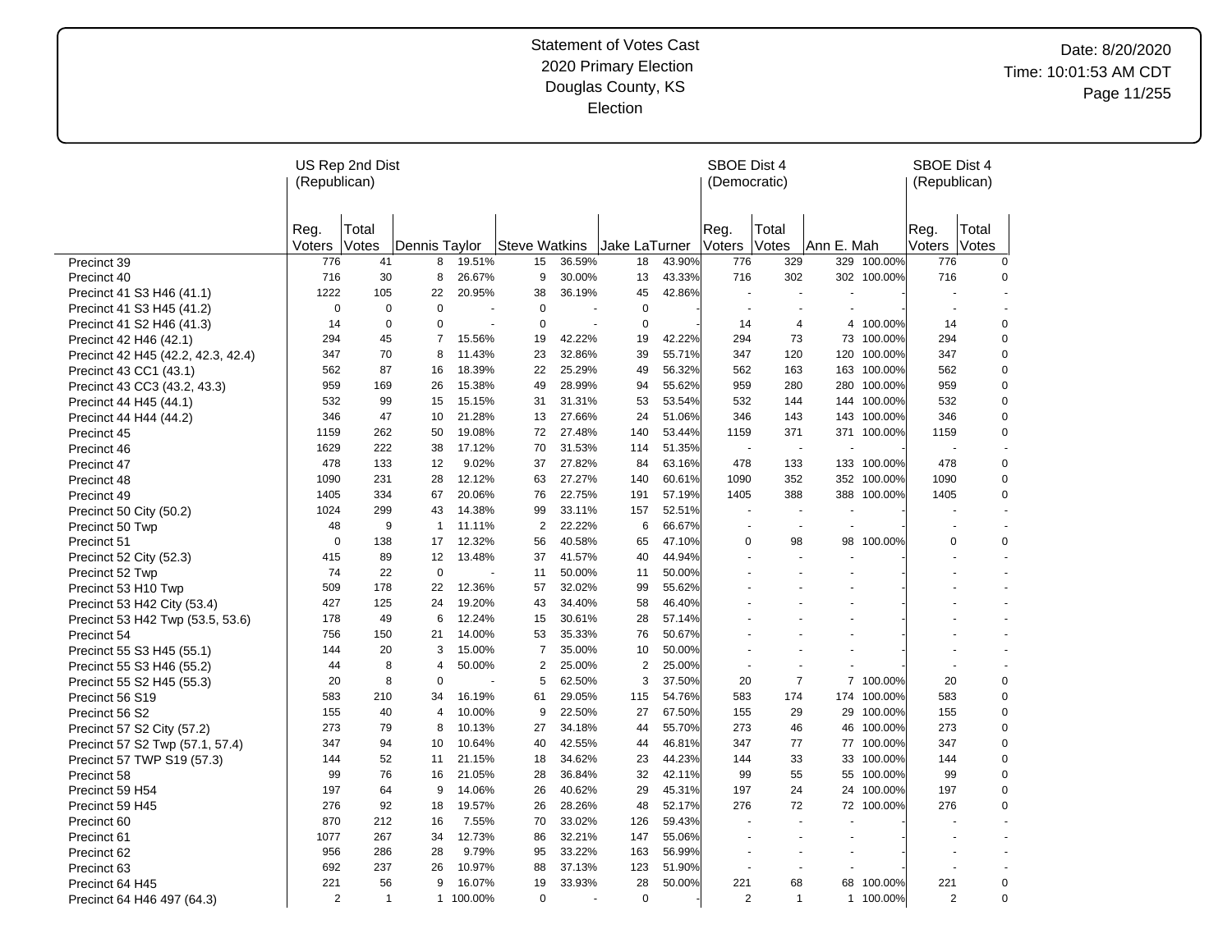|                                    | US Rep 2nd Dist<br>(Republican) |                |                |         |                |        |                |        | SBOE Dist 4<br>(Democratic) |                |                          |             | SBOE Dist 4<br>(Republican) |                       |
|------------------------------------|---------------------------------|----------------|----------------|---------|----------------|--------|----------------|--------|-----------------------------|----------------|--------------------------|-------------|-----------------------------|-----------------------|
|                                    | Reg.<br>Voters                  | Total<br>Votes | Dennis Taylor  |         | Steve Watkins  |        | Jake LaTurner  |        | Reg.<br>Voters              | Total<br>Votes | Ann E. Mah               |             | Reg.<br>Voters              | Total<br><b>Votes</b> |
| Precinct 39                        | 776                             | 41             | 8              | 19.51%  | 15             | 36.59% | 18             | 43.90% | 776                         | 329            | 329                      | 100.00%     | 776                         | $\mathbf 0$           |
| Precinct 40                        | 716                             | 30             | 8              | 26.67%  | 9              | 30.00% | 13             | 43.33% | 716                         | 302            |                          | 302 100.00% | 716                         | 0                     |
| Precinct 41 S3 H46 (41.1)          | 1222                            | 105            | 22             | 20.95%  | 38             | 36.19% | 45             | 42.86% |                             |                |                          |             |                             |                       |
| Precinct 41 S3 H45 (41.2)          | $\mathbf 0$                     | $\mathbf 0$    | 0              | ÷,      | $\mathbf 0$    |        | $\mathbf 0$    |        |                             | $\blacksquare$ |                          |             |                             |                       |
| Precinct 41 S2 H46 (41.3)          | 14                              | $\mathbf 0$    | $\Omega$       |         | $\mathbf 0$    |        | $\mathbf 0$    |        | 14                          | 4              | 4                        | 100.00%     | 14                          | $\mathbf 0$           |
| Precinct 42 H46 (42.1)             | 294                             | 45             | 7              | 15.56%  | 19             | 42.22% | 19             | 42.22% | 294                         | 73             |                          | 73 100.00%  | 294                         | 0                     |
| Precinct 42 H45 (42.2, 42.3, 42.4) | 347                             | 70             | 8              | 11.43%  | 23             | 32.86% | 39             | 55.71% | 347                         | 120            | 120                      | 100.00%     | 347                         | $\pmb{0}$             |
| Precinct 43 CC1 (43.1)             | 562                             | 87             | 16             | 18.39%  | 22             | 25.29% | 49             | 56.32% | 562                         | 163            | 163                      | 100.00%     | 562                         | 0                     |
| Precinct 43 CC3 (43.2, 43.3)       | 959                             | 169            | 26             | 15.38%  | 49             | 28.99% | 94             | 55.62% | 959                         | 280            | 280                      | 100.00%     | 959                         | 0                     |
| Precinct 44 H45 (44.1)             | 532                             | 99             | 15             | 15.15%  | 31             | 31.31% | 53             | 53.54% | 532                         | 144            | 144                      | 100.00%     | 532                         | 0                     |
| Precinct 44 H44 (44.2)             | 346                             | 47             | 10             | 21.28%  | 13             | 27.66% | 24             | 51.06% | 346                         | 143            | 143                      | 100.00%     | 346                         | $\mathbf 0$           |
| Precinct 45                        | 1159                            | 262            | 50             | 19.08%  | 72             | 27.48% | 140            | 53.44% | 1159                        | 371            | 371                      | 100.00%     | 1159                        | $\mathbf 0$           |
| Precinct 46                        | 1629                            | 222            | 38             | 17.12%  | 70             | 31.53% | 114            | 51.35% |                             | ÷.             |                          |             |                             |                       |
| Precinct 47                        | 478                             | 133            | 12             | 9.02%   | 37             | 27.82% | 84             | 63.16% | 478                         | 133            |                          | 133 100.00% | 478                         | 0                     |
| Precinct 48                        | 1090                            | 231            | 28             | 12.12%  | 63             | 27.27% | 140            | 60.61% | 1090                        | 352            |                          | 352 100.00% | 1090                        | 0                     |
| Precinct 49                        | 1405                            | 334            | 67             | 20.06%  | 76             | 22.75% | 191            | 57.19% | 1405                        | 388            | 388                      | 100.00%     | 1405                        | 0                     |
| Precinct 50 City (50.2)            | 1024                            | 299            | 43             | 14.38%  | 99             | 33.11% | 157            | 52.51% |                             | $\blacksquare$ | $\blacksquare$           |             |                             |                       |
| Precinct 50 Twp                    | 48                              | 9              | $\mathbf{1}$   | 11.11%  | $\overline{2}$ | 22.22% | $\,6$          | 66.67% | $\ddot{\phantom{1}}$        | $\blacksquare$ | $\sim$                   |             |                             |                       |
| Precinct 51                        | 0                               | 138            | 17             | 12.32%  | 56             | 40.58% | 65             | 47.10% | 0                           | 98             | 98                       | 100.00%     | 0                           | 0                     |
| Precinct 52 City (52.3)            | 415                             | 89             | 12             | 13.48%  | 37             | 41.57% | 40             | 44.94% |                             |                |                          |             |                             |                       |
| Precinct 52 Twp                    | 74                              | 22             | $\mathbf 0$    |         | 11             | 50.00% | 11             | 50.00% |                             |                |                          |             |                             |                       |
| Precinct 53 H10 Twp                | 509                             | 178            | 22             | 12.36%  | 57             | 32.02% | 99             | 55.62% |                             |                |                          |             |                             |                       |
| Precinct 53 H42 City (53.4)        | 427                             | 125            | 24             | 19.20%  | 43             | 34.40% | 58             | 46.40% |                             |                | ä,                       |             |                             |                       |
| Precinct 53 H42 Twp (53.5, 53.6)   | 178                             | 49             | 6              | 12.24%  | 15             | 30.61% | 28             | 57.14% |                             |                | $\ddot{\phantom{1}}$     |             |                             |                       |
| Precinct 54                        | 756                             | 150            | 21             | 14.00%  | 53             | 35.33% | 76             | 50.67% |                             |                |                          |             |                             |                       |
| Precinct 55 S3 H45 (55.1)          | 144                             | 20             | 3              | 15.00%  | $\overline{7}$ | 35.00% | 10             | 50.00% |                             |                | ÷,                       |             |                             |                       |
| Precinct 55 S3 H46 (55.2)          | 44                              | 8              | $\overline{4}$ | 50.00%  | $\overline{2}$ | 25.00% | $\overline{2}$ | 25.00% |                             |                |                          |             |                             |                       |
| Precinct 55 S2 H45 (55.3)          | 20                              | 8              | $\mathbf 0$    |         | 5              | 62.50% | 3              | 37.50% | 20                          | $\overline{7}$ |                          | 7 100.00%   | 20                          | $\mathbf 0$           |
| Precinct 56 S19                    | 583                             | 210            | 34             | 16.19%  | 61             | 29.05% | 115            | 54.76% | 583                         | 174            | 174                      | 100.00%     | 583                         | 0                     |
| Precinct 56 S2                     | 155                             | 40             | 4              | 10.00%  | 9              | 22.50% | 27             | 67.50% | 155                         | 29             |                          | 29 100.00%  | 155                         | $\mathbf 0$           |
| Precinct 57 S2 City (57.2)         | 273                             | 79             | 8              | 10.13%  | 27             | 34.18% | 44             | 55.70% | 273                         | 46             | 46                       | 100.00%     | 273                         | 0                     |
| Precinct 57 S2 Twp (57.1, 57.4)    | 347                             | 94             | 10             | 10.64%  | 40             | 42.55% | 44             | 46.81% | 347                         | 77             | 77                       | 100.00%     | 347                         | $\mathbf 0$           |
| Precinct 57 TWP S19 (57.3)         | 144                             | 52             | 11             | 21.15%  | 18             | 34.62% | 23             | 44.23% | 144                         | 33             | 33                       | 100.00%     | 144                         | $\mathbf 0$           |
| Precinct 58                        | 99                              | 76             | 16             | 21.05%  | 28             | 36.84% | 32             | 42.11% | 99                          | 55             | 55                       | 100.00%     | 99                          | 0                     |
| Precinct 59 H54                    | 197                             | 64             | 9              | 14.06%  | 26             | 40.62% | 29             | 45.31% | 197                         | 24             | 24                       | 100.00%     | 197                         | 0                     |
| Precinct 59 H45                    | 276                             | 92             | 18             | 19.57%  | 26             | 28.26% | 48             | 52.17% | 276                         | 72             | 72                       | 100.00%     | 276                         | 0                     |
| Precinct 60                        | 870                             | 212            | 16             | 7.55%   | 70             | 33.02% | 126            | 59.43% |                             | ä,             | $\overline{\phantom{a}}$ |             |                             |                       |
| Precinct 61                        | 1077                            | 267            | 34             | 12.73%  | 86             | 32.21% | 147            | 55.06% |                             |                |                          |             |                             |                       |
| Precinct 62                        | 956                             | 286            | 28             | 9.79%   | 95             | 33.22% | 163            | 56.99% |                             |                | ÷,                       |             |                             |                       |
| Precinct 63                        | 692                             | 237            | 26             | 10.97%  | 88             | 37.13% | 123            | 51.90% |                             |                |                          |             |                             |                       |
| Precinct 64 H45                    | 221                             | 56             | 9              | 16.07%  | 19             | 33.93% | 28             | 50.00% | 221                         | 68             | 68                       | 100.00%     | 221                         | 0                     |
| Precinct 64 H46 497 (64.3)         | 2                               | $\mathbf 1$    | $\mathbf{1}$   | 100.00% | 0              |        | $\mathbf 0$    |        | 2                           | $\mathbf{1}$   |                          | 1 100.00%   | 2                           | $\mathbf 0$           |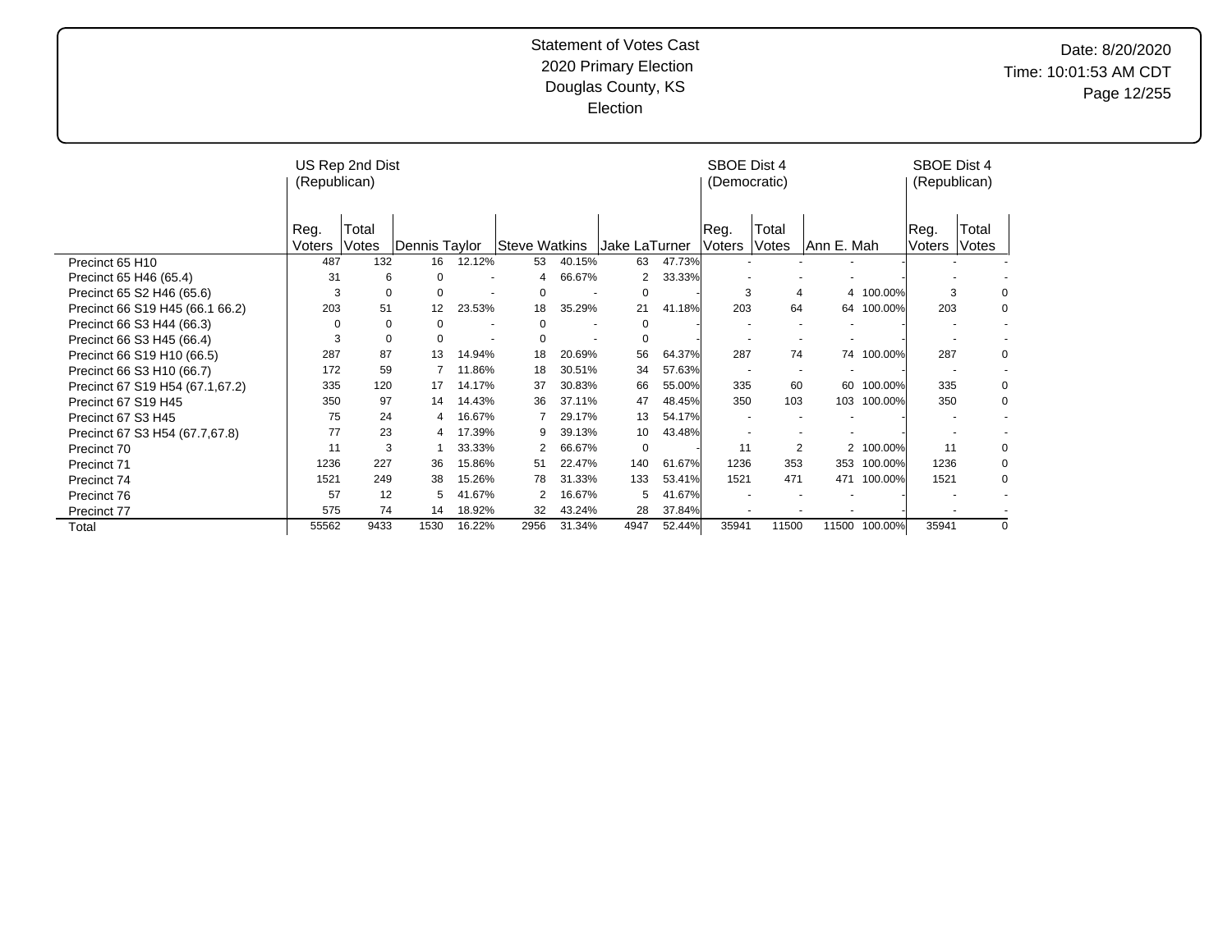Date: 8/20/2020 Time: 10:01:53 AM CDT Page 12/255

|                                 | (Republican)   | US Rep 2nd Dist |               |                |                      |                          |               |        | SBOE Dist 4<br>(Democratic) |                |            |            | SBOE Dist 4<br>(Republican) |                |
|---------------------------------|----------------|-----------------|---------------|----------------|----------------------|--------------------------|---------------|--------|-----------------------------|----------------|------------|------------|-----------------------------|----------------|
|                                 | Reg.<br>Voters | Total<br>Votes  | Dennis Taylor |                | <b>Steve Watkins</b> |                          | Jake LaTurner |        | Reg.<br>Voters              | Total<br>Votes | Ann E. Mah |            | Reg.<br>Voters              | Total<br>Votes |
| Precinct 65 H10                 | 487            | 132             | 16            | 12.12%         | 53                   | 40.15%                   | 63            | 47.73% |                             |                |            |            |                             |                |
| Precinct 65 H46 (65.4)          | 31             | 6               | $\Omega$      | ٠              | 4                    | 66.67%                   | 2             | 33.33% |                             |                |            |            |                             |                |
| Precinct 65 S2 H46 (65.6)       | 3              | 0               | $\Omega$      |                | $\Omega$             |                          | 0             |        | 3                           | 4              |            | 4 100.00%  | 3                           | 0              |
| Precinct 66 S19 H45 (66.1 66.2) | 203            | 51              | 12            | 23.53%         | 18                   | 35.29%                   | 21            | 41.18% | 203                         | 64             |            | 64 100.00% | 203                         | 0              |
| Precinct 66 S3 H44 (66.3)       | $\Omega$       | $\Omega$        | $\Omega$      |                | 0                    |                          | 0             |        |                             |                |            |            |                             |                |
| Precinct 66 S3 H45 (66.4)       | 3              | 0               | $\Omega$      | $\overline{a}$ | $\Omega$             | $\overline{\phantom{a}}$ | 0             |        |                             |                |            |            |                             |                |
| Precinct 66 S19 H10 (66.5)      | 287            | 87              | 13            | 14.94%         | 18                   | 20.69%                   | 56            | 64.37% | 287                         | 74             | 74         | 100.00%    | 287                         | 0              |
| Precinct 66 S3 H10 (66.7)       | 172            | 59              |               | 11.86%         | 18                   | 30.51%                   | 34            | 57.63% |                             |                |            |            |                             |                |
| Precinct 67 S19 H54 (67.1,67.2) | 335            | 120             | 17            | 14.17%         | 37                   | 30.83%                   | 66            | 55.00% | 335                         | 60             | 60         | 100.00%    | 335                         | 0              |
| Precinct 67 S19 H45             | 350            | 97              | 14            | 14.43%         | 36                   | 37.11%                   | 47            | 48.45% | 350                         | 103            | 103        | 100.00%    | 350                         | 0              |
| Precinct 67 S3 H45              | 75             | 24              | 4             | 16.67%         |                      | 29.17%                   | 13            | 54.17% |                             |                |            |            |                             |                |
| Precinct 67 S3 H54 (67.7,67.8)  | 77             | 23              |               | 17.39%         | 9                    | 39.13%                   | 10            | 43.48% |                             |                |            |            |                             |                |
| Precinct 70                     | 11             | 3               |               | 33.33%         | 2                    | 66.67%                   | $\Omega$      |        | 11                          | 2              |            | 2 100.00%  | 11                          | 0              |
| <b>Precinct 71</b>              | 1236           | 227             | 36            | 15.86%         | 51                   | 22.47%                   | 140           | 61.67% | 1236                        | 353            | 353        | 100.00%    | 1236                        | 0              |
| Precinct 74                     | 1521           | 249             | 38            | 15.26%         | 78                   | 31.33%                   | 133           | 53.41% | 1521                        | 471            | 471        | 100.00%    | 1521                        | 0              |
| Precinct 76                     | 57             | 12              | 5             | 41.67%         |                      | 16.67%                   | 5             | 41.67% |                             |                |            |            |                             |                |
| Precinct 77                     | 575            | 74              | 14            | 18.92%         | 32                   | 43.24%                   | 28            | 37.84% |                             |                |            |            |                             |                |
| Total                           | 55562          | 9433            | 1530          | 16.22%         | 2956                 | 31.34%                   | 4947          | 52.44% | 35941                       | 11500          | 11500      | 100.00%    | 35941                       | $\Omega$       |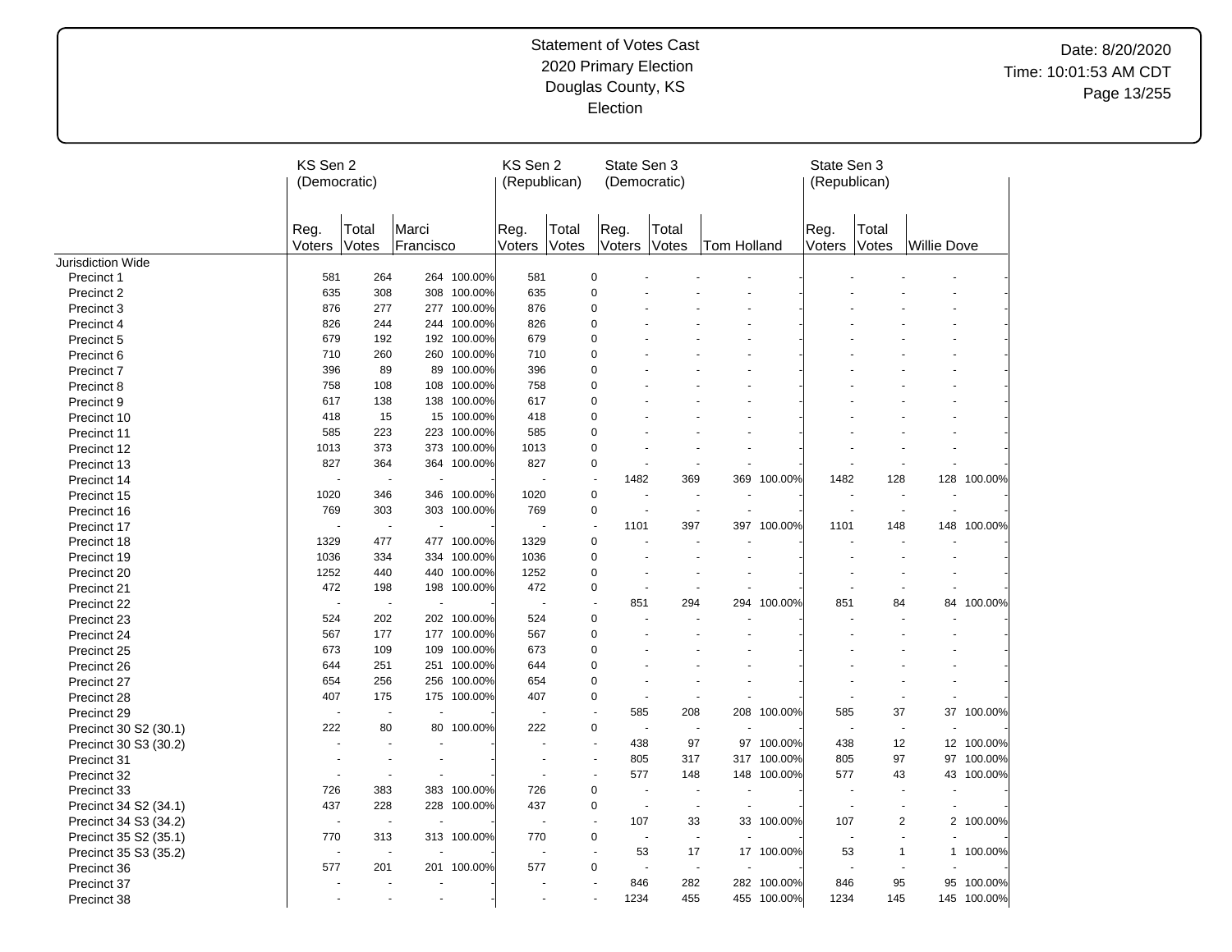# Date: 8/20/2020 Time: 10:01:53 AM CDT Page 13/255

|                       | KS Sen 2<br>(Democratic) |                |                       |             | KS Sen 2<br>(Republican) |                | State Sen 3                     | (Democratic)             |                                                |             | State Sen 3<br>(Republican) |                                    |                    |             |
|-----------------------|--------------------------|----------------|-----------------------|-------------|--------------------------|----------------|---------------------------------|--------------------------|------------------------------------------------|-------------|-----------------------------|------------------------------------|--------------------|-------------|
|                       | Reg.<br>Voters           | Total<br>Votes | Marci<br>Francisco    |             | Reg.<br>Voters           | Total<br>Votes | Reg.<br>Voters                  | Total<br><b>Votes</b>    | <b>Tom Holland</b>                             |             | Reg.<br>Voters              | Total<br>Votes                     | <b>Willie Dove</b> |             |
| Jurisdiction Wide     |                          |                |                       |             |                          |                |                                 |                          |                                                |             |                             |                                    |                    |             |
| Precinct 1            | 581                      | 264            |                       | 264 100.00% | 581                      |                | 0                               |                          |                                                |             |                             |                                    |                    |             |
| Precinct 2            | 635                      | 308            | 308                   | 100.00%     | 635                      |                | 0                               |                          |                                                |             |                             |                                    |                    |             |
| Precinct 3            | 876                      | 277            |                       | 277 100.00% | 876                      |                | 0                               |                          |                                                |             |                             |                                    |                    |             |
| Precinct 4            | 826                      | 244            |                       | 244 100.00% | 826                      |                | 0                               |                          |                                                |             |                             |                                    |                    |             |
| Precinct 5            | 679                      | 192            |                       | 192 100.00% | 679                      |                | 0                               |                          |                                                |             |                             |                                    |                    |             |
| Precinct 6            | 710                      | 260            |                       | 260 100.00% | 710                      |                | $\mathbf 0$                     |                          |                                                |             |                             |                                    |                    |             |
| Precinct 7            | 396                      | 89             |                       | 89 100.00%  | 396                      |                | $\mathbf 0$                     |                          |                                                |             |                             |                                    |                    |             |
| Precinct 8            | 758                      | 108            | 108                   | 100.00%     | 758                      |                | 0                               |                          |                                                |             |                             |                                    |                    |             |
| Precinct 9            | 617                      | 138            | 138                   | 100.00%     | 617                      |                | $\mathbf 0$                     |                          |                                                |             |                             |                                    |                    |             |
| Precinct 10           | 418                      | 15             |                       | 15 100.00%  | 418                      |                | 0                               |                          |                                                |             |                             |                                    |                    |             |
| Precinct 11           | 585                      | 223            | 223                   | 100.00%     | 585                      |                | 0                               |                          |                                                |             |                             |                                    |                    |             |
| Precinct 12           | 1013                     | 373            |                       | 373 100.00% | 1013                     |                | $\mathbf 0$                     |                          |                                                |             |                             |                                    |                    |             |
| Precinct 13           | 827                      | 364            |                       | 364 100.00% | 827                      |                | $\mathbf 0$                     | ÷.                       | $\tilde{\phantom{a}}$<br>$\tilde{\phantom{a}}$ |             |                             | ÷,                                 |                    |             |
|                       | ÷,                       | ÷,             | $\tilde{\phantom{a}}$ |             |                          |                | 1482<br>$\tilde{\phantom{a}}$   | 369                      | 369                                            | 100.00%     | 1482                        | 128                                | 128                | 100.00%     |
| Precinct 14           | 1020                     | 346            |                       | 346 100.00% | 1020                     |                | $\mathbf 0$                     |                          |                                                |             |                             | $\blacksquare$                     |                    |             |
| Precinct 15           |                          |                |                       |             |                          |                |                                 |                          | $\overline{a}$                                 |             |                             |                                    | ÷.                 |             |
| Precinct 16           | 769                      | 303            |                       | 303 100.00% | 769                      |                | 0<br>$\mathbf{r}$               | $\sim$                   | $\sim$                                         |             |                             | $\sim$<br>$\overline{\phantom{a}}$ |                    |             |
| Precinct 17           |                          | $\sim$         |                       |             |                          |                | 1101                            | 397                      | 397                                            | 100.00%     | 1101                        | 148                                |                    | 148 100.00% |
| Precinct 18           | 1329                     | 477            |                       | 477 100.00% | 1329                     |                | $\pmb{0}$                       | $\overline{a}$           | $\overline{a}$                                 |             |                             | $\ddot{\phantom{1}}$               |                    |             |
| Precinct 19           | 1036                     | 334            |                       | 334 100.00% | 1036                     |                | $\pmb{0}$                       |                          |                                                |             |                             |                                    |                    |             |
| Precinct 20           | 1252                     | 440            |                       | 440 100.00% | 1252                     |                | $\pmb{0}$                       |                          | $\overline{a}$                                 |             |                             |                                    |                    |             |
| Precinct 21           | 472                      | 198            |                       | 198 100.00% | 472                      |                | 0                               |                          |                                                |             |                             |                                    |                    |             |
| Precinct 22           | ÷,                       | $\blacksquare$ | $\tilde{\phantom{a}}$ |             |                          |                | 851<br>$\overline{\phantom{a}}$ | 294                      | 294                                            | 100.00%     | 851                         | 84                                 |                    | 84 100.00%  |
| Precinct 23           | 524                      | 202            |                       | 202 100.00% | 524                      |                | 0                               |                          |                                                |             |                             |                                    |                    |             |
| Precinct 24           | 567                      | 177            |                       | 177 100.00% | 567                      |                | 0                               |                          |                                                |             |                             |                                    |                    |             |
| Precinct 25           | 673                      | 109            |                       | 109 100.00% | 673                      |                | 0                               |                          |                                                |             |                             |                                    |                    |             |
| Precinct 26           | 644                      | 251            |                       | 251 100.00% | 644                      |                | 0                               |                          |                                                |             |                             |                                    |                    |             |
| Precinct 27           | 654                      | 256            |                       | 256 100.00% | 654                      |                | 0                               |                          |                                                |             |                             |                                    |                    |             |
| Precinct 28           | 407                      | 175            |                       | 175 100.00% | 407                      |                | $\mathbf 0$                     | $\sim$                   | $\sim$                                         |             |                             |                                    |                    |             |
| Precinct 29           | $\blacksquare$           | $\blacksquare$ |                       |             |                          |                | 585<br>$\overline{\phantom{a}}$ | 208                      |                                                | 208 100.00% | 585                         | 37                                 |                    | 37 100.00%  |
| Precinct 30 S2 (30.1) | 222                      | 80             |                       | 80 100.00%  | 222                      |                | 0                               | $\overline{\phantom{a}}$ | $\overline{a}$                                 |             |                             | $\overline{\phantom{a}}$           |                    |             |
| Precinct 30 S3 (30.2) | $\ddot{\phantom{1}}$     | ÷.             |                       |             |                          |                | 438<br>÷.                       | 97                       | 97                                             | 100.00%     | 438                         | 12                                 |                    | 12 100.00%  |
| Precinct 31           |                          |                |                       |             |                          |                | 805<br>÷.                       | 317                      |                                                | 317 100.00% | 805                         | 97                                 | 97                 | 100.00%     |
| Precinct 32           | ÷,                       | $\blacksquare$ |                       |             |                          |                | 577                             | 148                      |                                                | 148 100.00% | 577                         | 43                                 |                    | 43 100.00%  |
| Precinct 33           | 726                      | 383            |                       | 383 100.00% | 726                      |                | $\pmb{0}$                       |                          |                                                |             |                             |                                    |                    |             |
| Precinct 34 S2 (34.1) | 437                      | 228            |                       | 228 100.00% | 437                      |                | $\mathbf 0$                     | $\sim$                   |                                                |             |                             | $\blacksquare$                     |                    |             |
|                       | $\sim$                   | $\sim$         |                       |             |                          |                | 107<br>$\sim$                   |                          | 33                                             | 33 100.00%  | 107                         | $\overline{c}$                     |                    | 2 100.00%   |
| Precinct 34 S3 (34.2) |                          |                |                       |             |                          |                | 0                               | $\overline{a}$           | $\overline{a}$                                 |             |                             | $\ddot{\phantom{1}}$               |                    |             |
| Precinct 35 S2 (35.1) | 770                      | 313            |                       | 313 100.00% | 770                      |                |                                 |                          |                                                |             |                             |                                    |                    |             |
| Precinct 35 S3 (35.2) |                          | $\blacksquare$ |                       |             |                          |                | 53<br>$\sim$                    | 17                       |                                                | 17 100.00%  | 53                          | $\mathbf{1}$                       |                    | 1 100.00%   |
| Precinct 36           | 577                      | 201            |                       | 201 100.00% | 577                      |                | $\pmb{0}$                       | $\sim$                   | $\sim$                                         |             |                             | $\ddot{\phantom{1}}$               |                    |             |
| Precinct 37           |                          | $\blacksquare$ |                       |             |                          |                | 846                             | 282                      |                                                | 282 100.00% | 846                         | 95                                 |                    | 95 100.00%  |
| Precinct 38           |                          |                |                       |             |                          |                | 1234                            | 455                      |                                                | 455 100.00% | 1234                        | 145                                |                    | 145 100.00% |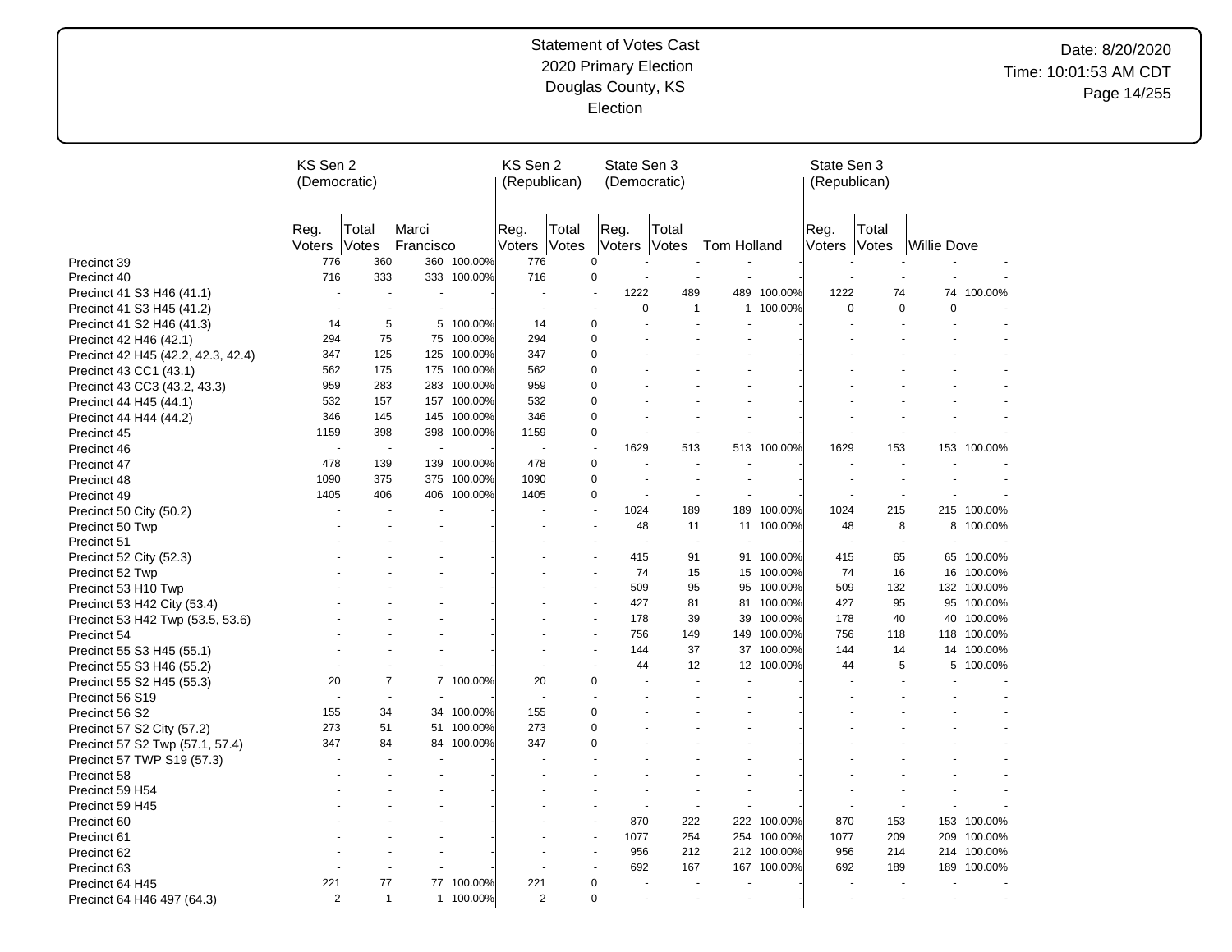# Date: 8/20/2020 Time: 10:01:53 AM CDT Page 14/255

|                                    | KS Sen 2<br>(Democratic) |                          |                    |             | KS Sen 2<br>(Republican) |                          |                | State Sen 3<br>(Democratic) |                          |             | State Sen 3<br>(Republican) |                          |                    |             |
|------------------------------------|--------------------------|--------------------------|--------------------|-------------|--------------------------|--------------------------|----------------|-----------------------------|--------------------------|-------------|-----------------------------|--------------------------|--------------------|-------------|
|                                    | Reg.<br>Voters           | Total<br>Votes           | Marci<br>Francisco |             | Reg.<br>Voters           | Total<br><b>Votes</b>    | Reg.<br>Voters | Total<br><b>Votes</b>       | lTom Holland             |             | Reg.<br>Voters              | Total<br>Votes           | <b>Willie Dove</b> |             |
| Precinct 39                        | 776                      | 360                      | 360                | 100.00%     | 776                      | $\Omega$                 |                |                             |                          |             |                             |                          |                    |             |
| Precinct 40                        | 716                      | 333                      |                    | 333 100.00% | 716                      | 0                        |                |                             |                          |             |                             |                          |                    |             |
| Precinct 41 S3 H46 (41.1)          | $\overline{\phantom{a}}$ | $\overline{\phantom{a}}$ |                    |             |                          |                          | 1222           | 489                         | 489                      | 100.00%     | 1222                        | 74                       |                    | 74 100.00%  |
| Precinct 41 S3 H45 (41.2)          | $\overline{\phantom{a}}$ |                          |                    |             |                          |                          |                | $\mathbf 0$                 | $\mathbf{1}$             | 1 100.00%   | $\Omega$                    | $\mathbf 0$              | $\mathbf 0$        |             |
| Precinct 41 S2 H46 (41.3)          | 14                       | 5                        |                    | 5 100.00%   | 14                       | 0                        |                |                             |                          |             |                             |                          |                    |             |
| Precinct 42 H46 (42.1)             | 294                      | 75                       |                    | 75 100.00%  | 294                      | $\mathbf 0$              |                |                             |                          |             |                             |                          |                    |             |
| Precinct 42 H45 (42.2, 42.3, 42.4) | 347                      | 125                      | 125                | 100.00%     | 347                      | $\mathbf 0$              |                |                             |                          |             |                             |                          |                    |             |
| Precinct 43 CC1 (43.1)             | 562                      | 175                      |                    | 175 100.00% | 562                      | $\mathbf 0$              |                |                             |                          |             |                             |                          |                    |             |
| Precinct 43 CC3 (43.2, 43.3)       | 959                      | 283                      |                    | 283 100.00% | 959                      | $\mathbf 0$              |                |                             |                          |             |                             |                          |                    |             |
| Precinct 44 H45 (44.1)             | 532                      | 157                      | 157                | 100.00%     | 532                      | $\mathbf 0$              |                |                             |                          |             |                             |                          |                    |             |
| Precinct 44 H44 (44.2)             | 346                      | 145                      |                    | 145 100.00% | 346                      | 0                        |                |                             |                          |             |                             |                          |                    |             |
| Precinct 45                        | 1159                     | 398                      |                    | 398 100.00% | 1159                     | 0                        |                |                             |                          |             |                             |                          |                    |             |
| Precinct 46                        |                          | $\overline{\phantom{a}}$ | $\sim$             |             |                          | $\overline{\phantom{a}}$ | 1629           | 513                         |                          | 513 100.00% | 1629                        | 153                      |                    | 153 100.00% |
| Precinct 47                        | 478                      | 139                      |                    | 139 100.00% | 478                      | $\mathbf 0$              |                | $\sim$                      | $\sim$                   |             |                             |                          |                    |             |
| Precinct 48                        | 1090                     | 375                      |                    | 375 100.00% | 1090                     | $\mathbf 0$              |                |                             |                          |             |                             |                          |                    |             |
| Precinct 49                        | 1405                     | 406                      | 406                | 100.00%     | 1405                     | $\mathbf 0$              |                |                             |                          |             |                             |                          |                    |             |
| Precinct 50 City (50.2)            |                          |                          |                    |             |                          | $\overline{a}$           | 1024           | 189                         |                          | 189 100.00% | 1024                        | 215                      |                    | 215 100.00% |
| Precinct 50 Twp                    |                          |                          |                    |             |                          |                          |                | 48<br>11                    |                          | 11 100.00%  | 48                          | 8                        |                    | 8 100.00%   |
| Precinct 51                        |                          |                          |                    |             |                          |                          |                | $\overline{\phantom{a}}$    | ÷.<br>$\overline{a}$     |             |                             | ÷.                       |                    |             |
| Precinct 52 City (52.3)            |                          |                          |                    |             |                          |                          |                | 415<br>91                   |                          | 91 100.00%  | 415                         | 65                       |                    | 65 100.00%  |
| Precinct 52 Twp                    |                          |                          |                    |             |                          |                          |                | 74<br>15                    |                          | 15 100.00%  | 74                          | 16                       |                    | 16 100.00%  |
| Precinct 53 H10 Twp                |                          |                          |                    |             |                          |                          |                | 95<br>509                   |                          | 95 100.00%  | 509                         | 132                      |                    | 132 100.00% |
| Precinct 53 H42 City (53.4)        |                          |                          |                    |             |                          |                          |                | 427<br>81                   | 81                       | 100.00%     | 427                         | 95                       |                    | 95 100.00%  |
| Precinct 53 H42 Twp (53.5, 53.6)   |                          |                          |                    |             |                          |                          |                | 39<br>178                   | 39                       | 100.00%     | 178                         | 40                       | 40                 | 100.00%     |
| Precinct 54                        |                          |                          |                    |             |                          |                          |                | 756<br>149                  | 149                      | 100.00%     | 756                         | 118                      | 118                | 100.00%     |
| Precinct 55 S3 H45 (55.1)          |                          |                          |                    |             |                          |                          |                | 37<br>144                   |                          | 37 100.00%  | 144                         | 14                       |                    | 14 100.00%  |
| Precinct 55 S3 H46 (55.2)          |                          |                          |                    |             |                          |                          |                | 12<br>44                    |                          | 12 100.00%  | 44                          | 5                        | 5                  | 100.00%     |
| Precinct 55 S2 H45 (55.3)          | 20                       | $\overline{7}$           | $\overline{7}$     | 100.00%     | 20                       | $\mathbf 0$              |                |                             |                          |             |                             |                          |                    |             |
| Precinct 56 S19                    | $\blacksquare$           | $\overline{\phantom{a}}$ |                    |             |                          |                          |                |                             |                          |             |                             |                          |                    |             |
| Precinct 56 S2                     | 155                      | 34                       | 34                 | 100.00%     | 155                      | 0                        |                |                             |                          |             |                             |                          |                    |             |
| Precinct 57 S2 City (57.2)         | 273                      | 51                       | 51                 | 100.00%     | 273                      | 0                        |                |                             |                          |             |                             |                          |                    |             |
| Precinct 57 S2 Twp (57.1, 57.4)    | 347                      | 84                       | 84                 | 100.00%     | 347                      | 0                        |                |                             |                          |             |                             |                          |                    |             |
| Precinct 57 TWP S19 (57.3)         |                          |                          |                    |             |                          |                          |                |                             |                          |             |                             |                          |                    |             |
| Precinct 58                        |                          |                          |                    |             |                          |                          |                |                             |                          |             |                             |                          |                    |             |
| Precinct 59 H54                    |                          |                          |                    |             |                          |                          |                |                             |                          |             |                             |                          |                    |             |
| Precinct 59 H45                    |                          |                          |                    |             |                          |                          |                |                             |                          |             |                             |                          |                    |             |
| Precinct 60                        |                          |                          |                    |             |                          |                          |                | 870<br>222                  |                          | 222 100.00% | 870                         | 153                      | 153                | 100.00%     |
| Precinct 61                        |                          |                          |                    |             |                          |                          | 1077           | 254                         |                          | 254 100.00% | 1077                        | 209                      |                    | 209 100.00% |
| Precinct 62                        |                          |                          |                    |             |                          |                          |                | 956<br>212                  |                          | 212 100.00% | 956                         | 214                      |                    | 214 100.00% |
| Precinct 63                        |                          |                          |                    |             |                          |                          |                | 692<br>167                  |                          | 167 100.00% | 692                         | 189                      |                    | 189 100.00% |
| Precinct 64 H45                    | 221                      | 77                       |                    | 77 100.00%  | 221                      | 0                        |                | $\sim$                      | $\overline{\phantom{a}}$ |             |                             | $\blacksquare$           |                    |             |
| Precinct 64 H46 497 (64.3)         | 2                        | $\mathbf{1}$             |                    | 1 100.00%   | $\overline{2}$           | 0                        |                |                             |                          |             |                             | $\overline{\phantom{a}}$ |                    |             |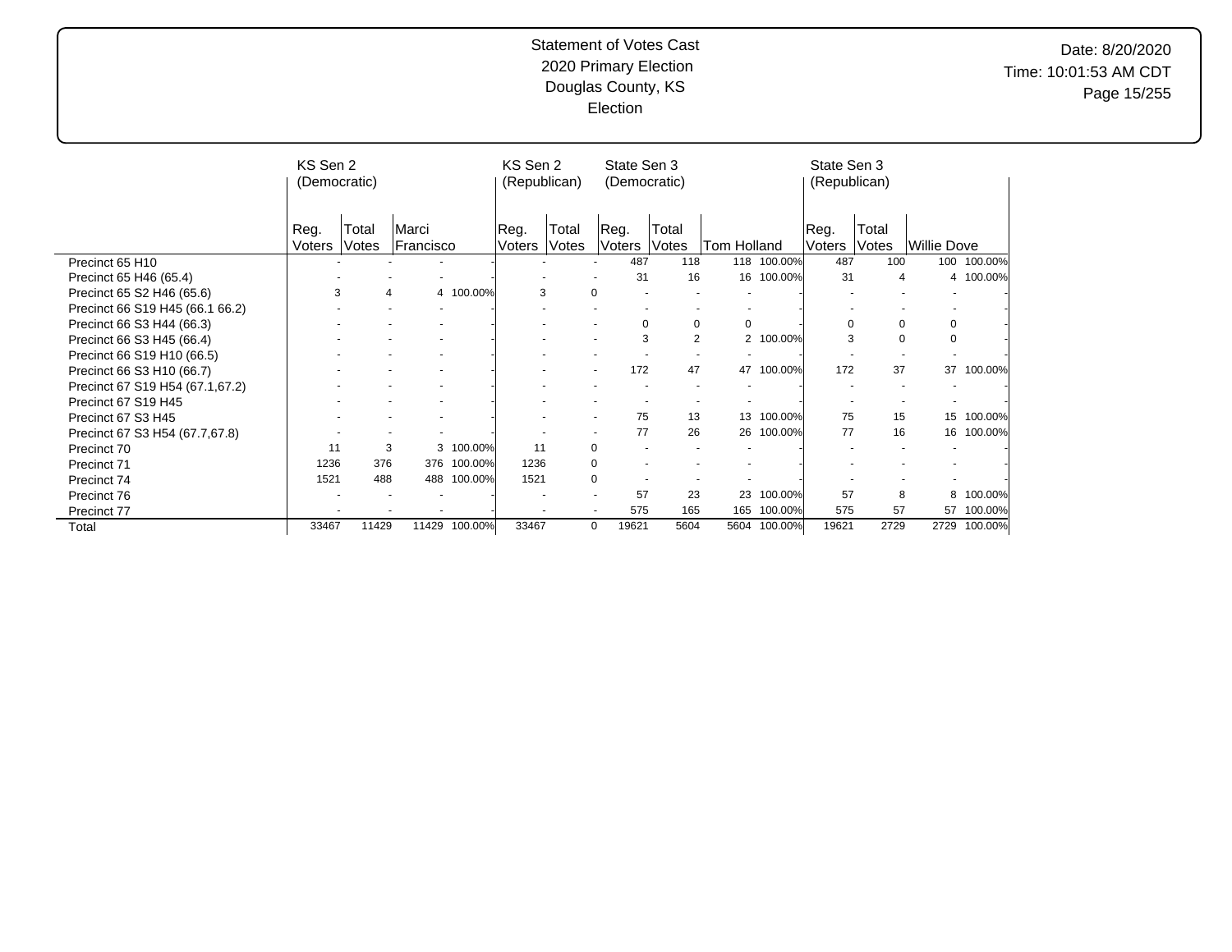# Date: 8/20/2020 Time: 10:01:53 AM CDT Page 15/255

|                                 | KS Sen 2<br>(Democratic) |       |           |           | KS Sen 2<br>(Republican) |       | State Sen 3<br>(Democratic) |             |                |         | State Sen 3<br>(Republican) |                |                    |         |
|---------------------------------|--------------------------|-------|-----------|-----------|--------------------------|-------|-----------------------------|-------------|----------------|---------|-----------------------------|----------------|--------------------|---------|
|                                 | Reg.                     | Total | Marci     |           | Reg.                     | Total | Reg.                        | Total       |                |         | Reg.                        | Total          |                    |         |
|                                 | Voters                   | Votes | Francisco |           | Voters                   | Votes | Voters                      | Votes       | Tom Holland    |         | Voters                      | Votes          | <b>Willie Dove</b> |         |
| Precinct 65 H10                 |                          |       |           |           |                          |       | 487                         | 118         | 118            | 100.00% | 487                         | 100            | 100                | 100.00% |
| Precinct 65 H46 (65.4)          |                          |       |           |           |                          |       | 31                          | 16          | 16             | 100.00% | 31                          | $\overline{4}$ | 4                  | 100.00% |
| Precinct 65 S2 H46 (65.6)       | 3                        |       | 4         | 4 100.00% | 3                        |       | 0                           |             |                |         |                             |                |                    |         |
| Precinct 66 S19 H45 (66.1 66.2) |                          |       |           |           |                          |       |                             |             |                |         |                             |                |                    |         |
| Precinct 66 S3 H44 (66.3)       |                          |       |           |           |                          |       | $\mathbf 0$                 | $\mathbf 0$ | 0              |         | $\mathbf 0$                 | 0              | 0                  |         |
| Precinct 66 S3 H45 (66.4)       |                          |       |           |           |                          |       | 3                           | 2           | $\overline{2}$ | 100.00% | 3                           | $\mathbf 0$    | $\mathbf 0$        |         |
| Precinct 66 S19 H10 (66.5)      |                          |       |           |           |                          |       |                             |             |                |         |                             |                |                    |         |
| Precinct 66 S3 H10 (66.7)       |                          |       |           |           |                          |       | 172                         | 47          | 47             | 100.00% | 172                         | 37             | 37                 | 100.00% |
| Precinct 67 S19 H54 (67.1,67.2) |                          |       |           |           |                          |       |                             |             |                |         |                             |                |                    |         |
| Precinct 67 S19 H45             |                          |       |           |           |                          |       |                             |             |                |         |                             |                |                    |         |
| Precinct 67 S3 H45              |                          |       |           |           |                          |       | 75                          | 13          | 13             | 100.00% | 75                          | 15             | 15                 | 100.00% |
| Precinct 67 S3 H54 (67.7,67.8)  |                          |       |           |           |                          |       | 77                          | 26          | 26             | 100.00% | 77                          | 16             | 16                 | 100.00% |
| Precinct 70                     | 11                       |       | 3<br>3    | 100.00%   | 11                       |       | $\mathbf 0$                 |             |                |         |                             |                |                    |         |
| Precinct 71                     | 1236                     | 376   | 376       | 100.00%   | 1236                     |       | $\mathbf 0$                 |             |                |         |                             |                |                    |         |
| Precinct 74                     | 1521                     | 488   | 488       | 100.00%   | 1521                     |       | $\mathbf 0$                 |             |                |         |                             |                |                    |         |
| Precinct 76                     |                          |       |           |           |                          |       | 57                          | 23          | 23             | 100.00% | 57                          | 8              | 8                  | 100.00% |
| Precinct 77                     |                          |       |           |           |                          |       | 575<br>$\blacksquare$       | 165         | 165            | 100.00% | 575                         | 57             | 57                 | 100.00% |
| Total                           | 33467                    | 11429 | 11429     | 100.00%   | 33467                    |       | 0<br>19621                  | 5604        | 5604           | 100.00% | 19621                       | 2729           | 2729               | 100.00% |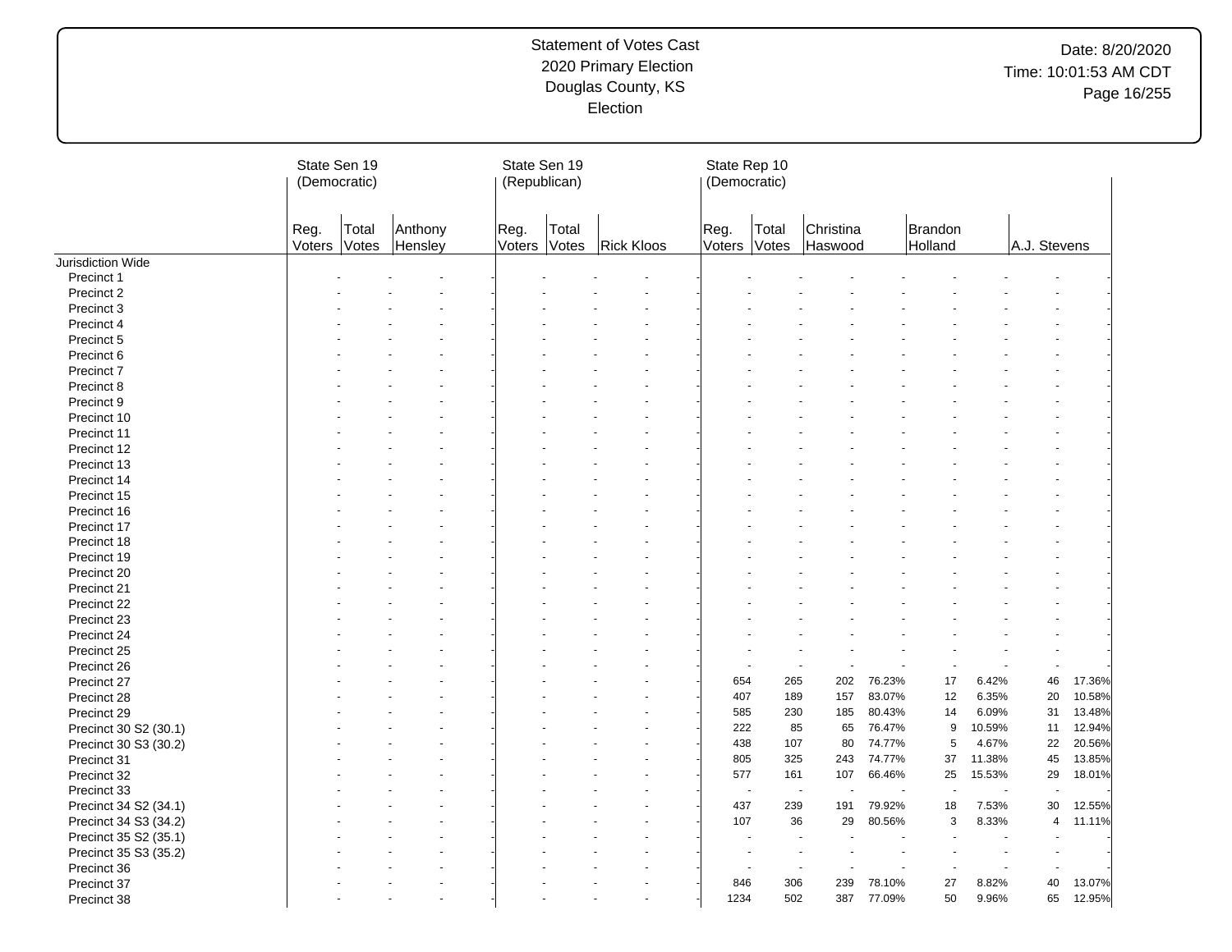|                       | State Sen 19<br>(Democratic) |                |                    |                | State Sen 19<br>(Republican) |                   | State Rep 10<br>(Democratic) |                |                                        |        |                    |        |                |        |
|-----------------------|------------------------------|----------------|--------------------|----------------|------------------------------|-------------------|------------------------------|----------------|----------------------------------------|--------|--------------------|--------|----------------|--------|
|                       | Reg.<br>Voters               | Total<br>Votes | Anthony<br>Hensley | Reg.<br>Voters | Total<br>Votes               | <b>Rick Kloos</b> | Reg.<br>Voters Votes         | Total          | Christina<br>Haswood                   |        | Brandon<br>Holland |        | A.J. Stevens   |        |
| Jurisdiction Wide     |                              |                |                    |                |                              |                   |                              |                |                                        |        |                    |        |                |        |
| Precinct 1            |                              |                |                    |                |                              |                   |                              |                |                                        |        |                    |        |                |        |
| Precinct 2            |                              |                |                    |                |                              |                   |                              |                |                                        |        |                    |        |                |        |
| Precinct 3            |                              |                |                    |                |                              |                   |                              |                |                                        |        |                    |        |                |        |
| Precinct 4            |                              |                |                    |                |                              |                   |                              |                |                                        |        |                    |        |                |        |
| Precinct 5            |                              |                |                    |                |                              |                   |                              |                |                                        |        |                    |        |                |        |
| Precinct 6            |                              |                |                    |                |                              |                   |                              |                |                                        |        |                    |        |                |        |
| Precinct 7            |                              |                |                    |                |                              |                   |                              |                |                                        |        |                    |        |                |        |
| Precinct 8            |                              |                |                    |                |                              |                   |                              |                |                                        |        |                    |        |                |        |
| Precinct 9            |                              |                |                    |                |                              |                   |                              |                |                                        |        |                    |        |                |        |
| Precinct 10           |                              |                |                    |                |                              |                   |                              |                |                                        |        |                    |        |                |        |
| Precinct 11           |                              |                |                    |                |                              |                   |                              |                |                                        |        |                    |        |                |        |
| Precinct 12           |                              |                |                    |                |                              |                   |                              |                |                                        |        |                    |        |                |        |
| Precinct 13           |                              |                |                    |                |                              |                   |                              |                |                                        |        |                    |        |                |        |
| Precinct 14           |                              |                |                    |                |                              |                   |                              |                |                                        |        |                    |        |                |        |
| Precinct 15           |                              |                |                    |                |                              |                   |                              |                |                                        |        |                    |        |                |        |
| Precinct 16           |                              |                |                    |                |                              |                   |                              |                |                                        |        |                    |        |                |        |
| Precinct 17           |                              |                |                    |                |                              |                   |                              |                |                                        |        |                    |        |                |        |
| Precinct 18           |                              |                |                    |                |                              |                   |                              |                |                                        |        |                    |        |                |        |
| Precinct 19           |                              |                |                    |                |                              |                   |                              |                |                                        |        |                    |        |                |        |
| Precinct 20           |                              |                |                    |                |                              |                   |                              |                |                                        |        |                    |        |                |        |
|                       |                              |                |                    |                |                              |                   |                              |                |                                        |        |                    |        |                |        |
| Precinct 21           |                              |                |                    |                |                              |                   |                              |                |                                        |        |                    |        |                |        |
| Precinct 22           |                              |                |                    |                |                              |                   |                              |                |                                        |        |                    |        |                |        |
| Precinct 23           |                              |                |                    |                |                              |                   |                              |                |                                        |        |                    |        |                |        |
| Precinct 24           |                              |                |                    |                |                              |                   |                              |                |                                        |        |                    |        |                |        |
| Precinct 25           |                              |                |                    |                |                              |                   |                              |                |                                        |        |                    |        |                |        |
| Precinct 26           |                              |                |                    |                |                              |                   |                              |                |                                        |        |                    |        | $\sim$         |        |
| Precinct 27           |                              |                |                    |                |                              |                   | 654                          | 265            | 202                                    | 76.23% | 17                 | 6.42%  | 46             | 17.36% |
| Precinct 28           |                              |                |                    |                |                              |                   | 407                          | 189            | 157                                    | 83.07% | 12                 | 6.35%  | 20             | 10.58% |
| Precinct 29           |                              |                |                    |                |                              |                   | 585                          | 230            | 185                                    | 80.43% | 14                 | 6.09%  | 31             | 13.48% |
| Precinct 30 S2 (30.1) |                              |                |                    |                |                              |                   | 222                          | 85             | 65                                     | 76.47% | 9                  | 10.59% | 11             | 12.94% |
| Precinct 30 S3 (30.2) |                              |                |                    |                |                              |                   | 438                          | 107            | 80                                     | 74.77% | 5                  | 4.67%  | 22             | 20.56% |
| Precinct 31           |                              |                |                    |                |                              |                   | 805                          | 325            | 243                                    | 74.77% | 37                 | 11.38% | 45             | 13.85% |
| Precinct 32           |                              |                |                    |                |                              |                   | 577                          | 161            | 107                                    | 66.46% | 25                 | 15.53% | 29             | 18.01% |
| Precinct 33           |                              |                |                    |                |                              |                   |                              | $\sim$         | $\blacksquare$<br>$\ddot{\phantom{1}}$ |        |                    |        |                |        |
| Precinct 34 S2 (34.1) |                              |                |                    |                |                              |                   | 437                          | 239            | 191                                    | 79.92% | 18                 | 7.53%  | 30             | 12.55% |
| Precinct 34 S3 (34.2) |                              |                |                    |                |                              |                   | 107                          | 36             | 29                                     | 80.56% | 3                  | 8.33%  | $\overline{4}$ | 11.11% |
| Precinct 35 S2 (35.1) |                              |                |                    |                |                              |                   |                              |                |                                        |        |                    |        |                |        |
| Precinct 35 S3 (35.2) |                              |                |                    |                |                              |                   |                              | $\blacksquare$ |                                        |        |                    |        |                |        |
| Precinct 36           |                              |                |                    |                |                              |                   |                              |                |                                        |        |                    |        |                |        |
| Precinct 37           |                              |                |                    |                |                              |                   | 846                          | 306            | 239                                    | 78.10% | 27                 | 8.82%  | 40             | 13.07% |
| Precinct 38           |                              |                |                    |                |                              |                   | 1234                         | 502            | 387                                    | 77.09% | 50                 | 9.96%  | 65             | 12.95% |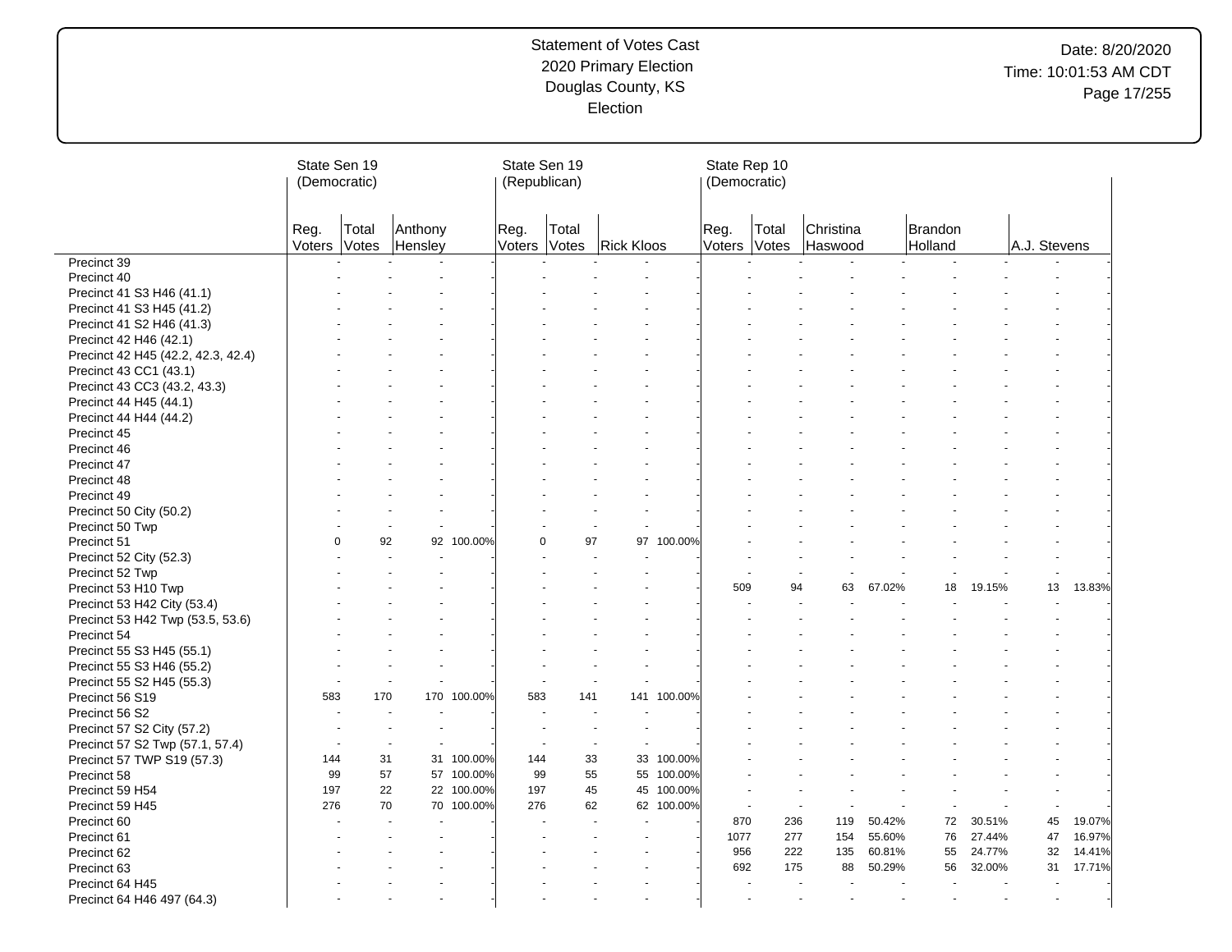| Christina<br>Total<br>Reg.<br>Total<br>Brandon<br>Reg.<br>Anthony<br>Reg.<br>Total<br>Votes<br>Hensley<br><b>Rick Kloos</b><br>Votes<br>Haswood<br>A.J. Stevens<br>Voters<br>Voters<br>Votes<br>Voters<br>Holland<br>Precinct 39<br>Precinct 40<br>Precinct 41 S3 H46 (41.1)<br>Precinct 41 S3 H45 (41.2)<br>Precinct 41 S2 H46 (41.3)<br>Precinct 42 H46 (42.1)<br>Precinct 42 H45 (42.2, 42.3, 42.4)<br>Precinct 43 CC1 (43.1)<br>Precinct 43 CC3 (43.2, 43.3)<br>Precinct 44 H45 (44.1)<br>Precinct 44 H44 (44.2)<br>Precinct 45<br>Precinct 46<br>Precinct 47<br>Precinct 48<br>Precinct 49<br>Precinct 50 City (50.2)<br>Precinct 50 Twp<br>92<br>100.00%<br>97<br>100.00%<br>$\Omega$<br>92<br>$\Omega$<br>97<br>Precinct 51<br>Precinct 52 City (52.3)<br>Precinct 52 Twp<br>L.<br>19.15%<br>13<br>13.83%<br>509<br>94<br>63<br>67.02%<br>18<br>Precinct 53 H10 Twp<br>Precinct 53 H42 City (53.4)<br>Precinct 53 H42 Twp (53.5, 53.6)<br>Precinct 54<br>Precinct 55 S3 H45 (55.1)<br>Precinct 55 S3 H46 (55.2)<br>Precinct 55 S2 H45 (55.3)<br>÷,<br>÷,<br>÷.<br>Precinct 56 S19<br>583<br>170<br>100.00%<br>583<br>141<br>100.00%<br>170<br>141<br>Precinct 56 S2<br>$\blacksquare$<br>Precinct 57 S2 City (57.2)<br>$\overline{\phantom{a}}$<br>Precinct 57 S2 Twp (57.1, 57.4)<br>$\overline{a}$<br>$\blacksquare$<br>$\overline{\phantom{a}}$<br>$\overline{a}$<br>31<br>31 100.00%<br>33<br>33<br>100.00%<br>144<br>144<br>Precinct 57 TWP S19 (57.3)<br>100.00%<br>99<br>57<br>57 100.00%<br>99<br>55<br>55<br>Precinct 58<br>22<br>100.00%<br>197<br>22 100.00%<br>197<br>45<br>45<br>Precinct 59 H54<br>276<br>276<br>70<br>70<br>100.00%<br>62<br>62<br>100.00%<br>Precinct 59 H45<br>$\overline{\phantom{a}}$<br>÷,<br>119<br>50.42%<br>72<br>30.51%<br>45<br>19.07%<br>870<br>236<br>Precinct 60<br>16.97%<br>76<br>47<br>1077<br>277<br>154<br>55.60%<br>27.44%<br>Precinct 61<br>956<br>222<br>135<br>60.81%<br>55<br>24.77%<br>32<br>14.41%<br>Precinct 62<br>17.71%<br>692<br>175<br>50.29%<br>32.00%<br>31<br>Precinct 63<br>88<br>56<br>Precinct 64 H45<br>$\blacksquare$<br>Precinct 64 H46 497 (64.3)<br>÷,<br>$\ddot{\phantom{1}}$<br>$\blacksquare$<br>$\blacksquare$ | State Sen 19<br>(Democratic) |  |  |  |  | State Sen 19<br>(Republican) |  | State Rep 10<br>(Democratic) |  |  |  |  |
|----------------------------------------------------------------------------------------------------------------------------------------------------------------------------------------------------------------------------------------------------------------------------------------------------------------------------------------------------------------------------------------------------------------------------------------------------------------------------------------------------------------------------------------------------------------------------------------------------------------------------------------------------------------------------------------------------------------------------------------------------------------------------------------------------------------------------------------------------------------------------------------------------------------------------------------------------------------------------------------------------------------------------------------------------------------------------------------------------------------------------------------------------------------------------------------------------------------------------------------------------------------------------------------------------------------------------------------------------------------------------------------------------------------------------------------------------------------------------------------------------------------------------------------------------------------------------------------------------------------------------------------------------------------------------------------------------------------------------------------------------------------------------------------------------------------------------------------------------------------------------------------------------------------------------------------------------------------------------------------------------------------------------------------------------------------------------------------------------------------------------------------------------------------------------------------------------|------------------------------|--|--|--|--|------------------------------|--|------------------------------|--|--|--|--|
|                                                                                                                                                                                                                                                                                                                                                                                                                                                                                                                                                                                                                                                                                                                                                                                                                                                                                                                                                                                                                                                                                                                                                                                                                                                                                                                                                                                                                                                                                                                                                                                                                                                                                                                                                                                                                                                                                                                                                                                                                                                                                                                                                                                                    |                              |  |  |  |  |                              |  |                              |  |  |  |  |
|                                                                                                                                                                                                                                                                                                                                                                                                                                                                                                                                                                                                                                                                                                                                                                                                                                                                                                                                                                                                                                                                                                                                                                                                                                                                                                                                                                                                                                                                                                                                                                                                                                                                                                                                                                                                                                                                                                                                                                                                                                                                                                                                                                                                    |                              |  |  |  |  |                              |  |                              |  |  |  |  |
|                                                                                                                                                                                                                                                                                                                                                                                                                                                                                                                                                                                                                                                                                                                                                                                                                                                                                                                                                                                                                                                                                                                                                                                                                                                                                                                                                                                                                                                                                                                                                                                                                                                                                                                                                                                                                                                                                                                                                                                                                                                                                                                                                                                                    |                              |  |  |  |  |                              |  |                              |  |  |  |  |
|                                                                                                                                                                                                                                                                                                                                                                                                                                                                                                                                                                                                                                                                                                                                                                                                                                                                                                                                                                                                                                                                                                                                                                                                                                                                                                                                                                                                                                                                                                                                                                                                                                                                                                                                                                                                                                                                                                                                                                                                                                                                                                                                                                                                    |                              |  |  |  |  |                              |  |                              |  |  |  |  |
|                                                                                                                                                                                                                                                                                                                                                                                                                                                                                                                                                                                                                                                                                                                                                                                                                                                                                                                                                                                                                                                                                                                                                                                                                                                                                                                                                                                                                                                                                                                                                                                                                                                                                                                                                                                                                                                                                                                                                                                                                                                                                                                                                                                                    |                              |  |  |  |  |                              |  |                              |  |  |  |  |
|                                                                                                                                                                                                                                                                                                                                                                                                                                                                                                                                                                                                                                                                                                                                                                                                                                                                                                                                                                                                                                                                                                                                                                                                                                                                                                                                                                                                                                                                                                                                                                                                                                                                                                                                                                                                                                                                                                                                                                                                                                                                                                                                                                                                    |                              |  |  |  |  |                              |  |                              |  |  |  |  |
|                                                                                                                                                                                                                                                                                                                                                                                                                                                                                                                                                                                                                                                                                                                                                                                                                                                                                                                                                                                                                                                                                                                                                                                                                                                                                                                                                                                                                                                                                                                                                                                                                                                                                                                                                                                                                                                                                                                                                                                                                                                                                                                                                                                                    |                              |  |  |  |  |                              |  |                              |  |  |  |  |
|                                                                                                                                                                                                                                                                                                                                                                                                                                                                                                                                                                                                                                                                                                                                                                                                                                                                                                                                                                                                                                                                                                                                                                                                                                                                                                                                                                                                                                                                                                                                                                                                                                                                                                                                                                                                                                                                                                                                                                                                                                                                                                                                                                                                    |                              |  |  |  |  |                              |  |                              |  |  |  |  |
|                                                                                                                                                                                                                                                                                                                                                                                                                                                                                                                                                                                                                                                                                                                                                                                                                                                                                                                                                                                                                                                                                                                                                                                                                                                                                                                                                                                                                                                                                                                                                                                                                                                                                                                                                                                                                                                                                                                                                                                                                                                                                                                                                                                                    |                              |  |  |  |  |                              |  |                              |  |  |  |  |
|                                                                                                                                                                                                                                                                                                                                                                                                                                                                                                                                                                                                                                                                                                                                                                                                                                                                                                                                                                                                                                                                                                                                                                                                                                                                                                                                                                                                                                                                                                                                                                                                                                                                                                                                                                                                                                                                                                                                                                                                                                                                                                                                                                                                    |                              |  |  |  |  |                              |  |                              |  |  |  |  |
|                                                                                                                                                                                                                                                                                                                                                                                                                                                                                                                                                                                                                                                                                                                                                                                                                                                                                                                                                                                                                                                                                                                                                                                                                                                                                                                                                                                                                                                                                                                                                                                                                                                                                                                                                                                                                                                                                                                                                                                                                                                                                                                                                                                                    |                              |  |  |  |  |                              |  |                              |  |  |  |  |
|                                                                                                                                                                                                                                                                                                                                                                                                                                                                                                                                                                                                                                                                                                                                                                                                                                                                                                                                                                                                                                                                                                                                                                                                                                                                                                                                                                                                                                                                                                                                                                                                                                                                                                                                                                                                                                                                                                                                                                                                                                                                                                                                                                                                    |                              |  |  |  |  |                              |  |                              |  |  |  |  |
|                                                                                                                                                                                                                                                                                                                                                                                                                                                                                                                                                                                                                                                                                                                                                                                                                                                                                                                                                                                                                                                                                                                                                                                                                                                                                                                                                                                                                                                                                                                                                                                                                                                                                                                                                                                                                                                                                                                                                                                                                                                                                                                                                                                                    |                              |  |  |  |  |                              |  |                              |  |  |  |  |
|                                                                                                                                                                                                                                                                                                                                                                                                                                                                                                                                                                                                                                                                                                                                                                                                                                                                                                                                                                                                                                                                                                                                                                                                                                                                                                                                                                                                                                                                                                                                                                                                                                                                                                                                                                                                                                                                                                                                                                                                                                                                                                                                                                                                    |                              |  |  |  |  |                              |  |                              |  |  |  |  |
|                                                                                                                                                                                                                                                                                                                                                                                                                                                                                                                                                                                                                                                                                                                                                                                                                                                                                                                                                                                                                                                                                                                                                                                                                                                                                                                                                                                                                                                                                                                                                                                                                                                                                                                                                                                                                                                                                                                                                                                                                                                                                                                                                                                                    |                              |  |  |  |  |                              |  |                              |  |  |  |  |
|                                                                                                                                                                                                                                                                                                                                                                                                                                                                                                                                                                                                                                                                                                                                                                                                                                                                                                                                                                                                                                                                                                                                                                                                                                                                                                                                                                                                                                                                                                                                                                                                                                                                                                                                                                                                                                                                                                                                                                                                                                                                                                                                                                                                    |                              |  |  |  |  |                              |  |                              |  |  |  |  |
|                                                                                                                                                                                                                                                                                                                                                                                                                                                                                                                                                                                                                                                                                                                                                                                                                                                                                                                                                                                                                                                                                                                                                                                                                                                                                                                                                                                                                                                                                                                                                                                                                                                                                                                                                                                                                                                                                                                                                                                                                                                                                                                                                                                                    |                              |  |  |  |  |                              |  |                              |  |  |  |  |
|                                                                                                                                                                                                                                                                                                                                                                                                                                                                                                                                                                                                                                                                                                                                                                                                                                                                                                                                                                                                                                                                                                                                                                                                                                                                                                                                                                                                                                                                                                                                                                                                                                                                                                                                                                                                                                                                                                                                                                                                                                                                                                                                                                                                    |                              |  |  |  |  |                              |  |                              |  |  |  |  |
|                                                                                                                                                                                                                                                                                                                                                                                                                                                                                                                                                                                                                                                                                                                                                                                                                                                                                                                                                                                                                                                                                                                                                                                                                                                                                                                                                                                                                                                                                                                                                                                                                                                                                                                                                                                                                                                                                                                                                                                                                                                                                                                                                                                                    |                              |  |  |  |  |                              |  |                              |  |  |  |  |
|                                                                                                                                                                                                                                                                                                                                                                                                                                                                                                                                                                                                                                                                                                                                                                                                                                                                                                                                                                                                                                                                                                                                                                                                                                                                                                                                                                                                                                                                                                                                                                                                                                                                                                                                                                                                                                                                                                                                                                                                                                                                                                                                                                                                    |                              |  |  |  |  |                              |  |                              |  |  |  |  |
|                                                                                                                                                                                                                                                                                                                                                                                                                                                                                                                                                                                                                                                                                                                                                                                                                                                                                                                                                                                                                                                                                                                                                                                                                                                                                                                                                                                                                                                                                                                                                                                                                                                                                                                                                                                                                                                                                                                                                                                                                                                                                                                                                                                                    |                              |  |  |  |  |                              |  |                              |  |  |  |  |
|                                                                                                                                                                                                                                                                                                                                                                                                                                                                                                                                                                                                                                                                                                                                                                                                                                                                                                                                                                                                                                                                                                                                                                                                                                                                                                                                                                                                                                                                                                                                                                                                                                                                                                                                                                                                                                                                                                                                                                                                                                                                                                                                                                                                    |                              |  |  |  |  |                              |  |                              |  |  |  |  |
|                                                                                                                                                                                                                                                                                                                                                                                                                                                                                                                                                                                                                                                                                                                                                                                                                                                                                                                                                                                                                                                                                                                                                                                                                                                                                                                                                                                                                                                                                                                                                                                                                                                                                                                                                                                                                                                                                                                                                                                                                                                                                                                                                                                                    |                              |  |  |  |  |                              |  |                              |  |  |  |  |
|                                                                                                                                                                                                                                                                                                                                                                                                                                                                                                                                                                                                                                                                                                                                                                                                                                                                                                                                                                                                                                                                                                                                                                                                                                                                                                                                                                                                                                                                                                                                                                                                                                                                                                                                                                                                                                                                                                                                                                                                                                                                                                                                                                                                    |                              |  |  |  |  |                              |  |                              |  |  |  |  |
|                                                                                                                                                                                                                                                                                                                                                                                                                                                                                                                                                                                                                                                                                                                                                                                                                                                                                                                                                                                                                                                                                                                                                                                                                                                                                                                                                                                                                                                                                                                                                                                                                                                                                                                                                                                                                                                                                                                                                                                                                                                                                                                                                                                                    |                              |  |  |  |  |                              |  |                              |  |  |  |  |
|                                                                                                                                                                                                                                                                                                                                                                                                                                                                                                                                                                                                                                                                                                                                                                                                                                                                                                                                                                                                                                                                                                                                                                                                                                                                                                                                                                                                                                                                                                                                                                                                                                                                                                                                                                                                                                                                                                                                                                                                                                                                                                                                                                                                    |                              |  |  |  |  |                              |  |                              |  |  |  |  |
|                                                                                                                                                                                                                                                                                                                                                                                                                                                                                                                                                                                                                                                                                                                                                                                                                                                                                                                                                                                                                                                                                                                                                                                                                                                                                                                                                                                                                                                                                                                                                                                                                                                                                                                                                                                                                                                                                                                                                                                                                                                                                                                                                                                                    |                              |  |  |  |  |                              |  |                              |  |  |  |  |
|                                                                                                                                                                                                                                                                                                                                                                                                                                                                                                                                                                                                                                                                                                                                                                                                                                                                                                                                                                                                                                                                                                                                                                                                                                                                                                                                                                                                                                                                                                                                                                                                                                                                                                                                                                                                                                                                                                                                                                                                                                                                                                                                                                                                    |                              |  |  |  |  |                              |  |                              |  |  |  |  |
|                                                                                                                                                                                                                                                                                                                                                                                                                                                                                                                                                                                                                                                                                                                                                                                                                                                                                                                                                                                                                                                                                                                                                                                                                                                                                                                                                                                                                                                                                                                                                                                                                                                                                                                                                                                                                                                                                                                                                                                                                                                                                                                                                                                                    |                              |  |  |  |  |                              |  |                              |  |  |  |  |
|                                                                                                                                                                                                                                                                                                                                                                                                                                                                                                                                                                                                                                                                                                                                                                                                                                                                                                                                                                                                                                                                                                                                                                                                                                                                                                                                                                                                                                                                                                                                                                                                                                                                                                                                                                                                                                                                                                                                                                                                                                                                                                                                                                                                    |                              |  |  |  |  |                              |  |                              |  |  |  |  |
|                                                                                                                                                                                                                                                                                                                                                                                                                                                                                                                                                                                                                                                                                                                                                                                                                                                                                                                                                                                                                                                                                                                                                                                                                                                                                                                                                                                                                                                                                                                                                                                                                                                                                                                                                                                                                                                                                                                                                                                                                                                                                                                                                                                                    |                              |  |  |  |  |                              |  |                              |  |  |  |  |
|                                                                                                                                                                                                                                                                                                                                                                                                                                                                                                                                                                                                                                                                                                                                                                                                                                                                                                                                                                                                                                                                                                                                                                                                                                                                                                                                                                                                                                                                                                                                                                                                                                                                                                                                                                                                                                                                                                                                                                                                                                                                                                                                                                                                    |                              |  |  |  |  |                              |  |                              |  |  |  |  |
|                                                                                                                                                                                                                                                                                                                                                                                                                                                                                                                                                                                                                                                                                                                                                                                                                                                                                                                                                                                                                                                                                                                                                                                                                                                                                                                                                                                                                                                                                                                                                                                                                                                                                                                                                                                                                                                                                                                                                                                                                                                                                                                                                                                                    |                              |  |  |  |  |                              |  |                              |  |  |  |  |
|                                                                                                                                                                                                                                                                                                                                                                                                                                                                                                                                                                                                                                                                                                                                                                                                                                                                                                                                                                                                                                                                                                                                                                                                                                                                                                                                                                                                                                                                                                                                                                                                                                                                                                                                                                                                                                                                                                                                                                                                                                                                                                                                                                                                    |                              |  |  |  |  |                              |  |                              |  |  |  |  |
|                                                                                                                                                                                                                                                                                                                                                                                                                                                                                                                                                                                                                                                                                                                                                                                                                                                                                                                                                                                                                                                                                                                                                                                                                                                                                                                                                                                                                                                                                                                                                                                                                                                                                                                                                                                                                                                                                                                                                                                                                                                                                                                                                                                                    |                              |  |  |  |  |                              |  |                              |  |  |  |  |
|                                                                                                                                                                                                                                                                                                                                                                                                                                                                                                                                                                                                                                                                                                                                                                                                                                                                                                                                                                                                                                                                                                                                                                                                                                                                                                                                                                                                                                                                                                                                                                                                                                                                                                                                                                                                                                                                                                                                                                                                                                                                                                                                                                                                    |                              |  |  |  |  |                              |  |                              |  |  |  |  |
|                                                                                                                                                                                                                                                                                                                                                                                                                                                                                                                                                                                                                                                                                                                                                                                                                                                                                                                                                                                                                                                                                                                                                                                                                                                                                                                                                                                                                                                                                                                                                                                                                                                                                                                                                                                                                                                                                                                                                                                                                                                                                                                                                                                                    |                              |  |  |  |  |                              |  |                              |  |  |  |  |
|                                                                                                                                                                                                                                                                                                                                                                                                                                                                                                                                                                                                                                                                                                                                                                                                                                                                                                                                                                                                                                                                                                                                                                                                                                                                                                                                                                                                                                                                                                                                                                                                                                                                                                                                                                                                                                                                                                                                                                                                                                                                                                                                                                                                    |                              |  |  |  |  |                              |  |                              |  |  |  |  |
|                                                                                                                                                                                                                                                                                                                                                                                                                                                                                                                                                                                                                                                                                                                                                                                                                                                                                                                                                                                                                                                                                                                                                                                                                                                                                                                                                                                                                                                                                                                                                                                                                                                                                                                                                                                                                                                                                                                                                                                                                                                                                                                                                                                                    |                              |  |  |  |  |                              |  |                              |  |  |  |  |
|                                                                                                                                                                                                                                                                                                                                                                                                                                                                                                                                                                                                                                                                                                                                                                                                                                                                                                                                                                                                                                                                                                                                                                                                                                                                                                                                                                                                                                                                                                                                                                                                                                                                                                                                                                                                                                                                                                                                                                                                                                                                                                                                                                                                    |                              |  |  |  |  |                              |  |                              |  |  |  |  |
|                                                                                                                                                                                                                                                                                                                                                                                                                                                                                                                                                                                                                                                                                                                                                                                                                                                                                                                                                                                                                                                                                                                                                                                                                                                                                                                                                                                                                                                                                                                                                                                                                                                                                                                                                                                                                                                                                                                                                                                                                                                                                                                                                                                                    |                              |  |  |  |  |                              |  |                              |  |  |  |  |
|                                                                                                                                                                                                                                                                                                                                                                                                                                                                                                                                                                                                                                                                                                                                                                                                                                                                                                                                                                                                                                                                                                                                                                                                                                                                                                                                                                                                                                                                                                                                                                                                                                                                                                                                                                                                                                                                                                                                                                                                                                                                                                                                                                                                    |                              |  |  |  |  |                              |  |                              |  |  |  |  |
|                                                                                                                                                                                                                                                                                                                                                                                                                                                                                                                                                                                                                                                                                                                                                                                                                                                                                                                                                                                                                                                                                                                                                                                                                                                                                                                                                                                                                                                                                                                                                                                                                                                                                                                                                                                                                                                                                                                                                                                                                                                                                                                                                                                                    |                              |  |  |  |  |                              |  |                              |  |  |  |  |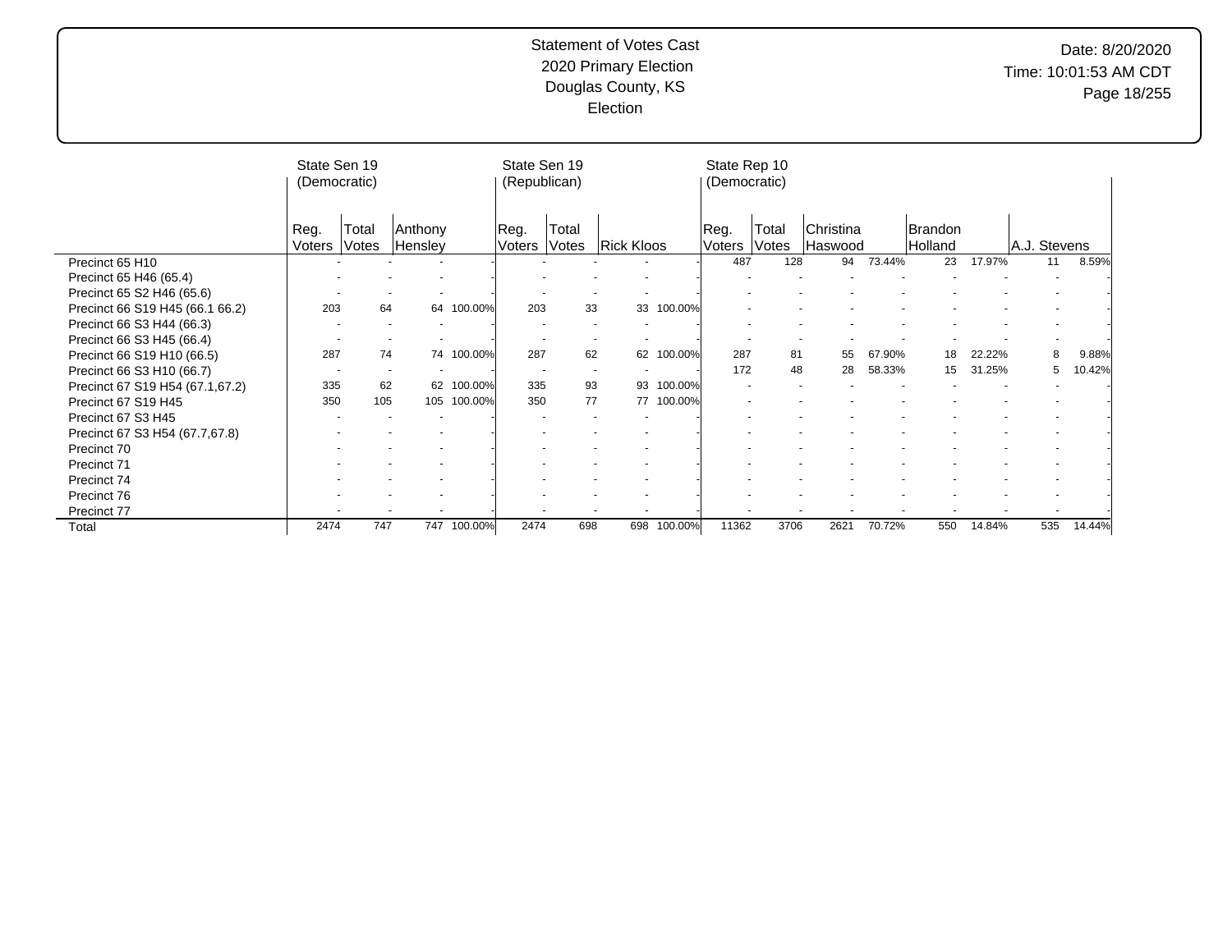|                                 | State Sen 19<br>(Democratic) |                          |                    |             | State Sen 19<br>(Republican) |                |                   |         | State Rep 10<br>(Democratic) |                |                             |        |                    |        |              |        |
|---------------------------------|------------------------------|--------------------------|--------------------|-------------|------------------------------|----------------|-------------------|---------|------------------------------|----------------|-----------------------------|--------|--------------------|--------|--------------|--------|
|                                 | Reg.<br>Voters               | Total<br>Votes           | Anthony<br>Hensley |             | Reg.<br>Voters               | Total<br>Votes | <b>Rick Kloos</b> |         | Reg.<br>Voters               | Total<br>Votes | <b>Christina</b><br>Haswood |        | Brandon<br>Holland |        | A.J. Stevens |        |
| Precinct 65 H10                 |                              |                          |                    |             |                              |                |                   |         | 487                          | 128            | 94                          | 73.44% | 23                 | 17.97% | 11           | 8.59%  |
| Precinct 65 H46 (65.4)          |                              |                          |                    |             |                              |                |                   |         |                              |                |                             |        |                    |        |              |        |
| Precinct 65 S2 H46 (65.6)       |                              |                          |                    |             |                              |                |                   |         |                              |                |                             |        |                    |        |              |        |
| Precinct 66 S19 H45 (66.1 66.2) | 203                          | 64                       |                    | 64 100.00%  | 203                          | 33             | 33                | 100.00% |                              |                |                             |        |                    |        |              |        |
| Precinct 66 S3 H44 (66.3)       |                              |                          |                    |             |                              |                |                   |         |                              |                |                             |        |                    |        |              |        |
| Precinct 66 S3 H45 (66.4)       |                              |                          |                    |             |                              |                |                   |         |                              |                |                             |        |                    |        |              |        |
| Precinct 66 S19 H10 (66.5)      | 287                          | 74                       |                    | 74 100.00%  | 287                          | 62             | 62                | 100.00% | 287                          | 81             | 55                          | 67.90% | 18                 | 22.22% | 8            | 9.88%  |
| Precinct 66 S3 H10 (66.7)       |                              | $\overline{\phantom{a}}$ |                    |             |                              | $\blacksquare$ |                   |         | 172                          | 48             | 28                          | 58.33% | 15                 | 31.25% | 5            | 10.42% |
| Precinct 67 S19 H54 (67.1,67.2) | 335                          | 62                       | 62                 | 100.00%     | 335                          | 93             | 93                | 100.00% |                              |                |                             |        |                    |        |              |        |
| Precinct 67 S19 H45             | 350                          | 105                      |                    | 105 100.00% | 350                          | 77             | 77                | 100.00% |                              |                |                             |        |                    |        |              |        |
| Precinct 67 S3 H45              |                              |                          |                    |             |                              |                |                   |         |                              |                |                             |        |                    |        |              |        |
| Precinct 67 S3 H54 (67.7,67.8)  |                              |                          |                    |             |                              |                |                   |         |                              |                |                             |        |                    |        |              |        |
| Precinct 70                     |                              |                          |                    |             |                              |                |                   |         |                              |                |                             |        |                    |        |              |        |
| Precinct 71                     |                              |                          |                    |             |                              |                |                   |         |                              |                |                             |        |                    |        |              |        |
| Precinct 74                     |                              |                          |                    |             |                              |                |                   |         |                              |                |                             |        |                    |        |              |        |
| Precinct 76                     |                              |                          |                    |             |                              |                |                   |         |                              |                |                             |        |                    |        |              |        |
| Precinct 77                     |                              |                          |                    |             |                              |                |                   |         |                              |                |                             |        |                    |        |              |        |
| Total                           | 2474                         | 747                      |                    | 747 100.00% | 2474                         | 698            | 698               | 100.00% | 11362                        | 3706           | 2621                        | 70.72% | 550                | 14.84% | 535          | 14.44% |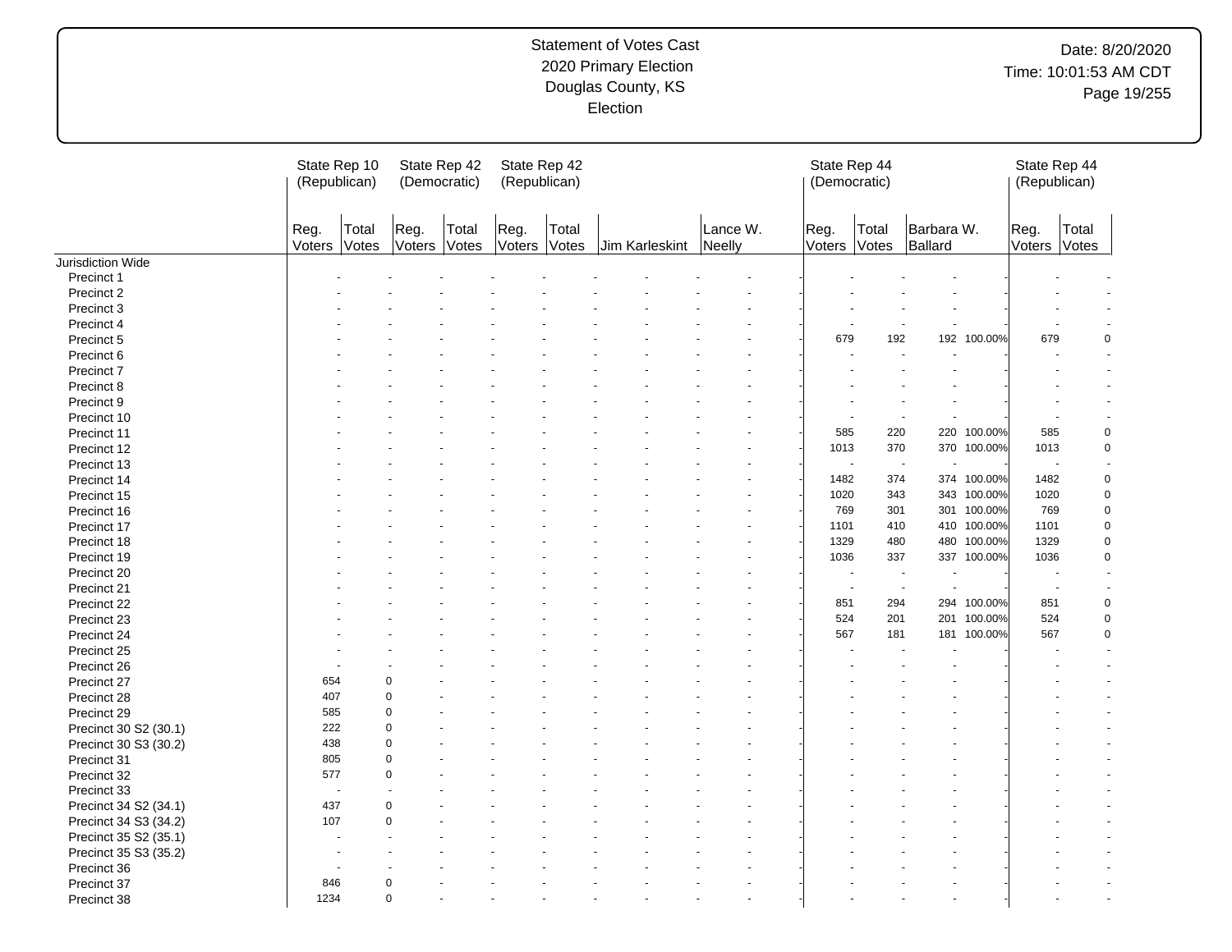# Date: 8/20/2020 Time: 10:01:53 AM CDT Page 19/255

|                       | (Republican)   | State Rep 10   | State Rep 42<br>(Democratic) |                | State Rep 42<br>(Republican) |       |                |                    | State Rep 44<br>(Democratic) |                |                          |             | State Rep 44<br>(Republican) |             |
|-----------------------|----------------|----------------|------------------------------|----------------|------------------------------|-------|----------------|--------------------|------------------------------|----------------|--------------------------|-------------|------------------------------|-------------|
|                       | Reg.<br>Voters | Total<br>Votes | Reg.<br>Voters               | Total<br>Votes | Reg.<br>Voters Votes         | Total | Jim Karleskint | Lance W.<br>Neelly | Reg.<br>Voters               | Total<br>Votes | Barbara W.<br>Ballard    |             | Reg.<br>Voters Votes         | Total       |
| Jurisdiction Wide     |                |                |                              |                |                              |       |                |                    |                              |                |                          |             |                              |             |
| Precinct 1            |                |                |                              |                |                              |       |                |                    |                              |                |                          |             |                              |             |
| Precinct 2            |                |                |                              |                |                              |       |                |                    |                              |                |                          |             |                              |             |
| Precinct 3            |                |                |                              |                |                              |       |                |                    |                              |                |                          |             |                              |             |
| Precinct 4            |                |                |                              |                |                              |       |                |                    |                              |                |                          |             |                              |             |
| Precinct 5            |                |                |                              |                |                              |       |                |                    | 679                          | 192            |                          | 192 100.00% | 679                          | $\mathbf 0$ |
| Precinct 6            |                |                |                              |                |                              |       |                |                    |                              |                |                          |             |                              |             |
| Precinct 7            |                |                |                              |                |                              |       |                |                    |                              |                |                          |             |                              |             |
| Precinct 8            |                |                |                              |                |                              |       |                |                    |                              |                |                          |             |                              |             |
| Precinct 9            |                |                |                              |                |                              |       |                |                    |                              |                |                          |             |                              |             |
| Precinct 10           |                |                |                              |                |                              |       |                |                    |                              | $\blacksquare$ | ÷.                       |             |                              |             |
| Precinct 11           |                |                |                              |                |                              |       |                |                    | 585                          | 220            | 220                      | 100.00%     | 585                          | $\pmb{0}$   |
| Precinct 12           |                |                |                              |                |                              |       |                |                    | 1013                         | 370            |                          | 370 100.00% | 1013                         | $\mathbf 0$ |
| Precinct 13           |                |                |                              |                |                              |       |                |                    | ٠                            | $\sim$         |                          |             | ÷,                           |             |
| Precinct 14           |                |                |                              |                |                              |       |                |                    | 1482                         | 374            |                          | 374 100.00% | 1482                         | $\mathbf 0$ |
| Precinct 15           |                |                |                              |                |                              |       |                |                    | 1020                         | 343            | 343                      | 100.00%     | 1020                         | $\mathbf 0$ |
| Precinct 16           |                |                |                              |                |                              |       |                |                    | 769                          | 301            | 301                      | 100.00%     | 769                          | $\mathbf 0$ |
| Precinct 17           |                |                |                              |                |                              |       |                |                    | 1101                         | 410            | 410                      | 100.00%     | 1101                         | $\pmb{0}$   |
| Precinct 18           |                |                |                              |                |                              |       |                |                    | 1329                         | 480            | 480                      | 100.00%     | 1329                         | $\mathbf 0$ |
| Precinct 19           |                |                |                              |                |                              |       |                |                    | 1036                         | 337            |                          | 337 100.00% | 1036                         | $\mathbf 0$ |
| Precinct 20           |                |                |                              |                |                              |       |                |                    |                              |                |                          |             |                              |             |
| Precinct 21           |                |                |                              |                |                              |       |                |                    |                              | $\sim$         | $\overline{\phantom{a}}$ |             | $\blacksquare$               |             |
| Precinct 22           |                |                |                              |                |                              |       |                |                    | 851                          | 294            | 294                      | 100.00%     | 851                          | $\pmb{0}$   |
|                       |                |                |                              |                |                              |       |                |                    | 524                          | 201            | 201                      | 100.00%     | 524                          | $\mathbf 0$ |
| Precinct 23           |                |                |                              |                |                              |       |                |                    | 567                          | 181            | 181                      | 100.00%     | 567                          | $\mathbf 0$ |
| Precinct 24           |                |                |                              |                |                              |       |                |                    |                              |                |                          |             |                              |             |
| Precinct 25           |                |                |                              |                |                              |       |                |                    |                              |                |                          |             |                              |             |
| Precinct 26           |                |                |                              |                |                              |       |                |                    |                              |                |                          |             |                              |             |
| Precinct 27           | 654            |                | $\Omega$                     |                |                              |       |                |                    |                              |                |                          |             |                              |             |
| Precinct 28           | 407            |                | $\Omega$                     |                |                              |       |                |                    |                              |                |                          |             |                              |             |
| Precinct 29           | 585            |                | $\Omega$                     |                |                              |       |                |                    |                              |                |                          |             |                              |             |
| Precinct 30 S2 (30.1) | 222            |                | $\Omega$                     |                |                              |       |                |                    |                              |                |                          |             |                              |             |
| Precinct 30 S3 (30.2) | 438            |                | $\mathbf 0$                  |                |                              |       |                |                    |                              |                |                          |             |                              |             |
| Precinct 31           | 805            |                | $\mathbf 0$                  |                |                              |       |                |                    |                              |                |                          |             |                              |             |
| Precinct 32           | 577            |                | $\Omega$                     |                |                              |       |                |                    |                              |                |                          |             |                              |             |
| Precinct 33           |                | ÷.             |                              |                |                              |       |                |                    |                              |                |                          |             |                              |             |
| Precinct 34 S2 (34.1) | 437            |                | ∩                            |                |                              |       |                |                    |                              |                |                          |             |                              |             |
| Precinct 34 S3 (34.2) | 107            |                | $\Omega$                     |                |                              |       |                |                    |                              |                |                          |             |                              |             |
| Precinct 35 S2 (35.1) |                |                |                              |                |                              |       |                |                    |                              |                |                          |             |                              |             |
| Precinct 35 S3 (35.2) |                |                |                              |                |                              |       |                |                    |                              |                |                          |             |                              |             |
| Precinct 36           |                |                |                              |                |                              |       |                |                    |                              |                |                          |             |                              |             |
| Precinct 37           | 846            |                | $\Omega$                     |                |                              |       |                |                    |                              |                |                          |             |                              |             |
| Precinct 38           | 1234           |                | $\mathbf 0$                  |                |                              |       |                |                    |                              |                |                          |             |                              |             |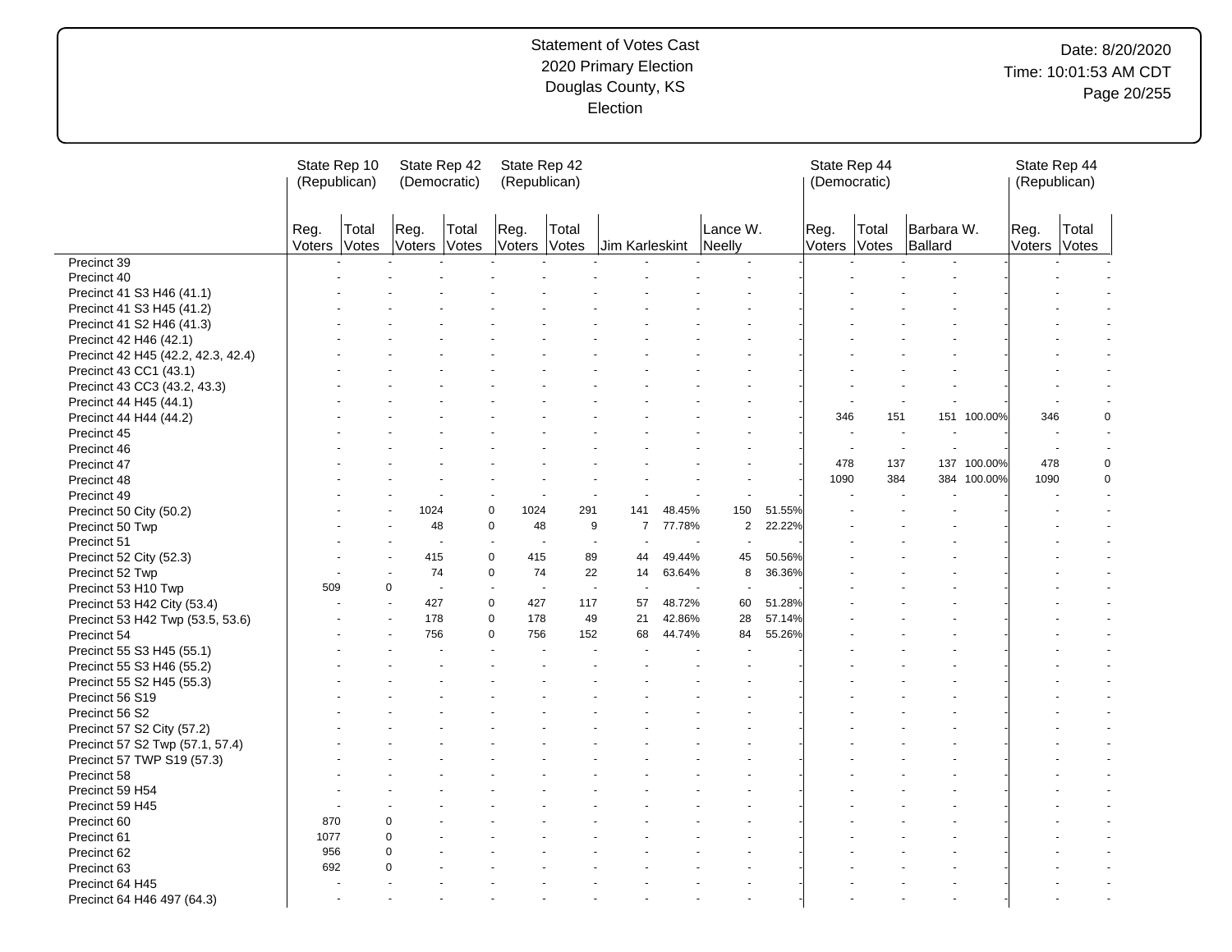# Date: 8/20/2020 Time: 10:01:53 AM CDT Page 20/255

|                                                    | (Republican)   | State Rep 10   | State Rep 42<br>(Democratic) |       |                     | State Rep 42<br>(Republican) |                     |        |                          |        | State Rep 44<br>(Democratic) |       |                          |             | State Rep 44<br>(Republican) |                |
|----------------------------------------------------|----------------|----------------|------------------------------|-------|---------------------|------------------------------|---------------------|--------|--------------------------|--------|------------------------------|-------|--------------------------|-------------|------------------------------|----------------|
|                                                    | Reg.<br>Voters | Total<br>Votes | Reg.<br>Voters Votes         | Total | Reg.                | Total<br>Voters Votes        | Jim Karleskint      |        | Lance W.<br>Neelly       |        | Reg.<br>Voters Votes         | Total | Barbara W.<br>Ballard    |             | Reg.<br>Voters Votes         | Total          |
| Precinct 39                                        |                |                |                              |       |                     |                              |                     |        |                          |        |                              |       |                          |             |                              |                |
| Precinct 40                                        |                |                |                              |       |                     |                              |                     |        |                          |        |                              |       |                          |             |                              |                |
| Precinct 41 S3 H46 (41.1)                          |                |                |                              |       |                     |                              |                     |        |                          |        |                              |       |                          |             |                              |                |
| Precinct 41 S3 H45 (41.2)                          |                |                |                              |       |                     |                              |                     |        |                          |        |                              |       |                          |             |                              |                |
| Precinct 41 S2 H46 (41.3)                          |                |                |                              |       |                     |                              |                     |        |                          |        |                              |       |                          |             |                              |                |
| Precinct 42 H46 (42.1)                             |                |                |                              |       |                     |                              |                     |        |                          |        |                              |       |                          |             |                              |                |
| Precinct 42 H45 (42.2, 42.3, 42.4)                 |                |                |                              |       |                     |                              |                     |        |                          |        |                              |       |                          |             |                              |                |
| Precinct 43 CC1 (43.1)                             |                |                |                              |       |                     |                              |                     |        |                          |        |                              |       |                          |             |                              |                |
| Precinct 43 CC3 (43.2, 43.3)                       |                |                |                              |       |                     |                              |                     |        |                          |        |                              |       |                          |             |                              |                |
| Precinct 44 H45 (44.1)                             |                |                |                              |       |                     |                              |                     |        |                          |        |                              |       |                          |             |                              |                |
| Precinct 44 H44 (44.2)                             |                |                |                              |       |                     |                              |                     |        |                          |        | 346                          | 151   |                          | 151 100.00% | 346                          | 0              |
| Precinct 45                                        |                |                |                              |       |                     |                              |                     |        |                          |        |                              |       | $\overline{\phantom{a}}$ |             |                              | $\sim$         |
| Precinct 46                                        |                |                |                              |       |                     |                              |                     |        |                          |        | $\sim$                       |       | $\overline{\phantom{a}}$ |             | $\overline{a}$               | $\sim$         |
| Precinct 47                                        |                |                |                              |       |                     |                              |                     |        |                          |        | 478                          | 137   | 137                      | 100.00%     | 478                          | 0              |
| Precinct 48                                        |                |                |                              |       |                     |                              |                     |        |                          |        | 1090                         | 384   |                          | 384 100.00% | 1090                         | $\mathbf 0$    |
| Precinct 49                                        |                |                |                              |       |                     |                              |                     |        |                          |        |                              |       |                          |             |                              | $\overline{a}$ |
| Precinct 50 City (50.2)                            |                |                | 1024                         |       | $\mathbf 0$<br>1024 | 291                          | 141                 | 48.45% | 150                      | 51.55% |                              |       |                          |             |                              |                |
| Precinct 50 Twp                                    |                |                | 48                           |       | $\mathbf 0$         | 48                           | 9<br>$\overline{7}$ | 77.78% | 2                        | 22.22% |                              |       |                          |             |                              |                |
| Precinct 51                                        |                |                | $\overline{a}$               |       | $\sim$              |                              | ÷.<br>÷.            |        | $\sim$                   |        |                              |       |                          |             |                              |                |
| Precinct 52 City (52.3)                            |                |                | 415                          |       | $\mathbf 0$<br>415  | 89                           | 44                  | 49.44% | 45                       | 50.56% |                              |       |                          |             |                              |                |
| Precinct 52 Twp                                    |                |                | 74                           |       | $\mathbf 0$<br>74   | 22                           | 14                  | 63.64% | 8                        | 36.36% |                              |       |                          |             |                              |                |
|                                                    | 509            |                | 0<br>$\sim$                  |       | $\overline{a}$      | $\sim$                       | $\sim$<br>$\sim$    |        | $\overline{\phantom{a}}$ |        |                              |       |                          |             |                              |                |
| Precinct 53 H10 Twp<br>Precinct 53 H42 City (53.4) |                |                | 427                          |       | $\mathbf 0$<br>427  | 117                          | 57                  | 48.72% | 60                       | 51.28% |                              |       |                          |             |                              |                |
|                                                    |                |                | 178                          |       | $\mathbf 0$<br>178  | 49                           | 21                  | 42.86% | 28                       | 57.14% |                              |       |                          |             |                              |                |
| Precinct 53 H42 Twp (53.5, 53.6)                   |                |                | 756                          |       | $\mathbf 0$<br>756  | 152                          | 68                  | 44.74% | 84                       | 55.26% |                              |       |                          |             |                              |                |
| Precinct 54                                        |                |                |                              |       |                     |                              |                     |        |                          |        |                              |       |                          |             |                              |                |
| Precinct 55 S3 H45 (55.1)                          |                |                |                              |       |                     |                              |                     |        |                          |        |                              |       |                          |             |                              |                |
| Precinct 55 S3 H46 (55.2)                          |                |                |                              |       |                     |                              |                     |        |                          |        |                              |       |                          |             |                              |                |
| Precinct 55 S2 H45 (55.3)                          |                |                |                              |       |                     |                              |                     |        |                          |        |                              |       |                          |             |                              |                |
| Precinct 56 S19                                    |                |                |                              |       |                     |                              |                     |        |                          |        |                              |       |                          |             |                              |                |
| Precinct 56 S2                                     |                |                |                              |       |                     |                              |                     |        |                          |        |                              |       |                          |             |                              |                |
| Precinct 57 S2 City (57.2)                         |                |                |                              |       |                     |                              |                     |        |                          |        |                              |       |                          |             |                              |                |
| Precinct 57 S2 Twp (57.1, 57.4)                    |                |                |                              |       |                     |                              |                     |        |                          |        |                              |       |                          |             |                              |                |
| Precinct 57 TWP S19 (57.3)                         |                |                |                              |       |                     |                              |                     |        |                          |        |                              |       |                          |             |                              |                |
| Precinct 58                                        |                |                |                              |       |                     |                              |                     |        |                          |        |                              |       |                          |             |                              |                |
| Precinct 59 H54                                    |                |                |                              |       |                     |                              |                     |        |                          |        |                              |       |                          |             |                              |                |
| Precinct 59 H45                                    |                |                |                              |       |                     |                              |                     |        |                          |        |                              |       |                          |             |                              |                |
| Precinct 60                                        | 870            |                | 0                            |       |                     |                              |                     |        |                          |        |                              |       |                          |             |                              |                |
| Precinct 61                                        | 1077           |                | $\Omega$                     |       |                     |                              |                     |        |                          |        |                              |       |                          |             |                              |                |
| Precinct 62                                        | 956            |                | $\Omega$                     |       |                     |                              |                     |        |                          |        |                              |       |                          |             |                              |                |
| Precinct 63                                        | 692            |                | $\Omega$                     |       |                     |                              |                     |        |                          |        |                              |       |                          |             |                              |                |
| Precinct 64 H45                                    |                |                |                              |       |                     |                              |                     |        |                          |        |                              |       |                          |             |                              |                |
| Precinct 64 H46 497 (64.3)                         |                |                |                              |       |                     |                              |                     |        |                          |        |                              |       |                          |             |                              |                |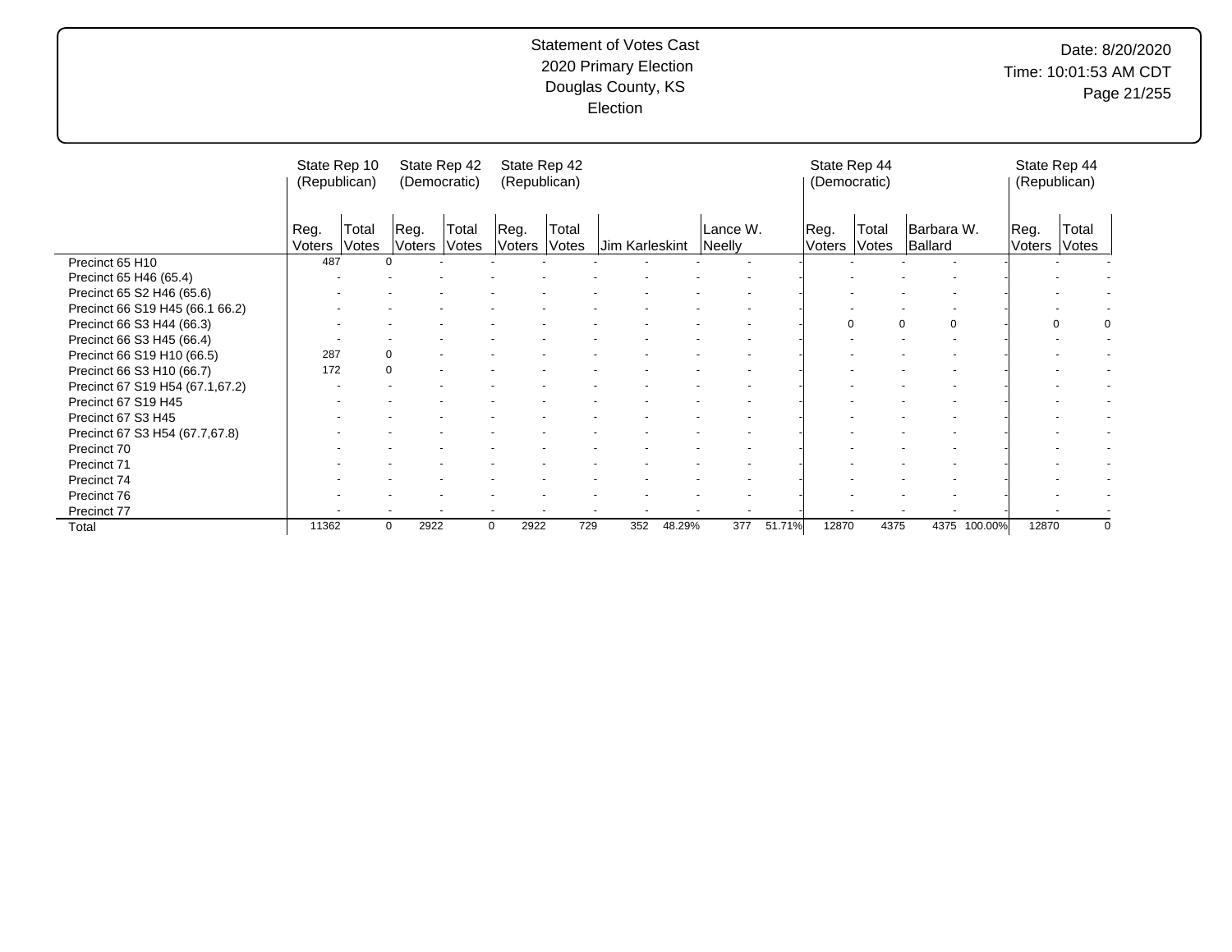# Date: 8/20/2020 Time: 10:01:53 AM CDT Page 21/255

|                                 | State Rep 10<br>(Republican) |                |                | State Rep 42<br>(Democratic) |                | State Rep 42<br>(Republican) |                |        |                    |                | State Rep 44<br>(Democratic) |                       |              | State Rep 44<br>(Republican) |                |          |
|---------------------------------|------------------------------|----------------|----------------|------------------------------|----------------|------------------------------|----------------|--------|--------------------|----------------|------------------------------|-----------------------|--------------|------------------------------|----------------|----------|
|                                 | Reg.<br>Voters               | Total<br>Votes | Reg.<br>Voters | Total<br>Votes               | Reg.<br>Voters | Total<br>Votes               | Jim Karleskint |        | Lance W.<br>Neelly | Reg.<br>Voters | Total<br>Votes               | Barbara W.<br>Ballard |              | Reg.<br>Voters               | Total<br>Votes |          |
| Precinct 65 H10                 | 487                          |                | $\Omega$       |                              |                |                              |                |        |                    |                |                              |                       |              |                              |                |          |
| Precinct 65 H46 (65.4)          |                              |                |                |                              |                |                              |                |        |                    |                |                              |                       |              |                              |                |          |
| Precinct 65 S2 H46 (65.6)       |                              |                |                |                              |                |                              |                |        |                    |                |                              |                       |              |                              |                |          |
| Precinct 66 S19 H45 (66.1 66.2) |                              |                |                |                              |                |                              |                |        |                    |                |                              |                       |              |                              |                |          |
| Precinct 66 S3 H44 (66.3)       |                              |                |                |                              |                |                              |                |        |                    |                | $\Omega$                     | $\Omega$<br>$\Omega$  |              | 0                            |                | 0        |
| Precinct 66 S3 H45 (66.4)       |                              |                |                |                              |                |                              |                |        |                    |                |                              |                       |              |                              |                |          |
| Precinct 66 S19 H10 (66.5)      | 287                          |                | 0              |                              |                |                              |                |        |                    |                |                              |                       |              |                              |                |          |
| Precinct 66 S3 H10 (66.7)       | 172                          |                | $\Omega$       |                              |                |                              |                |        |                    |                |                              |                       |              |                              |                |          |
| Precinct 67 S19 H54 (67.1,67.2) |                              |                |                |                              |                |                              |                |        |                    |                |                              |                       |              |                              |                |          |
| Precinct 67 S19 H45             |                              |                |                |                              |                |                              |                |        |                    |                |                              |                       |              |                              |                |          |
| Precinct 67 S3 H45              |                              |                |                |                              |                |                              |                |        |                    |                |                              |                       |              |                              |                |          |
| Precinct 67 S3 H54 (67.7,67.8)  |                              |                |                |                              |                |                              |                |        |                    |                |                              |                       |              |                              |                |          |
| Precinct 70                     |                              |                |                |                              |                |                              |                |        |                    |                |                              |                       |              |                              |                |          |
| Precinct 71                     |                              |                |                |                              |                |                              |                |        |                    |                |                              |                       |              |                              |                |          |
| Precinct 74                     |                              |                |                |                              |                |                              |                |        |                    |                |                              |                       |              |                              |                |          |
| Precinct 76                     |                              |                |                |                              |                |                              |                |        |                    |                |                              |                       |              |                              |                |          |
| Precinct 77                     |                              |                |                |                              |                |                              |                |        |                    |                |                              |                       |              |                              |                |          |
| Total                           | 11362                        |                | 2922<br>0      |                              | 2922<br>0      | 729                          | 352            | 48.29% | 51.71%<br>377      | 12870          | 4375                         |                       | 4375 100.00% | 12870                        |                | $\Omega$ |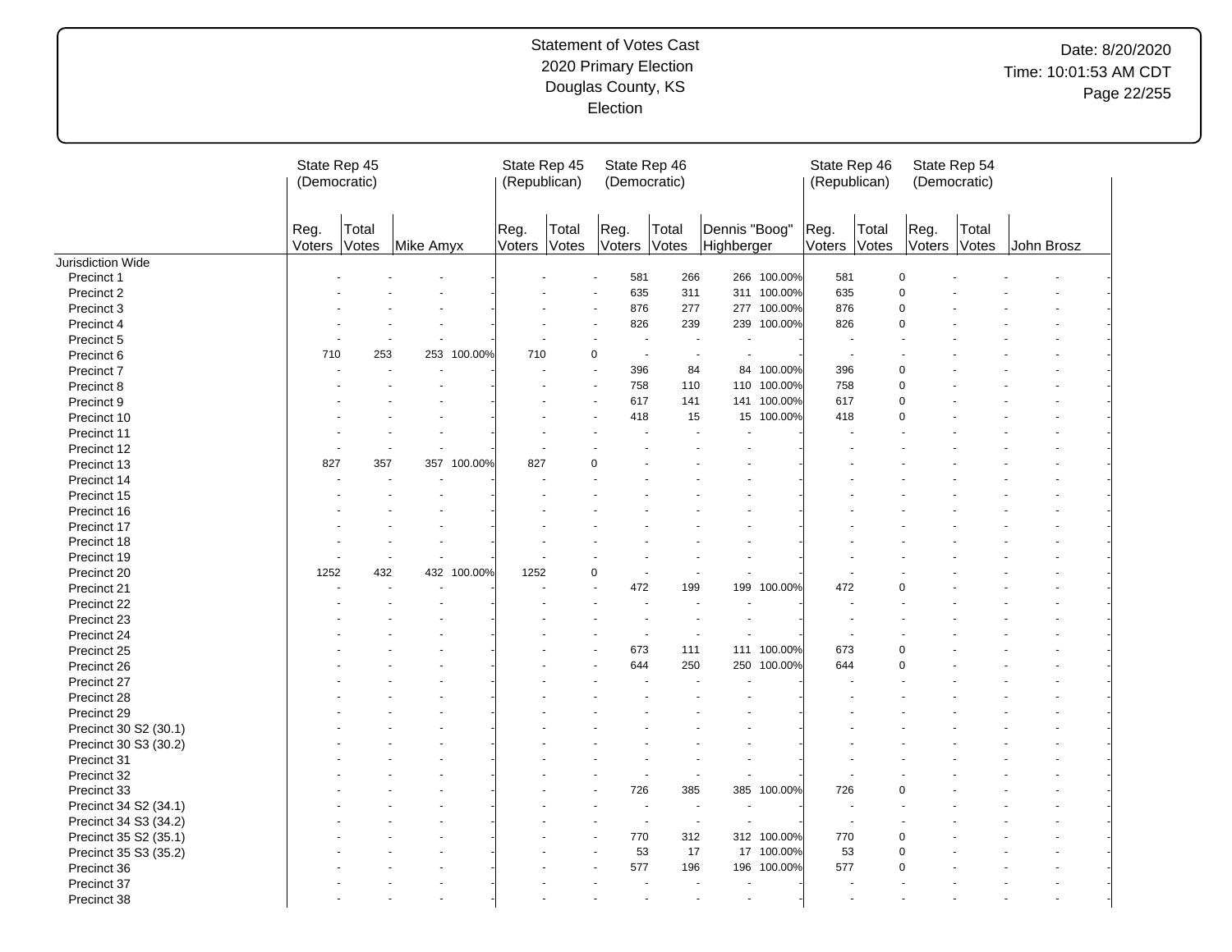# Date: 8/20/2020 Time: 10:01:53 AM CDT Page 22/255

|                       |                | State Rep 45<br>(Democratic) |           |         | State Rep 45<br>(Republican) |                |                      | State Rep 46<br>(Democratic) |                                                      |             | State Rep 46<br>(Republican) |                |                | State Rep 54<br>(Democratic) |            |  |
|-----------------------|----------------|------------------------------|-----------|---------|------------------------------|----------------|----------------------|------------------------------|------------------------------------------------------|-------------|------------------------------|----------------|----------------|------------------------------|------------|--|
|                       | Reg.<br>Voters | Total<br>Votes               | Mike Amyx |         | Reg.<br>Voters               | Total<br>Votes | Reg.<br>Voters Votes | Total                        | Dennis "Boog"<br>Highberger                          |             | Reg.<br>Voters               | Total<br>Votes | Reg.<br>Voters | Total<br>Votes               | John Brosz |  |
| Jurisdiction Wide     |                |                              |           |         |                              |                |                      |                              |                                                      |             |                              |                |                |                              |            |  |
| Precinct 1            |                |                              |           |         |                              |                | 581                  | 266                          |                                                      | 266 100.00% | 581                          |                | $\mathbf 0$    |                              |            |  |
| Precinct 2            |                |                              |           |         |                              |                | 635                  | 311                          |                                                      | 311 100.00% | 635                          |                | $\mathbf 0$    |                              |            |  |
| Precinct 3            |                |                              |           |         |                              |                | 876                  | 277                          |                                                      | 277 100.00% | 876                          |                | $\mathbf 0$    |                              |            |  |
| Precinct 4            |                |                              |           |         |                              |                | 826                  | 239                          |                                                      | 239 100.00% | 826                          |                | $\mathbf 0$    |                              |            |  |
| Precinct 5            |                |                              |           |         |                              |                |                      | ٠.                           | $\sim$                                               |             |                              |                |                |                              |            |  |
| Precinct 6            | 710            | 253                          | 253       | 100.00% | 710                          |                | 0                    | $\blacksquare$               | $\overline{\phantom{a}}$                             |             |                              |                |                |                              |            |  |
| Precinct 7            |                |                              |           |         |                              |                | 396                  | 84                           | 84                                                   | 100.00%     | 396                          |                | $\mathbf 0$    |                              |            |  |
| Precinct 8            |                |                              |           |         |                              |                | 758                  | 110                          | 110                                                  | 100.00%     | 758                          |                | $\mathbf 0$    |                              |            |  |
| Precinct 9            |                |                              |           |         |                              |                | 617                  | 141                          |                                                      | 141 100.00% | 617                          |                | $\mathbf 0$    |                              |            |  |
| Precinct 10           |                |                              |           |         |                              |                | 418                  |                              | 15                                                   | 15 100.00%  | 418                          |                | $\mathbf 0$    |                              |            |  |
| Precinct 11           |                |                              |           |         |                              |                |                      |                              |                                                      |             |                              |                |                |                              |            |  |
| Precinct 12           |                |                              |           |         |                              |                |                      |                              |                                                      |             |                              |                |                |                              |            |  |
| Precinct 13           | 827            | 357                          | 357       | 100.00% | 827                          |                | ი                    |                              |                                                      |             |                              |                |                |                              |            |  |
| Precinct 14           |                |                              |           |         |                              |                |                      |                              |                                                      |             |                              |                |                |                              |            |  |
| Precinct 15           |                |                              |           |         |                              |                |                      |                              |                                                      |             |                              |                |                |                              |            |  |
| Precinct 16           |                |                              |           |         |                              |                |                      |                              |                                                      |             |                              |                |                |                              |            |  |
| Precinct 17           |                |                              |           |         |                              |                |                      |                              |                                                      |             |                              |                |                |                              |            |  |
| Precinct 18           |                |                              |           |         |                              |                |                      |                              |                                                      |             |                              |                |                |                              |            |  |
| Precinct 19           |                |                              |           |         |                              |                |                      |                              |                                                      |             |                              |                |                |                              |            |  |
| Precinct 20           | 1252           | 432                          | 432       | 100.00% | 1252                         |                | 0                    |                              |                                                      |             |                              |                |                |                              |            |  |
|                       |                |                              |           |         |                              |                | 472                  | 199                          | 199                                                  | 100.00%     | 472                          |                | $\Omega$       |                              |            |  |
| Precinct 21           |                |                              |           |         |                              |                |                      |                              |                                                      |             |                              |                |                |                              |            |  |
| Precinct 22           |                |                              |           |         |                              |                |                      |                              |                                                      |             |                              |                |                |                              |            |  |
| Precinct 23           |                |                              |           |         |                              |                |                      |                              |                                                      |             |                              |                |                |                              |            |  |
| Precinct 24           |                |                              |           |         |                              |                |                      | ÷,                           | $\overline{\phantom{a}}$                             |             |                              |                |                |                              |            |  |
| Precinct 25           |                |                              |           |         |                              |                | 673                  | 111                          |                                                      | 111 100.00% | 673                          |                | $\mathbf 0$    |                              |            |  |
| Precinct 26           |                |                              |           |         |                              |                | 644                  | 250                          | 250                                                  | 100.00%     | 644                          |                | $\Omega$       |                              |            |  |
| Precinct 27           |                |                              |           |         |                              |                |                      |                              |                                                      |             |                              |                |                |                              |            |  |
| Precinct 28           |                |                              |           |         |                              |                |                      |                              |                                                      |             |                              |                |                |                              |            |  |
| Precinct 29           |                |                              |           |         |                              |                |                      |                              |                                                      |             |                              |                |                |                              |            |  |
| Precinct 30 S2 (30.1) |                |                              |           |         |                              |                |                      |                              |                                                      |             |                              |                |                |                              |            |  |
| Precinct 30 S3 (30.2) |                |                              |           |         |                              |                |                      |                              |                                                      |             |                              |                |                |                              |            |  |
| Precinct 31           |                |                              |           |         |                              |                |                      |                              |                                                      |             |                              |                |                |                              |            |  |
| Precinct 32           |                |                              |           |         |                              |                |                      |                              |                                                      |             |                              |                |                |                              |            |  |
| Precinct 33           |                |                              |           |         |                              |                | 726                  | 385                          | 385                                                  | 100.00%     | 726                          |                | $\mathbf 0$    |                              |            |  |
| Precinct 34 S2 (34.1) |                |                              |           |         |                              |                |                      | $\blacksquare$               | ÷,<br>$\blacksquare$                                 |             |                              |                |                |                              |            |  |
| Precinct 34 S3 (34.2) |                |                              |           |         |                              |                |                      | $\overline{\phantom{a}}$     | $\overline{\phantom{a}}$<br>$\overline{\phantom{a}}$ |             | $\overline{\phantom{a}}$     |                |                |                              |            |  |
| Precinct 35 S2 (35.1) |                |                              |           |         |                              |                | 770                  | 312                          |                                                      | 312 100.00% | 770                          |                | $\overline{0}$ |                              |            |  |
| Precinct 35 S3 (35.2) |                |                              |           |         |                              |                | 53                   | 17                           |                                                      | 17 100.00%  | 53                           |                | $\mathbf 0$    |                              |            |  |
| Precinct 36           |                |                              |           |         |                              |                | 577                  | 196                          | 196                                                  | 100.00%     | 577                          |                | $\Omega$       |                              |            |  |
| Precinct 37           |                |                              |           |         |                              |                |                      | ÷.                           | ÷.<br>$\ddot{\phantom{1}}$                           |             |                              |                |                |                              |            |  |
| Precinct 38           |                |                              |           |         |                              |                |                      |                              | ÷.                                                   |             |                              |                |                |                              |            |  |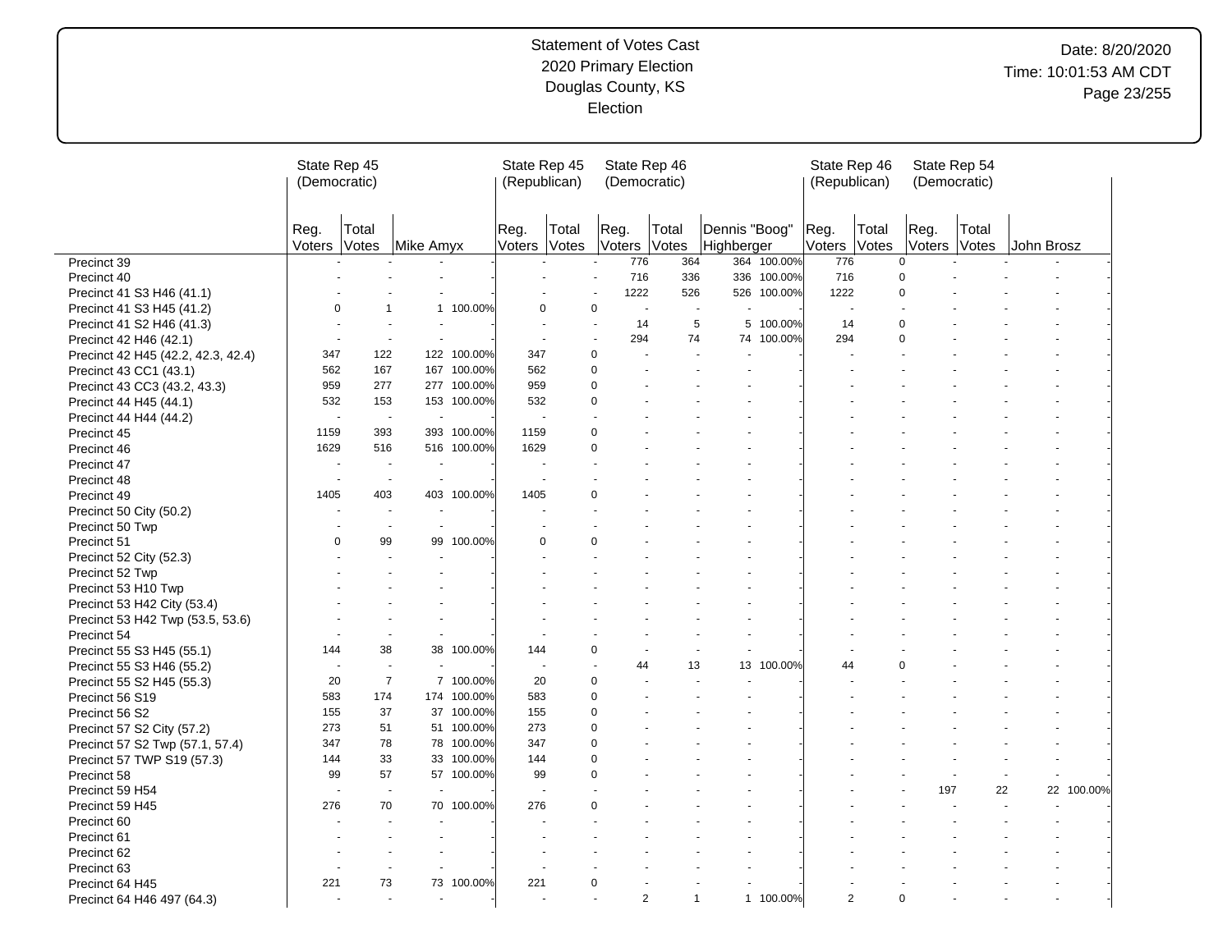# Date: 8/20/2020 Time: 10:01:53 AM CDT Page 23/255

|                                    | State Rep 45<br>(Democratic) |                          |                |             | State Rep 45<br>(Republican) |          | State Rep 46<br>(Democratic) |              |                             | State Rep 46<br>(Republican) |                | State Rep 54<br>(Democratic) |                |            |            |
|------------------------------------|------------------------------|--------------------------|----------------|-------------|------------------------------|----------|------------------------------|--------------|-----------------------------|------------------------------|----------------|------------------------------|----------------|------------|------------|
|                                    | Reg.<br>Voters               | Total<br>Votes           | Mike Amyx      |             | Reg.<br>Voters Votes         | Total    | Reg.<br>Voters Votes         | Total        | Dennis "Boog"<br>Highberger | Reg.<br>Voters               | Total<br>Votes | Reg.<br>Voters               | Total<br>Votes | John Brosz |            |
| Precinct 39                        |                              |                          |                |             |                              |          | 776                          | 364          | 364 100.00%                 | 776                          |                | $\mathbf 0$                  |                |            |            |
| Precinct 40                        |                              |                          |                |             |                              |          | 716                          | 336          | 336 100.00%                 | 716                          |                | $\mathbf 0$                  |                |            |            |
| Precinct 41 S3 H46 (41.1)          |                              |                          |                |             |                              |          | 1222                         | 526          | 526 100.00%                 | 1222                         |                | $\mathbf 0$                  |                |            |            |
| Precinct 41 S3 H45 (41.2)          | 0                            | 1                        |                | 1 100.00%   | $\Omega$                     |          | 0<br>$\sim$                  | $\sim$       |                             | $\overline{a}$               |                |                              |                |            |            |
| Precinct 41 S2 H46 (41.3)          |                              |                          |                |             |                              | $\sim$   | 14                           | 5            | 5 100.00%                   | 14                           |                | $\mathbf 0$                  |                |            |            |
| Precinct 42 H46 (42.1)             |                              | ٠.                       | ÷.             |             | $\ddot{\phantom{1}}$         | $\sim$   | 294                          | 74           | 74 100.00%                  | 294                          |                | $\mathbf 0$                  |                |            |            |
| Precinct 42 H45 (42.2, 42.3, 42.4) | 347                          | 122                      |                | 122 100.00% | 347                          | 0        |                              |              |                             |                              |                |                              |                |            |            |
| Precinct 43 CC1 (43.1)             | 562                          | 167                      |                | 167 100.00% | 562                          | 0        |                              |              |                             |                              |                |                              |                |            |            |
| Precinct 43 CC3 (43.2, 43.3)       | 959                          | 277                      |                | 277 100.00% | 959                          | 0        |                              |              |                             |                              |                |                              |                |            |            |
| Precinct 44 H45 (44.1)             | 532                          | 153                      |                | 153 100.00% | 532                          | 0        |                              |              |                             |                              |                |                              |                |            |            |
| Precinct 44 H44 (44.2)             | $\overline{\phantom{a}}$     | $\overline{\phantom{a}}$ | $\sim$         |             | ÷.                           |          |                              |              |                             |                              |                |                              |                |            |            |
| Precinct 45                        | 1159                         | 393                      | 393            | 100.00%     | 1159                         | 0        |                              |              |                             |                              |                |                              |                |            |            |
| Precinct 46                        | 1629                         | 516                      |                | 516 100.00% | 1629                         | 0        |                              |              |                             |                              |                |                              |                |            |            |
| Precinct 47                        |                              |                          |                |             |                              |          |                              |              |                             |                              |                |                              |                |            |            |
| Precinct 48                        | $\overline{\phantom{a}}$     | $\overline{\phantom{a}}$ | $\blacksquare$ |             |                              |          |                              |              |                             |                              |                |                              |                |            |            |
| Precinct 49                        | 1405                         | 403                      |                | 403 100.00% | 1405                         | 0        |                              |              |                             |                              |                |                              |                |            |            |
| Precinct 50 City (50.2)            |                              | $\overline{\phantom{a}}$ | $\sim$         |             |                              |          |                              |              |                             |                              |                |                              |                |            |            |
| Precinct 50 Twp                    |                              | $\overline{\phantom{a}}$ | $\sim$         |             |                              |          |                              |              |                             |                              |                |                              |                |            |            |
| Precinct 51                        | $\mathbf 0$                  | 99                       | 99             | 100.00%     | $\Omega$                     | 0        |                              |              |                             |                              |                |                              |                |            |            |
| Precinct 52 City (52.3)            |                              |                          |                |             |                              |          |                              |              |                             |                              |                |                              |                |            |            |
| Precinct 52 Twp                    |                              |                          |                |             |                              |          |                              |              |                             |                              |                |                              |                |            |            |
| Precinct 53 H10 Twp                |                              |                          |                |             |                              |          |                              |              |                             |                              |                |                              |                |            |            |
| Precinct 53 H42 City (53.4)        |                              |                          |                |             |                              |          |                              |              |                             |                              |                |                              |                |            |            |
| Precinct 53 H42 Twp (53.5, 53.6)   |                              |                          |                |             |                              |          |                              |              |                             |                              |                |                              |                |            |            |
| Precinct 54                        |                              |                          |                |             |                              |          |                              |              |                             |                              |                |                              |                |            |            |
| Precinct 55 S3 H45 (55.1)          | 144                          | 38                       |                | 38 100.00%  | 144                          | 0        |                              |              | $\blacksquare$              |                              |                |                              |                |            |            |
| Precinct 55 S3 H46 (55.2)          |                              | ÷,                       |                |             | $\blacksquare$               |          | 44                           | 13           | 13<br>100.00%               | 44                           |                | $\Omega$                     |                |            |            |
| Precinct 55 S2 H45 (55.3)          | 20                           | $\overline{7}$           |                | 7 100.00%   | 20                           | 0        |                              |              |                             |                              |                |                              |                |            |            |
| Precinct 56 S19                    | 583                          | 174                      |                | 174 100.00% | 583                          | 0        |                              |              |                             |                              |                |                              |                |            |            |
| Precinct 56 S2                     | 155                          | 37                       |                | 37 100.00%  | 155                          | 0        |                              |              |                             |                              |                |                              |                |            |            |
| Precinct 57 S2 City (57.2)         | 273                          | 51                       |                | 51 100.00%  | 273                          | 0        |                              |              |                             |                              |                |                              |                |            |            |
| Precinct 57 S2 Twp (57.1, 57.4)    | 347                          | 78                       |                | 78 100.00%  | 347                          | 0        |                              |              |                             |                              |                |                              |                |            |            |
| Precinct 57 TWP S19 (57.3)         | 144                          | 33                       |                | 33 100.00%  | 144                          | 0        |                              |              |                             |                              |                |                              |                |            |            |
| Precinct 58                        | 99                           | 57                       |                | 57 100.00%  | 99                           | 0        |                              |              |                             |                              |                |                              |                |            |            |
| Precinct 59 H54                    |                              | $\overline{\phantom{a}}$ |                |             |                              |          |                              |              |                             |                              |                | 197                          | 22             |            | 22 100.00% |
| Precinct 59 H45                    | 276                          | 70                       |                | 70 100.00%  | 276                          | $\Omega$ |                              |              |                             |                              |                |                              |                |            |            |
| Precinct 60                        |                              |                          |                |             |                              |          |                              |              |                             |                              |                |                              |                |            |            |
| Precinct 61                        |                              |                          |                |             |                              |          |                              |              |                             |                              |                |                              |                |            |            |
| Precinct 62                        |                              |                          |                |             |                              |          |                              |              |                             |                              |                |                              |                |            |            |
| Precinct 63                        |                              |                          |                |             |                              |          |                              |              |                             |                              |                |                              |                |            |            |
| Precinct 64 H45                    | 221                          | 73                       |                | 73 100.00%  | 221                          | 0        |                              |              |                             |                              |                |                              |                |            |            |
| Precinct 64 H46 497 (64.3)         |                              |                          |                |             |                              |          | $\overline{2}$               | $\mathbf{1}$ | 1 100.00%                   | $\overline{2}$               |                | $\mathbf 0$                  |                |            |            |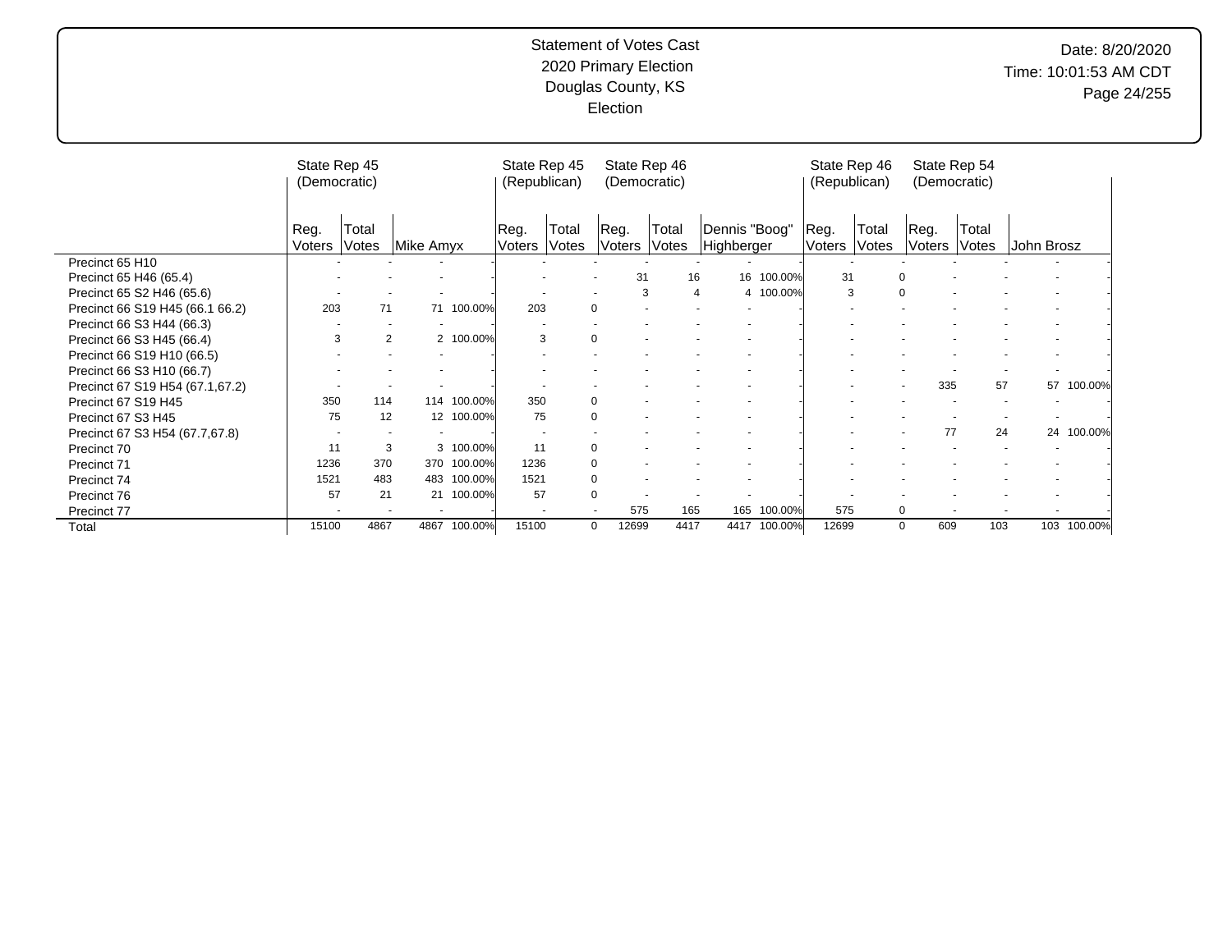# Date: 8/20/2020 Time: 10:01:53 AM CDT Page 24/255

|                                 | State Rep 45<br>(Democratic) |                |           |             | State Rep 45<br>(Republican) |                | State Rep 46<br>(Democratic) |                |                             |                | State Rep 46<br>(Republican) | (Democratic)          | State Rep 54   |            |         |
|---------------------------------|------------------------------|----------------|-----------|-------------|------------------------------|----------------|------------------------------|----------------|-----------------------------|----------------|------------------------------|-----------------------|----------------|------------|---------|
|                                 | Reg.<br>Voters               | Total<br>Votes | Mike Amyx |             | Reg.<br>Voters               | Total<br>Votes | Reg.<br>Voters               | Total<br>Votes | Dennis "Boog"<br>Highberger | Reg.<br>Voters | Total<br>Votes               | Reg.<br><b>Voters</b> | Total<br>Votes | John Brosz |         |
| Precinct 65 H10                 |                              |                |           |             |                              |                |                              |                |                             |                |                              |                       |                |            |         |
| Precinct 65 H46 (65.4)          |                              |                |           |             |                              |                | 31                           | 16             | 16<br>100.00%               |                | 31                           |                       |                |            |         |
| Precinct 65 S2 H46 (65.6)       |                              |                |           |             |                              |                | 3                            | 4              | 4 100.00%                   |                | 3                            | $\Omega$              |                |            |         |
| Precinct 66 S19 H45 (66.1 66.2) | 203                          | 71             |           | 71 100.00%  | 203                          | $\Omega$       |                              |                |                             |                |                              |                       |                |            |         |
| Precinct 66 S3 H44 (66.3)       |                              |                |           |             |                              |                |                              |                |                             |                |                              |                       |                |            |         |
| Precinct 66 S3 H45 (66.4)       | 3                            |                | 2         | 2 100.00%   | 3                            | $\Omega$       |                              |                |                             |                |                              |                       |                |            |         |
| Precinct 66 S19 H10 (66.5)      |                              |                |           |             |                              |                |                              |                |                             |                |                              |                       |                |            |         |
| Precinct 66 S3 H10 (66.7)       |                              |                |           |             |                              |                |                              |                |                             |                |                              |                       |                |            |         |
| Precinct 67 S19 H54 (67.1,67.2) |                              |                |           |             |                              |                |                              |                |                             |                |                              | 335                   | 57             | 57         | 100.00% |
| Precinct 67 S19 H45             | 350                          | 114            |           | 114 100.00% | 350                          | $\Omega$       |                              |                |                             |                |                              |                       |                |            |         |
| Precinct 67 S3 H45              | 75                           | 12             |           | 12 100.00%  | 75                           | $\Omega$       |                              |                |                             |                |                              |                       |                |            |         |
| Precinct 67 S3 H54 (67.7,67.8)  |                              |                |           |             | $\overline{\phantom{a}}$     |                |                              |                |                             |                |                              | 77                    | 24             | 24         | 100.00% |
| Precinct 70                     | 11                           | 3              |           | 3 100.00%   | 11                           | 0              |                              |                |                             |                |                              |                       |                |            |         |
| Precinct 71                     | 1236                         | 370            |           | 370 100.00% | 1236                         | $\Omega$       |                              |                |                             |                |                              |                       |                |            |         |
| Precinct 74                     | 1521                         | 483            | 483       | 100.00%     | 1521                         | $\Omega$       |                              |                |                             |                |                              |                       |                |            |         |
| Precinct 76                     | 57                           | 21             |           | 21 100.00%  | 57                           | 0              |                              |                |                             |                |                              |                       |                |            |         |
| Precinct 77                     |                              |                |           |             | $\overline{\phantom{a}}$     | $\blacksquare$ | 575                          | 165            | 100.00%<br>165              |                | 575                          | $\Omega$              |                |            |         |
| Total                           | 15100                        | 4867           | 4867      | 100.00%     | 15100                        | 0              | 12699                        | 4417           | 4417<br>100.00%             | 12699          |                              | 609<br>$\mathbf 0$    | 103            | 103        | 100.00% |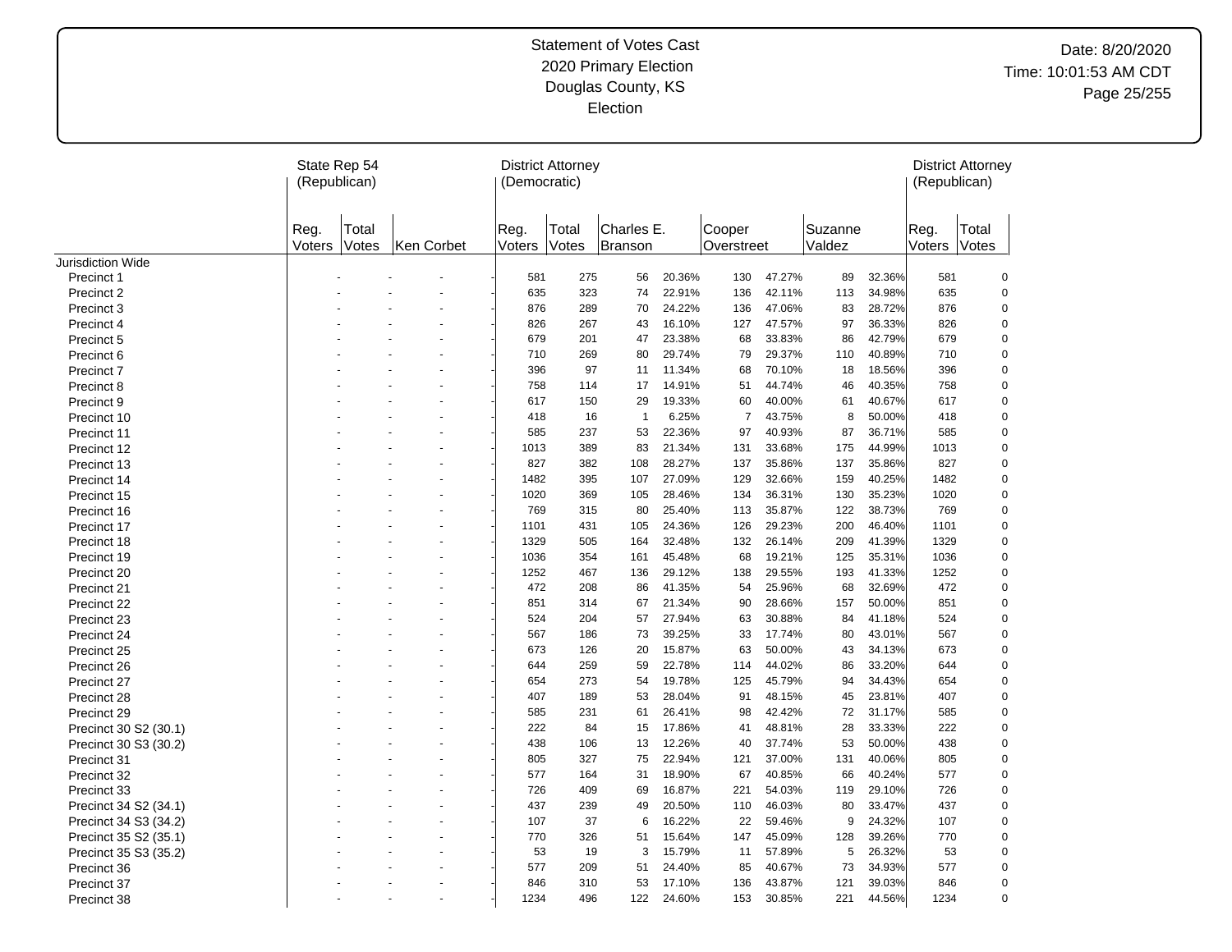|                          |                | State Rep 54<br>(Republican) |            |                | <b>District Attorney</b><br>(Democratic) |                              |        |                      |        |                   |        | (Republican)   | <b>District Attorney</b> |
|--------------------------|----------------|------------------------------|------------|----------------|------------------------------------------|------------------------------|--------|----------------------|--------|-------------------|--------|----------------|--------------------------|
|                          | Reg.<br>Voters | Total<br>Votes               | Ken Corbet | Reg.<br>Voters | Total<br>Votes                           | Charles E.<br><b>Branson</b> |        | Cooper<br>Overstreet |        | Suzanne<br>Valdez |        | Reg.<br>Voters | Total<br>Votes           |
| <b>Jurisdiction Wide</b> |                |                              |            |                |                                          |                              |        |                      |        |                   |        |                |                          |
| Precinct 1               |                |                              |            | 581            | 275                                      | 56                           | 20.36% | 130                  | 47.27% | 89                | 32.36% | 581            | $\pmb{0}$                |
| Precinct 2               |                |                              |            | 635            | 323                                      | 74                           | 22.91% | 136                  | 42.11% | 113               | 34.98% | 635            | 0                        |
| Precinct 3               |                |                              |            | 876            | 289                                      | 70                           | 24.22% | 136                  | 47.06% | 83                | 28.72% | 876            | $\mathbf 0$              |
| Precinct 4               |                |                              |            | 826            | 267                                      | 43                           | 16.10% | 127                  | 47.57% | 97                | 36.33% | 826            | $\pmb{0}$                |
| Precinct 5               |                |                              |            | 679            | 201                                      | 47                           | 23.38% | 68                   | 33.83% | 86                | 42.79% | 679            | $\mathbf 0$              |
| Precinct 6               |                |                              |            | 710            | 269                                      | 80                           | 29.74% | 79                   | 29.37% | 110               | 40.89% | 710            | $\pmb{0}$                |
| Precinct 7               |                |                              |            | 396            | 97                                       | 11                           | 11.34% | 68                   | 70.10% | 18                | 18.56% | 396            | $\mathbf 0$              |
| Precinct 8               |                |                              |            | 758            | 114                                      | 17                           | 14.91% | 51                   | 44.74% | 46                | 40.35% | 758            | 0                        |
| Precinct 9               |                |                              |            | 617            | 150                                      | 29                           | 19.33% | 60                   | 40.00% | 61                | 40.67% | 617            | 0                        |
| Precinct 10              |                |                              |            | 418            | 16                                       | $\mathbf{1}$                 | 6.25%  | $\overline{7}$       | 43.75% | 8                 | 50.00% | 418            | $\mathbf 0$              |
| Precinct 11              |                |                              |            | 585            | 237                                      | 53                           | 22.36% | 97                   | 40.93% | 87                | 36.71% | 585            | $\mathbf 0$              |
| Precinct 12              |                |                              |            | 1013           | 389                                      | 83                           | 21.34% | 131                  | 33.68% | 175               | 44.99% | 1013           | $\mathbf 0$              |
| Precinct 13              |                |                              |            | 827            | 382                                      | 108                          | 28.27% | 137                  | 35.86% | 137               | 35.86% | 827            | $\mathbf 0$              |
| Precinct 14              |                |                              |            | 1482           | 395                                      | 107                          | 27.09% | 129                  | 32.66% | 159               | 40.25% | 1482           | $\mathbf 0$              |
| Precinct 15              |                |                              |            | 1020           | 369                                      | 105                          | 28.46% | 134                  | 36.31% | 130               | 35.23% | 1020           | $\mathbf 0$              |
| Precinct 16              |                |                              |            | 769            | 315                                      | 80                           | 25.40% | 113                  | 35.87% | 122               | 38.73% | 769            | $\mathbf 0$              |
| Precinct 17              |                |                              |            | 1101           | 431                                      | 105                          | 24.36% | 126                  | 29.23% | 200               | 46.40% | 1101           | $\pmb{0}$                |
| Precinct 18              |                |                              |            | 1329           | 505                                      | 164                          | 32.48% | 132                  | 26.14% | 209               | 41.39% | 1329           | $\mathbf 0$              |
| Precinct 19              |                |                              |            | 1036           | 354                                      | 161                          | 45.48% | 68                   | 19.21% | 125               | 35.31% | 1036           | $\pmb{0}$                |
| Precinct 20              |                |                              |            | 1252           | 467                                      | 136                          | 29.12% | 138                  | 29.55% | 193               | 41.33% | 1252           | 0                        |
| Precinct 21              |                |                              |            | 472            | 208                                      | 86                           | 41.35% | 54                   | 25.96% | 68                | 32.69% | 472            | 0                        |
| Precinct 22              |                |                              |            | 851            | 314                                      | 67                           | 21.34% | 90                   | 28.66% | 157               | 50.00% | 851            | $\mathbf 0$              |
| Precinct 23              |                |                              |            | 524            | 204                                      | 57                           | 27.94% | 63                   | 30.88% | 84                | 41.18% | 524            | $\pmb{0}$                |
| Precinct 24              |                |                              |            | 567            | 186                                      | 73                           | 39.25% | 33                   | 17.74% | 80                | 43.01% | 567            | $\mathbf 0$              |
| Precinct 25              |                |                              |            | 673            | 126                                      | 20                           | 15.87% | 63                   | 50.00% | 43                | 34.13% | 673            | $\mathbf 0$              |
| Precinct 26              |                |                              |            | 644            | 259                                      | 59                           | 22.78% | 114                  | 44.02% | 86                | 33.20% | 644            | 0                        |
| Precinct 27              |                |                              |            | 654            | 273                                      | 54                           | 19.78% | 125                  | 45.79% | 94                | 34.43% | 654            | 0                        |
| Precinct 28              |                |                              |            | 407            | 189                                      | 53                           | 28.04% | 91                   | 48.15% | 45                | 23.81% | 407            | $\pmb{0}$                |
| Precinct 29              |                |                              |            | 585            | 231                                      | 61                           | 26.41% | 98                   | 42.42% | 72                | 31.17% | 585            | $\mathbf 0$              |
| Precinct 30 S2 (30.1)    |                |                              |            | 222            | 84                                       | 15                           | 17.86% | 41                   | 48.81% | 28                | 33.33% | 222            | $\pmb{0}$                |
| Precinct 30 S3 (30.2)    |                |                              |            | 438            | 106                                      | 13                           | 12.26% | 40                   | 37.74% | 53                | 50.00% | 438            | $\pmb{0}$                |
| Precinct 31              |                |                              |            | 805            | 327                                      | 75                           | 22.94% | 121                  | 37.00% | 131               | 40.06% | 805            | 0                        |
| Precinct 32              |                |                              |            | 577            | 164                                      | 31                           | 18.90% | 67                   | 40.85% | 66                | 40.24% | 577            | 0                        |
| Precinct 33              |                |                              |            | 726            | 409                                      | 69                           | 16.87% | 221                  | 54.03% | 119               | 29.10% | 726            | $\pmb{0}$                |
| Precinct 34 S2 (34.1)    |                |                              |            | 437            | 239                                      | 49                           | 20.50% | 110                  | 46.03% | 80                | 33.47% | 437            | $\pmb{0}$                |
| Precinct 34 S3 (34.2)    |                |                              |            | 107            | 37                                       | 6                            | 16.22% | 22                   | 59.46% | 9                 | 24.32% | 107            | $\mathbf 0$              |
| Precinct 35 S2 (35.1)    |                |                              |            | 770            | 326                                      | 51                           | 15.64% | 147                  | 45.09% | 128               | 39.26% | 770            | $\mathbf 0$              |
| Precinct 35 S3 (35.2)    |                |                              |            | 53             | 19                                       | 3                            | 15.79% | 11                   | 57.89% | 5                 | 26.32% | 53             | 0                        |
| Precinct 36              |                |                              |            | 577            | 209                                      | 51                           | 24.40% | 85                   | 40.67% | 73                | 34.93% | 577            | 0                        |
| Precinct 37              |                |                              |            | 846            | 310                                      | 53                           | 17.10% | 136                  | 43.87% | 121               | 39.03% | 846            | $\mathbf 0$              |
| Precinct 38              |                |                              |            | 1234           | 496                                      | 122                          | 24.60% | 153                  | 30.85% | 221               | 44.56% | 1234           | $\mathbf 0$              |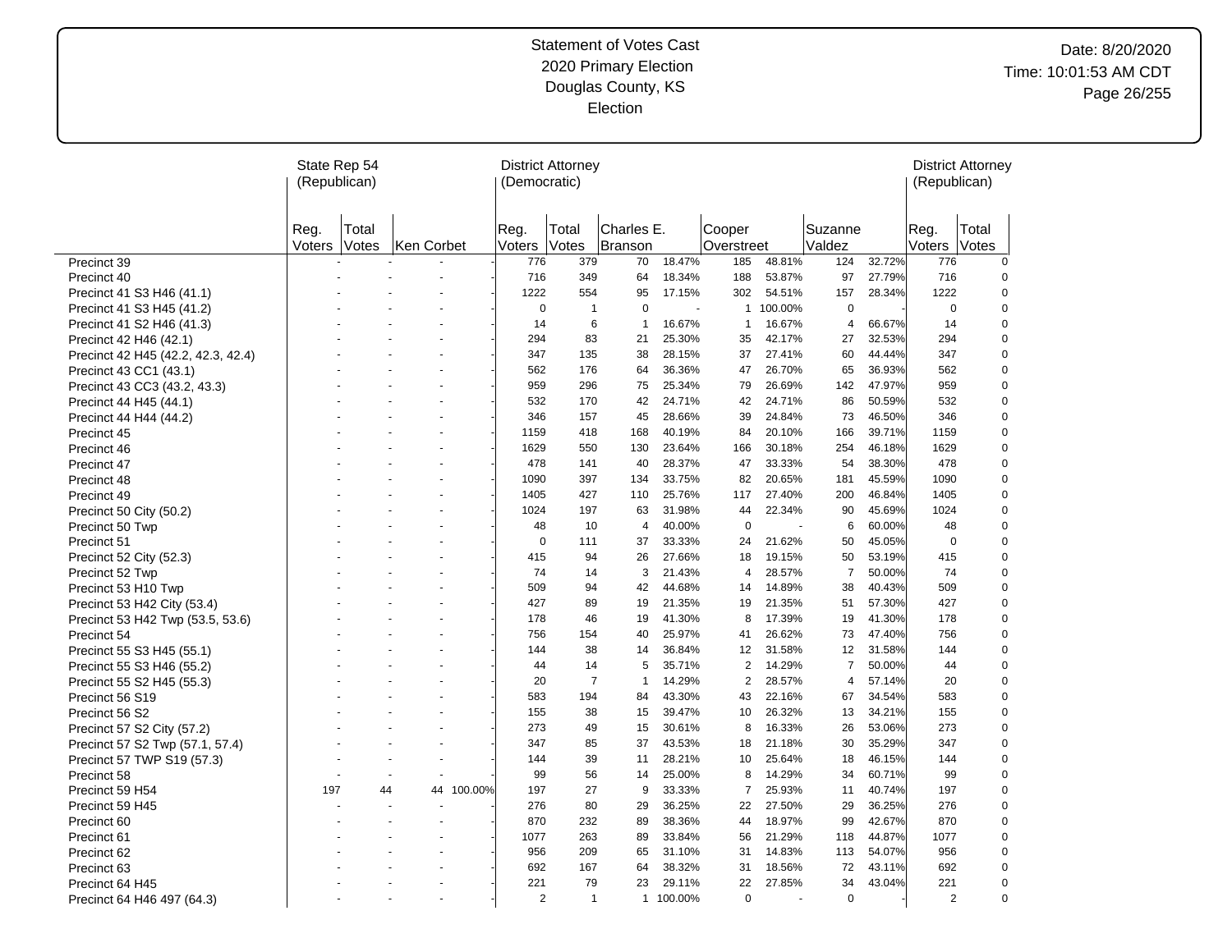# Date: 8/20/2020 Time: 10:01:53 AM CDT Page 26/255

|                                    | State Rep 54<br>(Republican) |                |            |            | (Democratic)   | <b>District Attorney</b> |                       |         |                      |         |                   |        | (Republican)   | <b>District Attorney</b> |
|------------------------------------|------------------------------|----------------|------------|------------|----------------|--------------------------|-----------------------|---------|----------------------|---------|-------------------|--------|----------------|--------------------------|
|                                    | Reg.<br>Voters               | Total<br>Votes | Ken Corbet |            | Reg.<br>Voters | Total<br>Votes           | Charles E.<br>Branson |         | Cooper<br>Overstreet |         | Suzanne<br>Valdez |        | Reg.<br>Voters | Total<br>Votes           |
| Precinct 39                        |                              |                |            |            | 776            | 379                      | 70                    | 18.47%  | 185                  | 48.81%  | 124               | 32.72% | 776            | $\mathbf 0$              |
| Precinct 40                        |                              |                |            |            | 716            | 349                      | 64                    | 18.34%  | 188                  | 53.87%  | 97                | 27.79% | 716            | 0                        |
| Precinct 41 S3 H46 (41.1)          |                              |                |            |            | 1222           | 554                      | 95                    | 17.15%  | 302                  | 54.51%  | 157               | 28.34% | 1222           | 0                        |
| Precinct 41 S3 H45 (41.2)          |                              |                |            |            | $\mathbf 0$    | $\overline{1}$           | $\mathbf 0$           |         | $\mathbf{1}$         | 100.00% | $\mathbf 0$       |        | 0              | 0                        |
| Precinct 41 S2 H46 (41.3)          |                              |                |            |            | 14             | 6                        | $\overline{1}$        | 16.67%  | $\mathbf{1}$         | 16.67%  | 4                 | 66.67% | 14             | 0                        |
| Precinct 42 H46 (42.1)             |                              |                |            |            | 294            | 83                       | 21                    | 25.30%  | 35                   | 42.17%  | 27                | 32.53% | 294            | $\pmb{0}$                |
| Precinct 42 H45 (42.2, 42.3, 42.4) |                              |                |            |            | 347            | 135                      | 38                    | 28.15%  | 37                   | 27.41%  | 60                | 44.44% | 347            | 0                        |
| Precinct 43 CC1 (43.1)             |                              |                |            |            | 562            | 176                      | 64                    | 36.36%  | 47                   | 26.70%  | 65                | 36.93% | 562            | 0                        |
| Precinct 43 CC3 (43.2, 43.3)       |                              |                |            |            | 959            | 296                      | 75                    | 25.34%  | 79                   | 26.69%  | 142               | 47.97% | 959            | 0                        |
| Precinct 44 H45 (44.1)             |                              |                |            |            | 532            | 170                      | 42                    | 24.71%  | 42                   | 24.71%  | 86                | 50.59% | 532            | 0                        |
| Precinct 44 H44 (44.2)             |                              |                |            |            | 346            | 157                      | 45                    | 28.66%  | 39                   | 24.84%  | 73                | 46.50% | 346            | $\mathbf 0$              |
| Precinct 45                        |                              |                |            |            | 1159           | 418                      | 168                   | 40.19%  | 84                   | 20.10%  | 166               | 39.71% | 1159           | 0                        |
| Precinct 46                        |                              |                |            |            | 1629           | 550                      | 130                   | 23.64%  | 166                  | 30.18%  | 254               | 46.18% | 1629           | $\mathbf 0$              |
| Precinct 47                        |                              |                |            |            | 478            | 141                      | 40                    | 28.37%  | 47                   | 33.33%  | 54                | 38.30% | 478            | 0                        |
| Precinct 48                        |                              |                |            |            | 1090           | 397                      | 134                   | 33.75%  | 82                   | 20.65%  | 181               | 45.59% | 1090           | 0                        |
| Precinct 49                        |                              |                |            |            | 1405           | 427                      | 110                   | 25.76%  | 117                  | 27.40%  | 200               | 46.84% | 1405           | $\pmb{0}$                |
| Precinct 50 City (50.2)            |                              |                |            |            | 1024           | 197                      | 63                    | 31.98%  | 44                   | 22.34%  | 90                | 45.69% | 1024           | 0                        |
| Precinct 50 Twp                    |                              |                |            |            | 48             | 10                       | 4                     | 40.00%  | $\mathbf 0$          |         | 6                 | 60.00% | 48             | $\pmb{0}$                |
| Precinct 51                        |                              |                |            |            | $\mathbf 0$    | 111                      | 37                    | 33.33%  | 24                   | 21.62%  | 50                | 45.05% | 0              | 0                        |
| Precinct 52 City (52.3)            |                              |                |            |            | 415            | 94                       | 26                    | 27.66%  | 18                   | 19.15%  | 50                | 53.19% | 415            | 0                        |
| Precinct 52 Twp                    |                              |                |            |            | 74             | 14                       | 3                     | 21.43%  | 4                    | 28.57%  | $\overline{7}$    | 50.00% | 74             | 0                        |
| Precinct 53 H10 Twp                |                              |                |            |            | 509            | 94                       | 42                    | 44.68%  | 14                   | 14.89%  | 38                | 40.43% | 509            | 0                        |
| Precinct 53 H42 City (53.4)        |                              |                |            |            | 427            | 89                       | 19                    | 21.35%  | 19                   | 21.35%  | 51                | 57.30% | 427            | 0                        |
| Precinct 53 H42 Twp (53.5, 53.6)   |                              |                |            |            | 178            | 46                       | 19                    | 41.30%  | 8                    | 17.39%  | 19                | 41.30% | 178            | 0                        |
| Precinct 54                        |                              |                |            |            | 756            | 154                      | 40                    | 25.97%  | 41                   | 26.62%  | 73                | 47.40% | 756            | 0                        |
| Precinct 55 S3 H45 (55.1)          |                              |                |            |            | 144            | 38                       | 14                    | 36.84%  | 12                   | 31.58%  | 12                | 31.58% | 144            | $\mathbf 0$              |
| Precinct 55 S3 H46 (55.2)          |                              |                |            |            | 44             | 14                       | 5                     | 35.71%  | $\overline{2}$       | 14.29%  | $\overline{7}$    | 50.00% | 44             | 0                        |
| Precinct 55 S2 H45 (55.3)          |                              |                |            |            | 20             | $\overline{7}$           | $\overline{1}$        | 14.29%  | $\overline{2}$       | 28.57%  | 4                 | 57.14% | 20             | 0                        |
| Precinct 56 S19                    |                              |                |            |            | 583            | 194                      | 84                    | 43.30%  | 43                   | 22.16%  | 67                | 34.54% | 583            | $\pmb{0}$                |
| Precinct 56 S2                     |                              |                |            |            | 155            | 38                       | 15                    | 39.47%  | 10                   | 26.32%  | 13                | 34.21% | 155            | $\mathbf 0$              |
| Precinct 57 S2 City (57.2)         |                              |                |            |            | 273            | 49                       | 15                    | 30.61%  | 8                    | 16.33%  | 26                | 53.06% | 273            | $\mathbf 0$              |
| Precinct 57 S2 Twp (57.1, 57.4)    |                              |                |            |            | 347            | 85                       | 37                    | 43.53%  | 18                   | 21.18%  | 30                | 35.29% | 347            | $\mathbf 0$              |
| Precinct 57 TWP S19 (57.3)         |                              |                |            |            | 144            | 39                       | 11                    | 28.21%  | 10                   | 25.64%  | 18                | 46.15% | 144            | 0                        |
| Precinct 58                        |                              |                |            |            | 99             | 56                       | 14                    | 25.00%  | 8                    | 14.29%  | 34                | 60.71% | 99             | $\pmb{0}$                |
| Precinct 59 H54                    | 197                          | 44             |            | 44 100.00% | 197            | 27                       | 9                     | 33.33%  | $\overline{7}$       | 25.93%  | 11                | 40.74% | 197            | $\pmb{0}$                |
| Precinct 59 H45                    |                              |                |            |            | 276            | 80                       | 29                    | 36.25%  | 22                   | 27.50%  | 29                | 36.25% | 276            | 0                        |
| Precinct 60                        |                              |                |            |            | 870            | 232                      | 89                    | 38.36%  | 44                   | 18.97%  | 99                | 42.67% | 870            | $\pmb{0}$                |
| Precinct 61                        |                              |                |            |            | 1077           | 263                      | 89                    | 33.84%  | 56                   | 21.29%  | 118               | 44.87% | 1077           | 0                        |
| Precinct 62                        |                              |                |            |            | 956            | 209                      | 65                    | 31.10%  | 31                   | 14.83%  | 113               | 54.07% | 956            | 0                        |
| Precinct 63                        |                              |                |            |            | 692            | 167                      | 64                    | 38.32%  | 31                   | 18.56%  | 72                | 43.11% | 692            | 0                        |
| Precinct 64 H45                    |                              |                |            |            | 221            | 79                       | 23                    | 29.11%  | 22                   | 27.85%  | 34                | 43.04% | 221            | 0                        |
| Precinct 64 H46 497 (64.3)         |                              |                |            |            | $\overline{2}$ | $\overline{1}$           | $\mathbf{1}$          | 100.00% | $\mathbf 0$          |         | $\mathbf 0$       |        | 2              | 0                        |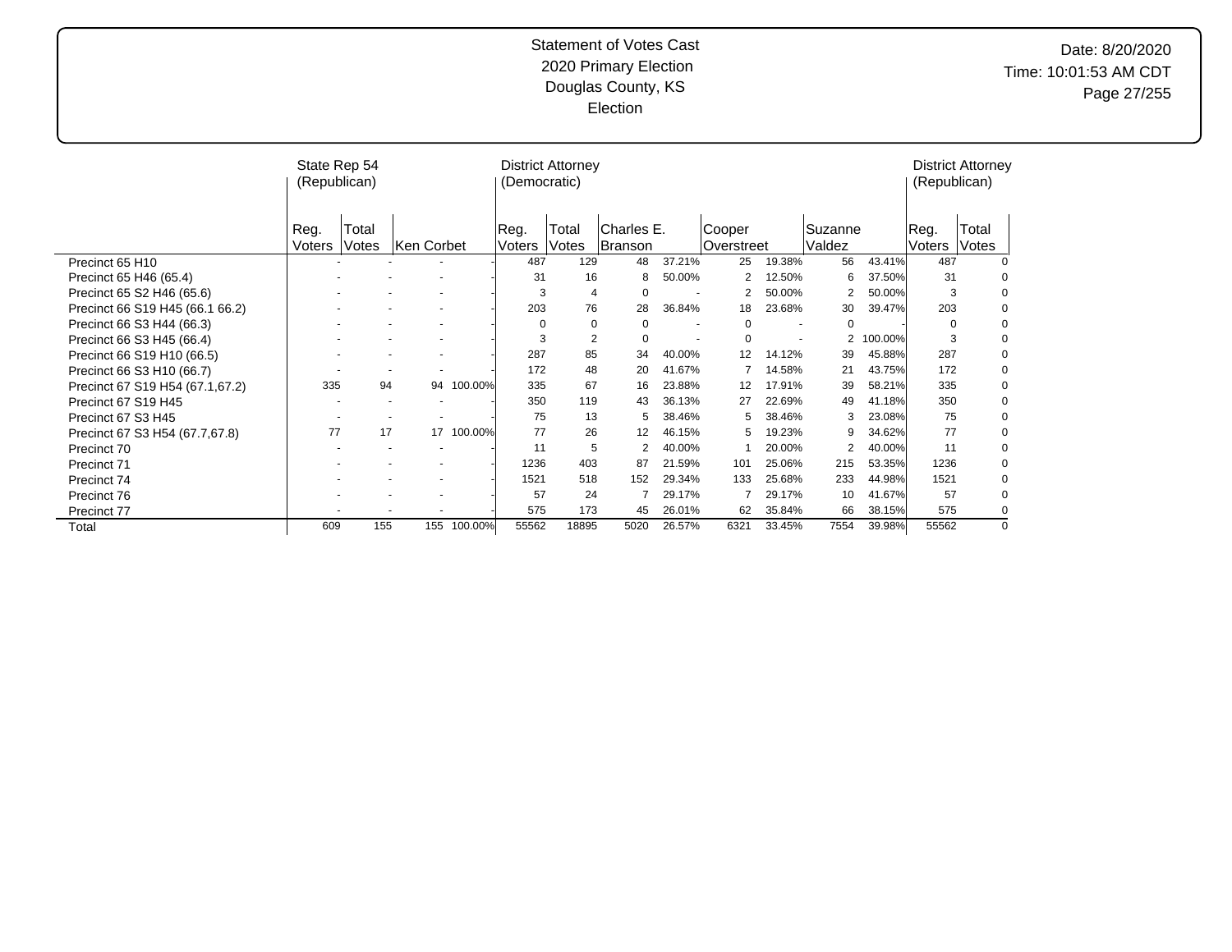# Date: 8/20/2020 Time: 10:01:53 AM CDT Page 27/255

|                                 | State Rep 54<br>(Republican) |       |            |         | (Democratic) | <b>District Attorney</b> |            |                          |            |                          |         |         | (Republican) | <b>District Attorney</b> |
|---------------------------------|------------------------------|-------|------------|---------|--------------|--------------------------|------------|--------------------------|------------|--------------------------|---------|---------|--------------|--------------------------|
|                                 | Reg.                         | Total |            |         | Reg.         | Total                    | Charles E. |                          | Cooper     |                          | Suzanne |         | Reg.         | Total                    |
|                                 | Voters                       | Votes | Ken Corbet |         | Voters       | Votes                    | Branson    |                          | Overstreet |                          | Valdez  |         | Voters       | Votes                    |
| Precinct 65 H10                 |                              |       |            |         | 487          | 129                      | 48         | 37.21%                   | 25         | 19.38%                   | 56      | 43.41%  | 487          |                          |
| Precinct 65 H46 (65.4)          |                              |       |            |         | 31           | 16                       |            | 50.00%                   |            | 12.50%                   | 6       | 37.50%  | 31           | $\Omega$                 |
| Precinct 65 S2 H46 (65.6)       |                              |       |            |         | 3            | 4                        | $\Omega$   |                          |            | 50.00%                   | 2       | 50.00%  | 3            | $\mathbf 0$              |
| Precinct 66 S19 H45 (66.1 66.2) |                              |       |            |         | 203          | 76                       | 28         | 36.84%                   | 18         | 23.68%                   | 30      | 39.47%  | 203          | 0                        |
| Precinct 66 S3 H44 (66.3)       |                              |       |            |         | $\Omega$     | 0                        | $\Omega$   |                          | 0          |                          | 0       |         | $\Omega$     | $\mathbf 0$              |
| Precinct 66 S3 H45 (66.4)       |                              |       |            |         | 3            | 2                        | $\Omega$   | $\overline{\phantom{a}}$ | $\Omega$   | $\overline{\phantom{a}}$ | 2       | 100.00% | 3            | 0                        |
| Precinct 66 S19 H10 (66.5)      |                              |       |            |         | 287          | 85                       | 34         | 40.00%                   | 12         | 14.12%                   | 39      | 45.88%  | 287          | 0                        |
| Precinct 66 S3 H10 (66.7)       |                              |       |            |         | 172          | 48                       | 20         | 41.67%                   |            | 14.58%                   | 21      | 43.75%  | 172          | 0                        |
| Precinct 67 S19 H54 (67.1,67.2) | 335                          | 94    | 94         | 100.00% | 335          | 67                       | 16         | 23.88%                   | 12         | 17.91%                   | 39      | 58.21%  | 335          | 0                        |
| Precinct 67 S19 H45             |                              |       |            |         | 350          | 119                      | 43         | 36.13%                   | 27         | 22.69%                   | 49      | 41.18%  | 350          | 0                        |
| Precinct 67 S3 H45              |                              |       |            |         | 75           | 13                       | 5          | 38.46%                   | 5          | 38.46%                   | 3       | 23.08%  | 75           | 0                        |
| Precinct 67 S3 H54 (67.7,67.8)  | 77                           | 17    | 17         | 100.00% | 77           | 26                       | 12         | 46.15%                   | 5          | 19.23%                   | 9       | 34.62%  | 77           | 0                        |
| Precinct 70                     |                              |       |            |         | 11           | 5                        | 2          | 40.00%                   |            | 20.00%                   | 2       | 40.00%  | 11           | 0                        |
| Precinct 71                     |                              |       |            |         | 1236         | 403                      | 87         | 21.59%                   | 101        | 25.06%                   | 215     | 53.35%  | 1236         | 0                        |
| Precinct 74                     |                              |       |            |         | 1521         | 518                      | 152        | 29.34%                   | 133        | 25.68%                   | 233     | 44.98%  | 1521         | 0                        |
| Precinct 76                     |                              |       |            |         | 57           | 24                       |            | 29.17%                   |            | 29.17%                   | 10      | 41.67%  | 57           | $\Omega$                 |
| Precinct 77                     |                              |       |            |         | 575          | 173                      | 45         | 26.01%                   | 62         | 35.84%                   | 66      | 38.15%  | 575          | 0                        |
| Total                           | 609                          | 155   | 155        | 100.00% | 55562        | 18895                    | 5020       | 26.57%                   | 6321       | 33.45%                   | 7554    | 39.98%  | 55562        | $\Omega$                 |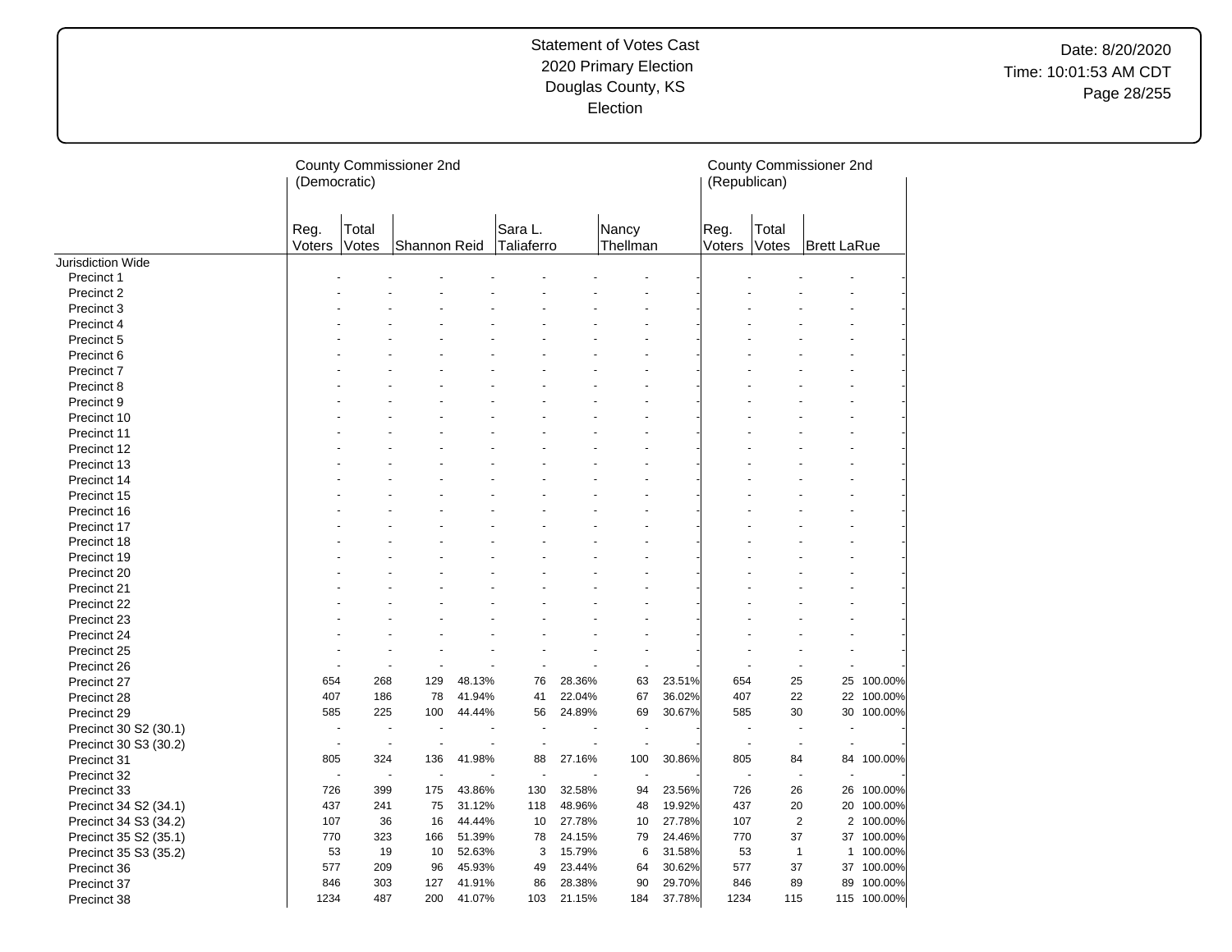|                       | (Democratic)   |                | County Commissioner 2nd |        |                       |        |                   |        | (Republican)             |                | County Commissioner 2nd |             |
|-----------------------|----------------|----------------|-------------------------|--------|-----------------------|--------|-------------------|--------|--------------------------|----------------|-------------------------|-------------|
|                       | Reg.<br>Voters | Total<br>Votes | Shannon Reid            |        | Sara L.<br>Taliaferro |        | Nancy<br>Thellman |        | Reg.<br>Voters           | Total<br>Votes | <b>Brett LaRue</b>      |             |
| Jurisdiction Wide     |                |                |                         |        |                       |        |                   |        |                          |                |                         |             |
| Precinct 1            |                |                |                         |        |                       |        |                   |        |                          |                |                         |             |
| Precinct 2            |                |                |                         |        |                       |        |                   |        |                          |                |                         |             |
| Precinct 3            |                |                |                         |        |                       |        |                   |        |                          |                |                         |             |
| Precinct 4            |                |                |                         |        |                       |        |                   |        |                          |                |                         |             |
| Precinct 5            |                |                |                         |        |                       |        |                   |        |                          |                |                         |             |
| Precinct 6            |                |                |                         |        |                       |        |                   |        |                          |                |                         |             |
| Precinct 7            |                |                |                         |        |                       |        |                   |        |                          |                |                         |             |
| Precinct 8            |                |                |                         |        |                       |        |                   |        |                          |                |                         |             |
| Precinct 9            |                |                |                         |        |                       |        |                   |        |                          |                |                         |             |
| Precinct 10           |                |                |                         |        |                       |        |                   |        |                          |                |                         |             |
| Precinct 11           |                |                |                         |        |                       |        |                   |        |                          |                |                         |             |
| Precinct 12           |                |                |                         |        |                       |        |                   |        |                          |                |                         |             |
| Precinct 13           |                |                |                         |        |                       |        |                   |        |                          |                |                         |             |
| Precinct 14           |                |                |                         |        |                       |        |                   |        |                          |                |                         |             |
| Precinct 15           |                |                |                         |        |                       |        |                   |        |                          |                |                         |             |
| Precinct 16           |                |                |                         |        |                       |        |                   |        |                          |                |                         |             |
| Precinct 17           |                |                |                         |        |                       |        |                   |        |                          |                |                         |             |
| Precinct 18           |                |                |                         |        |                       |        |                   |        |                          |                |                         |             |
| Precinct 19           |                |                |                         |        |                       |        |                   |        |                          |                |                         |             |
| Precinct 20           |                |                |                         |        |                       |        |                   |        |                          |                |                         |             |
| Precinct 21           |                |                |                         |        |                       |        |                   |        |                          |                |                         |             |
| Precinct 22           |                |                |                         |        |                       |        |                   |        |                          |                |                         |             |
| Precinct 23           |                |                |                         |        |                       |        |                   |        |                          |                |                         |             |
| Precinct 24           |                |                |                         |        |                       |        |                   |        |                          |                |                         |             |
| Precinct 25           |                | ÷              |                         |        | $\blacksquare$        |        | $\blacksquare$    |        |                          |                |                         |             |
| Precinct 26           |                | ٠              |                         |        | ÷,                    |        | $\blacksquare$    |        |                          |                | L.                      |             |
| Precinct 27           | 654            | 268            | 129                     | 48.13% | 76                    | 28.36% | 63                | 23.51% | 654                      | 25             | 25                      | 100.00%     |
| Precinct 28           | 407            | 186            | 78                      | 41.94% | 41                    | 22.04% | 67                | 36.02% | 407                      | 22             | 22                      | 100.00%     |
| Precinct 29           | 585            | 225            | 100                     | 44.44% | 56                    | 24.89% | 69                | 30.67% | 585                      | 30             | 30                      | 100.00%     |
| Precinct 30 S2 (30.1) |                |                |                         |        |                       |        |                   |        |                          |                |                         |             |
| Precinct 30 S3 (30.2) | ÷.             | L.             | $\overline{a}$          |        | $\overline{a}$        | ÷.     | $\overline{a}$    |        | $\overline{\phantom{a}}$ |                | $\overline{a}$          |             |
| Precinct 31           | 805            | 324            | 136                     | 41.98% | 88                    | 27.16% | 100               | 30.86% | 805                      | 84             | 84                      | 100.00%     |
| Precinct 32           |                | ÷.             | ä,                      |        | $\ddot{\phantom{1}}$  |        | ÷                 |        |                          |                | ÷.                      |             |
| Precinct 33           | 726            | 399            | 175                     | 43.86% | 130                   | 32.58% | 94                | 23.56% | 726                      | 26             | 26                      | 100.00%     |
| Precinct 34 S2 (34.1) | 437            | 241            | 75                      | 31.12% | 118                   | 48.96% | 48                | 19.92% | 437                      | 20             | 20                      | 100.00%     |
| Precinct 34 S3 (34.2) | 107            | 36             | 16                      | 44.44% | 10                    | 27.78% | 10                | 27.78% | 107                      | $\overline{2}$ |                         | 2 100.00%   |
| Precinct 35 S2 (35.1) | 770            | 323            | 166                     | 51.39% | 78                    | 24.15% | 79                | 24.46% | 770                      | 37             | 37                      | 100.00%     |
| Precinct 35 S3 (35.2) | 53             | 19             | 10                      | 52.63% | 3                     | 15.79% | 6                 | 31.58% | 53                       | 1              | $\mathbf{1}$            | 100.00%     |
| Precinct 36           | 577            | 209            | 96                      | 45.93% | 49                    | 23.44% | 64                | 30.62% | 577                      | 37             | 37                      | 100.00%     |
| Precinct 37           | 846            | 303            | 127                     | 41.91% | 86                    | 28.38% | 90                | 29.70% | 846                      | 89             | 89                      | 100.00%     |
| Precinct 38           | 1234           | 487            | 200                     | 41.07% | 103                   | 21.15% | 184               | 37.78% | 1234                     | 115            |                         | 115 100.00% |
|                       |                |                |                         |        |                       |        |                   |        |                          |                |                         |             |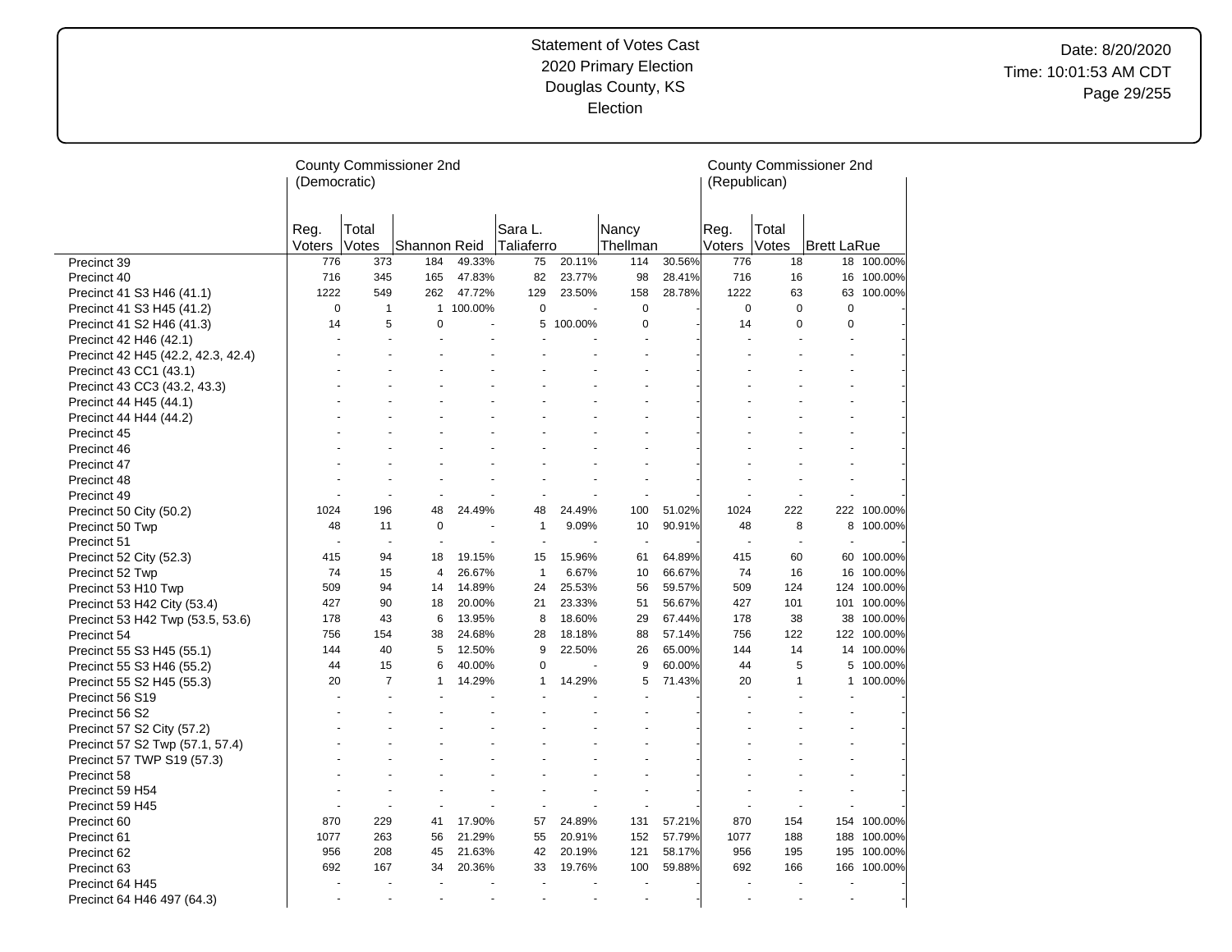|                                    | (Democratic)   |                | County Commissioner 2nd |         |                          |         |                          |        | (Republican)   |                | County Commissioner 2nd |             |
|------------------------------------|----------------|----------------|-------------------------|---------|--------------------------|---------|--------------------------|--------|----------------|----------------|-------------------------|-------------|
|                                    | Reg.<br>Voters | Total<br>Votes | Shannon Reid            |         | Sara L.<br>Taliaferro    |         | Nancy<br>Thellman        |        | Reg.<br>Voters | Total<br>Votes | Brett LaRue             |             |
| Precinct 39                        | 776            | 373            | 184                     | 49.33%  | 75                       | 20.11%  | 114                      | 30.56% | 776            | 18             | 18                      | 100.00%     |
| Precinct 40                        | 716            | 345            | 165                     | 47.83%  | 82                       | 23.77%  | 98                       | 28.41% | 716            | 16             | 16                      | 100.00%     |
| Precinct 41 S3 H46 (41.1)          | 1222           | 549            | 262                     | 47.72%  | 129                      | 23.50%  | 158                      | 28.78% | 1222           | 63             | 63                      | 100.00%     |
| Precinct 41 S3 H45 (41.2)          | $\mathbf 0$    | $\mathbf{1}$   | $\mathbf{1}$            | 100.00% | $\mathbf 0$              |         | $\mathbf 0$              |        | $\mathbf 0$    | $\mathbf 0$    | $\mathbf 0$             |             |
| Precinct 41 S2 H46 (41.3)          | 14             | 5              | 0                       |         | 5                        | 100.00% | $\mathbf 0$              |        | 14             | $\mathbf 0$    | $\mathbf 0$             |             |
| Precinct 42 H46 (42.1)             |                |                |                         |         |                          |         |                          |        |                |                |                         |             |
| Precinct 42 H45 (42.2, 42.3, 42.4) |                |                |                         |         |                          |         |                          |        |                |                |                         |             |
| Precinct 43 CC1 (43.1)             |                |                |                         |         |                          |         |                          |        |                |                |                         |             |
| Precinct 43 CC3 (43.2, 43.3)       |                |                |                         |         |                          |         |                          |        |                |                |                         |             |
| Precinct 44 H45 (44.1)             |                |                |                         |         |                          |         |                          |        |                |                |                         |             |
| Precinct 44 H44 (44.2)             |                |                |                         |         |                          |         |                          |        |                |                |                         |             |
| Precinct 45                        |                |                |                         |         |                          |         |                          |        |                |                |                         |             |
| Precinct 46                        |                |                |                         |         |                          |         |                          |        |                |                |                         |             |
| Precinct 47                        |                |                |                         |         |                          |         |                          |        |                |                |                         |             |
| Precinct 48                        |                |                |                         |         |                          |         |                          |        |                |                |                         |             |
| Precinct 49                        |                |                |                         |         |                          |         |                          |        |                |                |                         |             |
| Precinct 50 City (50.2)            | 1024           | 196            | 48                      | 24.49%  | 48                       | 24.49%  | 100                      | 51.02% | 1024           | 222            | 222                     | 100.00%     |
| Precinct 50 Twp                    | 48             | 11             | $\mathbf 0$             |         | $\mathbf{1}$             | 9.09%   | 10                       | 90.91% | 48             | 8              | 8                       | 100.00%     |
| Precinct 51                        |                | ÷,             | $\blacksquare$          |         | $\overline{\phantom{a}}$ |         | $\overline{\phantom{a}}$ |        |                | ÷,             |                         |             |
| Precinct 52 City (52.3)            | 415            | 94             | 18                      | 19.15%  | 15                       | 15.96%  | 61                       | 64.89% | 415            | 60             | 60                      | 100.00%     |
| Precinct 52 Twp                    | 74             | 15             | $\overline{4}$          | 26.67%  | $\overline{1}$           | 6.67%   | 10                       | 66.67% | 74             | 16             | 16                      | 100.00%     |
| Precinct 53 H10 Twp                | 509            | 94             | 14                      | 14.89%  | 24                       | 25.53%  | 56                       | 59.57% | 509            | 124            |                         | 124 100.00% |
| Precinct 53 H42 City (53.4)        | 427            | 90             | 18                      | 20.00%  | 21                       | 23.33%  | 51                       | 56.67% | 427            | 101            | 101                     | 100.00%     |
| Precinct 53 H42 Twp (53.5, 53.6)   | 178            | 43             | 6                       | 13.95%  | 8                        | 18.60%  | 29                       | 67.44% | 178            | 38             | 38                      | 100.00%     |
| Precinct 54                        | 756            | 154            | 38                      | 24.68%  | 28                       | 18.18%  | 88                       | 57.14% | 756            | 122            | 122                     | 100.00%     |
| Precinct 55 S3 H45 (55.1)          | 144            | 40             | 5                       | 12.50%  | 9                        | 22.50%  | 26                       | 65.00% | 144            | 14             | 14                      | 100.00%     |
| Precinct 55 S3 H46 (55.2)          | 44             | 15             | 6                       | 40.00%  | $\mathbf 0$              |         | 9                        | 60.00% | 44             | 5              | 5                       | 100.00%     |
| Precinct 55 S2 H45 (55.3)          | 20             | $\overline{7}$ | $\mathbf{1}$            | 14.29%  | 1                        | 14.29%  | 5                        | 71.43% | 20             | $\mathbf{1}$   | $\mathbf{1}$            | 100.00%     |
| Precinct 56 S19                    |                |                |                         |         |                          |         |                          |        |                |                |                         |             |
| Precinct 56 S2                     |                |                |                         |         |                          |         |                          |        |                |                |                         |             |
| Precinct 57 S2 City (57.2)         |                |                |                         |         |                          |         |                          |        |                |                |                         |             |
| Precinct 57 S2 Twp (57.1, 57.4)    |                |                |                         |         |                          |         |                          |        |                |                |                         |             |
| Precinct 57 TWP S19 (57.3)         |                |                |                         |         |                          |         |                          |        |                |                |                         |             |
| Precinct 58                        |                |                |                         |         |                          |         |                          |        |                |                |                         |             |
| Precinct 59 H54                    |                |                |                         |         |                          |         |                          |        |                |                |                         |             |
| Precinct 59 H45                    |                |                |                         |         |                          |         |                          |        |                |                |                         |             |
| Precinct 60                        | 870            | 229            | 41                      | 17.90%  | 57                       | 24.89%  | 131                      | 57.21% | 870            | 154            | 154                     | 100.00%     |
| Precinct 61                        | 1077           | 263            | 56                      | 21.29%  | 55                       | 20.91%  | 152                      | 57.79% | 1077           | 188            | 188                     | 100.00%     |
| Precinct 62                        | 956            | 208            | 45                      | 21.63%  | 42                       | 20.19%  | 121                      | 58.17% | 956            | 195            | 195                     | 100.00%     |
| Precinct 63                        | 692            | 167            | 34                      | 20.36%  | 33                       | 19.76%  | 100                      | 59.88% | 692            | 166            | 166                     | 100.00%     |
| Precinct 64 H45                    |                |                |                         |         |                          |         |                          |        |                |                |                         |             |
| Precinct 64 H46 497 (64.3)         |                |                |                         |         |                          |         |                          |        |                |                |                         |             |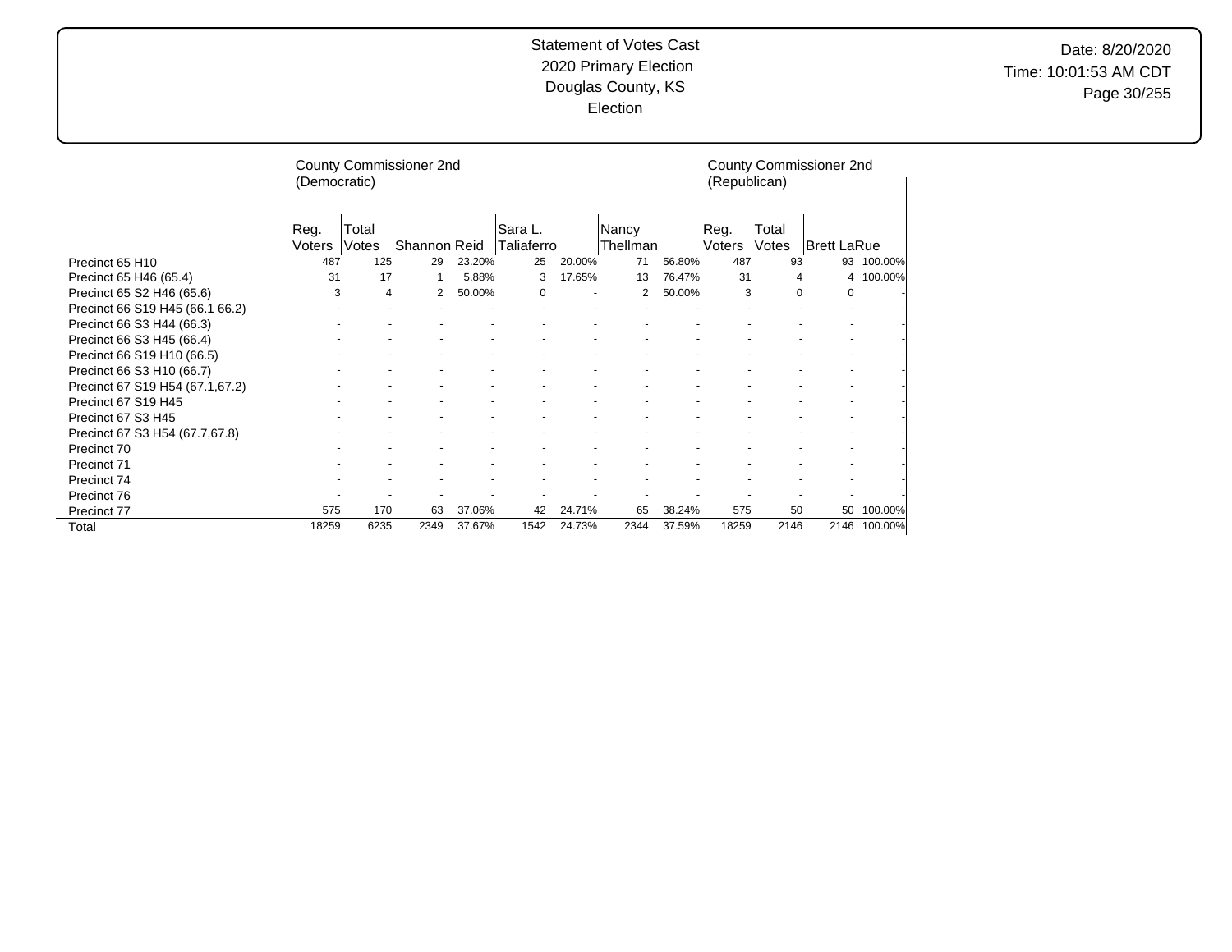|                                 | (Democratic)   |                | County Commissioner 2nd |        |                       | (Republican) |                   | County Commissioner 2nd |                |                |             |         |
|---------------------------------|----------------|----------------|-------------------------|--------|-----------------------|--------------|-------------------|-------------------------|----------------|----------------|-------------|---------|
|                                 | Reg.<br>Voters | Total<br>Votes | Shannon Reid            |        | Sara L.<br>Taliaferro |              | Nancy<br>Thellman |                         | Reg.<br>Voters | Total<br>Votes | Brett LaRue |         |
| Precinct 65 H10                 | 487            | 125            | 29                      | 23.20% | 25                    | 20.00%       | 71                | 56.80%                  | 487            | 93             | 93          | 100.00% |
| Precinct 65 H46 (65.4)          | 31             | 17             |                         | 5.88%  | 3                     | 17.65%       | 13                | 76.47%                  | 31             | 4              | 4           | 100.00% |
| Precinct 65 S2 H46 (65.6)       | 3              | 4              | 2                       | 50.00% | $\Omega$              |              | 2                 | 50.00%                  | 3              | 0              | 0           |         |
| Precinct 66 S19 H45 (66.1 66.2) |                |                |                         |        |                       |              |                   |                         |                |                |             |         |
| Precinct 66 S3 H44 (66.3)       |                |                |                         |        |                       |              |                   |                         |                |                |             |         |
| Precinct 66 S3 H45 (66.4)       |                |                |                         |        |                       |              |                   |                         |                |                |             |         |
| Precinct 66 S19 H10 (66.5)      |                |                |                         |        |                       |              |                   |                         |                |                |             |         |
| Precinct 66 S3 H10 (66.7)       |                |                |                         |        |                       |              |                   |                         |                |                |             |         |
| Precinct 67 S19 H54 (67.1,67.2) |                |                |                         |        |                       |              |                   |                         |                |                |             |         |
| Precinct 67 S19 H45             |                |                |                         |        |                       |              |                   |                         |                |                |             |         |
| Precinct 67 S3 H45              |                |                |                         |        |                       |              |                   |                         |                |                |             |         |
| Precinct 67 S3 H54 (67.7,67.8)  |                |                |                         |        |                       |              |                   |                         |                |                |             |         |
| Precinct 70                     |                |                |                         |        |                       |              |                   |                         |                |                |             |         |
| Precinct 71                     |                |                |                         |        |                       |              |                   |                         |                |                |             |         |
| Precinct 74                     |                |                |                         |        |                       |              |                   |                         |                |                |             |         |
| Precinct 76                     |                |                |                         |        |                       |              |                   |                         |                |                |             |         |
| Precinct 77                     | 575            | 170            | 63                      | 37.06% | 42                    | 24.71%       | 65                | 38.24%                  | 575            | 50             | 50          | 100.00% |
| Total                           | 18259          | 6235           | 2349                    | 37.67% | 1542                  | 24.73%       | 2344              | 37.59%                  | 18259          | 2146           | 2146        | 100.00% |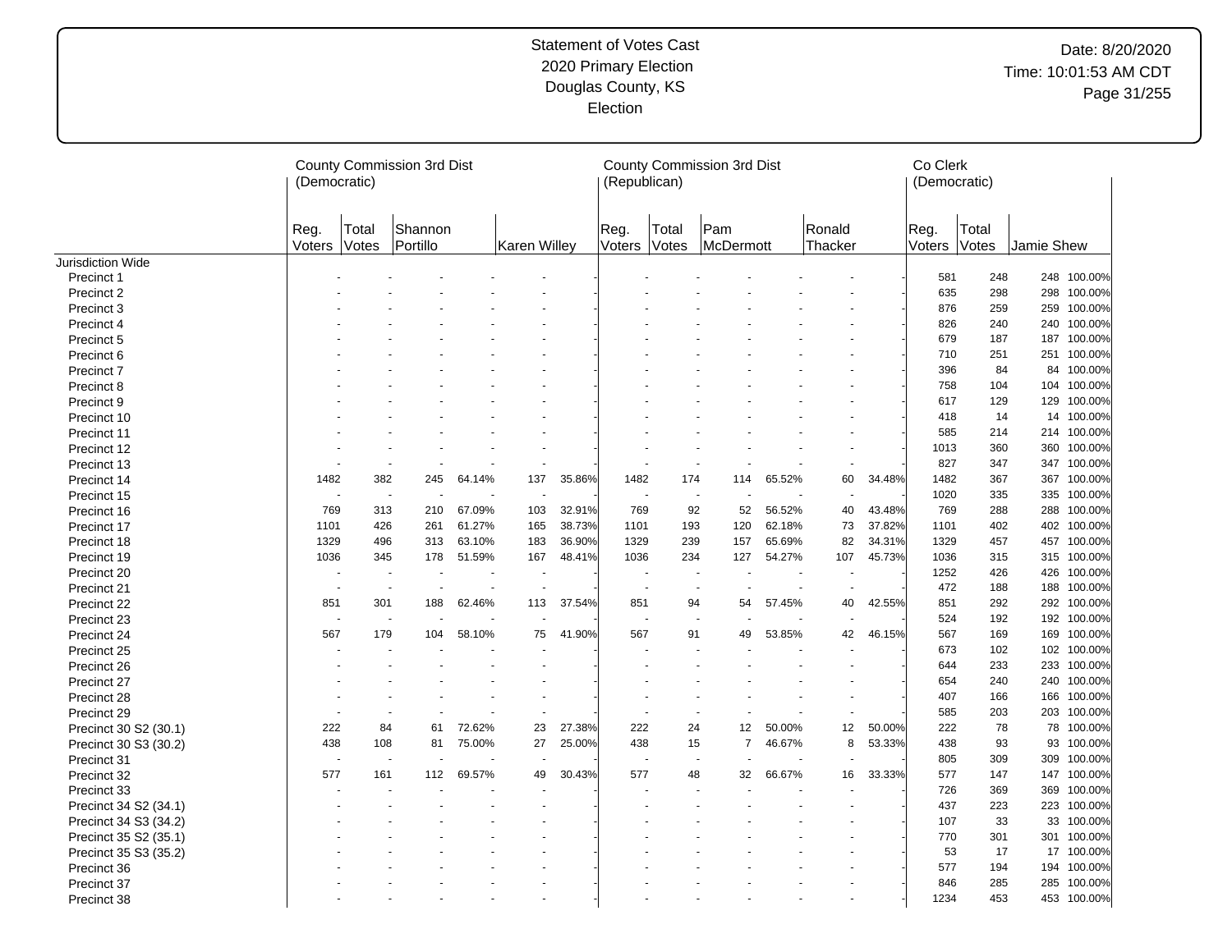|                       | (Democratic)   |                       | County Commission 3rd Dist         |        |                          |        | (Republican)   |                          | County Commission 3rd Dist     |        |                   |        | Co Clerk<br>(Democratic) |                |            |             |
|-----------------------|----------------|-----------------------|------------------------------------|--------|--------------------------|--------|----------------|--------------------------|--------------------------------|--------|-------------------|--------|--------------------------|----------------|------------|-------------|
|                       | Reg.<br>Voters | Total<br><b>Votes</b> | Shannon<br>Portillo                |        | <b>Karen Willey</b>      |        | Reg.<br>Voters | Total<br>Votes           | Pam<br>McDermott               |        | Ronald<br>Thacker |        | Reg.<br>Voters           | Total<br>Votes | Jamie Shew |             |
| Jurisdiction Wide     |                |                       |                                    |        |                          |        |                |                          |                                |        |                   |        |                          |                |            |             |
| Precinct 1            |                |                       |                                    |        |                          |        |                |                          |                                |        |                   |        | 581                      | 248            |            | 248 100.00% |
| Precinct 2            |                |                       |                                    |        |                          |        |                |                          |                                |        |                   |        | 635                      | 298            | 298        | 100.00%     |
| Precinct 3            |                |                       |                                    |        |                          |        |                |                          |                                |        |                   |        | 876                      | 259            |            | 259 100.00% |
| Precinct 4            |                |                       |                                    |        |                          |        |                |                          |                                |        |                   |        | 826                      | 240            |            | 240 100.00% |
| Precinct 5            |                |                       |                                    |        |                          |        |                |                          |                                |        |                   |        | 679                      | 187            |            | 187 100.00% |
| Precinct 6            |                |                       |                                    |        |                          |        |                |                          |                                |        |                   |        | 710                      | 251            |            | 251 100.00% |
| Precinct 7            |                |                       |                                    |        |                          |        |                |                          |                                |        |                   |        | 396                      | 84             | 84         | 100.00%     |
| Precinct 8            |                |                       |                                    |        |                          |        |                |                          |                                |        |                   |        | 758                      | 104            |            | 104 100.00% |
| Precinct 9            |                |                       |                                    |        |                          |        |                |                          |                                |        |                   |        | 617                      | 129            |            | 129 100.00% |
| Precinct 10           |                |                       |                                    |        |                          |        |                |                          |                                |        |                   |        | 418                      | 14             |            | 14 100.00%  |
| Precinct 11           |                |                       |                                    |        |                          |        |                |                          |                                |        |                   |        | 585                      | 214            |            | 214 100.00% |
| Precinct 12           |                |                       |                                    |        |                          |        |                |                          |                                |        |                   |        | 1013                     | 360            |            | 360 100.00% |
| Precinct 13           |                |                       |                                    |        | ÷.                       |        |                |                          |                                |        |                   |        | 827                      | 347            |            | 347 100.00% |
| Precinct 14           | 1482           | 382                   | 245                                | 64.14% | 137                      | 35.86% | 1482           | 174                      | 114                            | 65.52% | 60                | 34.48% | 1482                     | 367            | 367        | 100.00%     |
| Precinct 15           |                |                       | $\sim$<br>$\overline{\phantom{a}}$ |        |                          |        |                |                          | ÷,<br>$\overline{\phantom{a}}$ |        |                   |        | 1020                     | 335            | 335        | 100.00%     |
| Precinct 16           | 769            | 313                   | 210                                | 67.09% | 103                      | 32.91% | 769            | 92                       | 52                             | 56.52% | 40                | 43.48% | 769                      | 288            | 288        | 100.00%     |
| Precinct 17           | 1101           | 426                   | 261                                | 61.27% | 165                      | 38.73% | 1101           | 193                      | 120                            | 62.18% | 73                | 37.82% | 1101                     | 402            |            | 402 100.00% |
| Precinct 18           | 1329           | 496                   | 313                                | 63.10% | 183                      | 36.90% | 1329           | 239                      | 157                            | 65.69% | 82                | 34.31% | 1329                     | 457            |            | 457 100.00% |
| Precinct 19           | 1036           | 345                   | 178                                | 51.59% | 167                      | 48.41% | 1036           | 234                      | 127                            | 54.27% | 107               | 45.73% | 1036                     | 315            |            | 315 100.00% |
| Precinct 20           |                |                       | $\overline{a}$                     |        |                          |        |                |                          |                                |        |                   |        | 1252                     | 426            | 426        | 100.00%     |
| Precinct 21           | $\sim$         |                       | $\sim$<br>$\overline{\phantom{a}}$ |        | ٠                        |        |                | $\overline{\phantom{a}}$ | ÷,                             |        | $\overline{a}$    |        | 472                      | 188            |            | 188 100.00% |
| Precinct 22           | 851            | 301                   | 188                                | 62.46% | 113                      | 37.54% | 851            | 94                       | 54                             | 57.45% | 40                | 42.55% | 851                      | 292            | 292        | 100.00%     |
| Precinct 23           |                |                       |                                    |        |                          |        |                |                          |                                |        |                   |        | 524                      | 192            |            | 192 100.00% |
| Precinct 24           | 567            | 179                   | 104                                | 58.10% | 75                       | 41.90% | 567            | 91                       | 49                             | 53.85% | 42                | 46.15% | 567                      | 169            |            | 169 100.00% |
| Precinct 25           |                |                       |                                    |        | $\overline{\phantom{a}}$ |        |                |                          |                                |        |                   |        | 673                      | 102            |            | 102 100.00% |
| Precinct 26           |                |                       |                                    |        |                          |        |                |                          |                                |        |                   |        | 644                      | 233            | 233        | 100.00%     |
| Precinct 27           |                |                       |                                    |        |                          |        |                |                          |                                |        |                   |        | 654                      | 240            |            | 240 100.00% |
| Precinct 28           |                |                       |                                    |        |                          |        |                |                          |                                |        |                   |        | 407                      | 166            | 166        | 100.00%     |
| Precinct 29           |                |                       |                                    |        | $\blacksquare$           |        |                |                          |                                |        |                   |        | 585                      | 203            |            | 203 100.00% |
| Precinct 30 S2 (30.1) | 222            | 84                    | 61                                 | 72.62% | 23                       | 27.38% | 222            | 24                       | 12                             | 50.00% | 12                | 50.00% | 222                      | 78             | 78         | 100.00%     |
| Precinct 30 S3 (30.2) | 438            | 108                   | 81                                 | 75.00% | 27                       | 25.00% | 438            | 15                       | $\overline{7}$                 | 46.67% | 8                 | 53.33% | 438                      | 93             | 93         | 100.00%     |
| Precinct 31           |                |                       |                                    |        | ٠                        |        |                |                          |                                |        |                   |        | 805                      | 309            | 309        | 100.00%     |
| Precinct 32           | 577            | 161                   | 112                                | 69.57% | 49                       | 30.43% | 577            | 48                       | 32                             | 66.67% | 16                | 33.33% | 577                      | 147            |            | 147 100.00% |
| Precinct 33           |                |                       |                                    |        |                          |        |                |                          |                                |        |                   |        | 726                      | 369            | 369        | 100.00%     |
| Precinct 34 S2 (34.1) |                |                       |                                    |        |                          |        |                |                          |                                |        |                   |        | 437                      | 223            | 223        | 100.00%     |
| Precinct 34 S3 (34.2) |                |                       |                                    |        |                          |        |                |                          |                                |        |                   |        | 107                      | 33             | 33         | 100.00%     |
| Precinct 35 S2 (35.1) |                |                       |                                    |        |                          |        |                |                          |                                |        |                   |        | 770                      | 301            | 301        | 100.00%     |
| Precinct 35 S3 (35.2) |                |                       |                                    |        |                          |        |                |                          |                                |        |                   |        | 53                       | 17             |            | 17 100.00%  |
| Precinct 36           |                |                       |                                    |        |                          |        |                |                          |                                |        |                   |        | 577                      | 194            | 194        | 100.00%     |
| Precinct 37           |                |                       |                                    |        |                          |        |                |                          |                                |        |                   |        | 846                      | 285            |            | 285 100.00% |
| Precinct 38           |                |                       |                                    |        |                          |        |                |                          |                                |        |                   |        | 1234                     | 453            |            | 453 100.00% |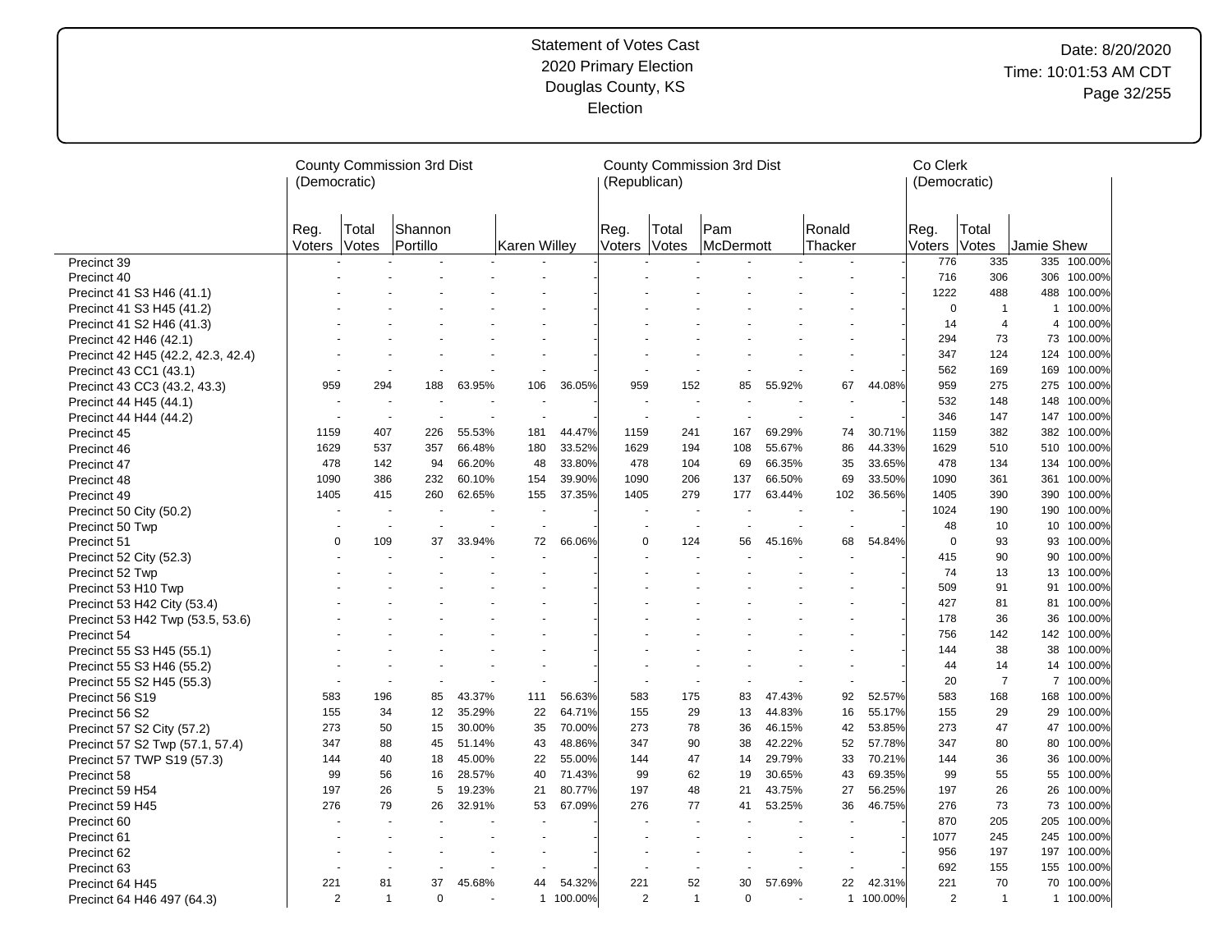|                                                        | (Democratic)   |                       | County Commission 3rd Dist |                  |              |                  | (Republican)             |                | County Commission 3rd Dist      |                  |                   |                  | Co Clerk<br>(Democratic) |                |            |                       |
|--------------------------------------------------------|----------------|-----------------------|----------------------------|------------------|--------------|------------------|--------------------------|----------------|---------------------------------|------------------|-------------------|------------------|--------------------------|----------------|------------|-----------------------|
|                                                        | Reg.<br>Voters | Total<br><b>Votes</b> | Shannon<br>Portillo        |                  | Karen Willey |                  | Reg.<br>Voters           | Total<br>Votes | Pam<br>McDermott                |                  | Ronald<br>Thacker |                  | Reg.<br>Voters           | Total<br>Votes | Jamie Shew |                       |
| Precinct 39                                            |                |                       |                            |                  |              |                  |                          |                |                                 |                  |                   |                  | 776                      | 335            |            | 335 100.00%           |
| Precinct 40                                            |                |                       |                            |                  |              |                  |                          |                |                                 |                  |                   |                  | 716                      | 306            |            | 306 100.00%           |
| Precinct 41 S3 H46 (41.1)                              |                |                       |                            |                  |              |                  |                          |                |                                 |                  |                   |                  | 1222                     | 488            |            | 488 100.00%           |
| Precinct 41 S3 H45 (41.2)                              |                |                       |                            |                  |              |                  |                          |                |                                 |                  |                   |                  | $\mathbf 0$              | $\overline{1}$ |            | 1 100.00%             |
| Precinct 41 S2 H46 (41.3)                              |                |                       |                            |                  |              |                  |                          |                |                                 |                  |                   |                  | 14                       | $\overline{4}$ |            | 4 100.00%             |
| Precinct 42 H46 (42.1)                                 |                |                       |                            |                  |              |                  |                          |                |                                 |                  |                   |                  | 294                      | 73             |            | 73 100.00%            |
| Precinct 42 H45 (42.2, 42.3, 42.4)                     |                |                       |                            |                  |              |                  |                          |                |                                 |                  |                   |                  | 347                      | 124            |            | 124 100.00%           |
| Precinct 43 CC1 (43.1)                                 |                |                       |                            |                  |              |                  |                          |                |                                 |                  |                   |                  | 562                      | 169            | 169        | 100.00%               |
| Precinct 43 CC3 (43.2, 43.3)                           | 959            | 294                   | 188                        | 63.95%           | 106          | 36.05%           | 959                      | 152            | 85                              | 55.92%           | 67                | 44.08%           | 959                      | 275            |            | 275 100.00%           |
| Precinct 44 H45 (44.1)                                 |                |                       |                            |                  |              |                  |                          |                | ÷.                              |                  |                   |                  | 532                      | 148            | 148        | 100.00%               |
| Precinct 44 H44 (44.2)                                 | ÷,             |                       | $\sim$<br>÷,               |                  | $\sim$       |                  | $\overline{\phantom{a}}$ |                | $\tilde{\phantom{a}}$<br>$\sim$ |                  | ä,                |                  | 346                      | 147            |            | 147 100.00%           |
| Precinct 45                                            | 1159           | 407                   | 226                        | 55.53%           | 181          | 44.47%           | 1159                     | 241            | 167                             | 69.29%           | 74                | 30.71%           | 1159                     | 382            | 382        | 100.00%               |
| Precinct 46                                            | 1629           | 537                   | 357                        | 66.48%           | 180          | 33.52%           | 1629                     | 194            | 108                             | 55.67%           | 86                | 44.33%           | 1629                     | 510            |            | 510 100.00%           |
| Precinct 47                                            | 478            | 142                   | 94                         | 66.20%           | 48           | 33.80%           | 478                      | 104            | 69                              | 66.35%           | 35                | 33.65%           | 478                      | 134            | 134        | 100.00%               |
| Precinct 48                                            | 1090           | 386                   | 232                        | 60.10%           | 154          | 39.90%           | 1090                     | 206            | 137                             | 66.50%           | 69                | 33.50%           | 1090                     | 361            |            | 361 100.00%           |
| Precinct 49                                            | 1405           | 415                   | 260                        | 62.65%           | 155          | 37.35%           | 1405                     | 279            | 177                             | 63.44%           | 102               | 36.56%           | 1405                     | 390            | 390        | 100.00%               |
| Precinct 50 City (50.2)                                |                |                       | $\sim$                     |                  |              |                  |                          |                | $\sim$                          | $\overline{a}$   |                   |                  | 1024                     | 190            |            | 190 100.00%           |
| Precinct 50 Twp                                        |                |                       | $\blacksquare$             |                  |              |                  |                          | $\blacksquare$ |                                 |                  |                   |                  | 48                       | 10             |            | 10 100.00%            |
| Precinct 51                                            | $\mathbf 0$    | 109                   | 37                         | 33.94%           | 72           | 66.06%           | 0                        | 124            | 56                              | 45.16%           | 68                | 54.84%           | $\mathbf 0$              | 93             |            | 93 100.00%            |
| Precinct 52 City (52.3)                                |                |                       |                            |                  |              |                  |                          |                |                                 |                  |                   |                  | 415                      | 90             |            | 90 100.00%            |
| Precinct 52 Twp                                        |                |                       |                            |                  |              |                  |                          |                |                                 |                  |                   |                  | 74                       | 13             |            | 13 100.00%            |
| Precinct 53 H10 Twp                                    |                |                       |                            |                  |              |                  |                          |                |                                 |                  |                   |                  | 509                      | 91             |            | 91 100.00%            |
| Precinct 53 H42 City (53.4)                            |                |                       |                            |                  |              |                  |                          |                |                                 |                  |                   |                  | 427                      | 81             |            | 81 100.00%            |
| Precinct 53 H42 Twp (53.5, 53.6)                       |                |                       |                            |                  |              |                  |                          |                |                                 |                  |                   |                  | 178                      | 36             | 36         | 100.00%               |
| Precinct 54                                            |                |                       |                            |                  |              |                  |                          |                |                                 |                  |                   |                  | 756                      | 142            | 142        | 100.00%               |
| Precinct 55 S3 H45 (55.1)                              |                |                       |                            |                  |              |                  |                          |                |                                 |                  |                   |                  | 144                      | 38             |            | 38 100.00%            |
|                                                        |                |                       |                            |                  |              |                  |                          |                |                                 |                  |                   |                  | 44                       | 14             |            | 14 100.00%            |
| Precinct 55 S3 H46 (55.2)<br>Precinct 55 S2 H45 (55.3) |                |                       | $\sim$                     |                  |              |                  |                          |                | $\blacksquare$                  |                  |                   |                  | 20                       | $\overline{7}$ |            | 7 100.00%             |
| Precinct 56 S19                                        | 583            | 196                   | 85                         | 43.37%           | 111          | 56.63%           | 583                      | 175            | 83                              | 47.43%           | 92                | 52.57%           | 583                      | 168            |            | 168 100.00%           |
|                                                        | 155            | 34                    | 12                         | 35.29%           | 22           | 64.71%           | 155                      | 29             | 13                              | 44.83%           | 16                | 55.17%           | 155                      | 29             |            | 29 100.00%            |
| Precinct 56 S2                                         | 273            | 50                    | 15                         | 30.00%           | 35           | 70.00%           | 273                      | 78             | 36                              | 46.15%           | 42                | 53.85%           | 273                      | 47             |            | 47 100.00%            |
| Precinct 57 S2 City (57.2)                             | 347            | 88                    | 45                         | 51.14%           | 43           | 48.86%           | 347                      | 90             | 38                              | 42.22%           | 52                | 57.78%           | 347                      | 80             |            | 80 100.00%            |
| Precinct 57 S2 Twp (57.1, 57.4)                        | 144            | 40                    | 18                         | 45.00%           | 22           | 55.00%           | 144                      | 47             | 14                              | 29.79%           | 33                | 70.21%           | 144                      | 36             |            | 36 100.00%            |
| Precinct 57 TWP S19 (57.3)                             | 99             | 56                    | 16                         | 28.57%           | 40           | 71.43%           | 99                       | 62             | 19                              | 30.65%           | 43                | 69.35%           | 99                       | 55             |            | 55 100.00%            |
| Precinct 58                                            |                |                       |                            |                  |              |                  |                          |                |                                 |                  |                   |                  |                          |                |            |                       |
| Precinct 59 H54                                        | 197<br>276     | 26<br>79              | 5                          | 19.23%<br>32.91% | 21<br>53     | 80.77%<br>67.09% | 197<br>276               | 48<br>77       | 21                              | 43.75%<br>53.25% | 27<br>36          | 56.25%<br>46.75% | 197<br>276               | 26<br>73       | 73         | 26 100.00%<br>100.00% |
| Precinct 59 H45                                        |                |                       | 26                         |                  |              |                  |                          |                | 41                              |                  |                   |                  |                          |                |            |                       |
| Precinct 60                                            |                |                       |                            |                  | $\sim$       |                  |                          |                | $\overline{a}$                  |                  |                   |                  | 870                      | 205            |            | 205 100.00%           |
| Precinct 61                                            |                |                       |                            |                  |              |                  |                          |                |                                 |                  |                   |                  | 1077                     | 245            | 245        | 100.00%               |
| Precinct 62                                            |                |                       |                            |                  |              |                  |                          |                |                                 |                  |                   |                  | 956                      | 197            |            | 197 100.00%           |
| Precinct 63                                            |                |                       |                            |                  |              |                  |                          |                |                                 |                  |                   |                  | 692                      | 155            | 155        | 100.00%               |
| Precinct 64 H45                                        | 221            | 81                    | 37                         | 45.68%           | 44           | 54.32%           | 221                      | 52             | 30                              | 57.69%           | 22                | 42.31%           | 221                      | 70             |            | 70 100.00%            |
| Precinct 64 H46 497 (64.3)                             | $\overline{2}$ | $\overline{1}$        | $\Omega$                   |                  |              | 1 100.00%        | $\overline{2}$           | $\mathbf{1}$   | $\mathbf 0$                     |                  |                   | 1 100.00%        | $\overline{2}$           | $\overline{1}$ |            | 1 100.00%             |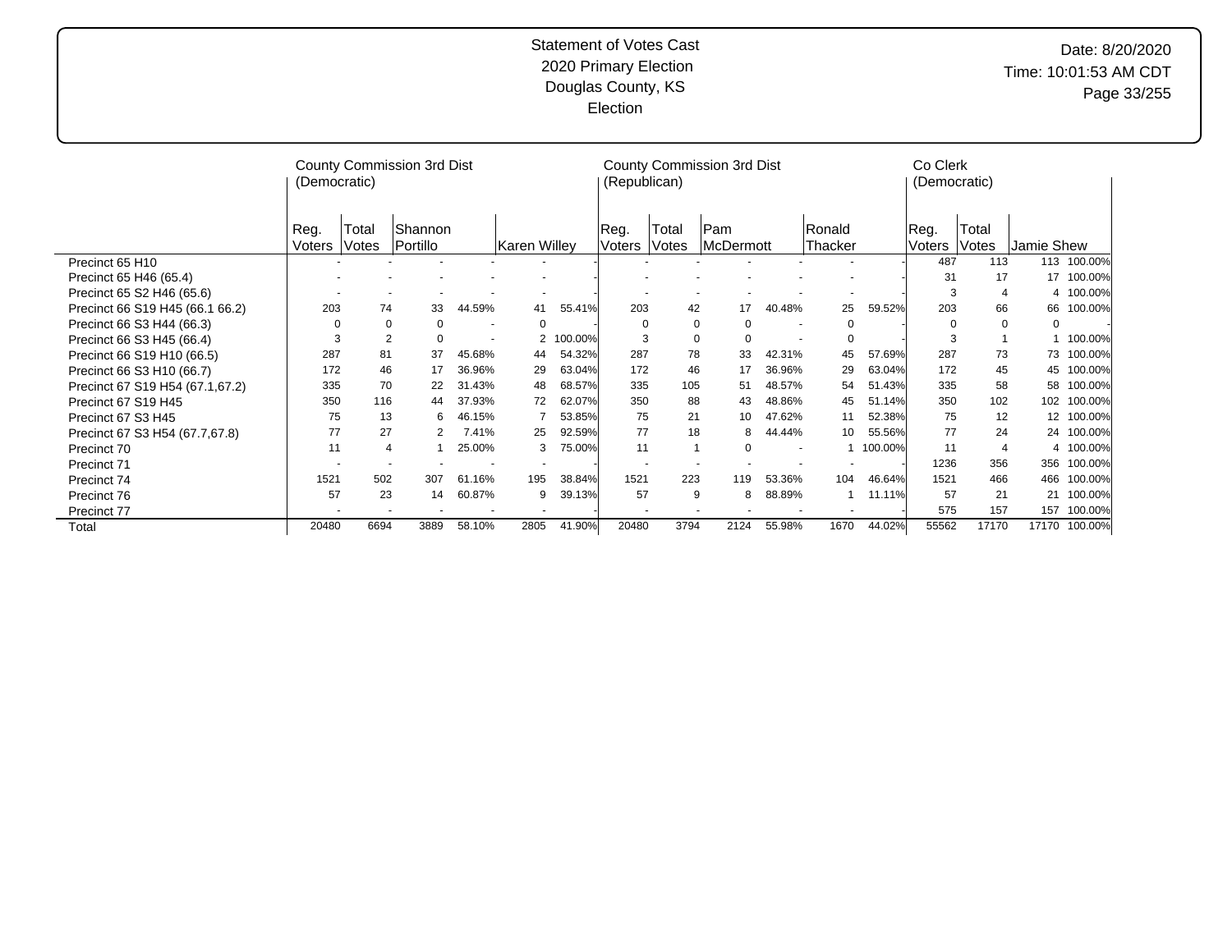|                                 | (Democratic) |                | County Commission 3rd Dist |        |                     |         | (Republican) |          | County Commission 3rd Dist |        |             |         | Co Clerk<br>(Democratic) |                |            |            |
|---------------------------------|--------------|----------------|----------------------------|--------|---------------------|---------|--------------|----------|----------------------------|--------|-------------|---------|--------------------------|----------------|------------|------------|
|                                 | Reg.         | Total          | Shannon                    |        |                     |         | Reg.         | Total    | lPam.                      |        | Ronald      |         | Reg.                     | Total          |            |            |
|                                 | Voters       | Votes          | Portillo                   |        | <b>Karen Willey</b> |         | Voters       | Votes    | <b>McDermott</b>           |        | Thacker     |         | Voters                   | Votes          | Jamie Shew |            |
| Precinct 65 H10                 |              |                |                            |        |                     |         |              |          |                            |        |             |         | 487                      | 113            | 113        | 100.00%    |
| Precinct 65 H46 (65.4)          |              |                |                            |        |                     |         |              |          |                            |        |             |         | 31                       | 17             | 17         | 100.00%    |
| Precinct 65 S2 H46 (65.6)       |              |                |                            |        |                     |         |              |          |                            |        |             |         | 3                        |                |            | 4 100.00%  |
| Precinct 66 S19 H45 (66.1 66.2) | 203          | 74             | 33                         | 44.59% | 41                  | 55.41%  | 203          | 42       | 17                         | 40.48% | 25          | 59.52%  | 203                      | 66             | 66         | 100.00%    |
| Precinct 66 S3 H44 (66.3)       | $\Omega$     | $\Omega$       | $\Omega$                   |        | 0                   |         | $\Omega$     | $\Omega$ | $\Omega$                   |        | 0           |         | 0                        | $\Omega$       | $\Omega$   |            |
| Precinct 66 S3 H45 (66.4)       | 3            | 2              | $\Omega$                   |        | 2                   | 100.00% | 3            | $\Omega$ | $\Omega$                   |        | $\mathbf 0$ |         | 3                        |                |            | 100.00%    |
| Precinct 66 S19 H10 (66.5)      | 287          | 81             | 37                         | 45.68% | 44                  | 54.32%  | 287          | 78       | 33                         | 42.31% | 45          | 57.69%  | 287                      | 73             |            | 73 100.00% |
| Precinct 66 S3 H10 (66.7)       | 172          | 46             | 17                         | 36.96% | 29                  | 63.04%  | 172          | 46       | 17                         | 36.96% | 29          | 63.04%  | 172                      | 45             | 45         | 100.00%    |
| Precinct 67 S19 H54 (67.1,67.2) | 335          | 70             | 22                         | 31.43% | 48                  | 68.57%  | 335          | 105      | 51                         | 48.57% | 54          | 51.43%  | 335                      | 58             | 58         | 100.00%    |
| Precinct 67 S19 H45             | 350          | 116            | 44                         | 37.93% | 72                  | 62.07%  | 350          | 88       | 43                         | 48.86% | 45          | 51.14%  | 350                      | 102            | 102        | 100.00%    |
| Precinct 67 S3 H45              | 75           | 13             | 6                          | 46.15% |                     | 53.85%  | 75           | 21       | 10                         | 47.62% | 11          | 52.38%  | 75                       | 12             | 12         | 100.00%    |
| Precinct 67 S3 H54 (67.7,67.8)  | 77           | 27             |                            | 7.41%  | 25                  | 92.59%  | 77           | 18       | 8                          | 44.44% | 10          | 55.56%  | 77                       | 24             | 24         | 100.00%    |
| Precinct 70                     | 11           | $\overline{4}$ |                            | 25.00% | 3                   | 75.00%  | 11           |          | 0                          | . .    |             | 100.00% | 11                       | $\overline{4}$ |            | 4 100.00%  |
| Precinct 71                     |              |                |                            |        |                     |         |              |          |                            |        |             |         | 1236                     | 356            | 356        | 100.00%    |
| Precinct 74                     | 1521         | 502            | 307                        | 61.16% | 195                 | 38.84%  | 1521         | 223      | 119                        | 53.36% | 104         | 46.64%  | 1521                     | 466            | 466        | 100.00%    |
| Precinct 76                     | 57           | 23             | 14                         | 60.87% | 9                   | 39.13%  | 57           | 9        | 8                          | 88.89% |             | 11.11%  | 57                       | 21             | 21         | 100.00%    |
| Precinct 77                     |              |                |                            |        |                     |         |              |          |                            |        |             |         | 575                      | 157            | 157        | 100.00%    |
| Total                           | 20480        | 6694           | 3889                       | 58.10% | 2805                | 41.90%  | 20480        | 3794     | 2124                       | 55.98% | 1670        | 44.02%  | 55562                    | 17170          | 17170      | 100.00%    |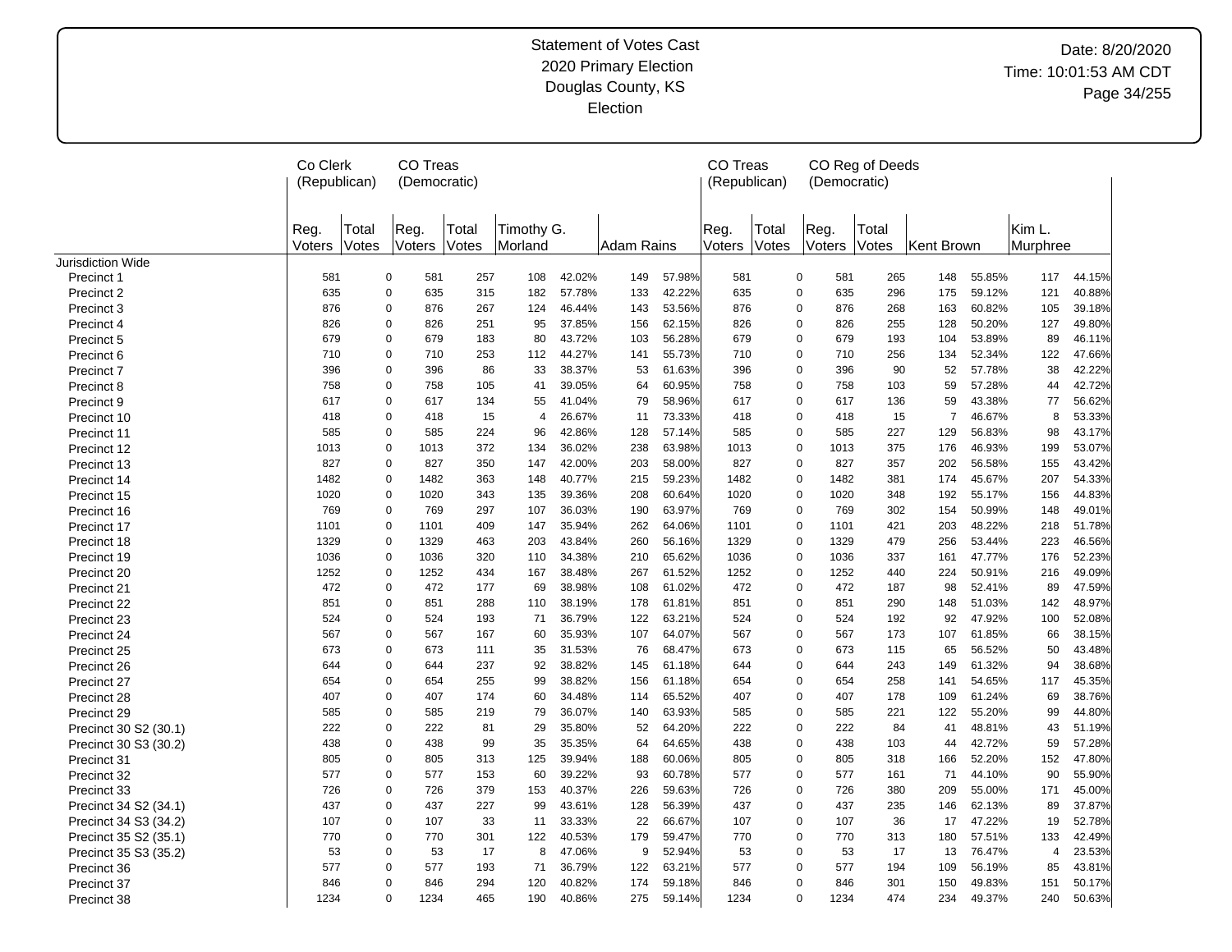|                       | Co Clerk<br>(Republican) |                | CO Treas<br>(Democratic) |                |                       |        |            |        | CO Treas<br>(Republican) |                | (Democratic)        | CO Reg of Deeds |                |        |                    |        |
|-----------------------|--------------------------|----------------|--------------------------|----------------|-----------------------|--------|------------|--------|--------------------------|----------------|---------------------|-----------------|----------------|--------|--------------------|--------|
|                       | Reg.<br>Voters           | Total<br>Votes | Reg.<br>Voters           | Total<br>Votes | Timothy G.<br>Morland |        | Adam Rains |        | Reg.<br>Voters           | Total<br>Votes | Reg.<br>Voters      | Total<br>Votes  | Kent Brown     |        | Kim L.<br>Murphree |        |
| Jurisdiction Wide     |                          |                |                          |                |                       |        |            |        |                          |                |                     |                 |                |        |                    |        |
| Precinct 1            | 581                      |                | 0<br>581                 | 257            | 108                   | 42.02% | 149        | 57.98% | 581                      |                | $\mathbf 0$<br>581  | 265             | 148            | 55.85% | 117                | 44.15% |
| Precinct 2            | 635                      |                | $\mathbf 0$<br>635       | 315            | 182                   | 57.78% | 133        | 42.22% | 635                      |                | $\pmb{0}$<br>635    | 296             | 175            | 59.12% | 121                | 40.88% |
| Precinct 3            | 876                      |                | $\Omega$<br>876          | 267            | 124                   | 46.44% | 143        | 53.56% | 876                      |                | $\mathbf 0$<br>876  | 268             | 163            | 60.82% | 105                | 39.18% |
| Precinct 4            | 826                      |                | $\Omega$<br>826          | 251            | 95                    | 37.85% | 156        | 62.15% | 826                      |                | $\mathbf 0$<br>826  | 255             | 128            | 50.20% | 127                | 49.80% |
| Precinct 5            | 679                      |                | $\Omega$<br>679          | 183            | 80                    | 43.72% | 103        | 56.28% | 679                      |                | $\mathbf 0$<br>679  | 193             | 104            | 53.89% | 89                 | 46.11% |
| Precinct 6            | 710                      |                | $\Omega$<br>710          | 253            | 112                   | 44.27% | 141        | 55.73% | 710                      |                | $\mathbf 0$<br>710  | 256             | 134            | 52.34% | 122                | 47.66% |
| Precinct 7            | 396                      |                | $\Omega$<br>396          | 86             | 33                    | 38.37% | 53         | 61.63% | 396                      |                | $\Omega$<br>396     | 90              | 52             | 57.78% | 38                 | 42.22% |
| Precinct 8            | 758                      |                | $\Omega$<br>758          | 105            | 41                    | 39.05% | 64         | 60.95% | 758                      |                | $\mathbf 0$<br>758  | 103             | 59             | 57.28% | 44                 | 42.72% |
| Precinct 9            | 617                      |                | 0<br>617                 | 134            | 55                    | 41.04% | 79         | 58.96% | 617                      |                | $\mathbf 0$<br>617  | 136             | 59             | 43.38% | 77                 | 56.62% |
| Precinct 10           | 418                      |                | 0<br>418                 | 15             | $\overline{4}$        | 26.67% | 11         | 73.33% | 418                      |                | $\mathbf 0$<br>418  | 15              | $\overline{7}$ | 46.67% | 8                  | 53.33% |
| Precinct 11           | 585                      |                | 0<br>585                 | 224            | 96                    | 42.86% | 128        | 57.14% | 585                      |                | $\mathbf 0$<br>585  | 227             | 129            | 56.83% | 98                 | 43.17% |
| Precinct 12           | 1013                     |                | 0<br>1013                | 372            | 134                   | 36.02% | 238        | 63.98% | 1013                     |                | 0<br>1013           | 375             | 176            | 46.93% | 199                | 53.07% |
| Precinct 13           | 827                      |                | 0<br>827                 | 350            | 147                   | 42.00% | 203        | 58.00% | 827                      |                | 0<br>827            | 357             | 202            | 56.58% | 155                | 43.42% |
| Precinct 14           | 1482                     |                | 0<br>1482                | 363            | 148                   | 40.77% | 215        | 59.23% | 1482                     |                | 0<br>1482           | 381             | 174            | 45.67% | 207                | 54.33% |
| Precinct 15           | 1020                     |                | 0<br>1020                | 343            | 135                   | 39.36% | 208        | 60.64% | 1020                     |                | $\mathbf 0$<br>1020 | 348             | 192            | 55.17% | 156                | 44.83% |
| Precinct 16           | 769                      |                | 0<br>769                 | 297            | 107                   | 36.03% | 190        | 63.97% | 769                      |                | $\mathbf 0$<br>769  | 302             | 154            | 50.99% | 148                | 49.01% |
| Precinct 17           | 1101                     |                | 0<br>1101                | 409            | 147                   | 35.94% | 262        | 64.06% | 1101                     |                | $\mathbf 0$<br>1101 | 421             | 203            | 48.22% | 218                | 51.78% |
| Precinct 18           | 1329                     |                | $\mathbf 0$<br>1329      | 463            | 203                   | 43.84% | 260        | 56.16% | 1329                     |                | $\mathbf 0$<br>1329 | 479             | 256            | 53.44% | 223                | 46.56% |
| Precinct 19           | 1036                     |                | $\mathbf 0$<br>1036      | 320            | 110                   | 34.38% | 210        | 65.62% | 1036                     |                | $\mathbf 0$<br>1036 | 337             | 161            | 47.77% | 176                | 52.23% |
| Precinct 20           | 1252                     |                | 0<br>1252                | 434            | 167                   | 38.48% | 267        | 61.52% | 1252                     |                | $\mathbf 0$<br>1252 | 440             | 224            | 50.91% | 216                | 49.09% |
| Precinct 21           | 472                      |                | 0<br>472                 | 177            | 69                    | 38.98% | 108        | 61.02% | 472                      |                | 472<br>0            | 187             | 98             | 52.41% | 89                 | 47.59% |
| Precinct 22           | 851                      |                | $\Omega$<br>851          | 288            | 110                   | 38.19% | 178        | 61.81% | 851                      |                | $\mathbf 0$<br>851  | 290             | 148            | 51.03% | 142                | 48.97% |
| Precinct 23           | 524                      |                | 0<br>524                 | 193            | 71                    | 36.79% | 122        | 63.21% | 524                      |                | $\mathbf 0$<br>524  | 192             | 92             | 47.92% | 100                | 52.08% |
| Precinct 24           | 567                      |                | $\Omega$<br>567          | 167            | 60                    | 35.93% | 107        | 64.07% | 567                      |                | $\mathbf 0$<br>567  | 173             | 107            | 61.85% | 66                 | 38.15% |
| Precinct 25           | 673                      |                | 0<br>673                 | 111            | 35                    | 31.53% | 76         | 68.47% | 673                      |                | 0<br>673            | 115             | 65             | 56.52% | 50                 | 43.48% |
| Precinct 26           | 644                      |                | 0<br>644                 | 237            | 92                    | 38.82% | 145        | 61.18% | 644                      |                | 0<br>644            | 243             | 149            | 61.32% | 94                 | 38.68% |
| Precinct 27           | 654                      |                | 0<br>654                 | 255            | 99                    | 38.82% | 156        | 61.18% | 654                      |                | 0<br>654            | 258             | 141            | 54.65% | 117                | 45.35% |
| Precinct 28           | 407                      |                | $\Omega$<br>407          | 174            | 60                    | 34.48% | 114        | 65.52% | 407                      |                | $\mathbf 0$<br>407  | 178             | 109            | 61.24% | 69                 | 38.76% |
| Precinct 29           | 585                      |                | $\Omega$<br>585          | 219            | 79                    | 36.07% | 140        | 63.93% | 585                      |                | $\mathbf 0$<br>585  | 221             | 122            | 55.20% | 99                 | 44.80% |
| Precinct 30 S2 (30.1) | 222                      |                | $\Omega$<br>222          | 81             | 29                    | 35.80% | 52         | 64.20% | 222                      |                | 222<br>$\mathbf 0$  | 84              | 41             | 48.81% | 43                 | 51.19% |
| Precinct 30 S3 (30.2) | 438                      |                | $\Omega$<br>438          | 99             | 35                    | 35.35% | 64         | 64.65% | 438                      |                | $\mathbf 0$<br>438  | 103             | 44             | 42.72% | 59                 | 57.28% |
| Precinct 31           | 805                      |                | $\Omega$<br>805          | 313            | 125                   | 39.94% | 188        | 60.06% | 805                      |                | $\mathbf 0$<br>805  | 318             | 166            | 52.20% | 152                | 47.80% |
| Precinct 32           | 577                      |                | $\Omega$<br>577          | 153            | 60                    | 39.22% | 93         | 60.78% | 577                      |                | $\mathbf 0$<br>577  | 161             | 71             | 44.10% | 90                 | 55.90% |
| Precinct 33           | 726                      |                | $\Omega$<br>726          | 379            | 153                   | 40.37% | 226        | 59.63% | 726                      |                | $\mathbf 0$<br>726  | 380             | 209            | 55.00% | 171                | 45.00% |
| Precinct 34 S2 (34.1) | 437                      |                | $\Omega$<br>437          | 227            | 99                    | 43.61% | 128        | 56.39% | 437                      |                | $\mathbf 0$<br>437  | 235             | 146            | 62.13% | 89                 | 37.87% |
|                       | 107                      |                | 0<br>107                 | 33             | 11                    | 33.33% | 22         | 66.67% | 107                      |                | $\mathbf 0$<br>107  | 36              | 17             | 47.22% | 19                 | 52.78% |
| Precinct 34 S3 (34.2) | 770                      |                | $\Omega$<br>770          | 301            | 122                   | 40.53% | 179        | 59.47% | 770                      |                | $\mathbf 0$<br>770  | 313             | 180            | 57.51% | 133                | 42.49% |
| Precinct 35 S2 (35.1) | 53                       |                | $\Omega$<br>53           | 17             | 8                     | 47.06% | 9          | 52.94% | 53                       |                | $\pmb{0}$<br>53     | 17              | 13             | 76.47% | $\overline{4}$     | 23.53% |
| Precinct 35 S3 (35.2) |                          |                | $\Omega$                 |                |                       |        |            |        |                          |                |                     |                 |                |        |                    |        |
| Precinct 36           | 577                      |                | 577                      | 193            | 71                    | 36.79% | 122        | 63.21% | 577                      |                | $\mathbf 0$<br>577  | 194             | 109            | 56.19% | 85                 | 43.81% |
| Precinct 37           | 846                      |                | 0<br>846                 | 294            | 120                   | 40.82% | 174        | 59.18% | 846                      |                | $\mathbf 0$<br>846  | 301             | 150            | 49.83% | 151                | 50.17% |
| Precinct 38           | 1234                     |                | 0<br>1234                | 465            | 190                   | 40.86% | 275        | 59.14% | 1234                     |                | $\mathbf 0$<br>1234 | 474             | 234            | 49.37% | 240                | 50.63% |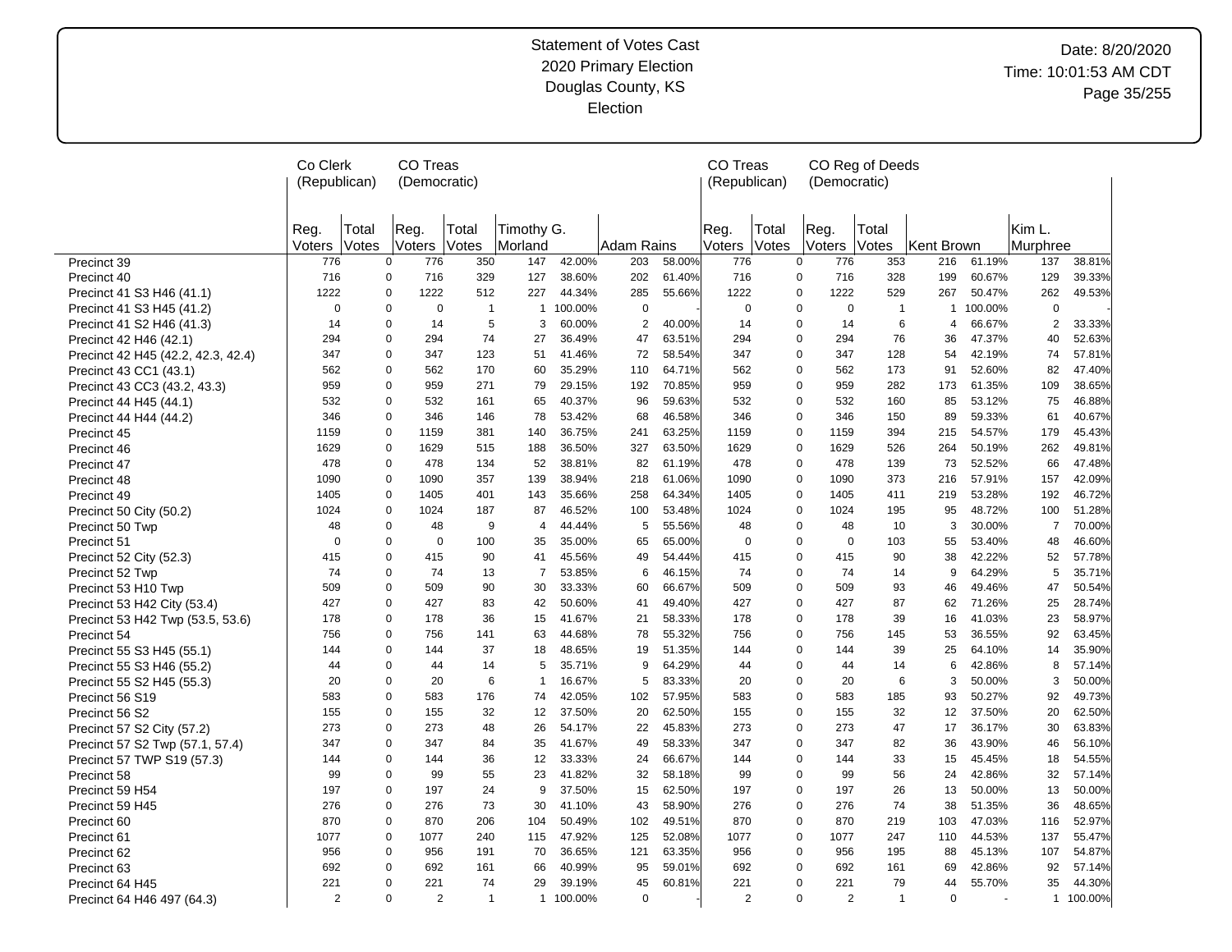|                                    | Co Clerk<br><b>CO Treas</b><br>(Republican)<br>(Democratic) |       |                            |                |                     |         |                |        | CO Treas     |       |                     | CO Reg of Deeds |            |         |                |           |
|------------------------------------|-------------------------------------------------------------|-------|----------------------------|----------------|---------------------|---------|----------------|--------|--------------|-------|---------------------|-----------------|------------|---------|----------------|-----------|
|                                    |                                                             |       |                            |                |                     |         |                |        | (Republican) |       | (Democratic)        |                 |            |         |                |           |
|                                    |                                                             |       |                            |                |                     |         |                |        |              |       |                     |                 |            |         |                |           |
|                                    | Rea                                                         | Total | Reg.                       | Total          | Timothy G.          |         |                |        | Reg.         | Total | Reg.                | Total           |            |         | Kim L.         |           |
|                                    | Voters                                                      | Votes | Voters                     | Votes          | Morland             |         | Adam Rains     |        | Voters       | Votes | Voters              | Votes           | Kent Brown |         | Murphree       |           |
| Precinct 39                        | 776                                                         |       | $\mathbf 0$<br>776         | 350            | 147                 | 42.00%  | 203            | 58.00% | 776          |       | 0<br>776            | 353             | 216        | 61.19%  | 137            | 38.81%    |
| Precinct 40                        | 716                                                         |       | $\mathbf 0$<br>716         | 329            | 127                 | 38.60%  | 202            | 61.40% | 716          |       | 0<br>716            | 328             | 199        | 60.67%  | 129            | 39.33%    |
| Precinct 41 S3 H46 (41.1)          | 1222                                                        |       | $\overline{0}$<br>1222     | 512            | 227                 | 44.34%  | 285            | 55.66% | 1222         |       | 0<br>1222           | 529             | 267        | 50.47%  | 262            | 49.53%    |
| Precinct 41 S3 H45 (41.2)          | $\mathbf 0$                                                 |       | $\mathbf 0$<br>$\mathbf 0$ | $\mathbf{1}$   | $\mathbf{1}$        | 100.00% | $\mathbf 0$    |        | 0            |       | 0<br>$\mathbf 0$    | $\mathbf{1}$    | 1          | 100.00% | $\mathbf 0$    |           |
| Precinct 41 S2 H46 (41.3)          | 14                                                          |       | $\Omega$<br>14             |                | 5<br>3              | 60.00%  | $\overline{2}$ | 40.00% | 14           |       | 0<br>14             | 6               | 4          | 66.67%  | $\overline{2}$ | 33.33%    |
| Precinct 42 H46 (42.1)             | 294                                                         |       | $\Omega$<br>294            | 74             | 27                  | 36.49%  | 47             | 63.51% | 294          |       | 0<br>294            | 76              | 36         | 47.37%  | 40             | 52.63%    |
| Precinct 42 H45 (42.2, 42.3, 42.4) | 347                                                         |       | $\Omega$<br>347            | 123            | 51                  | 41.46%  | 72             | 58.54% | 347          |       | 0<br>347            | 128             | 54         | 42.19%  | 74             | 57.81%    |
| Precinct 43 CC1 (43.1)             | 562                                                         |       | $\overline{0}$<br>562      | 170            | 60                  | 35.29%  | 110            | 64.71% | 562          |       | 0<br>562            | 173             | 91         | 52.60%  | 82             | 47.40%    |
| Precinct 43 CC3 (43.2, 43.3)       | 959                                                         |       | $\overline{0}$<br>959      | 271            | 79                  | 29.15%  | 192            | 70.85% | 959          |       | 0<br>959            | 282             | 173        | 61.35%  | 109            | 38.65%    |
| Precinct 44 H45 (44.1)             | 532                                                         |       | $\pmb{0}$<br>532           | 161            | 65                  | 40.37%  | 96             | 59.63% | 532          |       | 0<br>532            | 160             | 85         | 53.12%  | 75             | 46.88%    |
| Precinct 44 H44 (44.2)             | 346                                                         |       | $\pmb{0}$<br>346           | 146            | 78                  | 53.42%  | 68             | 46.58% | 346          |       | 0<br>346            | 150             | 89         | 59.33%  | 61             | 40.67%    |
| Precinct 45                        | 1159                                                        |       | $\pmb{0}$<br>1159          | 381            | 140                 | 36.75%  | 241            | 63.25% | 1159         |       | 0<br>1159           | 394             | 215        | 54.57%  | 179            | 45.43%    |
| Precinct 46                        | 1629                                                        |       | $\Omega$<br>1629           | 515            | 188                 | 36.50%  | 327            | 63.50% | 1629         |       | 0<br>1629           | 526             | 264        | 50.19%  | 262            | 49.81%    |
| Precinct 47                        | 478                                                         |       | $\pmb{0}$<br>478           | 134            | 52                  | 38.81%  | 82             | 61.19% | 478          |       | 0<br>478            | 139             | 73         | 52.52%  | 66             | 47.48%    |
| Precinct 48                        | 1090                                                        |       | $\overline{0}$<br>1090     | 357            | 139                 | 38.94%  | 218            | 61.06% | 1090         |       | 0<br>1090           | 373             | 216        | 57.91%  | 157            | 42.09%    |
| Precinct 49                        | 1405                                                        |       | $\Omega$<br>1405           | 401            | 143                 | 35.66%  | 258            | 64.34% | 1405         |       | 0<br>1405           | 411             | 219        | 53.28%  | 192            | 46.72%    |
| Precinct 50 City (50.2)            | 1024                                                        |       | $\Omega$<br>1024           | 187            | 87                  | 46.52%  | 100            | 53.48% | 1024         |       | 0<br>1024           | 195             | 95         | 48.72%  | 100            | 51.28%    |
| Precinct 50 Twp                    | 48                                                          |       | $\Omega$<br>48             |                | 9<br>$\overline{4}$ | 44.44%  | 5              | 55.56% | 48           |       | 0<br>48             | 10              | 3          | 30.00%  | $\overline{7}$ | 70.00%    |
| Precinct 51                        | $\Omega$                                                    |       | $\Omega$<br>$\mathbf 0$    | 100            | 35                  | 35.00%  | 65             | 65.00% | $\Omega$     |       | 0<br>$\Omega$       | 103             | 55         | 53.40%  | 48             | 46.60%    |
| Precinct 52 City (52.3)            | 415                                                         |       | $\Omega$<br>415            | 90             | 41                  | 45.56%  | 49             | 54.44% | 415          |       | 0<br>415            | 90              | 38         | 42.22%  | 52             | 57.78%    |
| Precinct 52 Twp                    | 74                                                          |       | $\mathbf 0$<br>74          | 13             | $\overline{7}$      | 53.85%  | 6              | 46.15% | 74           |       | 0<br>74             | 14              | 9          | 64.29%  | 5              | 35.71%    |
| Precinct 53 H10 Twp                | 509                                                         |       | $\mathbf 0$<br>509         | 90             | 30                  | 33.33%  | 60             | 66.67% | 509          |       | 0<br>509            | 93              | 46         | 49.46%  | 47             | 50.54%    |
| Precinct 53 H42 City (53.4)        | 427                                                         |       | $\Omega$<br>427            | 83             | 42                  | 50.60%  | 41             | 49.40% | 427          |       | 0<br>427            | 87              | 62         | 71.26%  | 25             | 28.74%    |
| Precinct 53 H42 Twp (53.5, 53.6)   | 178                                                         |       | $\mathbf 0$<br>178         | 36             | 15                  | 41.67%  | 21             | 58.33% | 178          |       | 0<br>178            | 39              | 16         | 41.03%  | 23             | 58.97%    |
| Precinct 54                        | 756                                                         |       | $\Omega$<br>756            | 141            | 63                  | 44.68%  | 78             | 55.32% | 756          |       | 0<br>756            | 145             | 53         | 36.55%  | 92             | 63.45%    |
| Precinct 55 S3 H45 (55.1)          | 144                                                         |       | $\overline{0}$<br>144      | 37             | 18                  | 48.65%  | 19             | 51.35% | 144          |       | 0<br>144            | 39              | 25         | 64.10%  | 14             | 35.90%    |
| Precinct 55 S3 H46 (55.2)          | 44                                                          |       | $\Omega$<br>44             | 14             | 5                   | 35.71%  | 9              | 64.29% | 44           |       | 0<br>44             | 14              | 6          | 42.86%  | 8              | 57.14%    |
| Precinct 55 S2 H45 (55.3)          | 20                                                          |       | $\Omega$<br>20             |                | 6<br>$\mathbf{1}$   | 16.67%  | 5              | 83.33% | 20           |       | 0<br>20             | 6               | 3          | 50.00%  | 3              | 50.00%    |
| Precinct 56 S19                    | 583                                                         |       | $\Omega$<br>583            | 176            | 74                  | 42.05%  | 102            | 57.95% | 583          |       | 0<br>583            | 185             | 93         | 50.27%  | 92             | 49.73%    |
| Precinct 56 S2                     | 155                                                         |       | $\Omega$<br>155            | 32             | 12                  | 37.50%  | 20             | 62.50% | 155          |       | 0<br>155            | 32              | 12         | 37.50%  | 20             | 62.50%    |
| Precinct 57 S2 City (57.2)         | 273                                                         |       | $\Omega$<br>273            | 48             | 26                  | 54.17%  | 22             | 45.83% | 273          |       | 0<br>273            | 47              | 17         | 36.17%  | 30             | 63.83%    |
| Precinct 57 S2 Twp (57.1, 57.4)    | 347                                                         |       | $\Omega$<br>347            | 84             | 35                  | 41.67%  | 49             | 58.33% | 347          |       | 0<br>347            | 82              | 36         | 43.90%  | 46             | 56.10%    |
| Precinct 57 TWP S19 (57.3)         | 144                                                         |       | $\mathbf 0$<br>144         | 36             | 12                  | 33.33%  | 24             | 66.67% | 144          |       | 0<br>144            | 33              | 15         | 45.45%  | 18             | 54.55%    |
| Precinct 58                        | 99                                                          |       | $\mathbf 0$<br>99          | 55             | 23                  | 41.82%  | 32             | 58.18% | 99           |       | 0<br>99             | 56              | 24         | 42.86%  | 32             | 57.14%    |
| Precinct 59 H54                    | 197                                                         |       | $\mathbf 0$<br>197         | 24             | 9                   | 37.50%  | 15             | 62.50% | 197          |       | 0<br>197            | 26              | 13         | 50.00%  | 13             | 50.00%    |
| Precinct 59 H45                    | 276                                                         |       | $\mathbf 0$<br>276         | 73             | 30                  | 41.10%  | 43             | 58.90% | 276          |       | 0<br>276            | 74              | 38         | 51.35%  | 36             | 48.65%    |
| Precinct 60                        | 870                                                         |       | $\overline{0}$<br>870      | 206            | 104                 | 50.49%  | 102            | 49.51% | 870          |       | 0<br>870            | 219             | 103        | 47.03%  | 116            | 52.97%    |
| Precinct 61                        | 1077                                                        |       | $\mathbf 0$<br>1077        | 240            | 115                 | 47.92%  | 125            | 52.08% | 1077         |       | 0<br>1077           | 247             | 110        | 44.53%  | 137            | 55.47%    |
| Precinct 62                        | 956                                                         |       | $\mathbf 0$<br>956         | 191            | 70                  | 36.65%  | 121            | 63.35% | 956          |       | 0<br>956            | 195             | 88         | 45.13%  | 107            | 54.87%    |
| Precinct 63                        | 692                                                         |       | $\Omega$<br>692            | 161            | 66                  | 40.99%  | 95             | 59.01% | 692          |       | 0<br>692            | 161             | 69         | 42.86%  | 92             | 57.14%    |
| Precinct 64 H45                    | 221                                                         |       | $\Omega$<br>221            | 74             | 29                  | 39.19%  | 45             | 60.81% | 221          |       | 0<br>221            | 79              | 44         | 55.70%  | 35             | 44.30%    |
| Precinct 64 H46 497 (64.3)         | $\overline{2}$                                              |       | $\Omega$<br>2              | $\overline{1}$ | $\mathbf{1}$        | 100.00% | $\mathbf 0$    |        | 2            |       | 0<br>$\overline{2}$ | $\overline{1}$  | $\Omega$   |         |                | 1 100.00% |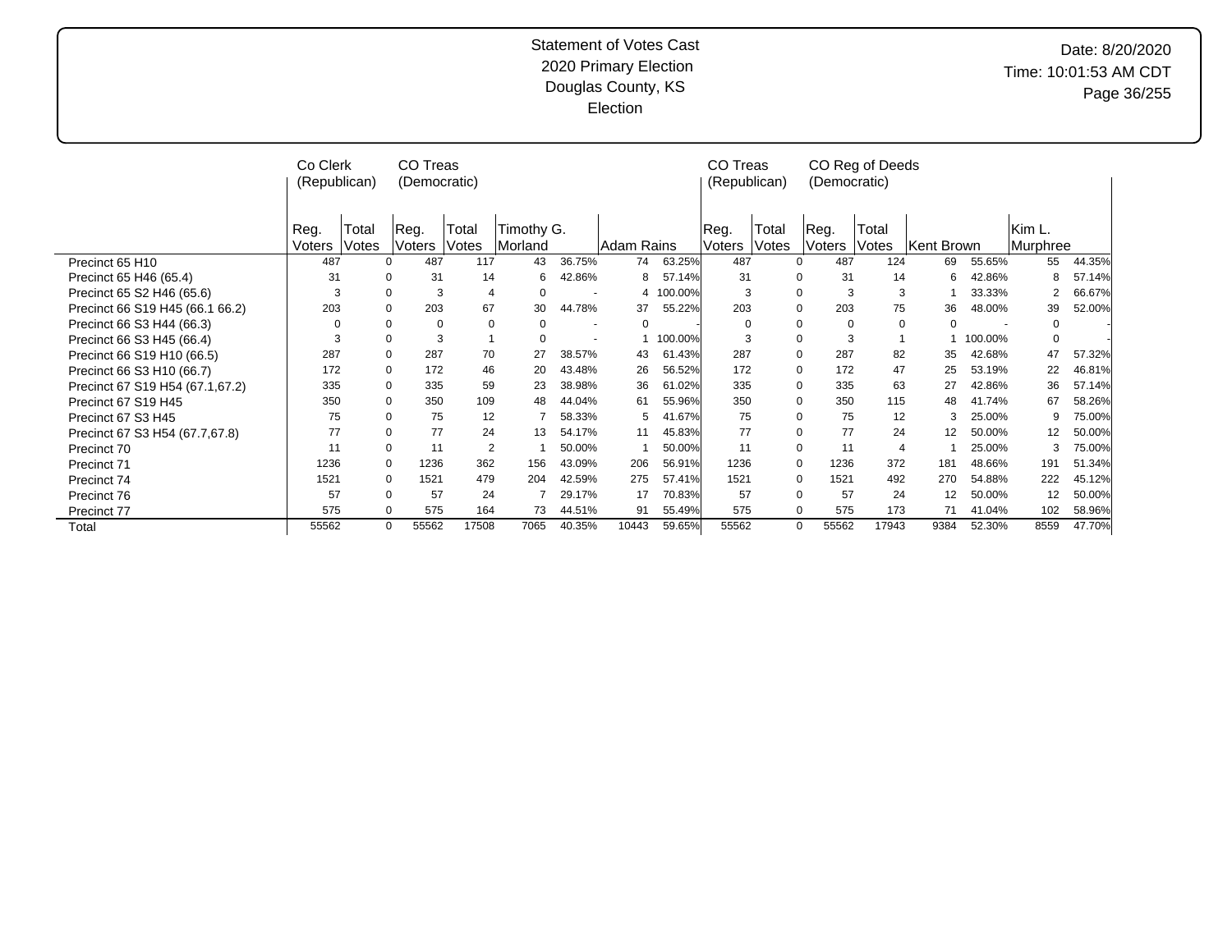|                                 | Co Clerk<br>(Republican) |                | CO Treas<br>(Democratic) |                |                       |        |            |         | CO Treas<br>(Republican) |                | (Democratic)            | CO Reg of Deeds |            |         |                    |        |
|---------------------------------|--------------------------|----------------|--------------------------|----------------|-----------------------|--------|------------|---------|--------------------------|----------------|-------------------------|-----------------|------------|---------|--------------------|--------|
|                                 | Reg.<br>Voters           | Total<br>Votes | ∣Reg.<br>Voters          | Total<br>Votes | Timothy G.<br>Morland |        | Adam Rains |         | Reg.<br>Voters           | Total<br>Votes | ⊩Reg.<br>Voters         | Total<br>Votes  | Kent Brown |         | Kim L.<br>Murphree |        |
| Precinct 65 H10                 | 487                      |                | 487<br>$\Omega$          | 117            | 43                    | 36.75% | 74         | 63.25%  | 487                      |                | 487<br>$\Omega$         | 124             | 69         | 55.65%  | 55                 | 44.35% |
| Precinct 65 H46 (65.4)          | 31                       |                | $\Omega$<br>31           | 14             | 6                     | 42.86% | 8          | 57.14%  | 31                       |                | 31<br>$\Omega$          | 14              | 6          | 42.86%  |                    | 57.14% |
| Precinct 65 S2 H46 (65.6)       | 3                        |                | $\Omega$<br>3            | $\overline{4}$ | 0                     |        | 4          | 100.00% | 3                        |                | $\Omega$<br>3           | 3               |            | 33.33%  |                    | 66.67% |
| Precinct 66 S19 H45 (66.1 66.2) | 203                      |                | 203<br>$\Omega$          | 67             | 30                    | 44.78% | 37         | 55.22%  | 203                      |                | 203<br>$\mathbf 0$      | 75              | 36         | 48.00%  | 39                 | 52.00% |
| Precinct 66 S3 H44 (66.3)       | $\Omega$                 |                | $\Omega$<br>$\Omega$     | $\Omega$       | 0                     |        | 0          |         | $\Omega$                 |                | $\mathbf 0$<br>$\Omega$ | 0               | $\Omega$   |         | <sup>0</sup>       |        |
| Precinct 66 S3 H45 (66.4)       | 3                        |                | 0<br>3                   |                | 0                     |        |            | 100.00% | 3                        |                | 3<br>$\mathbf 0$        |                 |            | 100.00% | $\Omega$           |        |
| Precinct 66 S19 H10 (66.5)      | 287                      |                | $\Omega$<br>287          | 70             | 27                    | 38.57% | 43         | 61.43%  | 287                      |                | 287<br>$\Omega$         | 82              | 35         | 42.68%  | 47                 | 57.32% |
| Precinct 66 S3 H10 (66.7)       | 172                      |                | 172<br>$\Omega$          | 46             | 20                    | 43.48% | 26         | 56.52%  | 172                      |                | $\Omega$<br>172         | 47              | 25         | 53.19%  | 22                 | 46.81% |
| Precinct 67 S19 H54 (67.1,67.2) | 335                      |                | $\Omega$<br>335          | 59             | 23                    | 38.98% | 36         | 61.02%  | 335                      |                | 335<br>$\mathbf 0$      | 63              | 27         | 42.86%  | 36                 | 57.14% |
| Precinct 67 S19 H45             | 350                      |                | $\Omega$<br>350          | 109            | 48                    | 44.04% | 61         | 55.96%  | 350                      |                | $\Omega$<br>350         | 115             | 48         | 41.74%  | 67                 | 58.26% |
| Precinct 67 S3 H45              | 75                       |                | 75<br>$\Omega$           | 12             |                       | 58.33% |            | 41.67%  | 75                       |                | 75<br>$\mathbf 0$       | 12              |            | 25.00%  | 9                  | 75.00% |
| Precinct 67 S3 H54 (67.7,67.8)  | 77                       |                | 77<br>$\Omega$           | 24             | 13                    | 54.17% | 11         | 45.83%  | 77                       |                | 77<br>$\Omega$          | 24              |            | 50.00%  | 12                 | 50.00% |
| Precinct 70                     | 11                       |                | $\Omega$<br>11           | 2              |                       | 50.00% |            | 50.00%  | 11                       |                | 11<br>$\Omega$          | 4               |            | 25.00%  |                    | 75.00% |
| Precinct 71                     | 1236                     |                | $\Omega$<br>1236         | 362            | 156                   | 43.09% | 206        | 56.91%  | 1236                     |                | $\mathbf 0$<br>1236     | 372             | 181        | 48.66%  | 191                | 51.34% |
| Precinct 74                     | 1521                     |                | 1521<br>$\Omega$         | 479            | 204                   | 42.59% | 275        | 57.41%  | 1521                     |                | $\mathbf 0$<br>1521     | 492             | 270        | 54.88%  | 222                | 45.12% |
| Precinct 76                     | 57                       |                | $\Omega$<br>57           | 24             |                       | 29.17% | 17         | 70.83%  | 57                       |                | 57<br>$\mathbf 0$       | 24              | 12         | 50.00%  | 12                 | 50.00% |
| Precinct 77                     | 575                      |                | 575<br>$\Omega$          | 164            | 73                    | 44.51% | 91         | 55.49%  | 575                      |                | 575<br>$\mathbf 0$      | 173             | 71         | 41.04%  | 102                | 58.96% |
| Total                           | 55562                    |                | 55562<br>0               | 17508          | 7065                  | 40.35% | 10443      | 59.65%  | 55562                    |                | 55562<br>0              | 17943           | 9384       | 52.30%  | 8559               | 47.70% |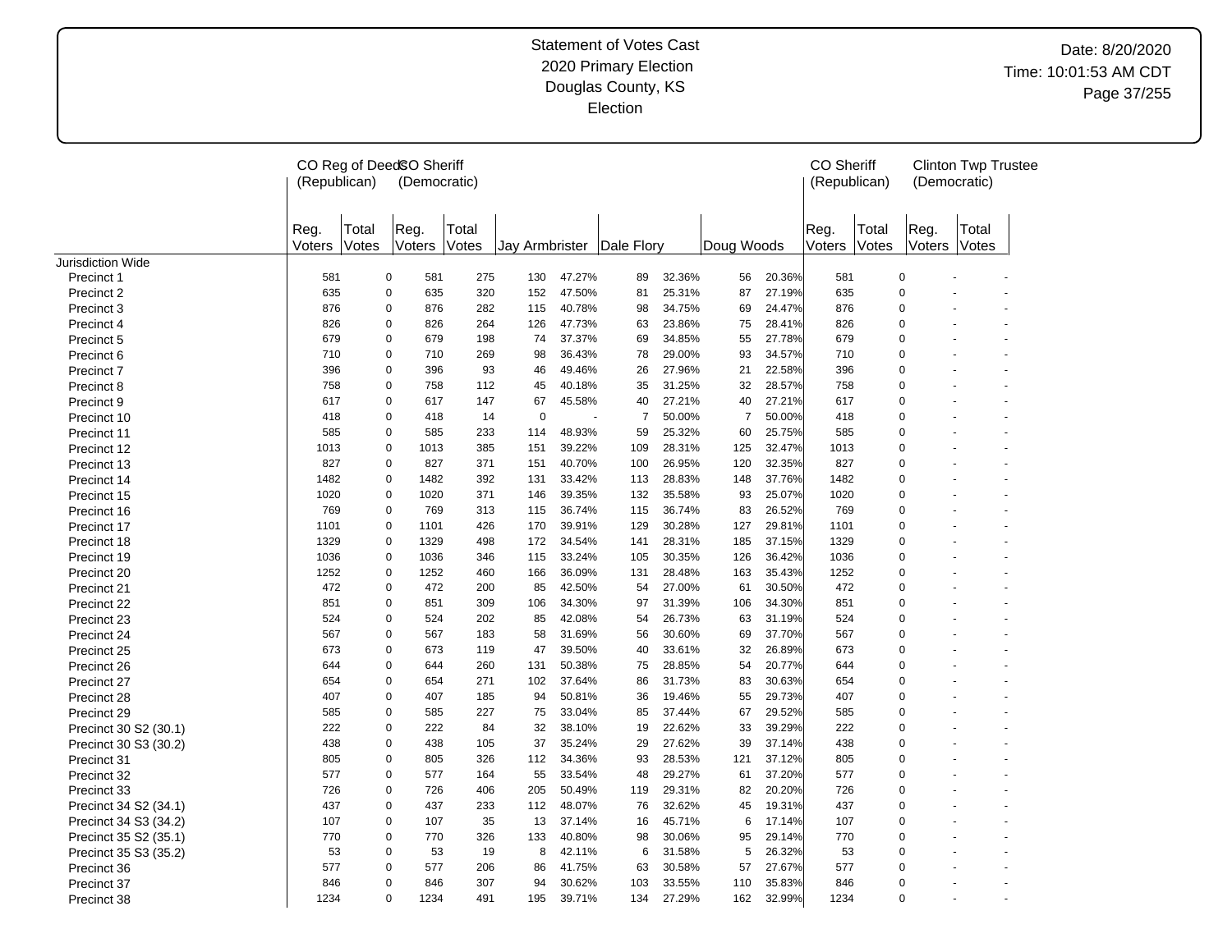Date: 8/20/2020 Time: 10:01:53 AM CDT Page 37/255

|                          | (Republican)   |                | CO Reg of DeedSO Sheriff<br>(Democratic) |                |                | <b>CO Sheriff</b><br>(Republican) |                | (Democratic) | <b>Clinton Twp Trustee</b> |        |                |                |                |                |
|--------------------------|----------------|----------------|------------------------------------------|----------------|----------------|-----------------------------------|----------------|--------------|----------------------------|--------|----------------|----------------|----------------|----------------|
|                          | Reg.<br>Voters | Total<br>Votes | Reg.<br>Voters                           | Total<br>Votes | Jay Armbrister |                                   | Dale Flory     |              | Doug Woods                 |        | Reg.<br>Voters | Total<br>Votes | Reg.<br>Voters | Total<br>Votes |
| <b>Jurisdiction Wide</b> |                |                |                                          |                |                |                                   |                |              |                            |        |                |                |                |                |
| Precinct 1               | 581            | $\mathbf 0$    | 581                                      | 275            | 130            | 47.27%                            | 89             | 32.36%       | 56                         | 20.36% | 581            |                | $\mathbf 0$    |                |
| Precinct 2               | 635            | $\mathbf 0$    | 635                                      | 320            | 152            | 47.50%                            | 81             | 25.31%       | 87                         | 27.19% | 635            |                | 0              |                |
| Precinct 3               | 876            | $\mathbf 0$    | 876                                      | 282            | 115            | 40.78%                            | 98             | 34.75%       | 69                         | 24.47% | 876            |                | 0              |                |
| Precinct 4               | 826            | $\mathbf 0$    | 826                                      | 264            | 126            | 47.73%                            | 63             | 23.86%       | 75                         | 28.41% | 826            |                | 0              |                |
| Precinct 5               | 679            | $\mathbf 0$    | 679                                      | 198            | 74             | 37.37%                            | 69             | 34.85%       | 55                         | 27.78% | 679            |                | 0              |                |
| Precinct 6               | 710            | $\mathbf 0$    | 710                                      | 269            | 98             | 36.43%                            | 78             | 29.00%       | 93                         | 34.57% | 710            |                | 0              |                |
| Precinct 7               | 396            | $\mathbf 0$    | 396                                      | 93             | 46             | 49.46%                            | 26             | 27.96%       | 21                         | 22.58% | 396            |                | 0              |                |
| Precinct 8               | 758            | $\mathbf 0$    | 758                                      | 112            | 45             | 40.18%                            | 35             | 31.25%       | 32                         | 28.57% | 758            |                | 0              |                |
| Precinct 9               | 617            | $\mathbf 0$    | 617                                      | 147            | 67             | 45.58%                            | 40             | 27.21%       | 40                         | 27.21% | 617            |                | 0              |                |
| Precinct 10              | 418            | $\mathbf 0$    | 418                                      | 14             | 0              |                                   | $\overline{7}$ | 50.00%       | $\overline{7}$             | 50.00% | 418            |                | 0              |                |
| Precinct 11              | 585            | $\mathbf 0$    | 585                                      | 233            | 114            | 48.93%                            | 59             | 25.32%       | 60                         | 25.75% | 585            |                | 0              |                |
| Precinct 12              | 1013           | $\mathbf 0$    | 1013                                     | 385            | 151            | 39.22%                            | 109            | 28.31%       | 125                        | 32.47% | 1013           |                | 0              |                |
| Precinct 13              | 827            | $\mathbf 0$    | 827                                      | 371            | 151            | 40.70%                            | 100            | 26.95%       | 120                        | 32.35% | 827            |                | 0              |                |
| Precinct 14              | 1482           | $\mathbf 0$    | 1482                                     | 392            | 131            | 33.42%                            | 113            | 28.83%       | 148                        | 37.76% | 1482           |                | 0              |                |
| Precinct 15              | 1020           | $\mathbf 0$    | 1020                                     | 371            | 146            | 39.35%                            | 132            | 35.58%       | 93                         | 25.07% | 1020           |                | 0              |                |
| Precinct 16              | 769            | $\mathbf 0$    | 769                                      | 313            | 115            | 36.74%                            | 115            | 36.74%       | 83                         | 26.52% | 769            |                | 0              |                |
| Precinct 17              | 1101           | $\mathbf 0$    | 1101                                     | 426            | 170            | 39.91%                            | 129            | 30.28%       | 127                        | 29.81% | 1101           |                | 0              |                |
| Precinct 18              | 1329           | $\mathbf 0$    | 1329                                     | 498            | 172            | 34.54%                            | 141            | 28.31%       | 185                        | 37.15% | 1329           |                | 0              |                |
| Precinct 19              | 1036           | $\mathbf 0$    | 1036                                     | 346            | 115            | 33.24%                            | 105            | 30.35%       | 126                        | 36.42% | 1036           |                | 0              |                |
| Precinct 20              | 1252           | $\mathbf 0$    | 1252                                     | 460            | 166            | 36.09%                            | 131            | 28.48%       | 163                        | 35.43% | 1252           |                | 0              |                |
| Precinct 21              | 472            | $\mathbf 0$    | 472                                      | 200            | 85             | 42.50%                            | 54             | 27.00%       | 61                         | 30.50% | 472            |                | 0              |                |
| Precinct 22              | 851            | $\mathbf 0$    | 851                                      | 309            | 106            | 34.30%                            | 97             | 31.39%       | 106                        | 34.30% | 851            |                | 0              |                |
| Precinct 23              | 524            | 0              | 524                                      | 202            | 85             | 42.08%                            | 54             | 26.73%       | 63                         | 31.19% | 524            |                | 0              |                |
| Precinct 24              | 567            | $\pmb{0}$      | 567                                      | 183            | 58             | 31.69%                            | 56             | 30.60%       | 69                         | 37.70% | 567            |                | 0              |                |
| Precinct 25              | 673            | $\mathbf 0$    | 673                                      | 119            | 47             | 39.50%                            | 40             | 33.61%       | 32                         | 26.89% | 673            |                | 0              |                |
| Precinct 26              | 644            | 0              | 644                                      | 260            | 131            | 50.38%                            | 75             | 28.85%       | 54                         | 20.77% | 644            |                | $\Omega$       |                |
| Precinct 27              | 654            | $\mathbf 0$    | 654                                      | 271            | 102            | 37.64%                            | 86             | 31.73%       | 83                         | 30.63% | 654            |                | 0              |                |
| Precinct 28              | 407            | $\mathbf 0$    | 407                                      | 185            | 94             | 50.81%                            | 36             | 19.46%       | 55                         | 29.73% | 407            |                | 0              |                |
| Precinct 29              | 585            | $\mathbf 0$    | 585                                      | 227            | 75             | 33.04%                            | 85             | 37.44%       | 67                         | 29.52% | 585            |                | 0              |                |
| Precinct 30 S2 (30.1)    | 222            | $\mathbf 0$    | 222                                      | 84             | 32             | 38.10%                            | 19             | 22.62%       | 33                         | 39.29% | 222            |                | 0              |                |
| Precinct 30 S3 (30.2)    | 438            | $\mathbf 0$    | 438                                      | 105            | 37             | 35.24%                            | 29             | 27.62%       | 39                         | 37.14% | 438            |                | 0              |                |
| Precinct 31              | 805            | $\mathbf 0$    | 805                                      | 326            | 112            | 34.36%                            | 93             | 28.53%       | 121                        | 37.12% | 805            |                | 0              |                |
| Precinct 32              | 577            | $\mathbf 0$    | 577                                      | 164            | 55             | 33.54%                            | 48             | 29.27%       | 61                         | 37.20% | 577            |                | 0              |                |
| Precinct 33              | 726            | 0              | 726                                      | 406            | 205            | 50.49%                            | 119            | 29.31%       | 82                         | 20.20% | 726            |                | 0              |                |
| Precinct 34 S2 (34.1)    | 437            | 0              | 437                                      | 233            | 112            | 48.07%                            | 76             | 32.62%       | 45                         | 19.31% | 437            |                | 0              |                |
| Precinct 34 S3 (34.2)    | 107            | 0              | 107                                      | 35             | 13             | 37.14%                            | 16             | 45.71%       | 6                          | 17.14% | 107            |                | 0              |                |
| Precinct 35 S2 (35.1)    | 770            | $\mathbf 0$    | 770                                      | 326            | 133            | 40.80%                            | 98             | 30.06%       | 95                         | 29.14% | 770            |                | 0              |                |
| Precinct 35 S3 (35.2)    | 53             | $\mathbf 0$    | 53                                       | 19             | 8              | 42.11%                            | 6              | 31.58%       | 5                          | 26.32% | 53             |                | 0              |                |
| Precinct 36              | 577            | $\mathbf 0$    | 577                                      | 206            | 86             | 41.75%                            | 63             | 30.58%       | 57                         | 27.67% | 577            |                | $\Omega$       |                |
| Precinct 37              | 846            | $\Omega$       | 846                                      | 307            | 94             | 30.62%                            | 103            | 33.55%       | 110                        | 35.83% | 846            |                | $\Omega$       |                |
| Precinct 38              | 1234           | $\mathbf 0$    | 1234                                     | 491            | 195            | 39.71%                            | 134            | 27.29%       | 162                        | 32.99% | 1234           |                | 0              |                |
|                          |                |                |                                          |                |                |                                   |                |              |                            |        |                |                |                |                |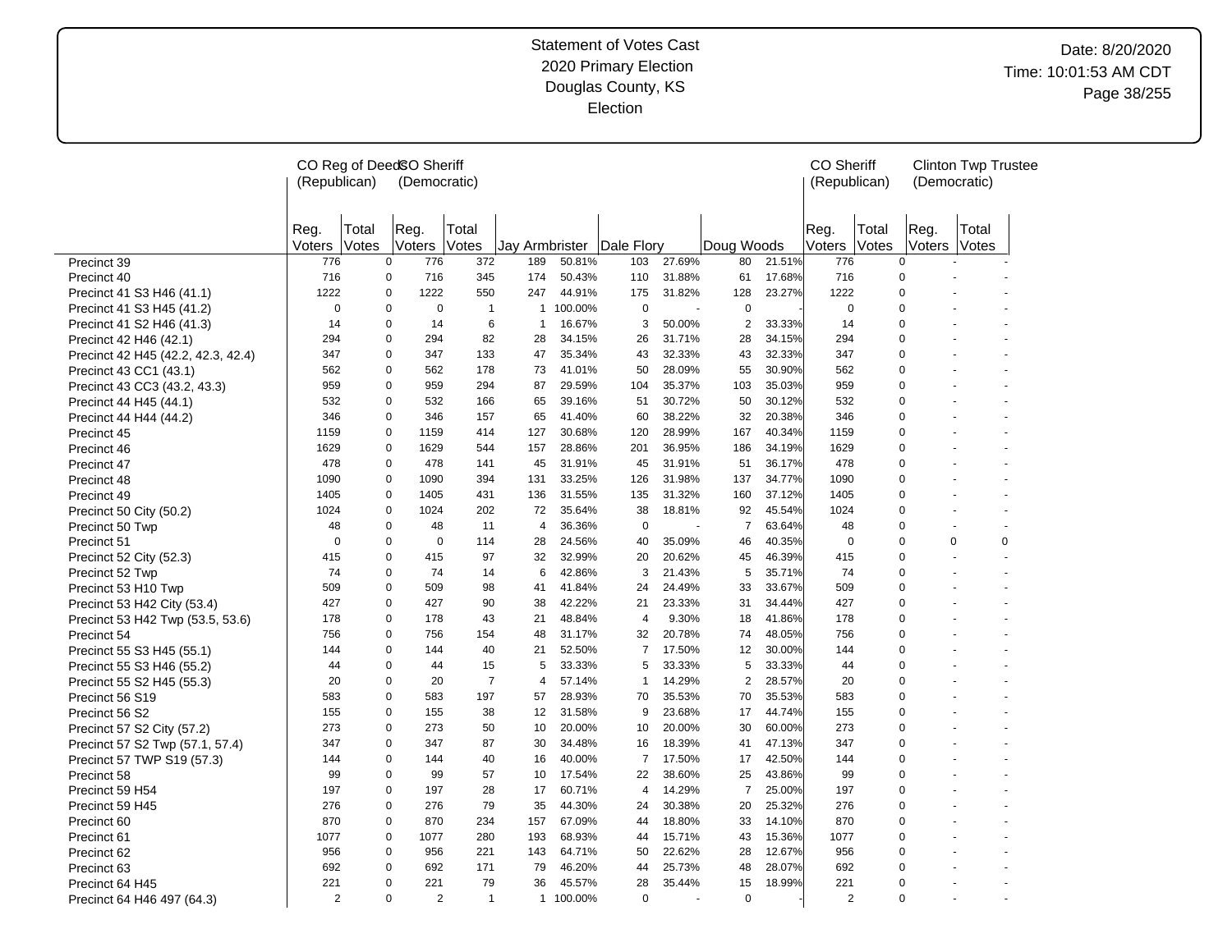# Date: 8/20/2020 Time: 10:01:53 AM CDT Page 38/255

|                                    | (Republican)   |                | CO Reg of DeedSO Sheriff<br>(Democratic) |                |                | <b>CO Sheriff</b><br>(Republican) |                    | (Democratic) | <b>Clinton Twp Trustee</b> |        |                |                |                  |                |  |
|------------------------------------|----------------|----------------|------------------------------------------|----------------|----------------|-----------------------------------|--------------------|--------------|----------------------------|--------|----------------|----------------|------------------|----------------|--|
|                                    | Reg.<br>Voters | Total<br>Votes | Reg.<br>Voters                           | Total<br>Votes | Jay Armbrister |                                   | <b>IDale Florv</b> |              | Doug Woods                 |        | Reg.<br>Voters | Total<br>Votes | Reg.<br>Voters   | Total<br>Votes |  |
| Precinct 39                        | 776            | $\mathbf 0$    | 776                                      | 372            | 189            | 50.81%                            | 103                | 27.69%       | 80                         | 21.51% | 776            | $\mathbf 0$    |                  |                |  |
| Precinct 40                        | 716            | 0              | 716                                      | 345            | 174            | 50.43%                            | 110                | 31.88%       | 61                         | 17.68% | 716            | 0              |                  |                |  |
| Precinct 41 S3 H46 (41.1)          | 1222           | 0              | 1222                                     | 550            | 247            | 44.91%                            | 175                | 31.82%       | 128                        | 23.27% | 1222           |                | 0                |                |  |
| Precinct 41 S3 H45 (41.2)          | 0              | 0              | 0                                        | $\overline{1}$ |                | 1 100.00%                         | $\mathbf 0$        | ÷,           | $\mathbf 0$                |        | 0              |                | 0                |                |  |
| Precinct 41 S2 H46 (41.3)          | 14             | 0              | 14                                       | 6              | $\mathbf{1}$   | 16.67%                            | 3                  | 50.00%       | 2                          | 33.33% | 14             |                | 0                |                |  |
| Precinct 42 H46 (42.1)             | 294            | 0              | 294                                      | 82             | 28             | 34.15%                            | 26                 | 31.71%       | 28                         | 34.15% | 294            |                | 0                |                |  |
| Precinct 42 H45 (42.2, 42.3, 42.4) | 347            | 0              | 347                                      | 133            | 47             | 35.34%                            | 43                 | 32.33%       | 43                         | 32.33% | 347            | 0              |                  |                |  |
| Precinct 43 CC1 (43.1)             | 562            | 0              | 562                                      | 178            | 73             | 41.01%                            | 50                 | 28.09%       | 55                         | 30.90% | 562            | $\mathbf 0$    |                  |                |  |
| Precinct 43 CC3 (43.2, 43.3)       | 959            | 0              | 959                                      | 294            | 87             | 29.59%                            | 104                | 35.37%       | 103                        | 35.03% | 959            | 0              |                  |                |  |
| Precinct 44 H45 (44.1)             | 532            | 0              | 532                                      | 166            | 65             | 39.16%                            | 51                 | 30.72%       | 50                         | 30.12% | 532            | 0              |                  |                |  |
| Precinct 44 H44 (44.2)             | 346            | 0              | 346                                      | 157            | 65             | 41.40%                            | 60                 | 38.22%       | 32                         | 20.38% | 346            | 0              |                  |                |  |
| Precinct 45                        | 1159           | 0              | 1159                                     | 414            | 127            | 30.68%                            | 120                | 28.99%       | 167                        | 40.34% | 1159           |                | 0                |                |  |
| Precinct 46                        | 1629           | 0              | 1629                                     | 544            | 157            | 28.86%                            | 201                | 36.95%       | 186                        | 34.19% | 1629           |                | 0                |                |  |
| Precinct 47                        | 478            | 0              | 478                                      | 141            | 45             | 31.91%                            | 45                 | 31.91%       | 51                         | 36.17% | 478            | $\Omega$       |                  |                |  |
| Precinct 48                        | 1090           | 0              | 1090                                     | 394            | 131            | 33.25%                            | 126                | 31.98%       | 137                        | 34.77% | 1090           | $\overline{0}$ |                  |                |  |
| Precinct 49                        | 1405           | 0              | 1405                                     | 431            | 136            | 31.55%                            | 135                | 31.32%       | 160                        | 37.12% | 1405           |                | 0                |                |  |
| Precinct 50 City (50.2)            | 1024           | 0              | 1024                                     | 202            | 72             | 35.64%                            | 38                 | 18.81%       | 92                         | 45.54% | 1024           |                | 0                |                |  |
| Precinct 50 Twp                    | 48             | 0              | 48                                       | 11             | $\overline{4}$ | 36.36%                            | $\mathbf 0$        |              | $\overline{7}$             | 63.64% | 48             |                | 0                |                |  |
| Precinct 51                        | $\mathbf 0$    | 0              | 0                                        | 114            | 28             | 24.56%                            | 40                 | 35.09%       | 46                         | 40.35% | $\mathbf 0$    |                | 0<br>$\mathbf 0$ | 0              |  |
| Precinct 52 City (52.3)            | 415            | 0              | 415                                      | 97             | 32             | 32.99%                            | 20                 | 20.62%       | 45                         | 46.39% | 415            | 0              |                  |                |  |
| Precinct 52 Twp                    | 74             | 0              | 74                                       | 14             | 6              | 42.86%                            | 3                  | 21.43%       | 5                          | 35.71% | 74             | 0              |                  |                |  |
| Precinct 53 H10 Twp                | 509            | 0              | 509                                      | 98             | 41             | 41.84%                            | 24                 | 24.49%       | 33                         | 33.67% | 509            | 0              |                  |                |  |
| Precinct 53 H42 City (53.4)        | 427            | 0              | 427                                      | 90             | 38             | 42.22%                            | 21                 | 23.33%       | 31                         | 34.44% | 427            |                | 0                |                |  |
| Precinct 53 H42 Twp (53.5, 53.6)   | 178            | 0              | 178                                      | 43             | 21             | 48.84%                            | $\overline{4}$     | 9.30%        | 18                         | 41.86% | 178            |                | 0                |                |  |
| Precinct 54                        | 756            | 0              | 756                                      | 154            | 48             | 31.17%                            | 32                 | 20.78%       | 74                         | 48.05% | 756            |                | 0                |                |  |
| Precinct 55 S3 H45 (55.1)          | 144            | 0              | 144                                      | 40             | 21             | 52.50%                            | $\overline{7}$     | 17.50%       | 12                         | 30.00% | 144            | $\Omega$       |                  |                |  |
| Precinct 55 S3 H46 (55.2)          | 44             | $\Omega$       | 44                                       | 15             | 5              | 33.33%                            | 5                  | 33.33%       | 5                          | 33.33% | 44             | $\Omega$       |                  |                |  |
| Precinct 55 S2 H45 (55.3)          | 20             | 0              | 20                                       | $\overline{7}$ | $\overline{4}$ | 57.14%                            | $\mathbf{1}$       | 14.29%       | 2                          | 28.57% | 20             |                | 0                |                |  |
| Precinct 56 S19                    | 583            | 0              | 583                                      | 197            | 57             | 28.93%                            | 70                 | 35.53%       | 70                         | 35.53% | 583            |                | 0                |                |  |
| Precinct 56 S2                     | 155            | 0              | 155                                      | 38             | 12             | 31.58%                            | 9                  | 23.68%       | 17                         | 44.74% | 155            |                | 0                |                |  |
| Precinct 57 S2 City (57.2)         | 273            | 0              | 273                                      | 50             | 10             | 20.00%                            | 10                 | 20.00%       | 30                         | 60.00% | 273            | $\mathbf 0$    |                  |                |  |
| Precinct 57 S2 Twp (57.1, 57.4)    | 347            | 0              | 347                                      | 87             | 30             | 34.48%                            | 16                 | 18.39%       | 41                         | 47.13% | 347            | $\mathbf 0$    |                  |                |  |
| Precinct 57 TWP S19 (57.3)         | 144            | 0              | 144                                      | 40             | 16             | 40.00%                            | $\overline{7}$     | 17.50%       | 17                         | 42.50% | 144            | 0              |                  |                |  |
| Precinct 58                        | 99             | 0              | 99                                       | 57             | 10             | 17.54%                            | 22                 | 38.60%       | 25                         | 43.86% | 99             | 0              |                  |                |  |
| Precinct 59 H54                    | 197            | 0              | 197                                      | 28             | 17             | 60.71%                            | 4                  | 14.29%       | $\overline{7}$             | 25.00% | 197            | 0              |                  |                |  |
| Precinct 59 H45                    | 276            | 0              | 276                                      | 79             | 35             | 44.30%                            | 24                 | 30.38%       | 20                         | 25.32% | 276            |                | 0                |                |  |
| Precinct 60                        | 870            | 0              | 870                                      | 234            | 157            | 67.09%                            | 44                 | 18.80%       | 33                         | 14.10% | 870            |                | 0                |                |  |
| Precinct 61                        | 1077           | 0              | 1077                                     | 280            | 193            | 68.93%                            | 44                 | 15.71%       | 43                         | 15.36% | 1077           |                | 0                |                |  |
| Precinct 62                        | 956            | 0              | 956                                      | 221            | 143            | 64.71%                            | 50                 | 22.62%       | 28                         | 12.67% | 956            |                | 0                |                |  |
| Precinct 63                        | 692            | 0              | 692                                      | 171            | 79             | 46.20%                            | 44                 | 25.73%       | 48                         | 28.07% | 692            |                | 0                |                |  |
| Precinct 64 H45                    | 221            | 0              | 221                                      | 79             | 36             | 45.57%                            | 28                 | 35.44%       | 15                         | 18.99% | 221            |                | 0                |                |  |
| Precinct 64 H46 497 (64.3)         | $\overline{2}$ | 0              | 2                                        | $\mathbf{1}$   |                | 1 100.00%                         | $\mathbf 0$        |              | $\mathbf 0$                |        | $\overline{2}$ |                | 0                |                |  |
|                                    |                |                |                                          |                |                |                                   |                    |              |                            |        |                |                |                  |                |  |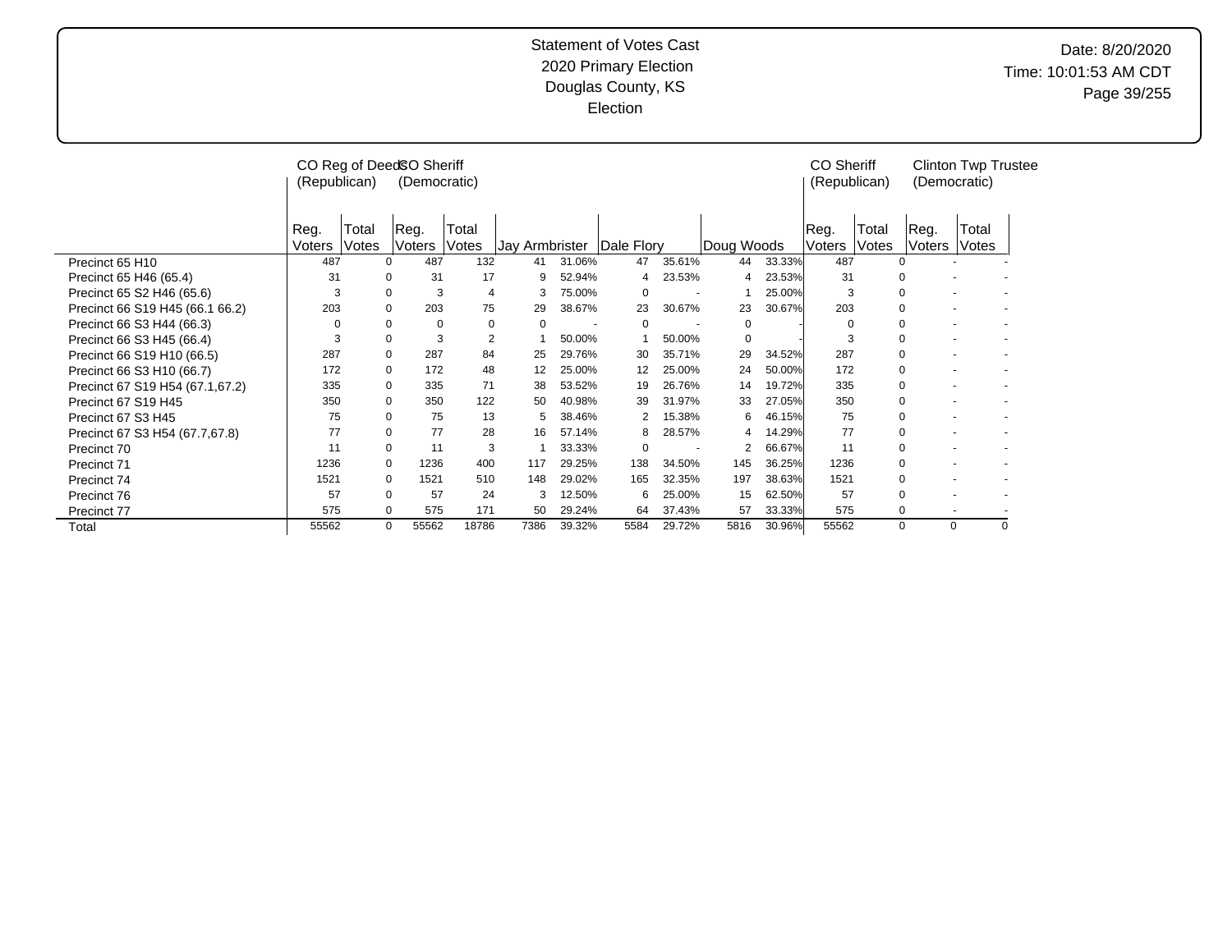# Date: 8/20/2020 Time: 10:01:53 AM CDT Page 39/255

|                                 | (Republican)   |                                                                                                     | CO Reg of Deed SO Sheriff<br>(Democratic) |                |                |          |            |        |                |        | <b>CO Sheriff</b><br>(Republican) |                | (Democratic)             | <b>Clinton Twp Trustee</b> |   |
|---------------------------------|----------------|-----------------------------------------------------------------------------------------------------|-------------------------------------------|----------------|----------------|----------|------------|--------|----------------|--------|-----------------------------------|----------------|--------------------------|----------------------------|---|
|                                 | Reg.<br>Voters | Total<br>Votes                                                                                      | Reg.<br>Voters                            | Total<br>Votes | Jay Armbrister |          | Dale Flory |        | Doug Woods     |        | IReg.<br><b>Voters</b>            | Total<br>Votes | Reg.<br>Voters           | Total<br>Votes             |   |
| Precinct 65 H10                 | 487            |                                                                                                     | 487<br>$\Omega$                           | 132            | 41             | 31.06%   | 47         | 35.61% | 44             | 33.33% | 487                               | 0              |                          |                            |   |
| Precinct 65 H46 (65.4)          | 31             | 0                                                                                                   | 31                                        | 17             | 9              | 52.94%   | 4          | 23.53% | 4              | 23.53% | 31                                | 0              |                          |                            |   |
| Precinct 65 S2 H46 (65.6)       | 3              |                                                                                                     | 3<br>0                                    | 4              | 3              | 75.00%   | 0          |        |                | 25.00% | 3                                 | 0              |                          |                            |   |
| Precinct 66 S19 H45 (66.1 66.2) | 203            | $\Omega$                                                                                            | 203                                       | 75             | 29             | 38.67%   | 23         | 30.67% | 23             | 30.67% | 203                               | 0              |                          |                            |   |
| Precinct 66 S3 H44 (66.3)       | 0              | 0                                                                                                   | $\Omega$                                  | 0              |                | $\Omega$ | 0          |        |                |        |                                   |                |                          |                            |   |
| Precinct 66 S3 H45 (66.4)       |                | $\mathbf 0$<br>0<br>$\mathbf 0$<br>$\overline{2}$<br>3<br>0<br>3<br>$\mathbf 0$<br>50.00%<br>50.00% |                                           |                |                |          |            |        |                |        |                                   |                | 0                        |                            |   |
| Precinct 66 S19 H10 (66.5)      | 287            | 0                                                                                                   | 287                                       | 84             | 25             | 29.76%   | 30         | 35.71% | 29             | 34.52% | 287                               | $\mathbf 0$    | $\overline{\phantom{a}}$ |                            |   |
| Precinct 66 S3 H10 (66.7)       | 172            |                                                                                                     | 172<br>0                                  | 48             | 12             | 25.00%   | 12         | 25.00% | 24             | 50.00% | 172                               | $\mathbf 0$    |                          |                            |   |
| Precinct 67 S19 H54 (67.1,67.2) | 335            |                                                                                                     | 0<br>335                                  | 71             | 38             | 53.52%   | 19         | 26.76% | 14             | 19.72% | 335                               | 0              |                          |                            |   |
| Precinct 67 S19 H45             | 350            | $\Omega$                                                                                            | 350                                       | 122            | 50             | 40.98%   | 39         | 31.97% | 33             | 27.05% | 350                               | $\mathbf 0$    |                          |                            |   |
| Precinct 67 S3 H45              | 75             | $\Omega$                                                                                            | 75                                        | 13             | 5              | 38.46%   |            | 15.38% | 6              | 46.15% | 75                                | 0              |                          |                            |   |
| Precinct 67 S3 H54 (67.7,67.8)  | 77             | 0                                                                                                   | 77                                        | 28             | 16             | 57.14%   | 8          | 28.57% | 4              | 14.29% | 77                                | 0              |                          |                            |   |
| Precinct 70                     | 11             | $\Omega$                                                                                            | 11                                        | 3              |                | 33.33%   | $\Omega$   |        | $\overline{2}$ | 66.67% | 11                                | 0              |                          |                            |   |
| Precinct 71                     | 1236           |                                                                                                     | $\Omega$<br>1236                          | 400            | 117            | 29.25%   | 138        | 34.50% | 145            | 36.25% | 1236                              | 0              |                          |                            |   |
| Precinct 74                     | 1521           |                                                                                                     | 1521<br>$\Omega$                          | 510            | 148            | 29.02%   | 165        | 32.35% | 197            | 38.63% | 1521                              | 0              |                          |                            |   |
| Precinct 76                     | 57             |                                                                                                     | 57<br>$\Omega$                            | 24             | 3              | 12.50%   | 6          | 25.00% | 15             | 62.50% | 57                                | 0              |                          |                            |   |
| Precinct 77                     | 575            |                                                                                                     | 575<br>$\Omega$                           | 171            | 50             | 29.24%   | 64         | 37.43% | 57             | 33.33% | 575                               | 0              | $\overline{\phantom{a}}$ |                            |   |
| Total                           | 55562          |                                                                                                     | 0<br>55562                                | 18786          | 7386           | 39.32%   | 5584       | 29.72% | 5816           | 30.96% | 55562                             | 0              | 0                        |                            | 0 |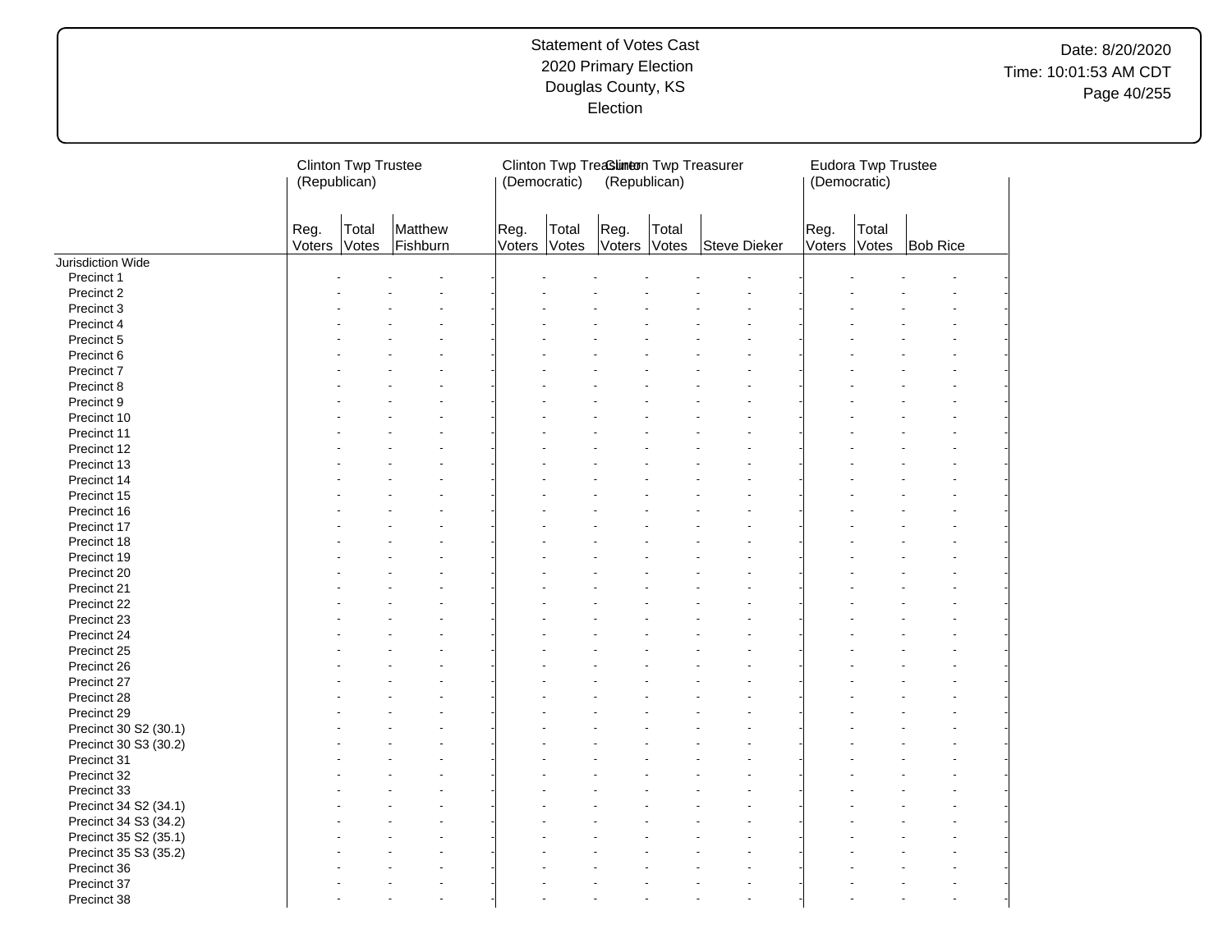| Reg.<br>Total<br>Reg.<br>Reg.<br>Matthew<br>Total<br>Total<br>Total<br>Reg.<br>Votes<br>Fishburn<br>Votes<br>Voters<br>Voters<br>Voters<br>Voters<br>Votes<br>Steve Dieker<br>Votes<br><b>Bob Rice</b><br>Precinct 1<br>Precinct 2<br>Precinct 3<br>Precinct 4<br>Precinct 5<br>Precinct 6<br>Precinct 7<br>Precinct 8<br>Precinct 9<br>Precinct 10<br>Precinct 11<br>Precinct 12<br>Precinct 13<br>Precinct 14<br>Precinct 15<br>Precinct 16<br>Precinct 17<br>Precinct 18<br>Precinct 19<br>Precinct 20<br>Precinct 21<br>Precinct 22<br>Precinct 23<br>Precinct 24<br>Precinct 25<br>Precinct 26<br>Precinct 27<br>Precinct 28<br>Precinct 29<br>Precinct 30 S2 (30.1)<br>Precinct 30 S3 (30.2)<br>Precinct 31<br>Precinct 32<br>Precinct 33<br>Precinct 34 S2 (34.1)<br>Precinct 34 S3 (34.2)<br>Precinct 35 S2 (35.1)<br>Precinct 35 S3 (35.2)<br>Precinct 36 |                   | (Republican) | <b>Clinton Twp Trustee</b> | (Democratic) | Clinton Twp Treasum ton Twp Treasurer<br>(Republican) |  | (Democratic) | Eudora Twp Trustee |  |
|--------------------------------------------------------------------------------------------------------------------------------------------------------------------------------------------------------------------------------------------------------------------------------------------------------------------------------------------------------------------------------------------------------------------------------------------------------------------------------------------------------------------------------------------------------------------------------------------------------------------------------------------------------------------------------------------------------------------------------------------------------------------------------------------------------------------------------------------------------------------|-------------------|--------------|----------------------------|--------------|-------------------------------------------------------|--|--------------|--------------------|--|
|                                                                                                                                                                                                                                                                                                                                                                                                                                                                                                                                                                                                                                                                                                                                                                                                                                                                    |                   |              |                            |              |                                                       |  |              |                    |  |
|                                                                                                                                                                                                                                                                                                                                                                                                                                                                                                                                                                                                                                                                                                                                                                                                                                                                    | Jurisdiction Wide |              |                            |              |                                                       |  |              |                    |  |
|                                                                                                                                                                                                                                                                                                                                                                                                                                                                                                                                                                                                                                                                                                                                                                                                                                                                    |                   |              |                            |              |                                                       |  |              |                    |  |
|                                                                                                                                                                                                                                                                                                                                                                                                                                                                                                                                                                                                                                                                                                                                                                                                                                                                    |                   |              |                            |              |                                                       |  |              |                    |  |
|                                                                                                                                                                                                                                                                                                                                                                                                                                                                                                                                                                                                                                                                                                                                                                                                                                                                    |                   |              |                            |              |                                                       |  |              |                    |  |
|                                                                                                                                                                                                                                                                                                                                                                                                                                                                                                                                                                                                                                                                                                                                                                                                                                                                    |                   |              |                            |              |                                                       |  |              |                    |  |
|                                                                                                                                                                                                                                                                                                                                                                                                                                                                                                                                                                                                                                                                                                                                                                                                                                                                    |                   |              |                            |              |                                                       |  |              |                    |  |
|                                                                                                                                                                                                                                                                                                                                                                                                                                                                                                                                                                                                                                                                                                                                                                                                                                                                    |                   |              |                            |              |                                                       |  |              |                    |  |
|                                                                                                                                                                                                                                                                                                                                                                                                                                                                                                                                                                                                                                                                                                                                                                                                                                                                    |                   |              |                            |              |                                                       |  |              |                    |  |
|                                                                                                                                                                                                                                                                                                                                                                                                                                                                                                                                                                                                                                                                                                                                                                                                                                                                    |                   |              |                            |              |                                                       |  |              |                    |  |
|                                                                                                                                                                                                                                                                                                                                                                                                                                                                                                                                                                                                                                                                                                                                                                                                                                                                    |                   |              |                            |              |                                                       |  |              |                    |  |
|                                                                                                                                                                                                                                                                                                                                                                                                                                                                                                                                                                                                                                                                                                                                                                                                                                                                    |                   |              |                            |              |                                                       |  |              |                    |  |
|                                                                                                                                                                                                                                                                                                                                                                                                                                                                                                                                                                                                                                                                                                                                                                                                                                                                    |                   |              |                            |              |                                                       |  |              |                    |  |
|                                                                                                                                                                                                                                                                                                                                                                                                                                                                                                                                                                                                                                                                                                                                                                                                                                                                    |                   |              |                            |              |                                                       |  |              |                    |  |
|                                                                                                                                                                                                                                                                                                                                                                                                                                                                                                                                                                                                                                                                                                                                                                                                                                                                    |                   |              |                            |              |                                                       |  |              |                    |  |
|                                                                                                                                                                                                                                                                                                                                                                                                                                                                                                                                                                                                                                                                                                                                                                                                                                                                    |                   |              |                            |              |                                                       |  |              |                    |  |
|                                                                                                                                                                                                                                                                                                                                                                                                                                                                                                                                                                                                                                                                                                                                                                                                                                                                    |                   |              |                            |              |                                                       |  |              |                    |  |
|                                                                                                                                                                                                                                                                                                                                                                                                                                                                                                                                                                                                                                                                                                                                                                                                                                                                    |                   |              |                            |              |                                                       |  |              |                    |  |
|                                                                                                                                                                                                                                                                                                                                                                                                                                                                                                                                                                                                                                                                                                                                                                                                                                                                    |                   |              |                            |              |                                                       |  |              |                    |  |
|                                                                                                                                                                                                                                                                                                                                                                                                                                                                                                                                                                                                                                                                                                                                                                                                                                                                    |                   |              |                            |              |                                                       |  |              |                    |  |
|                                                                                                                                                                                                                                                                                                                                                                                                                                                                                                                                                                                                                                                                                                                                                                                                                                                                    |                   |              |                            |              |                                                       |  |              |                    |  |
|                                                                                                                                                                                                                                                                                                                                                                                                                                                                                                                                                                                                                                                                                                                                                                                                                                                                    |                   |              |                            |              |                                                       |  |              |                    |  |
|                                                                                                                                                                                                                                                                                                                                                                                                                                                                                                                                                                                                                                                                                                                                                                                                                                                                    |                   |              |                            |              |                                                       |  |              |                    |  |
|                                                                                                                                                                                                                                                                                                                                                                                                                                                                                                                                                                                                                                                                                                                                                                                                                                                                    |                   |              |                            |              |                                                       |  |              |                    |  |
|                                                                                                                                                                                                                                                                                                                                                                                                                                                                                                                                                                                                                                                                                                                                                                                                                                                                    |                   |              |                            |              |                                                       |  |              |                    |  |
|                                                                                                                                                                                                                                                                                                                                                                                                                                                                                                                                                                                                                                                                                                                                                                                                                                                                    |                   |              |                            |              |                                                       |  |              |                    |  |
|                                                                                                                                                                                                                                                                                                                                                                                                                                                                                                                                                                                                                                                                                                                                                                                                                                                                    |                   |              |                            |              |                                                       |  |              |                    |  |
|                                                                                                                                                                                                                                                                                                                                                                                                                                                                                                                                                                                                                                                                                                                                                                                                                                                                    |                   |              |                            |              |                                                       |  |              |                    |  |
|                                                                                                                                                                                                                                                                                                                                                                                                                                                                                                                                                                                                                                                                                                                                                                                                                                                                    |                   |              |                            |              |                                                       |  |              |                    |  |
|                                                                                                                                                                                                                                                                                                                                                                                                                                                                                                                                                                                                                                                                                                                                                                                                                                                                    |                   |              |                            |              |                                                       |  |              |                    |  |
|                                                                                                                                                                                                                                                                                                                                                                                                                                                                                                                                                                                                                                                                                                                                                                                                                                                                    |                   |              |                            |              |                                                       |  |              |                    |  |
|                                                                                                                                                                                                                                                                                                                                                                                                                                                                                                                                                                                                                                                                                                                                                                                                                                                                    |                   |              |                            |              |                                                       |  |              |                    |  |
|                                                                                                                                                                                                                                                                                                                                                                                                                                                                                                                                                                                                                                                                                                                                                                                                                                                                    |                   |              |                            |              |                                                       |  |              |                    |  |
|                                                                                                                                                                                                                                                                                                                                                                                                                                                                                                                                                                                                                                                                                                                                                                                                                                                                    |                   |              |                            |              |                                                       |  |              |                    |  |
|                                                                                                                                                                                                                                                                                                                                                                                                                                                                                                                                                                                                                                                                                                                                                                                                                                                                    |                   |              |                            |              |                                                       |  |              |                    |  |
|                                                                                                                                                                                                                                                                                                                                                                                                                                                                                                                                                                                                                                                                                                                                                                                                                                                                    |                   |              |                            |              |                                                       |  |              |                    |  |
|                                                                                                                                                                                                                                                                                                                                                                                                                                                                                                                                                                                                                                                                                                                                                                                                                                                                    |                   |              |                            |              |                                                       |  |              |                    |  |
|                                                                                                                                                                                                                                                                                                                                                                                                                                                                                                                                                                                                                                                                                                                                                                                                                                                                    |                   |              |                            |              |                                                       |  |              |                    |  |
|                                                                                                                                                                                                                                                                                                                                                                                                                                                                                                                                                                                                                                                                                                                                                                                                                                                                    |                   |              |                            |              |                                                       |  |              |                    |  |
|                                                                                                                                                                                                                                                                                                                                                                                                                                                                                                                                                                                                                                                                                                                                                                                                                                                                    |                   |              |                            |              |                                                       |  |              |                    |  |
|                                                                                                                                                                                                                                                                                                                                                                                                                                                                                                                                                                                                                                                                                                                                                                                                                                                                    |                   |              |                            |              |                                                       |  |              |                    |  |
|                                                                                                                                                                                                                                                                                                                                                                                                                                                                                                                                                                                                                                                                                                                                                                                                                                                                    | Precinct 37       |              |                            |              |                                                       |  |              |                    |  |
| Precinct 38<br>÷                                                                                                                                                                                                                                                                                                                                                                                                                                                                                                                                                                                                                                                                                                                                                                                                                                                   |                   |              |                            |              |                                                       |  |              |                    |  |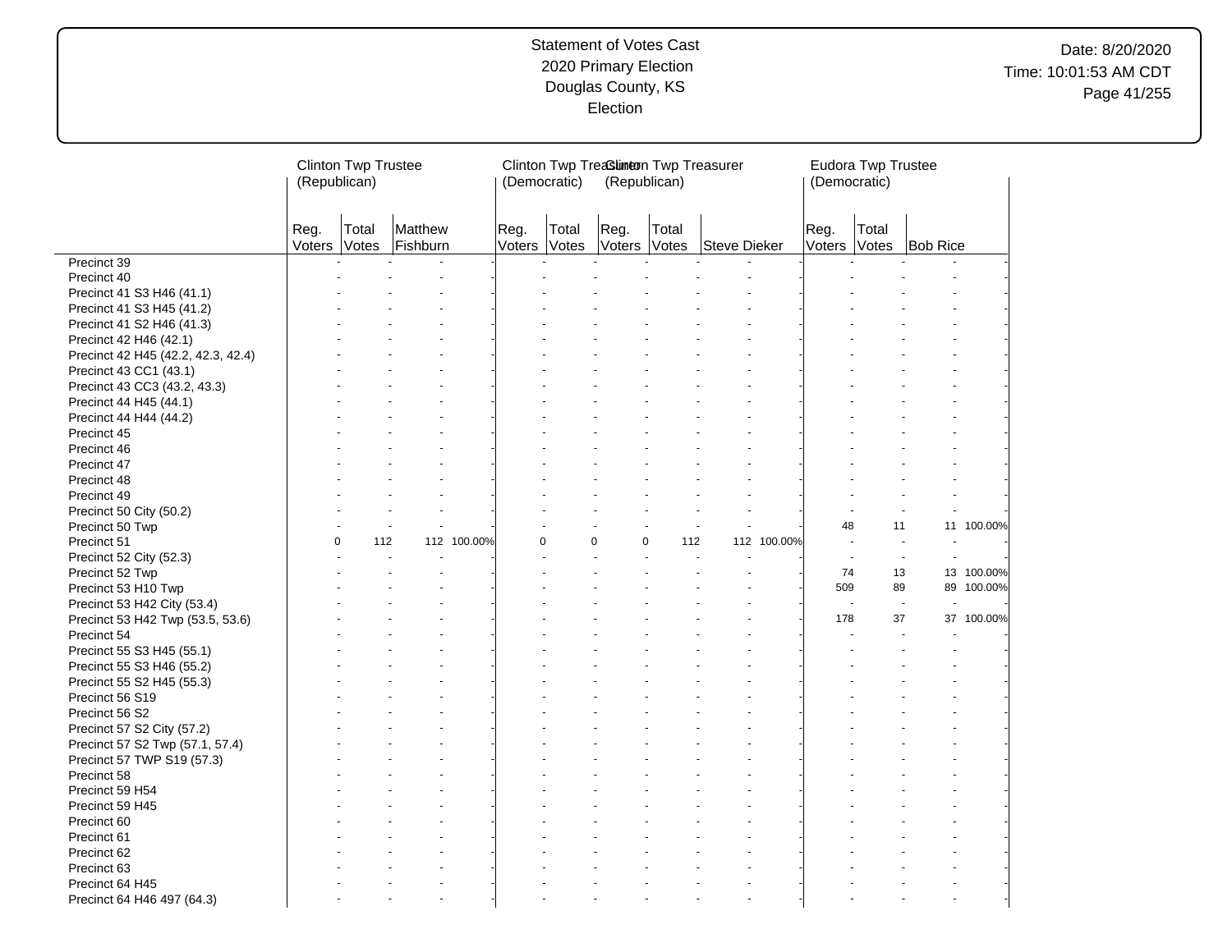|                                    | (Republican)         | <b>Clinton Twp Trustee</b> |                     |             | (Democratic)   |                | Clinton Twp Treasum ton Twp Treasurer<br>(Republican) |                 |              |             | (Democratic)         | Eudora Twp Trustee |                          |            |
|------------------------------------|----------------------|----------------------------|---------------------|-------------|----------------|----------------|-------------------------------------------------------|-----------------|--------------|-------------|----------------------|--------------------|--------------------------|------------|
|                                    | Reg.<br>Voters Votes | Total                      | Matthew<br>Fishburn |             | Reg.<br>Voters | Total<br>Votes | Reg.<br>Voters Votes                                  | Total           | Steve Dieker |             | Reg.<br>Voters Votes | Total              | <b>Bob Rice</b>          |            |
| Precinct 39                        |                      |                            |                     |             |                |                |                                                       |                 |              |             |                      |                    |                          |            |
| Precinct 40                        |                      |                            |                     |             |                |                |                                                       |                 |              |             |                      |                    |                          |            |
| Precinct 41 S3 H46 (41.1)          |                      |                            |                     |             |                |                |                                                       |                 |              |             |                      |                    |                          |            |
| Precinct 41 S3 H45 (41.2)          |                      |                            |                     |             |                |                |                                                       |                 |              |             |                      |                    |                          |            |
| Precinct 41 S2 H46 (41.3)          |                      |                            |                     |             |                |                |                                                       |                 |              |             |                      |                    |                          |            |
| Precinct 42 H46 (42.1)             |                      |                            |                     |             |                |                |                                                       |                 |              |             |                      |                    |                          |            |
| Precinct 42 H45 (42.2, 42.3, 42.4) |                      |                            |                     |             |                |                |                                                       |                 |              |             |                      |                    |                          |            |
| Precinct 43 CC1 (43.1)             |                      |                            |                     |             |                |                |                                                       |                 |              |             |                      |                    |                          |            |
| Precinct 43 CC3 (43.2, 43.3)       |                      |                            |                     |             |                |                |                                                       |                 |              |             |                      |                    |                          |            |
| Precinct 44 H45 (44.1)             |                      |                            |                     |             |                |                |                                                       |                 |              |             |                      |                    |                          |            |
| Precinct 44 H44 (44.2)             |                      |                            |                     |             |                |                |                                                       |                 |              |             |                      |                    |                          |            |
| Precinct 45                        |                      |                            |                     |             |                |                |                                                       |                 |              |             |                      |                    |                          |            |
| Precinct 46                        |                      |                            |                     |             |                |                |                                                       |                 |              |             |                      |                    |                          |            |
| Precinct 47                        |                      |                            |                     |             |                |                |                                                       |                 |              |             |                      |                    |                          |            |
| Precinct 48                        |                      |                            |                     |             |                |                |                                                       |                 |              |             |                      |                    |                          |            |
| Precinct 49                        |                      |                            |                     |             |                |                |                                                       |                 |              |             |                      |                    |                          |            |
| Precinct 50 City (50.2)            |                      |                            |                     |             |                |                |                                                       |                 |              |             |                      |                    |                          |            |
| Precinct 50 Twp                    |                      |                            |                     |             |                |                |                                                       |                 |              |             | 48                   | 11                 |                          | 11 100.00% |
| Precinct 51                        | $\Omega$             | 112                        |                     | 112 100.00% | $\Omega$       |                | $\mathbf 0$                                           | $\Omega$<br>112 |              | 112 100.00% | $\ddot{\phantom{1}}$ |                    |                          |            |
| Precinct 52 City (52.3)            |                      |                            |                     |             |                |                |                                                       |                 |              |             |                      |                    | $\sim$                   |            |
| Precinct 52 Twp                    |                      |                            |                     |             |                |                |                                                       |                 |              |             | 74                   | 13                 |                          | 13 100.00% |
| Precinct 53 H10 Twp                |                      |                            |                     |             |                |                |                                                       |                 |              |             | 509                  | 89                 | 89                       | 100.00%    |
| Precinct 53 H42 City (53.4)        |                      |                            |                     |             |                |                |                                                       |                 |              |             | $\overline{a}$       |                    | $\overline{\phantom{a}}$ |            |
| Precinct 53 H42 Twp (53.5, 53.6)   |                      |                            |                     |             |                |                |                                                       |                 |              |             | 178                  | 37                 | 37                       | 100.00%    |
| Precinct 54                        |                      |                            |                     |             |                |                |                                                       |                 |              |             |                      |                    |                          |            |
| Precinct 55 S3 H45 (55.1)          |                      |                            |                     |             |                |                |                                                       |                 |              |             |                      |                    |                          |            |
| Precinct 55 S3 H46 (55.2)          |                      |                            |                     |             |                |                |                                                       |                 |              |             |                      |                    |                          |            |
| Precinct 55 S2 H45 (55.3)          |                      |                            |                     |             |                |                |                                                       |                 |              |             |                      |                    |                          |            |
| Precinct 56 S19                    |                      |                            |                     |             |                |                |                                                       |                 |              |             |                      |                    |                          |            |
| Precinct 56 S2                     |                      |                            |                     |             |                |                |                                                       |                 |              |             |                      |                    |                          |            |
| Precinct 57 S2 City (57.2)         |                      |                            |                     |             |                |                |                                                       |                 |              |             |                      |                    |                          |            |
| Precinct 57 S2 Twp (57.1, 57.4)    |                      |                            |                     |             |                |                |                                                       |                 |              |             |                      |                    |                          |            |
| Precinct 57 TWP S19 (57.3)         |                      |                            |                     |             |                |                |                                                       |                 |              |             |                      |                    |                          |            |
| Precinct 58                        |                      |                            |                     |             |                |                |                                                       |                 |              |             |                      |                    |                          |            |
| Precinct 59 H54                    |                      |                            |                     |             |                |                |                                                       |                 |              |             |                      |                    |                          |            |
| Precinct 59 H45                    |                      |                            |                     |             |                |                |                                                       |                 |              |             |                      |                    |                          |            |
| Precinct 60                        |                      |                            |                     |             |                |                |                                                       |                 |              |             |                      |                    |                          |            |
| Precinct 61                        |                      |                            |                     |             |                |                |                                                       |                 |              |             |                      |                    |                          |            |
| Precinct 62                        |                      |                            |                     |             |                |                |                                                       |                 |              |             |                      |                    |                          |            |
| Precinct 63                        |                      |                            |                     |             |                |                |                                                       |                 |              |             |                      |                    |                          |            |
| Precinct 64 H45                    |                      |                            |                     |             |                |                |                                                       |                 |              |             |                      |                    |                          |            |
| Precinct 64 H46 497 (64.3)         |                      |                            |                     |             |                |                |                                                       |                 |              |             |                      |                    |                          |            |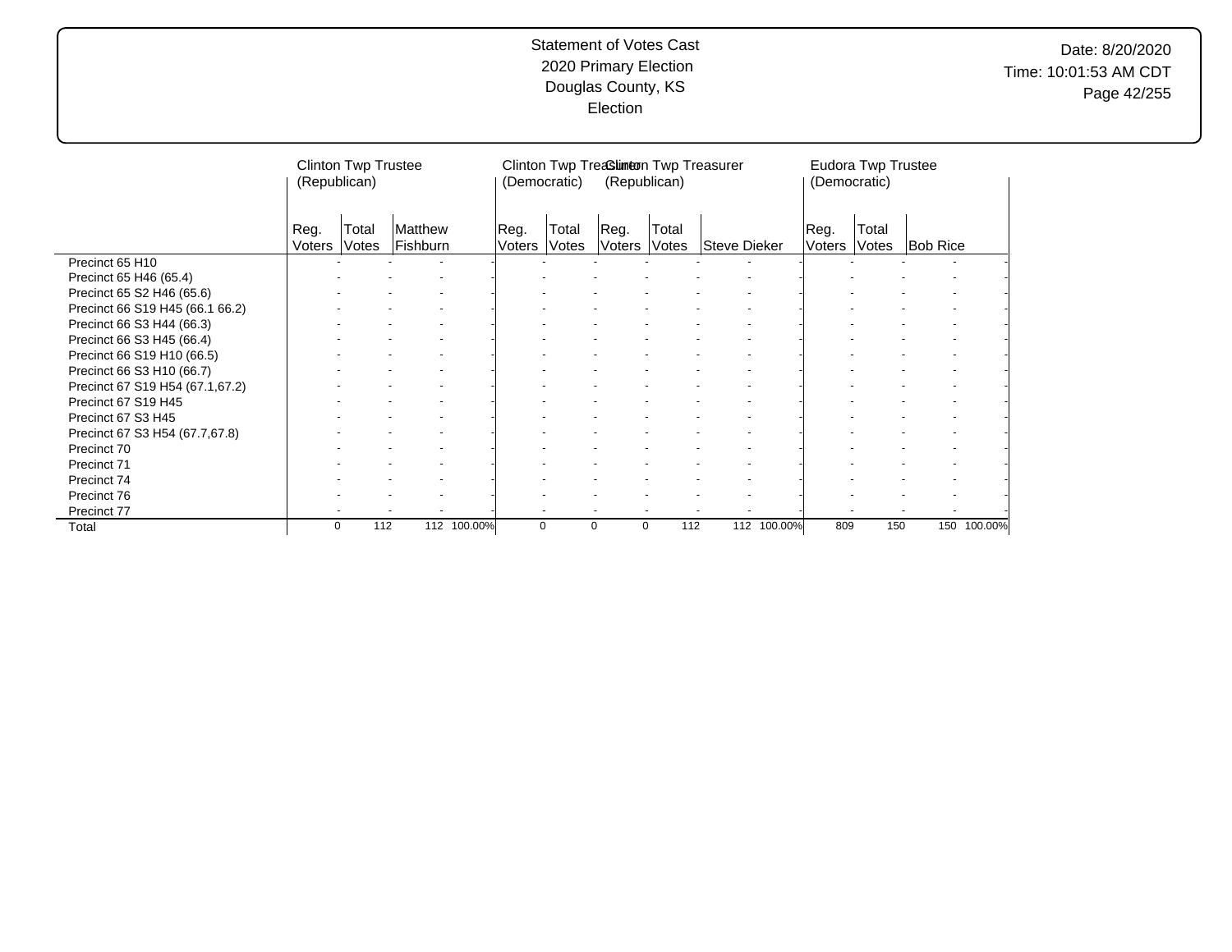|                                 | (Republican)   | <b>Clinton Twp Trustee</b> |                     |             | (Democratic)   |                | Clinton Twp Treaslineon Twp Treasurer<br>(Republican) |                |              |             | (Democratic)   | Eudora Twp Trustee |                 |         |
|---------------------------------|----------------|----------------------------|---------------------|-------------|----------------|----------------|-------------------------------------------------------|----------------|--------------|-------------|----------------|--------------------|-----------------|---------|
|                                 | Reg.<br>Voters | Total<br>Votes             | Matthew<br>Fishburn |             | Reg.<br>Voters | Total<br>Votes | Reg.<br>Voters                                        | Total<br>Votes | Steve Dieker |             | Reg.<br>Voters | Total<br>Votes     | <b>Bob Rice</b> |         |
| Precinct 65 H10                 |                |                            |                     |             |                |                |                                                       |                |              |             |                |                    |                 |         |
| Precinct 65 H46 (65.4)          |                |                            |                     |             |                |                |                                                       |                |              |             |                |                    |                 |         |
| Precinct 65 S2 H46 (65.6)       |                |                            |                     |             |                |                |                                                       |                |              |             |                |                    |                 |         |
| Precinct 66 S19 H45 (66.1 66.2) |                |                            |                     |             |                |                |                                                       |                |              |             |                |                    |                 |         |
| Precinct 66 S3 H44 (66.3)       |                |                            |                     |             |                |                |                                                       |                |              |             |                |                    |                 |         |
| Precinct 66 S3 H45 (66.4)       |                |                            |                     |             |                |                |                                                       |                |              |             |                |                    |                 |         |
| Precinct 66 S19 H10 (66.5)      |                |                            |                     |             |                |                |                                                       |                |              |             |                |                    |                 |         |
| Precinct 66 S3 H10 (66.7)       |                |                            |                     |             |                |                |                                                       |                |              |             |                |                    |                 |         |
| Precinct 67 S19 H54 (67.1,67.2) |                |                            |                     |             |                |                |                                                       |                |              |             |                |                    |                 |         |
| Precinct 67 S19 H45             |                |                            |                     |             |                |                |                                                       |                |              |             |                |                    |                 |         |
| Precinct 67 S3 H45              |                |                            |                     |             |                |                |                                                       |                |              |             |                |                    |                 |         |
| Precinct 67 S3 H54 (67.7,67.8)  |                |                            |                     |             |                |                |                                                       |                |              |             |                |                    |                 |         |
| Precinct 70                     |                |                            |                     |             |                |                |                                                       |                |              |             |                |                    |                 |         |
| Precinct 71                     |                |                            |                     |             |                |                |                                                       |                |              |             |                |                    |                 |         |
| Precinct 74                     |                |                            |                     |             |                |                |                                                       |                |              |             |                |                    |                 |         |
| Precinct 76                     |                |                            |                     |             |                |                |                                                       |                |              |             |                |                    |                 |         |
| Precinct 77                     |                |                            |                     |             |                |                | $\overline{\phantom{a}}$                              |                |              |             |                |                    |                 |         |
| Total                           | 0              | 112                        |                     | 112 100.00% | 0              |                | 0                                                     | 112<br>0       |              | 112 100.00% | 809            | 150                | 150             | 100.00% |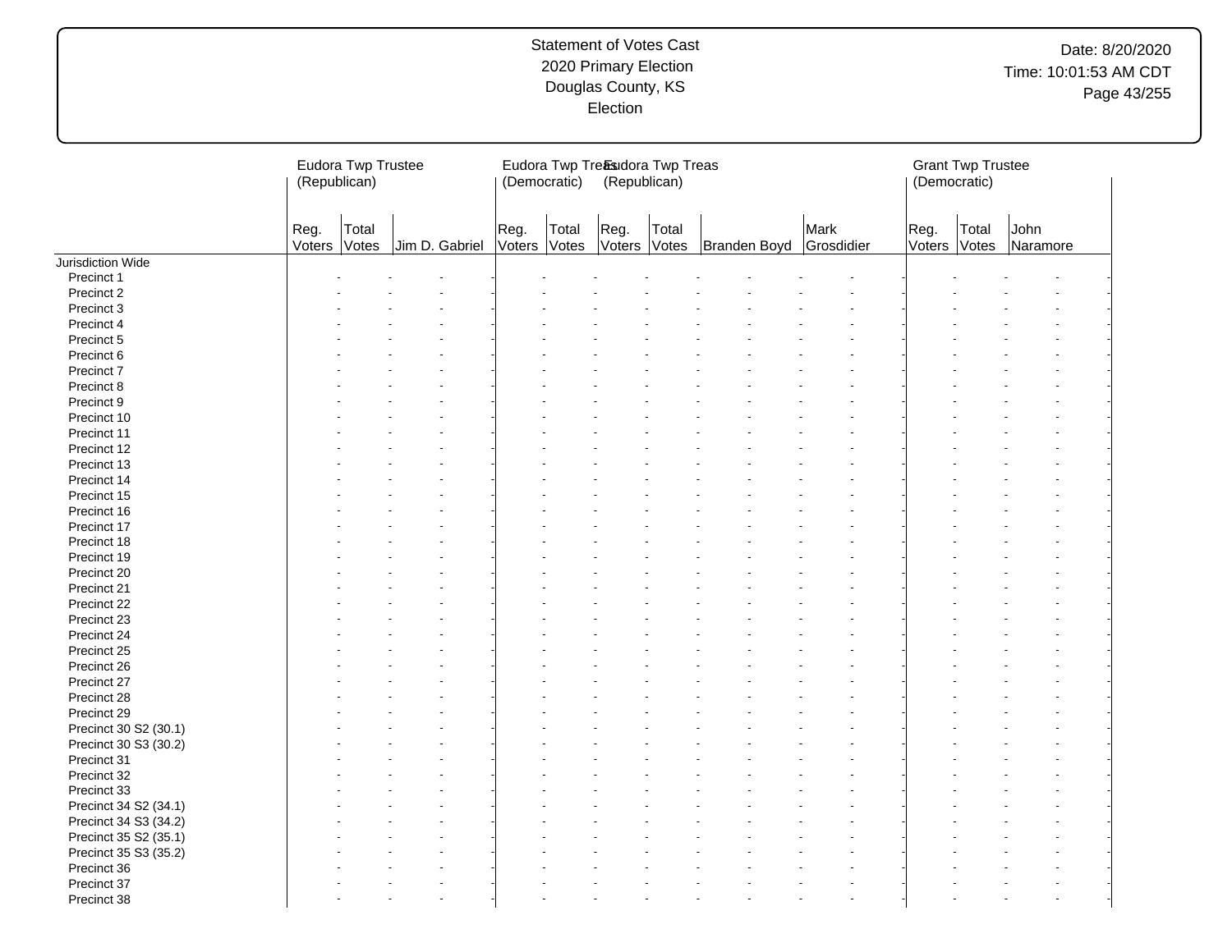|                       |                | Eudora Twp Trustee<br>(Republican) |  |                | (Democratic)   |                | Eudora Twp Treasudora Twp Treas<br>(Republican) |       |              |                    |                | <b>Grant Twp Trustee</b><br>(Democratic) |                  |  |
|-----------------------|----------------|------------------------------------|--|----------------|----------------|----------------|-------------------------------------------------|-------|--------------|--------------------|----------------|------------------------------------------|------------------|--|
|                       | Reg.<br>Voters | Total<br>Votes                     |  | Jim D. Gabriel | Reg.<br>Voters | Total<br>Votes | Reg.<br>Voters Votes                            | Total | Branden Boyd | Mark<br>Grosdidier | Reg.<br>Voters | Total<br>Votes                           | John<br>Naramore |  |
| Jurisdiction Wide     |                |                                    |  |                |                |                |                                                 |       |              |                    |                |                                          |                  |  |
| Precinct 1            |                |                                    |  |                |                |                |                                                 |       |              |                    |                |                                          |                  |  |
| Precinct 2            |                |                                    |  |                |                |                |                                                 |       |              |                    |                |                                          |                  |  |
| Precinct 3            |                |                                    |  |                |                |                |                                                 |       |              |                    |                |                                          |                  |  |
| Precinct 4            |                |                                    |  |                |                |                |                                                 |       |              |                    |                |                                          |                  |  |
| Precinct 5            |                |                                    |  |                |                |                |                                                 |       |              |                    |                |                                          |                  |  |
| Precinct 6            |                |                                    |  |                |                |                |                                                 |       |              |                    |                |                                          |                  |  |
| Precinct 7            |                |                                    |  |                |                |                |                                                 |       |              |                    |                |                                          |                  |  |
| Precinct 8            |                |                                    |  |                |                |                |                                                 |       |              |                    |                |                                          |                  |  |
| Precinct 9            |                |                                    |  |                |                |                |                                                 |       |              |                    |                |                                          |                  |  |
| Precinct 10           |                |                                    |  |                |                |                |                                                 |       |              |                    |                |                                          |                  |  |
| Precinct 11           |                |                                    |  |                |                |                |                                                 |       |              |                    |                |                                          |                  |  |
| Precinct 12           |                |                                    |  |                |                |                |                                                 |       |              |                    |                |                                          |                  |  |
| Precinct 13           |                |                                    |  |                |                |                |                                                 |       |              |                    |                |                                          |                  |  |
| Precinct 14           |                |                                    |  |                |                |                |                                                 |       |              |                    |                |                                          |                  |  |
| Precinct 15           |                |                                    |  |                |                |                |                                                 |       |              |                    |                |                                          |                  |  |
| Precinct 16           |                |                                    |  |                |                |                |                                                 |       |              |                    |                |                                          |                  |  |
| Precinct 17           |                |                                    |  |                |                |                |                                                 |       |              |                    |                |                                          |                  |  |
| Precinct 18           |                |                                    |  |                |                |                |                                                 |       |              |                    |                |                                          |                  |  |
| Precinct 19           |                |                                    |  |                |                |                |                                                 |       |              |                    |                |                                          |                  |  |
| Precinct 20           |                |                                    |  |                |                |                |                                                 |       |              |                    |                |                                          |                  |  |
| Precinct 21           |                |                                    |  |                |                |                |                                                 |       |              |                    |                |                                          |                  |  |
| Precinct 22           |                |                                    |  |                |                |                |                                                 |       |              |                    |                |                                          |                  |  |
| Precinct 23           |                |                                    |  |                |                |                |                                                 |       |              |                    |                |                                          |                  |  |
| Precinct 24           |                |                                    |  |                |                |                |                                                 |       |              |                    |                |                                          |                  |  |
| Precinct 25           |                |                                    |  |                |                |                |                                                 |       |              |                    |                |                                          |                  |  |
| Precinct 26           |                |                                    |  |                |                |                |                                                 |       |              |                    |                |                                          |                  |  |
| Precinct 27           |                |                                    |  |                |                |                |                                                 |       |              |                    |                |                                          |                  |  |
| Precinct 28           |                |                                    |  |                |                |                |                                                 |       |              |                    |                |                                          |                  |  |
| Precinct 29           |                |                                    |  |                |                |                |                                                 |       |              |                    |                |                                          |                  |  |
| Precinct 30 S2 (30.1) |                |                                    |  |                |                |                |                                                 |       |              |                    |                |                                          |                  |  |
| Precinct 30 S3 (30.2) |                |                                    |  |                |                |                |                                                 |       |              |                    |                |                                          |                  |  |
| Precinct 31           |                |                                    |  |                |                |                |                                                 |       |              |                    |                |                                          |                  |  |
| Precinct 32           |                |                                    |  |                |                |                |                                                 |       |              |                    |                |                                          |                  |  |
| Precinct 33           |                |                                    |  |                |                |                |                                                 |       |              |                    |                |                                          |                  |  |
| Precinct 34 S2 (34.1) |                |                                    |  |                |                |                |                                                 |       |              |                    |                |                                          |                  |  |
| Precinct 34 S3 (34.2) |                |                                    |  |                |                |                |                                                 |       |              |                    |                |                                          |                  |  |
| Precinct 35 S2 (35.1) |                |                                    |  |                |                |                |                                                 |       |              |                    |                |                                          |                  |  |
| Precinct 35 S3 (35.2) |                |                                    |  |                |                |                |                                                 |       |              |                    |                |                                          |                  |  |
| Precinct 36           |                |                                    |  |                |                |                |                                                 |       |              |                    |                |                                          |                  |  |
| Precinct 37           |                |                                    |  |                |                |                |                                                 |       |              |                    |                |                                          |                  |  |
| Precinct 38           |                |                                    |  |                |                |                |                                                 |       |              |                    |                |                                          |                  |  |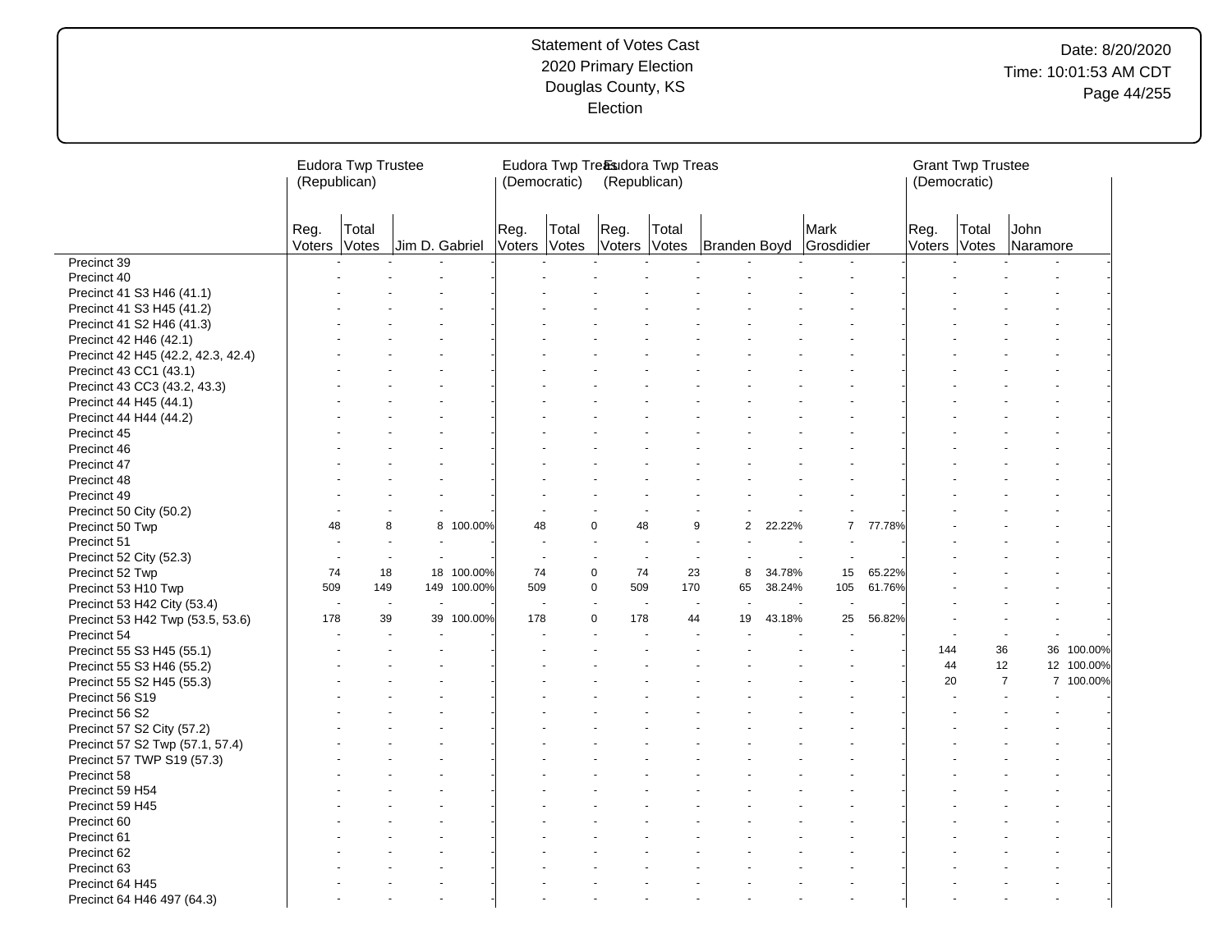|                                    | Eudora Twp Trustee<br>(Republican) |                          |                |             |                | (Democratic)             | Eudora Twp Treasudora Twp Treas<br>(Republican) |                          |                      |        |                    |        | (Democratic)   | <b>Grant Twp Trustee</b> |                  |                          |
|------------------------------------|------------------------------------|--------------------------|----------------|-------------|----------------|--------------------------|-------------------------------------------------|--------------------------|----------------------|--------|--------------------|--------|----------------|--------------------------|------------------|--------------------------|
|                                    | Reg.<br>Voters                     | Total<br>Votes           | Jim D. Gabriel |             | Reg.<br>Voters | Total<br>Votes           | Reg.<br>Voters Votes                            | Total                    | Branden Boyd         |        | Mark<br>Grosdidier |        | Reg.<br>Voters | Total<br>Votes           | John<br>Naramore |                          |
| Precinct 39                        |                                    |                          |                |             |                |                          |                                                 |                          |                      |        |                    |        |                |                          |                  |                          |
| Precinct 40                        |                                    |                          |                |             |                |                          |                                                 |                          |                      |        |                    |        |                |                          |                  |                          |
| Precinct 41 S3 H46 (41.1)          |                                    |                          |                |             |                |                          |                                                 |                          |                      |        |                    |        |                |                          |                  |                          |
| Precinct 41 S3 H45 (41.2)          |                                    |                          |                |             |                |                          |                                                 |                          |                      |        |                    |        |                |                          |                  |                          |
| Precinct 41 S2 H46 (41.3)          |                                    |                          |                |             |                |                          |                                                 |                          |                      |        |                    |        |                |                          |                  |                          |
| Precinct 42 H46 (42.1)             |                                    |                          |                |             |                |                          |                                                 |                          |                      |        |                    |        |                |                          |                  |                          |
| Precinct 42 H45 (42.2, 42.3, 42.4) |                                    |                          |                |             |                |                          |                                                 |                          |                      |        |                    |        |                |                          |                  |                          |
| Precinct 43 CC1 (43.1)             |                                    |                          |                |             |                |                          |                                                 |                          |                      |        |                    |        |                |                          |                  |                          |
| Precinct 43 CC3 (43.2, 43.3)       |                                    |                          |                |             |                |                          |                                                 |                          |                      |        |                    |        |                |                          |                  |                          |
| Precinct 44 H45 (44.1)             |                                    |                          |                |             |                |                          |                                                 |                          |                      |        |                    |        |                |                          |                  |                          |
| Precinct 44 H44 (44.2)             |                                    |                          |                |             |                |                          |                                                 |                          |                      |        |                    |        |                |                          |                  |                          |
| Precinct 45                        |                                    |                          |                |             |                |                          |                                                 |                          |                      |        |                    |        |                |                          |                  |                          |
| Precinct 46                        |                                    |                          |                |             |                |                          |                                                 |                          |                      |        |                    |        |                |                          |                  |                          |
| Precinct 47                        |                                    |                          |                |             |                |                          |                                                 |                          |                      |        |                    |        |                |                          |                  |                          |
| Precinct 48                        |                                    |                          |                |             |                |                          |                                                 |                          |                      |        |                    |        |                |                          |                  |                          |
| Precinct 49                        |                                    |                          |                |             |                |                          |                                                 |                          |                      |        |                    |        |                |                          |                  |                          |
| Precinct 50 City (50.2)            |                                    |                          |                |             |                |                          |                                                 |                          |                      |        |                    |        |                |                          |                  |                          |
| Precinct 50 Twp                    | 48                                 | 8                        | 8              | 100.00%     | 48             |                          | 0<br>48                                         |                          | $\overline{2}$<br>9  | 22.22% | $\overline{7}$     | 77.78% |                |                          |                  |                          |
| Precinct 51                        |                                    |                          |                |             |                |                          | ÷.                                              |                          |                      |        | ÷.                 |        |                |                          |                  |                          |
| Precinct 52 City (52.3)            | $\sim$                             | $\sim$                   | $\sim$         |             |                | $\sim$                   | $\sim$                                          | $\overline{\phantom{a}}$ | $\overline{a}$<br>÷, |        | $\sim$             |        |                |                          |                  |                          |
| Precinct 52 Twp                    | 74                                 | 18                       | 18             | 100.00%     | 74             |                          | $\mathbf 0$<br>74                               | 23                       | 8                    | 34.78% | 15                 | 65.22% |                |                          |                  |                          |
| Precinct 53 H10 Twp                | 509                                | 149                      |                | 149 100.00% | 509            |                          | $\Omega$<br>509                                 | 170                      | 65                   | 38.24% | 105                | 61.76% |                |                          |                  |                          |
| Precinct 53 H42 City (53.4)        | $\overline{\phantom{a}}$           | $\overline{\phantom{a}}$ |                |             |                | $\overline{\phantom{a}}$ | $\sim$<br>$\blacksquare$                        |                          |                      |        |                    |        |                |                          |                  |                          |
| Precinct 53 H42 Twp (53.5, 53.6)   | 178                                | 39                       | 39             | 100.00%     | 178            |                          | 0<br>178                                        | 44                       | 19                   | 43.18% | 25                 | 56.82% |                |                          |                  |                          |
| Precinct 54                        |                                    |                          |                |             |                |                          |                                                 |                          |                      |        |                    |        |                |                          |                  | $\overline{\phantom{a}}$ |
| Precinct 55 S3 H45 (55.1)          |                                    |                          |                |             |                |                          |                                                 |                          |                      |        |                    |        | 144            | 36                       |                  | 36 100.00%               |
| Precinct 55 S3 H46 (55.2)          |                                    |                          |                |             |                |                          |                                                 |                          |                      |        |                    |        | 44             |                          | 12               | 12 100.00%               |
| Precinct 55 S2 H45 (55.3)          |                                    |                          |                |             |                |                          |                                                 |                          |                      |        |                    |        | 20             |                          | $\overline{7}$   | 7 100.00%                |
| Precinct 56 S19                    |                                    |                          |                |             |                |                          |                                                 |                          |                      |        |                    |        |                |                          |                  |                          |
| Precinct 56 S2                     |                                    |                          |                |             |                |                          |                                                 |                          |                      |        |                    |        |                |                          |                  |                          |
| Precinct 57 S2 City (57.2)         |                                    |                          |                |             |                |                          |                                                 |                          |                      |        |                    |        |                |                          |                  |                          |
| Precinct 57 S2 Twp (57.1, 57.4)    |                                    |                          |                |             |                |                          |                                                 |                          |                      |        |                    |        |                |                          |                  |                          |
| Precinct 57 TWP S19 (57.3)         |                                    |                          |                |             |                |                          |                                                 |                          |                      |        |                    |        |                |                          |                  |                          |
| Precinct 58                        |                                    |                          |                |             |                |                          |                                                 |                          |                      |        |                    |        |                |                          |                  |                          |
| Precinct 59 H54                    |                                    |                          |                |             |                |                          |                                                 |                          |                      |        |                    |        |                |                          |                  |                          |
| Precinct 59 H45                    |                                    |                          |                |             |                |                          |                                                 |                          |                      |        |                    |        |                |                          |                  |                          |
| Precinct 60                        |                                    |                          |                |             |                |                          |                                                 |                          |                      |        |                    |        |                |                          |                  |                          |
| Precinct 61                        |                                    |                          |                |             |                |                          |                                                 |                          |                      |        |                    |        |                |                          |                  |                          |
| Precinct 62                        |                                    |                          |                |             |                |                          |                                                 |                          |                      |        |                    |        |                |                          |                  |                          |
| Precinct 63                        |                                    |                          |                |             |                |                          |                                                 |                          |                      |        |                    |        |                |                          |                  |                          |
| Precinct 64 H45                    |                                    |                          |                |             |                |                          |                                                 |                          |                      |        |                    |        |                |                          |                  |                          |
| Precinct 64 H46 497 (64.3)         |                                    |                          |                |             |                |                          |                                                 |                          |                      |        |                    |        |                |                          |                  |                          |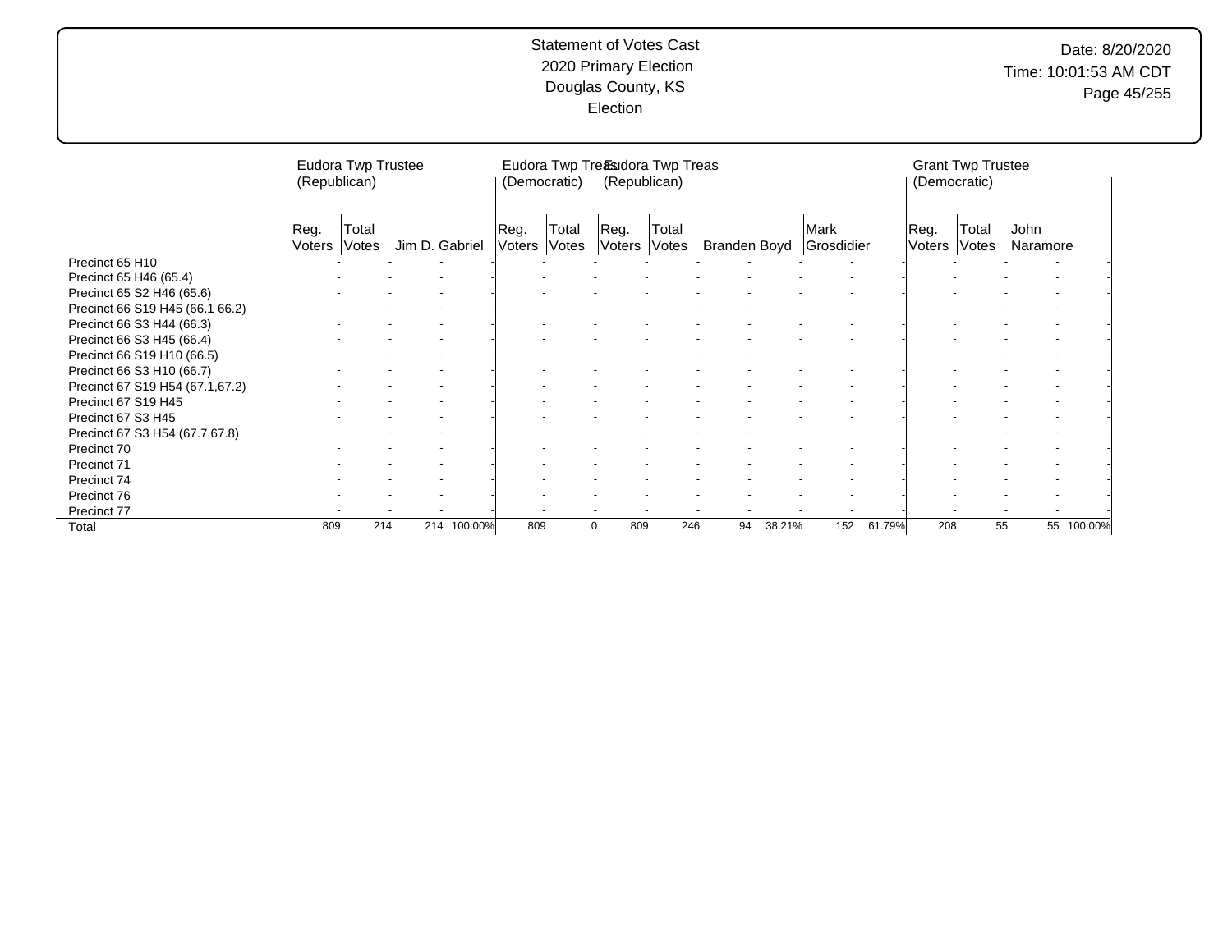|                                 | (Republican)   | Eudora Twp Trustee |                |                | (Democratic)   | Eudora Twp Treasudora Twp Treas<br>(Republican) |       |              |        |                    |        | (Democratic)   | <b>Grant Twp Trustee</b> |                  |            |
|---------------------------------|----------------|--------------------|----------------|----------------|----------------|-------------------------------------------------|-------|--------------|--------|--------------------|--------|----------------|--------------------------|------------------|------------|
|                                 | Reg.<br>Voters | Total<br>Votes     | Jim D. Gabriel | Reg.<br>Voters | Total<br>Votes | Reg.<br>Voters Votes                            | Total | Branden Boyd |        | Mark<br>Grosdidier |        | Reg.<br>Voters | Total<br>Votes           | John<br>Naramore |            |
| Precinct 65 H10                 |                |                    |                |                |                |                                                 |       |              |        |                    |        |                |                          |                  |            |
| Precinct 65 H46 (65.4)          |                |                    |                |                |                |                                                 |       |              |        |                    |        |                |                          |                  |            |
| Precinct 65 S2 H46 (65.6)       |                |                    |                |                |                |                                                 |       |              |        |                    |        |                |                          |                  |            |
| Precinct 66 S19 H45 (66.1 66.2) |                |                    |                |                |                |                                                 |       |              |        |                    |        |                |                          |                  |            |
| Precinct 66 S3 H44 (66.3)       |                |                    |                |                |                |                                                 |       |              |        |                    |        |                |                          |                  |            |
| Precinct 66 S3 H45 (66.4)       |                |                    |                |                |                |                                                 |       |              |        |                    |        |                |                          |                  |            |
| Precinct 66 S19 H10 (66.5)      |                |                    |                |                |                |                                                 |       |              |        |                    |        |                |                          |                  |            |
| Precinct 66 S3 H10 (66.7)       |                |                    |                |                |                |                                                 |       |              |        |                    |        |                |                          |                  |            |
| Precinct 67 S19 H54 (67.1,67.2) |                |                    |                |                |                |                                                 |       |              |        |                    |        |                |                          |                  |            |
| Precinct 67 S19 H45             |                |                    |                |                |                |                                                 |       |              |        |                    |        |                |                          |                  |            |
| Precinct 67 S3 H45              |                |                    |                |                |                |                                                 |       |              |        |                    |        |                |                          |                  |            |
| Precinct 67 S3 H54 (67.7,67.8)  |                |                    |                |                |                |                                                 |       |              |        |                    |        |                |                          |                  |            |
| Precinct 70                     |                |                    |                |                |                |                                                 |       |              |        |                    |        |                |                          |                  |            |
| Precinct 71                     |                |                    |                |                |                |                                                 |       |              |        |                    |        |                |                          |                  |            |
| Precinct 74                     |                |                    |                |                |                |                                                 |       |              |        |                    |        |                |                          |                  |            |
| Precinct 76                     |                |                    |                |                |                |                                                 |       |              |        |                    |        |                |                          |                  |            |
| Precinct 77                     |                |                    |                |                |                |                                                 |       |              |        |                    |        |                |                          |                  |            |
| Total                           | 809            | 214                | 214 100.00%    | 809            |                | 809<br>0                                        | 246   | 94           | 38.21% | 152                | 61.79% | 208            | 55                       |                  | 55 100.00% |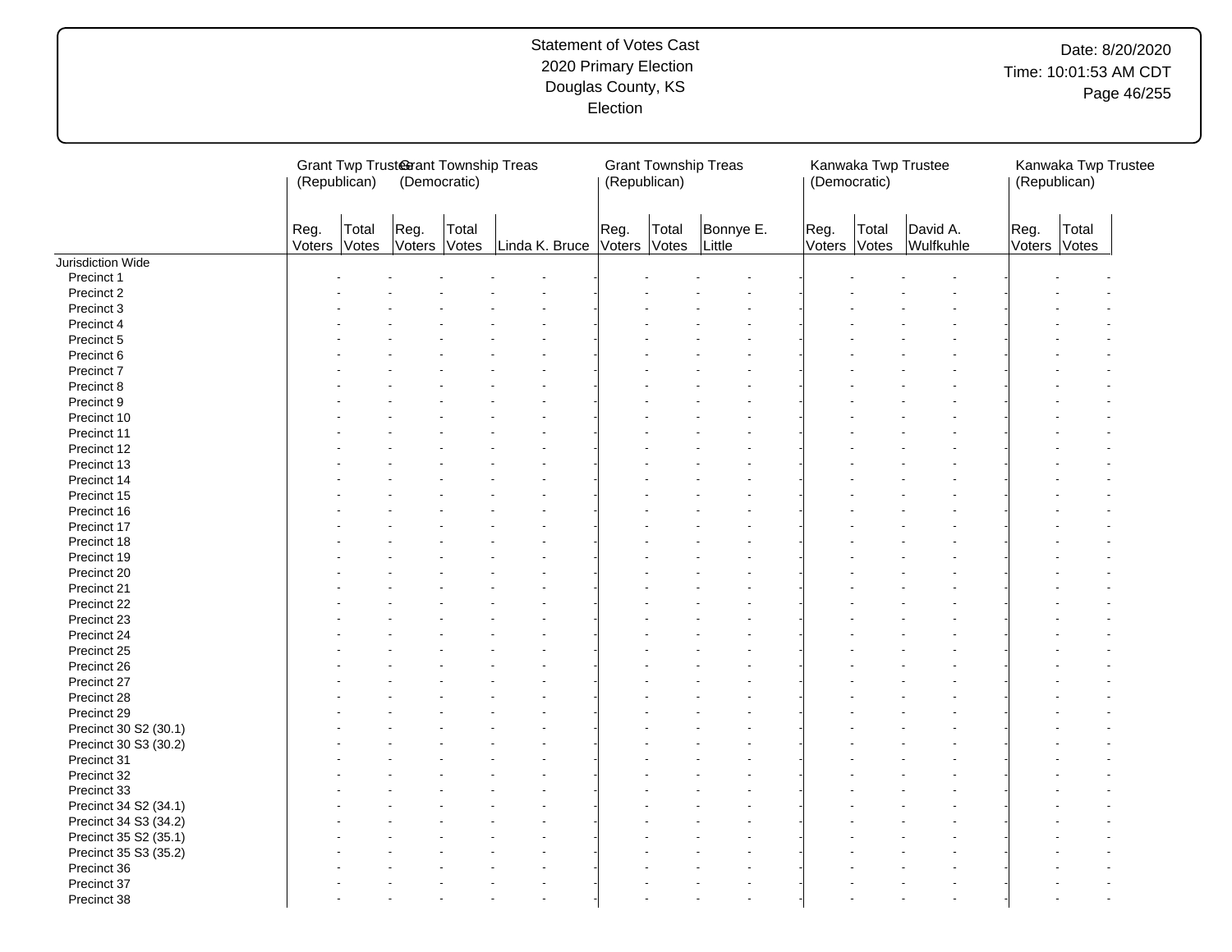# Date: 8/20/2020 Time: 10:01:53 AM CDT Page 46/255

|                       | (Republican)   |                | Grant Twp Trusterant Township Treas<br>(Democratic) |       |                | (Republican)   |                | <b>Grant Township Treas</b> | (Democratic)   |                | Kanwaka Twp Trustee   | (Republican)   | Kanwaka Twp Trustee |
|-----------------------|----------------|----------------|-----------------------------------------------------|-------|----------------|----------------|----------------|-----------------------------|----------------|----------------|-----------------------|----------------|---------------------|
|                       | Reg.<br>Voters | Total<br>Votes | Reg.<br>Voters Votes                                | Total | Linda K. Bruce | Reg.<br>Voters | Total<br>Votes | Bonnye E.<br>Little         | Reg.<br>Voters | Total<br>Votes | David A.<br>Wulfkuhle | Reg.<br>Voters | Total<br>Votes      |
| Jurisdiction Wide     |                |                |                                                     |       |                |                |                |                             |                |                |                       |                |                     |
| Precinct 1            |                |                |                                                     |       |                |                |                |                             |                |                |                       |                |                     |
| Precinct 2            |                |                |                                                     |       |                |                |                |                             |                |                |                       |                |                     |
| Precinct 3            |                |                |                                                     |       |                |                |                |                             |                |                |                       |                |                     |
| Precinct 4            |                |                |                                                     |       |                |                |                |                             |                |                |                       |                |                     |
| Precinct 5            |                |                |                                                     |       |                |                |                |                             |                |                |                       |                |                     |
| Precinct 6            |                |                |                                                     |       |                |                |                |                             |                |                |                       |                |                     |
| Precinct 7            |                |                |                                                     |       |                |                |                |                             |                |                |                       |                |                     |
| Precinct 8            |                |                |                                                     |       |                |                |                |                             |                |                |                       |                |                     |
| Precinct 9            |                |                |                                                     |       |                |                |                |                             |                |                |                       |                |                     |
| Precinct 10           |                |                |                                                     |       |                |                |                |                             |                |                |                       |                |                     |
| Precinct 11           |                |                |                                                     |       |                |                |                |                             |                |                |                       |                |                     |
| Precinct 12           |                |                |                                                     |       |                |                |                |                             |                |                |                       |                |                     |
| Precinct 13           |                |                |                                                     |       |                |                |                |                             |                |                |                       |                |                     |
| Precinct 14           |                |                |                                                     |       |                |                |                |                             |                |                |                       |                |                     |
| Precinct 15           |                |                |                                                     |       |                |                |                |                             |                |                |                       |                |                     |
| Precinct 16           |                |                |                                                     |       |                |                |                |                             |                |                |                       |                |                     |
| Precinct 17           |                |                |                                                     |       |                |                |                |                             |                |                |                       |                |                     |
| Precinct 18           |                |                |                                                     |       |                |                |                |                             |                |                |                       |                |                     |
| Precinct 19           |                |                |                                                     |       |                |                |                |                             |                |                |                       |                |                     |
| Precinct 20           |                |                |                                                     |       |                |                |                |                             |                |                |                       |                |                     |
| Precinct 21           |                |                |                                                     |       |                |                |                |                             |                |                |                       |                |                     |
|                       |                |                |                                                     |       |                |                |                |                             |                |                |                       |                |                     |
| Precinct 22           |                |                |                                                     |       |                |                |                |                             |                |                |                       |                |                     |
| Precinct 23           |                |                |                                                     |       |                |                |                |                             |                |                |                       |                |                     |
| Precinct 24           |                |                |                                                     |       |                |                |                |                             |                |                |                       |                |                     |
| Precinct 25           |                |                |                                                     |       |                |                |                |                             |                |                |                       |                |                     |
| Precinct 26           |                |                |                                                     |       |                |                |                |                             |                |                |                       |                |                     |
| Precinct 27           |                |                |                                                     |       |                |                |                |                             |                |                |                       |                |                     |
| Precinct 28           |                |                |                                                     |       |                |                |                |                             |                |                |                       |                |                     |
| Precinct 29           |                |                |                                                     |       |                |                |                |                             |                |                |                       |                |                     |
| Precinct 30 S2 (30.1) |                |                |                                                     |       |                |                |                |                             |                |                |                       |                |                     |
| Precinct 30 S3 (30.2) |                |                |                                                     |       |                |                |                |                             |                |                |                       |                |                     |
| Precinct 31           |                |                |                                                     |       |                |                |                |                             |                |                |                       |                |                     |
| Precinct 32           |                |                |                                                     |       |                |                |                |                             |                |                |                       |                |                     |
| Precinct 33           |                |                |                                                     |       |                |                |                |                             |                |                |                       |                |                     |
| Precinct 34 S2 (34.1) |                |                |                                                     |       |                |                |                |                             |                |                |                       |                |                     |
| Precinct 34 S3 (34.2) |                |                |                                                     |       |                |                |                |                             |                |                |                       |                |                     |
| Precinct 35 S2 (35.1) |                |                |                                                     |       |                |                |                |                             |                |                |                       |                |                     |
| Precinct 35 S3 (35.2) |                |                |                                                     |       |                |                |                |                             |                |                |                       |                |                     |
| Precinct 36           |                |                |                                                     |       |                |                |                |                             |                |                |                       |                |                     |
| Precinct 37           |                |                |                                                     |       |                |                |                |                             |                |                |                       |                |                     |
| Precinct 38           |                |                |                                                     |       |                |                |                |                             |                |                |                       |                |                     |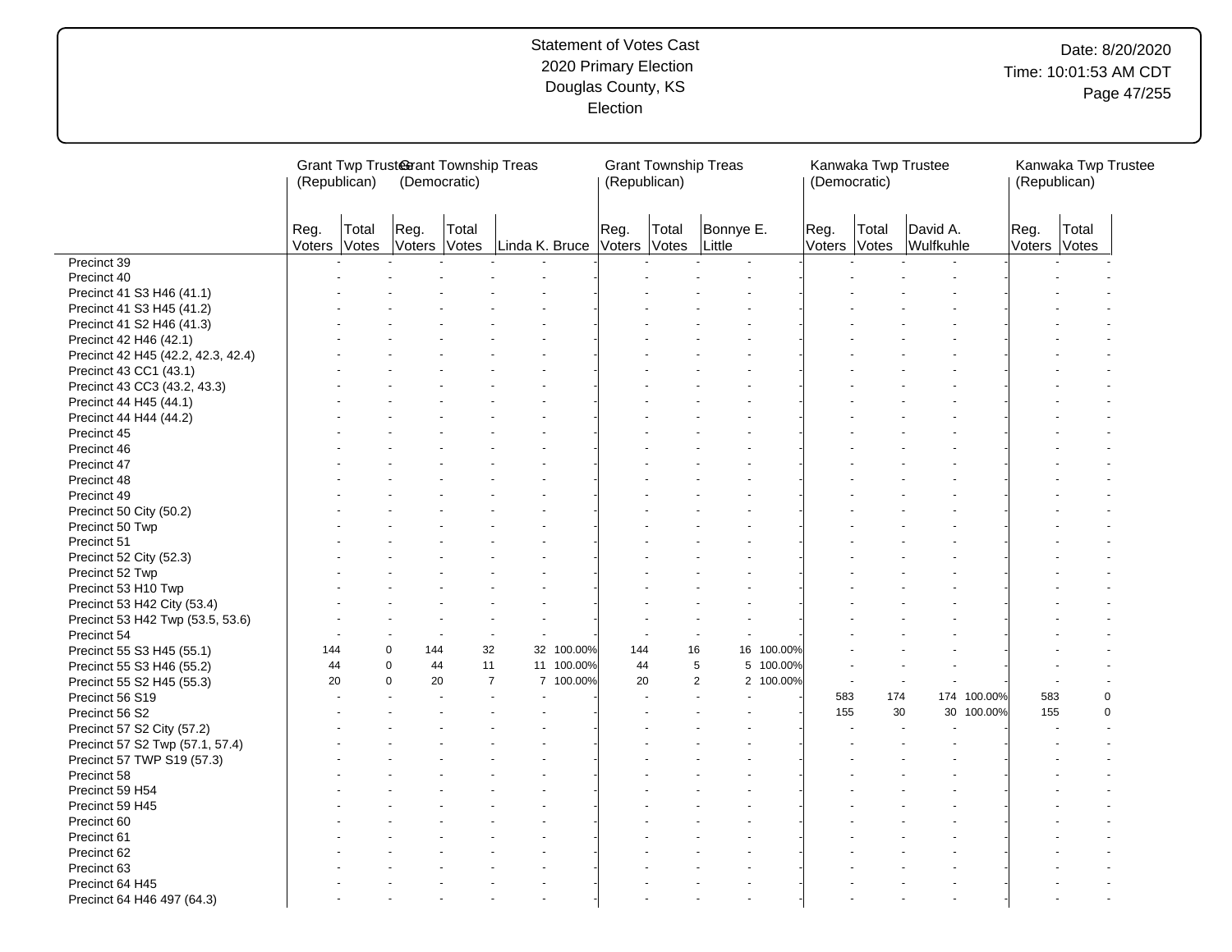# Date: 8/20/2020 Time: 10:01:53 AM CDT Page 47/255

|                                    | (Republican)   |                | Grant Twp Trusterant Township Treas<br>(Democratic) |       |                |            | (Republican)         |       | <b>Grant Township Treas</b> |            | (Democratic)         |       | Kanwaka Twp Trustee   |             | (Republican)         |       | Kanwaka Twp Trustee |
|------------------------------------|----------------|----------------|-----------------------------------------------------|-------|----------------|------------|----------------------|-------|-----------------------------|------------|----------------------|-------|-----------------------|-------------|----------------------|-------|---------------------|
|                                    | Reg.<br>Voters | Total<br>Votes | Reg.<br>Voters Votes                                | Total | Linda K. Bruce |            | Reg.<br>Voters Votes | Total | Bonnye E.<br>Little         |            | Reg.<br>Voters Votes | Total | David A.<br>Wulfkuhle |             | Reg.<br>Voters Votes | Total |                     |
| Precinct 39                        |                |                |                                                     |       |                |            |                      |       |                             |            |                      |       |                       |             |                      |       |                     |
| Precinct 40                        |                |                |                                                     |       |                |            |                      |       |                             |            |                      |       |                       |             |                      |       |                     |
| Precinct 41 S3 H46 (41.1)          |                |                |                                                     |       |                |            |                      |       |                             |            |                      |       |                       |             |                      |       |                     |
| Precinct 41 S3 H45 (41.2)          |                |                |                                                     |       |                |            |                      |       |                             |            |                      |       |                       |             |                      |       |                     |
| Precinct 41 S2 H46 (41.3)          |                |                |                                                     |       |                |            |                      |       |                             |            |                      |       |                       |             |                      |       |                     |
| Precinct 42 H46 (42.1)             |                |                |                                                     |       |                |            |                      |       |                             |            |                      |       |                       |             |                      |       |                     |
| Precinct 42 H45 (42.2, 42.3, 42.4) |                |                |                                                     |       |                |            |                      |       |                             |            |                      |       |                       |             |                      |       |                     |
| Precinct 43 CC1 (43.1)             |                |                |                                                     |       |                |            |                      |       |                             |            |                      |       |                       |             |                      |       |                     |
| Precinct 43 CC3 (43.2, 43.3)       |                |                |                                                     |       |                |            |                      |       |                             |            |                      |       |                       |             |                      |       |                     |
| Precinct 44 H45 (44.1)             |                |                |                                                     |       |                |            |                      |       |                             |            |                      |       |                       |             |                      |       |                     |
| Precinct 44 H44 (44.2)             |                |                |                                                     |       |                |            |                      |       |                             |            |                      |       |                       |             |                      |       |                     |
| Precinct 45                        |                |                |                                                     |       |                |            |                      |       |                             |            |                      |       |                       |             |                      |       |                     |
| Precinct 46                        |                |                |                                                     |       |                |            |                      |       |                             |            |                      |       |                       |             |                      |       |                     |
| Precinct 47                        |                |                |                                                     |       |                |            |                      |       |                             |            |                      |       |                       |             |                      |       |                     |
| Precinct 48                        |                |                |                                                     |       |                |            |                      |       |                             |            |                      |       |                       |             |                      |       |                     |
| Precinct 49                        |                |                |                                                     |       |                |            |                      |       |                             |            |                      |       |                       |             |                      |       |                     |
| Precinct 50 City (50.2)            |                |                |                                                     |       |                |            |                      |       |                             |            |                      |       |                       |             |                      |       |                     |
| Precinct 50 Twp                    |                |                |                                                     |       |                |            |                      |       |                             |            |                      |       |                       |             |                      |       |                     |
| Precinct 51                        |                |                |                                                     |       |                |            |                      |       |                             |            |                      |       |                       |             |                      |       |                     |
| Precinct 52 City (52.3)            |                |                |                                                     |       |                |            |                      |       |                             |            |                      |       |                       |             |                      |       |                     |
| Precinct 52 Twp                    |                |                |                                                     |       |                |            |                      |       |                             |            |                      |       |                       |             |                      |       |                     |
| Precinct 53 H10 Twp                |                |                |                                                     |       |                |            |                      |       |                             |            |                      |       |                       |             |                      |       |                     |
| Precinct 53 H42 City (53.4)        |                |                |                                                     |       |                |            |                      |       |                             |            |                      |       |                       |             |                      |       |                     |
| Precinct 53 H42 Twp (53.5, 53.6)   |                |                |                                                     |       |                |            |                      |       |                             |            |                      |       |                       |             |                      |       |                     |
| Precinct 54                        |                |                |                                                     |       |                |            |                      |       |                             |            |                      |       |                       |             |                      |       |                     |
| Precinct 55 S3 H45 (55.1)          | 144            |                | $\mathbf 0$<br>144                                  | 32    |                | 32 100.00% | 144                  |       | 16                          | 16 100.00% |                      |       |                       |             |                      |       |                     |
| Precinct 55 S3 H46 (55.2)          | 44             |                | $\mathbf 0$<br>44                                   | 11    |                | 11 100.00% | 44                   |       | 5                           | 5 100.00%  |                      |       |                       |             |                      |       |                     |
| Precinct 55 S2 H45 (55.3)          | 20             |                | 20<br>$\mathbf 0$                                   |       | $\overline{7}$ | 7 100.00%  | 20                   |       | $\overline{2}$              | 2 100.00%  |                      |       |                       |             |                      |       |                     |
| Precinct 56 S19                    |                |                |                                                     |       |                |            |                      |       |                             |            | 583                  | 174   |                       | 174 100.00% | 583                  |       | $\pmb{0}$           |
| Precinct 56 S2                     |                |                |                                                     |       |                |            |                      |       |                             |            | 155                  | 30    |                       | 30 100.00%  | 155                  |       | $\mathbf 0$         |
| Precinct 57 S2 City (57.2)         |                |                |                                                     |       |                |            |                      |       |                             |            |                      |       |                       |             |                      |       |                     |
| Precinct 57 S2 Twp (57.1, 57.4)    |                |                |                                                     |       |                |            |                      |       |                             |            |                      |       |                       |             |                      |       |                     |
| Precinct 57 TWP S19 (57.3)         |                |                |                                                     |       |                |            |                      |       |                             |            |                      |       |                       |             |                      |       |                     |
| Precinct 58                        |                |                |                                                     |       |                |            |                      |       |                             |            |                      |       |                       |             |                      |       |                     |
| Precinct 59 H54                    |                |                |                                                     |       |                |            |                      |       |                             |            |                      |       |                       |             |                      |       |                     |
| Precinct 59 H45                    |                |                |                                                     |       |                |            |                      |       |                             |            |                      |       |                       |             |                      |       |                     |
| Precinct 60                        |                |                |                                                     |       |                |            |                      |       |                             |            |                      |       |                       |             |                      |       |                     |
| Precinct 61                        |                |                |                                                     |       |                |            |                      |       |                             |            |                      |       |                       |             |                      |       |                     |
| Precinct 62                        |                |                |                                                     |       |                |            |                      |       |                             |            |                      |       |                       |             |                      |       |                     |
| Precinct 63                        |                |                |                                                     |       |                |            |                      |       |                             |            |                      |       |                       |             |                      |       |                     |
| Precinct 64 H45                    |                |                |                                                     |       |                |            |                      |       |                             |            |                      |       |                       |             |                      |       |                     |
| Precinct 64 H46 497 (64.3)         |                |                |                                                     |       |                |            |                      |       |                             |            |                      |       | ÷.                    |             |                      |       |                     |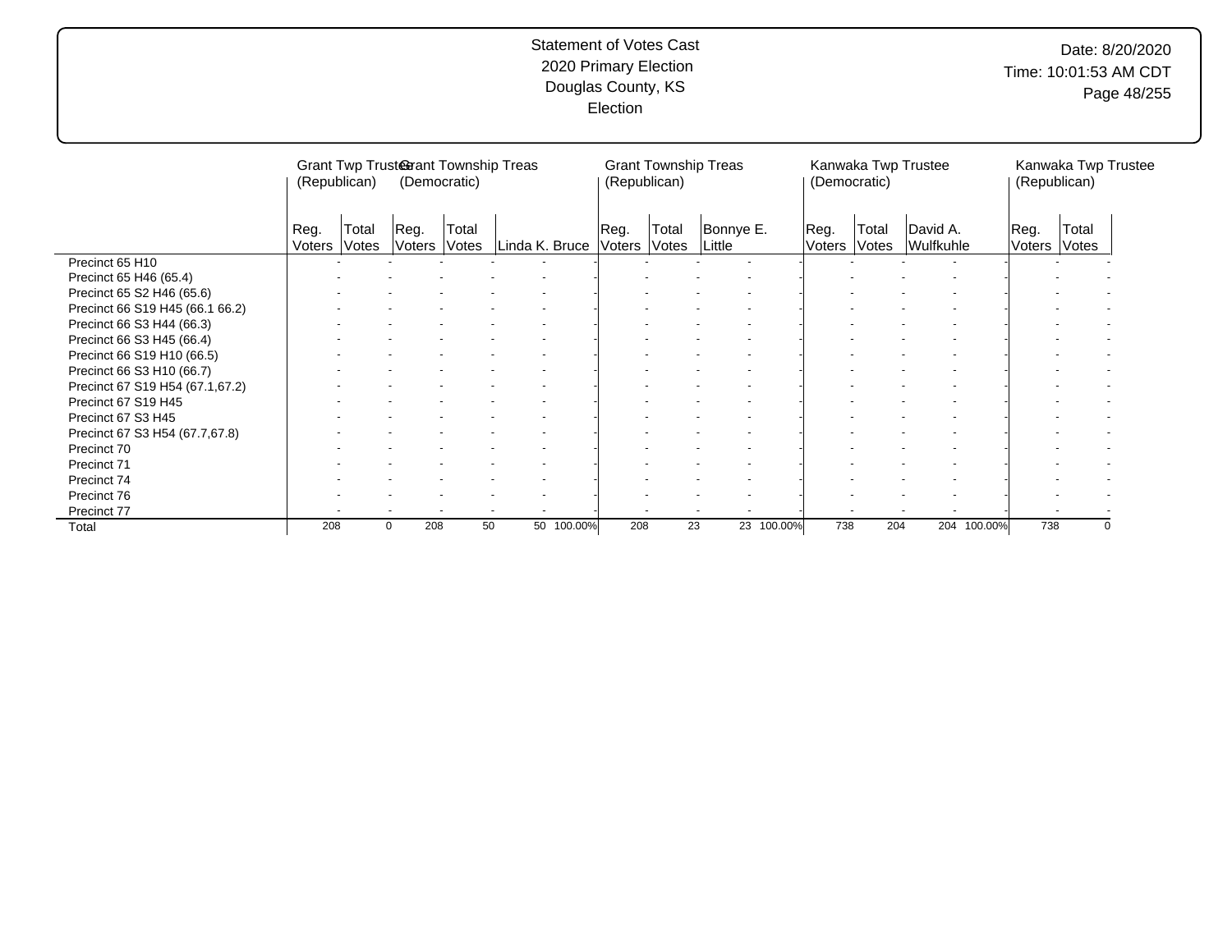# Date: 8/20/2020 Time: 10:01:53 AM CDT Page 48/255

|                                 | (Republican)   |                | Grant Twp Trusterant Township Treas | (Democratic)   |    |                |      | <b>Grant Township Treas</b><br>(Republican) |                     |      | (Democratic) |       | Kanwaka Twp Trustee   |             | (Republican)          | Kanwaka Twp Trustee |          |
|---------------------------------|----------------|----------------|-------------------------------------|----------------|----|----------------|------|---------------------------------------------|---------------------|------|--------------|-------|-----------------------|-------------|-----------------------|---------------------|----------|
|                                 | Reg.<br>Voters | Total<br>Votes | ∣Reg.<br>Voters                     | Total<br>Votes |    | Linda K. Bruce | Reg. | Total<br>Voters Votes                       | Bonnye E.<br>Little | Reg. | Voters Votes | Total | David A.<br>Wulfkuhle |             | Reg.<br><b>Voters</b> | Total<br>Votes      |          |
| Precinct 65 H10                 |                |                |                                     |                |    |                |      |                                             |                     |      |              |       |                       |             |                       |                     |          |
| Precinct 65 H46 (65.4)          |                |                |                                     |                |    |                |      |                                             |                     |      |              |       |                       |             |                       |                     |          |
| Precinct 65 S2 H46 (65.6)       |                |                |                                     |                |    |                |      |                                             |                     |      |              |       |                       |             |                       |                     |          |
| Precinct 66 S19 H45 (66.1 66.2) |                |                |                                     |                |    |                |      |                                             |                     |      |              |       |                       |             |                       |                     |          |
| Precinct 66 S3 H44 (66.3)       |                |                |                                     |                |    |                |      |                                             |                     |      |              |       |                       |             |                       |                     |          |
| Precinct 66 S3 H45 (66.4)       |                |                |                                     |                |    |                |      |                                             |                     |      |              |       |                       |             |                       |                     |          |
| Precinct 66 S19 H10 (66.5)      |                |                |                                     |                |    |                |      |                                             |                     |      |              |       |                       |             |                       |                     |          |
| Precinct 66 S3 H10 (66.7)       |                |                |                                     |                |    |                |      |                                             |                     |      |              |       |                       |             |                       |                     |          |
| Precinct 67 S19 H54 (67.1,67.2) |                |                |                                     |                |    |                |      |                                             |                     |      |              |       |                       |             |                       |                     |          |
| Precinct 67 S19 H45             |                |                |                                     |                |    |                |      |                                             |                     |      |              |       |                       |             |                       |                     |          |
| Precinct 67 S3 H45              |                |                |                                     |                |    |                |      |                                             |                     |      |              |       |                       |             |                       |                     |          |
| Precinct 67 S3 H54 (67.7,67.8)  |                |                |                                     |                |    |                |      |                                             |                     |      |              |       |                       |             |                       |                     |          |
| Precinct 70                     |                |                |                                     |                |    |                |      |                                             |                     |      |              |       |                       |             |                       |                     |          |
| Precinct 71                     |                |                |                                     |                |    |                |      |                                             |                     |      |              |       |                       |             |                       |                     |          |
| Precinct 74                     |                |                |                                     |                |    |                |      |                                             |                     |      |              |       |                       |             |                       |                     |          |
| Precinct 76                     |                |                |                                     |                |    |                |      |                                             |                     |      |              |       |                       |             |                       |                     |          |
| Precinct 77                     |                |                |                                     |                |    |                |      |                                             |                     |      |              |       |                       |             |                       |                     |          |
| Total                           | 208            |                | 208<br>0                            |                | 50 | 50 100.00%     | 208  | 23                                          | 23 100.00%          |      | 738          | 204   |                       | 204 100.00% | 738                   |                     | $\Omega$ |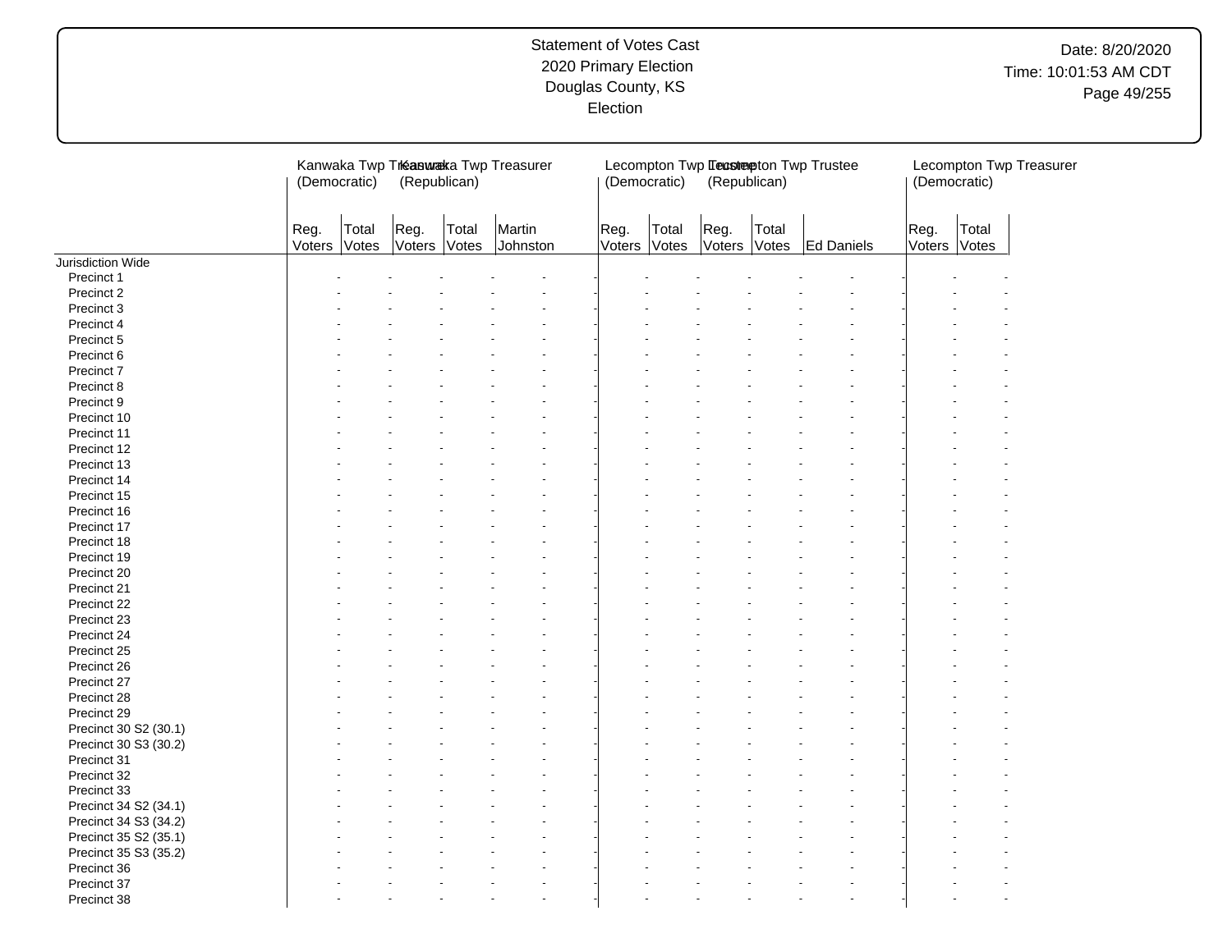|                       | (Democratic)   |                | (Republican)         |       | Kanwaka Twp Treasuraka Twp Treasurer |                | (Democratic)   | (Republican)         |       | Lecompton Twp Lecstepton Twp Trustee | (Democratic)   |                | Lecompton Twp Treasurer |
|-----------------------|----------------|----------------|----------------------|-------|--------------------------------------|----------------|----------------|----------------------|-------|--------------------------------------|----------------|----------------|-------------------------|
|                       | Reg.<br>Voters | Total<br>Votes | Reg.<br>Voters Votes | Total | Martin<br>Johnston                   | Reg.<br>Voters | Total<br>Votes | Reg.<br>Voters Votes | Total | Ed Daniels                           | Reg.<br>Voters | Total<br>Votes |                         |
| Jurisdiction Wide     |                |                |                      |       |                                      |                |                |                      |       |                                      |                |                |                         |
| Precinct 1            |                |                |                      |       |                                      |                |                |                      |       |                                      |                |                |                         |
| Precinct 2            |                |                |                      |       |                                      |                |                |                      |       |                                      |                |                |                         |
| Precinct 3            |                |                |                      |       |                                      |                |                |                      |       |                                      |                |                |                         |
| Precinct 4            |                |                |                      |       |                                      |                |                |                      |       |                                      |                |                |                         |
| Precinct 5            |                |                |                      |       |                                      |                |                |                      |       |                                      |                |                |                         |
| Precinct 6            |                |                |                      |       |                                      |                |                |                      |       |                                      |                |                |                         |
| Precinct 7            |                |                |                      |       |                                      |                |                |                      |       |                                      |                |                |                         |
| Precinct 8            |                |                |                      |       |                                      |                |                |                      |       |                                      |                |                |                         |
| Precinct 9            |                |                |                      |       |                                      |                |                |                      |       |                                      |                |                |                         |
| Precinct 10           |                |                |                      |       |                                      |                |                |                      |       |                                      |                |                |                         |
| Precinct 11           |                |                |                      |       |                                      |                |                |                      |       |                                      |                |                |                         |
|                       |                |                |                      |       |                                      |                |                |                      |       |                                      |                |                |                         |
| Precinct 12           |                |                |                      |       |                                      |                |                |                      |       |                                      |                |                |                         |
| Precinct 13           |                |                |                      |       |                                      |                |                |                      |       |                                      |                |                |                         |
| Precinct 14           |                |                |                      |       |                                      |                |                |                      |       |                                      |                |                |                         |
| Precinct 15           |                |                |                      |       |                                      |                |                |                      |       |                                      |                |                |                         |
| Precinct 16           |                |                |                      |       |                                      |                |                |                      |       |                                      |                |                |                         |
| Precinct 17           |                |                |                      |       |                                      |                |                |                      |       |                                      |                |                |                         |
| Precinct 18           |                |                |                      |       |                                      |                |                |                      |       |                                      |                |                |                         |
| Precinct 19           |                |                |                      |       |                                      |                |                |                      |       |                                      |                |                |                         |
| Precinct 20           |                |                |                      |       |                                      |                |                |                      |       |                                      |                |                |                         |
| Precinct 21           |                |                |                      |       |                                      |                |                |                      |       |                                      |                |                |                         |
| Precinct 22           |                |                |                      |       |                                      |                |                |                      |       |                                      |                |                |                         |
| Precinct 23           |                |                |                      |       |                                      |                |                |                      |       |                                      |                |                |                         |
| Precinct 24           |                |                |                      |       |                                      |                |                |                      |       |                                      |                |                |                         |
| Precinct 25           |                |                |                      |       |                                      |                |                |                      |       |                                      |                |                |                         |
| Precinct 26           |                |                |                      |       |                                      |                |                |                      |       |                                      |                |                |                         |
| Precinct 27           |                |                |                      |       |                                      |                |                |                      |       |                                      |                |                |                         |
| Precinct 28           |                |                |                      |       |                                      |                |                |                      |       |                                      |                |                |                         |
| Precinct 29           |                |                |                      |       |                                      |                |                |                      |       |                                      |                |                |                         |
|                       |                |                |                      |       |                                      |                |                |                      |       |                                      |                |                |                         |
| Precinct 30 S2 (30.1) |                |                |                      |       |                                      |                |                |                      |       |                                      |                |                |                         |
| Precinct 30 S3 (30.2) |                |                |                      |       |                                      |                |                |                      |       |                                      |                |                |                         |
| Precinct 31           |                |                |                      |       |                                      |                |                |                      |       |                                      |                |                |                         |
| Precinct 32           |                |                |                      |       |                                      |                |                |                      |       |                                      |                |                |                         |
| Precinct 33           |                |                |                      |       |                                      |                |                |                      |       |                                      |                |                |                         |
| Precinct 34 S2 (34.1) |                |                |                      |       |                                      |                |                |                      |       |                                      |                |                |                         |
| Precinct 34 S3 (34.2) |                |                |                      |       |                                      |                |                |                      |       |                                      |                |                |                         |
| Precinct 35 S2 (35.1) |                |                |                      |       |                                      |                |                |                      |       |                                      |                |                |                         |
| Precinct 35 S3 (35.2) |                |                |                      |       |                                      |                |                |                      |       |                                      |                |                |                         |
| Precinct 36           |                |                |                      |       |                                      |                |                |                      |       |                                      |                |                |                         |
| Precinct 37           |                |                |                      |       |                                      |                |                |                      |       |                                      |                |                |                         |
| Precinct 38           |                |                |                      |       |                                      |                |                |                      |       |                                      |                |                |                         |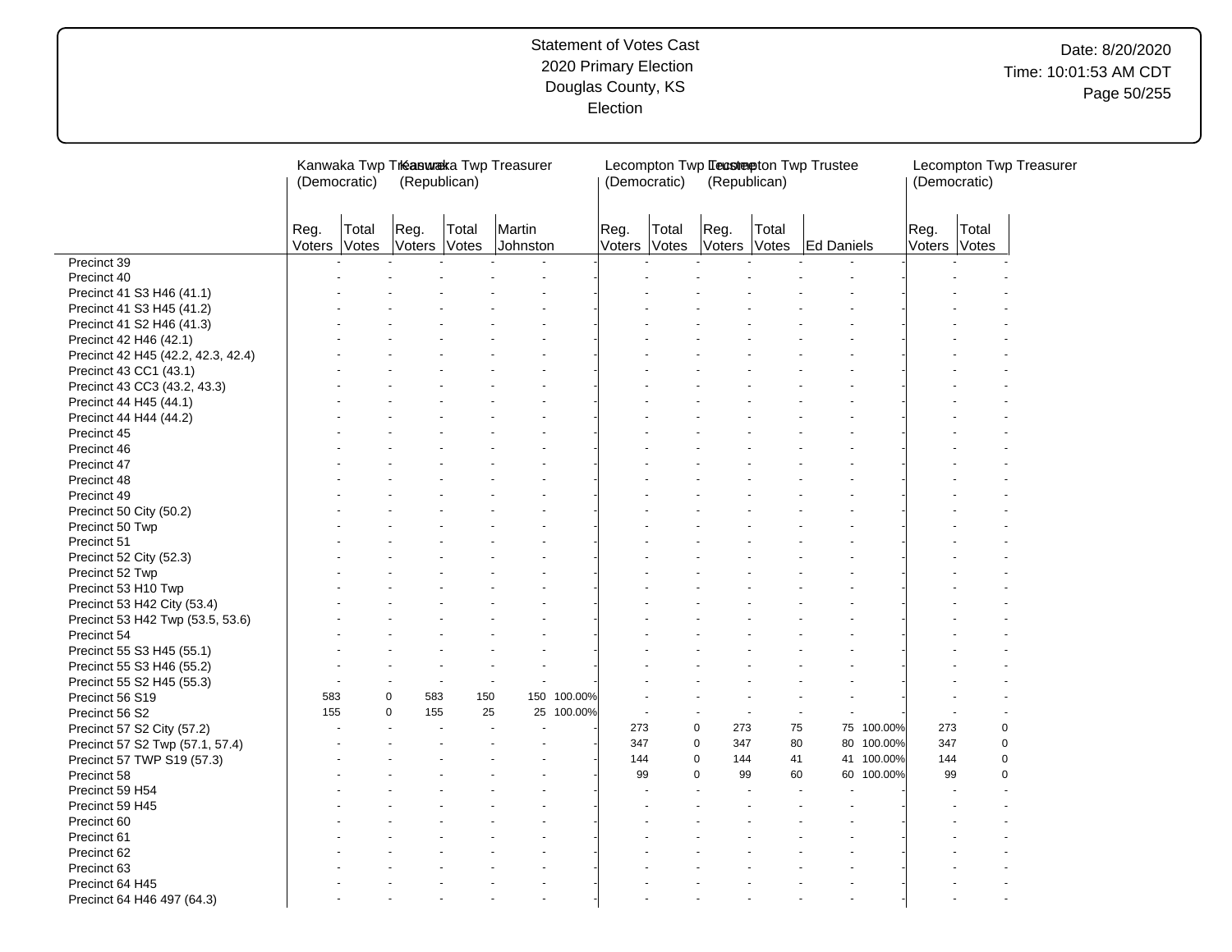# Date: 8/20/2020 Time: 10:01:53 AM CDT Page 50/255

|                                    | (Democratic)         |       | Kanwaka Twp Treasuraka Twp Treasurer<br>(Republican) |                |                      |             | (Democratic)   |                | (Republican)         |       | Lecompton Twp Leastepton Twp Trustee |            | (Democratic)   |                | Lecompton Twp Treasurer |
|------------------------------------|----------------------|-------|------------------------------------------------------|----------------|----------------------|-------------|----------------|----------------|----------------------|-------|--------------------------------------|------------|----------------|----------------|-------------------------|
|                                    | Reg.<br>Voters Votes | Total | Reg.<br>Voters                                       | Total<br>Votes | Martin<br>Johnston   |             | Reg.<br>Voters | Total<br>Votes | Reg.<br>Voters Votes | Total | Ed Daniels                           |            | Reg.<br>Voters | Total<br>Votes |                         |
| Precinct 39                        |                      |       |                                                      |                |                      |             |                |                |                      |       |                                      |            |                |                |                         |
| Precinct 40                        |                      |       |                                                      |                |                      |             |                |                |                      |       |                                      |            |                |                |                         |
| Precinct 41 S3 H46 (41.1)          |                      |       |                                                      |                |                      |             |                |                |                      |       |                                      |            |                |                |                         |
| Precinct 41 S3 H45 (41.2)          |                      |       |                                                      |                |                      |             |                |                |                      |       |                                      |            |                |                |                         |
| Precinct 41 S2 H46 (41.3)          |                      |       |                                                      |                |                      |             |                |                |                      |       |                                      |            |                |                |                         |
| Precinct 42 H46 (42.1)             |                      |       |                                                      |                |                      |             |                |                |                      |       |                                      |            |                |                |                         |
| Precinct 42 H45 (42.2, 42.3, 42.4) |                      |       |                                                      |                |                      |             |                |                |                      |       |                                      |            |                |                |                         |
| Precinct 43 CC1 (43.1)             |                      |       |                                                      |                |                      |             |                |                |                      |       |                                      |            |                |                |                         |
| Precinct 43 CC3 (43.2, 43.3)       |                      |       |                                                      |                |                      |             |                |                |                      |       |                                      |            |                |                |                         |
| Precinct 44 H45 (44.1)             |                      |       |                                                      |                |                      |             |                |                |                      |       |                                      |            |                |                |                         |
| Precinct 44 H44 (44.2)             |                      |       |                                                      |                |                      |             |                |                |                      |       |                                      |            |                |                |                         |
| Precinct 45                        |                      |       |                                                      |                |                      |             |                |                |                      |       |                                      |            |                |                |                         |
| Precinct 46                        |                      |       |                                                      |                |                      |             |                |                |                      |       |                                      |            |                |                |                         |
| Precinct 47                        |                      |       |                                                      |                |                      |             |                |                |                      |       |                                      |            |                |                |                         |
| Precinct 48                        |                      |       |                                                      |                |                      |             |                |                |                      |       |                                      |            |                |                |                         |
| Precinct 49                        |                      |       |                                                      |                |                      |             |                |                |                      |       |                                      |            |                |                |                         |
| Precinct 50 City (50.2)            |                      |       |                                                      |                |                      |             |                |                |                      |       |                                      |            |                |                |                         |
| Precinct 50 Twp                    |                      |       |                                                      |                |                      |             |                |                |                      |       |                                      |            |                |                |                         |
| Precinct 51                        |                      |       |                                                      |                |                      |             |                |                |                      |       |                                      |            |                |                |                         |
| Precinct 52 City (52.3)            |                      |       |                                                      |                |                      |             |                |                |                      |       |                                      |            |                |                |                         |
| Precinct 52 Twp                    |                      |       |                                                      |                |                      |             |                |                |                      |       |                                      |            |                |                |                         |
| Precinct 53 H10 Twp                |                      |       |                                                      |                |                      |             |                |                |                      |       |                                      |            |                |                |                         |
| Precinct 53 H42 City (53.4)        |                      |       |                                                      |                |                      |             |                |                |                      |       |                                      |            |                |                |                         |
| Precinct 53 H42 Twp (53.5, 53.6)   |                      |       |                                                      |                |                      |             |                |                |                      |       |                                      |            |                |                |                         |
| Precinct 54                        |                      |       |                                                      |                |                      |             |                |                |                      |       |                                      |            |                |                |                         |
|                                    |                      |       |                                                      |                |                      |             |                |                |                      |       |                                      |            |                |                |                         |
| Precinct 55 S3 H45 (55.1)          |                      |       |                                                      |                |                      |             |                |                |                      |       |                                      |            |                |                |                         |
| Precinct 55 S3 H46 (55.2)          |                      |       |                                                      | ä,             |                      |             |                |                |                      |       |                                      |            |                |                |                         |
| Precinct 55 S2 H45 (55.3)          | 583                  |       | $\mathbf 0$<br>583                                   | 150            |                      | 150 100.00% |                |                |                      |       |                                      |            |                |                |                         |
| Precinct 56 S19                    | 155                  |       | $\mathbf 0$<br>155                                   | 25             |                      | 25 100.00%  |                |                |                      |       |                                      |            |                |                |                         |
| Precinct 56 S2                     |                      |       |                                                      |                |                      |             | 273            |                | 0<br>273             | 75    |                                      | 75 100.00% | 273            | $\mathbf 0$    |                         |
| Precinct 57 S2 City (57.2)         |                      |       |                                                      |                |                      |             | 347            |                | $\mathbf 0$          | 80    | 80                                   |            | 347            | $\mathbf 0$    |                         |
| Precinct 57 S2 Twp (57.1, 57.4)    |                      |       |                                                      |                |                      |             | 144            |                | 347<br>$\mathbf 0$   | 41    | 41                                   | 100.00%    | 144            | $\mathbf 0$    |                         |
| Precinct 57 TWP S19 (57.3)         |                      |       |                                                      |                |                      |             | 99             |                | 144<br>$\Omega$      |       |                                      | 100.00%    | 99             | $\mathbf 0$    |                         |
| Precinct 58                        |                      |       |                                                      |                |                      |             |                |                | 99                   | 60    | 60                                   | 100.00%    |                |                |                         |
| Precinct 59 H54                    |                      |       |                                                      |                |                      |             |                |                |                      |       |                                      |            |                |                |                         |
| Precinct 59 H45                    |                      |       |                                                      |                |                      |             |                |                |                      |       |                                      |            |                |                |                         |
| Precinct 60                        |                      |       |                                                      |                |                      |             |                |                |                      |       |                                      |            |                |                |                         |
| Precinct 61                        |                      |       |                                                      |                |                      |             |                |                |                      |       |                                      |            |                |                |                         |
| Precinct 62                        |                      |       |                                                      |                |                      |             |                |                |                      |       |                                      |            |                |                |                         |
| Precinct 63                        |                      |       |                                                      |                |                      |             |                |                |                      |       |                                      |            |                |                |                         |
| Precinct 64 H45                    |                      |       |                                                      |                |                      |             |                |                |                      |       |                                      |            |                |                |                         |
| Precinct 64 H46 497 (64.3)         |                      |       |                                                      |                | $\ddot{\phantom{1}}$ |             |                |                |                      |       |                                      |            |                |                |                         |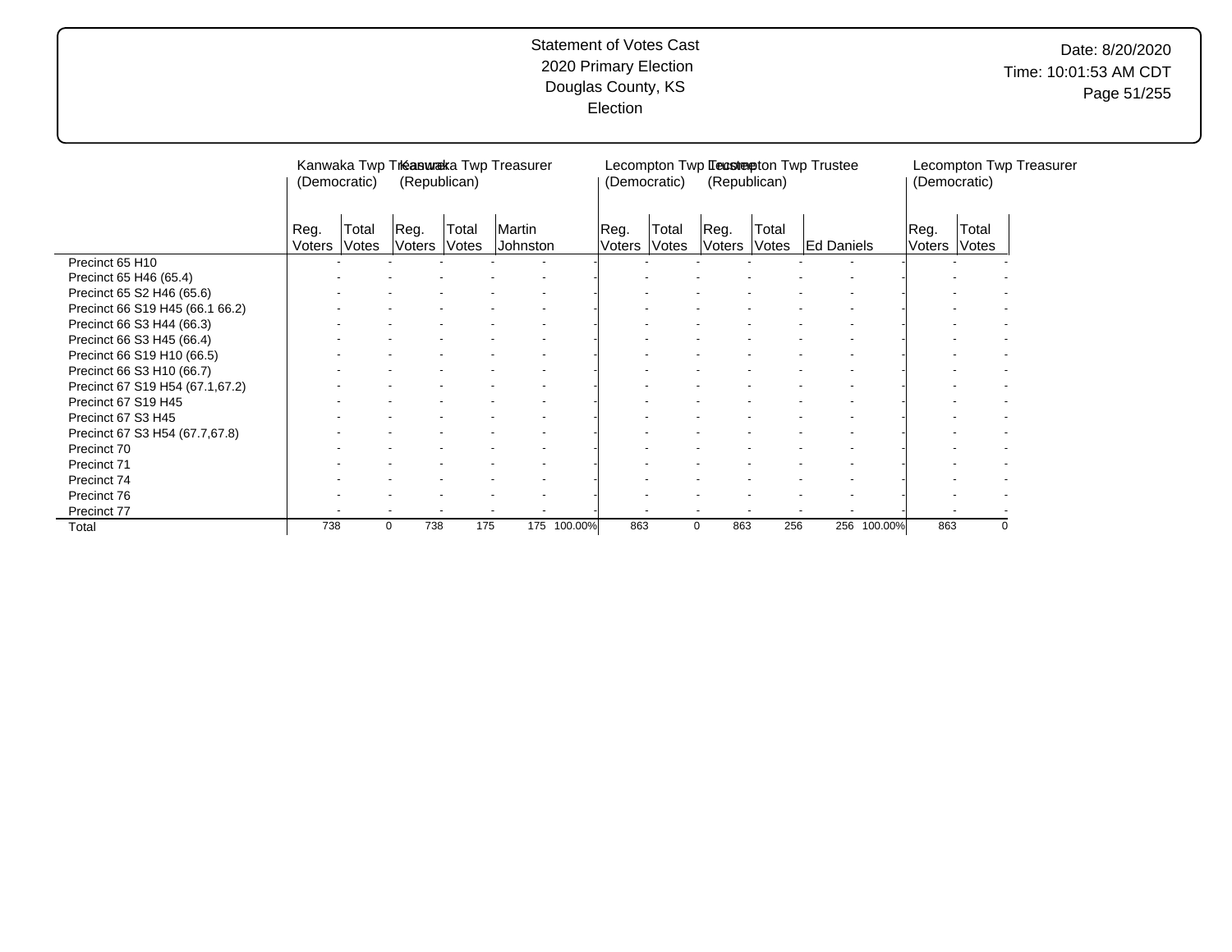|                                 | (Democratic)   |                       |                      | (Republican) | Kanwaka Twp Treasuraka Twp Treasurer |             |                 | (Democratic)   | (Republican)           |       | Lecompton Twp Leastepton Twp Trustee |         | (Democratic)   |                 | Lecompton Twp Treasurer |
|---------------------------------|----------------|-----------------------|----------------------|--------------|--------------------------------------|-------------|-----------------|----------------|------------------------|-------|--------------------------------------|---------|----------------|-----------------|-------------------------|
|                                 | Reg.<br>Voters | Total<br><b>Votes</b> | Reg.<br>Voters Votes | Total        | Martin<br>Johnston                   |             | ⊩Reg.<br>Voters | Total<br>Votes | Reg.<br>Voters   Votes | Total | <b>Ed Daniels</b>                    |         | Reg.<br>Voters | Total<br> Votes |                         |
| Precinct 65 H10                 |                |                       |                      |              |                                      |             |                 |                |                        |       |                                      |         |                |                 |                         |
| Precinct 65 H46 (65.4)          |                |                       |                      |              |                                      |             |                 |                |                        |       |                                      |         |                |                 |                         |
| Precinct 65 S2 H46 (65.6)       |                |                       |                      |              |                                      |             |                 |                |                        |       |                                      |         |                |                 |                         |
| Precinct 66 S19 H45 (66.1 66.2) |                |                       |                      |              |                                      |             |                 |                |                        |       |                                      |         |                |                 |                         |
| Precinct 66 S3 H44 (66.3)       |                |                       |                      |              |                                      |             |                 |                |                        |       |                                      |         |                |                 |                         |
| Precinct 66 S3 H45 (66.4)       |                |                       |                      |              |                                      |             |                 |                |                        |       |                                      |         |                |                 |                         |
| Precinct 66 S19 H10 (66.5)      |                |                       |                      |              |                                      |             |                 |                |                        |       |                                      |         |                |                 |                         |
| Precinct 66 S3 H10 (66.7)       |                |                       |                      |              |                                      |             |                 |                |                        |       |                                      |         |                |                 |                         |
| Precinct 67 S19 H54 (67.1,67.2) |                |                       |                      |              |                                      |             |                 |                |                        |       |                                      |         |                |                 |                         |
| Precinct 67 S19 H45             |                |                       |                      |              |                                      |             |                 |                |                        |       |                                      |         |                |                 |                         |
| Precinct 67 S3 H45              |                |                       |                      |              |                                      |             |                 |                |                        |       |                                      |         |                |                 |                         |
| Precinct 67 S3 H54 (67.7,67.8)  |                |                       |                      |              |                                      |             |                 |                |                        |       |                                      |         |                |                 |                         |
| Precinct 70                     |                |                       |                      |              |                                      |             |                 |                |                        |       |                                      |         |                |                 |                         |
| Precinct 71                     |                |                       |                      |              |                                      |             |                 |                |                        |       |                                      |         |                |                 |                         |
| Precinct 74                     |                |                       |                      |              |                                      |             |                 |                |                        |       |                                      |         |                |                 |                         |
| Precinct 76                     |                |                       |                      |              |                                      |             |                 |                |                        |       |                                      |         |                |                 |                         |
| Precinct 77                     |                |                       |                      |              |                                      |             |                 |                |                        |       |                                      |         |                |                 |                         |
| Total                           | 738            |                       | 738<br>0             | 175          |                                      | 175 100.00% | 863             |                | 863<br>$\mathbf{0}$    | 256   | 256                                  | 100.00% | 863            | 0               |                         |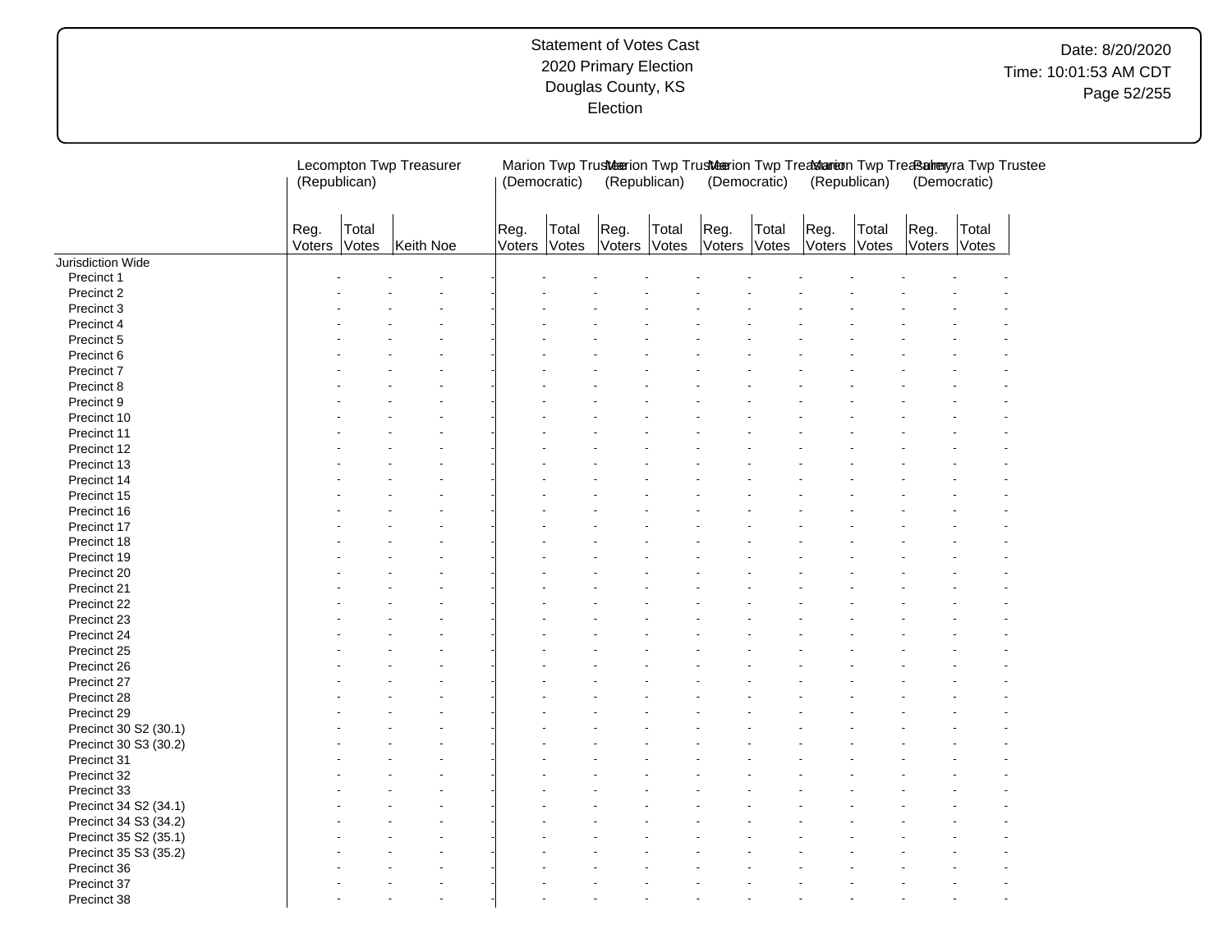|                       |                | Lecompton Twp Treasurer<br>(Republican) |           |                | (Democratic)   |                | (Republican)   |                | (Democratic)   | (Republican)   |                | (Democratic)   | Marion Twp Trusteerion Twp Trusteerion Twp Treatlareon Twp Treats alreayra Twp Trustee |
|-----------------------|----------------|-----------------------------------------|-----------|----------------|----------------|----------------|----------------|----------------|----------------|----------------|----------------|----------------|----------------------------------------------------------------------------------------|
|                       | Reg.<br>Voters | Total<br>Votes                          | Keith Noe | Reg.<br>Voters | Total<br>Votes | Reg.<br>Voters | Total<br>Votes | Reg.<br>Voters | Total<br>Votes | Reg.<br>Voters | Total<br>Votes | Reg.<br>Voters | Total<br>Votes                                                                         |
| Jurisdiction Wide     |                |                                         |           |                |                |                |                |                |                |                |                |                |                                                                                        |
| Precinct 1            |                |                                         |           |                |                |                |                |                |                |                |                |                |                                                                                        |
| Precinct 2            |                |                                         |           |                |                |                |                |                |                |                |                |                |                                                                                        |
| Precinct 3            |                |                                         |           |                |                |                |                |                |                |                |                |                |                                                                                        |
| Precinct 4            |                |                                         |           |                |                |                |                |                |                |                |                |                |                                                                                        |
| Precinct 5            |                |                                         |           |                |                |                |                |                |                |                |                |                |                                                                                        |
| Precinct 6            |                |                                         |           |                |                |                |                |                |                |                |                |                |                                                                                        |
| Precinct 7            |                |                                         |           |                |                |                |                |                |                |                |                |                |                                                                                        |
| Precinct 8            |                |                                         |           |                |                |                |                |                |                |                |                |                |                                                                                        |
| Precinct 9            |                |                                         |           |                |                |                |                |                |                |                |                |                |                                                                                        |
|                       |                |                                         |           |                |                |                |                |                |                |                |                |                |                                                                                        |
| Precinct 10           |                |                                         |           |                |                |                |                |                |                |                |                |                |                                                                                        |
| Precinct 11           |                |                                         |           |                |                |                |                |                |                |                |                |                |                                                                                        |
| Precinct 12           |                |                                         |           |                |                |                |                |                |                |                |                |                |                                                                                        |
| Precinct 13           |                |                                         |           |                |                |                |                |                |                |                |                |                |                                                                                        |
| Precinct 14           |                |                                         |           |                |                |                |                |                |                |                |                |                |                                                                                        |
| Precinct 15           |                |                                         |           |                |                |                |                |                |                |                |                |                |                                                                                        |
| Precinct 16           |                |                                         |           |                |                |                |                |                |                |                |                |                |                                                                                        |
| Precinct 17           |                |                                         |           |                |                |                |                |                |                |                |                |                |                                                                                        |
| Precinct 18           |                |                                         |           |                |                |                |                |                |                |                |                |                |                                                                                        |
| Precinct 19           |                |                                         |           |                |                |                |                |                |                |                |                |                |                                                                                        |
| Precinct 20           |                |                                         |           |                |                |                |                |                |                |                |                |                |                                                                                        |
| Precinct 21           |                |                                         |           |                |                |                |                |                |                |                |                |                |                                                                                        |
| Precinct 22           |                |                                         |           |                |                |                |                |                |                |                |                |                |                                                                                        |
| Precinct 23           |                |                                         |           |                |                |                |                |                |                |                |                |                |                                                                                        |
| Precinct 24           |                |                                         |           |                |                |                |                |                |                |                |                |                |                                                                                        |
| Precinct 25           |                |                                         |           |                |                |                |                |                |                |                |                |                |                                                                                        |
| Precinct 26           |                |                                         |           |                |                |                |                |                |                |                |                |                |                                                                                        |
| Precinct 27           |                |                                         |           |                |                |                |                |                |                |                |                |                |                                                                                        |
| Precinct 28           |                |                                         |           |                |                |                |                |                |                |                |                |                |                                                                                        |
|                       |                |                                         |           |                |                |                |                |                |                |                |                |                |                                                                                        |
| Precinct 29           |                |                                         |           |                |                |                |                |                |                |                |                |                |                                                                                        |
| Precinct 30 S2 (30.1) |                |                                         |           |                |                |                |                |                |                |                |                |                |                                                                                        |
| Precinct 30 S3 (30.2) |                |                                         |           |                |                |                |                |                |                |                |                |                |                                                                                        |
| Precinct 31           |                |                                         |           |                |                |                |                |                |                |                |                |                |                                                                                        |
| Precinct 32           |                |                                         |           |                |                |                |                |                |                |                |                |                |                                                                                        |
| Precinct 33           |                |                                         |           |                |                |                |                |                |                |                |                |                |                                                                                        |
| Precinct 34 S2 (34.1) |                |                                         |           |                |                |                |                |                |                |                |                |                |                                                                                        |
| Precinct 34 S3 (34.2) |                |                                         |           |                |                |                |                |                |                |                |                |                |                                                                                        |
| Precinct 35 S2 (35.1) |                |                                         |           |                |                |                |                |                |                |                |                |                |                                                                                        |
| Precinct 35 S3 (35.2) |                |                                         |           |                |                |                |                |                |                |                |                |                |                                                                                        |
| Precinct 36           |                |                                         |           |                |                |                |                |                |                |                |                |                |                                                                                        |
| Precinct 37           |                |                                         |           |                |                |                |                |                |                |                |                |                |                                                                                        |
| Precinct 38           |                |                                         |           |                |                |                |                |                |                |                |                |                |                                                                                        |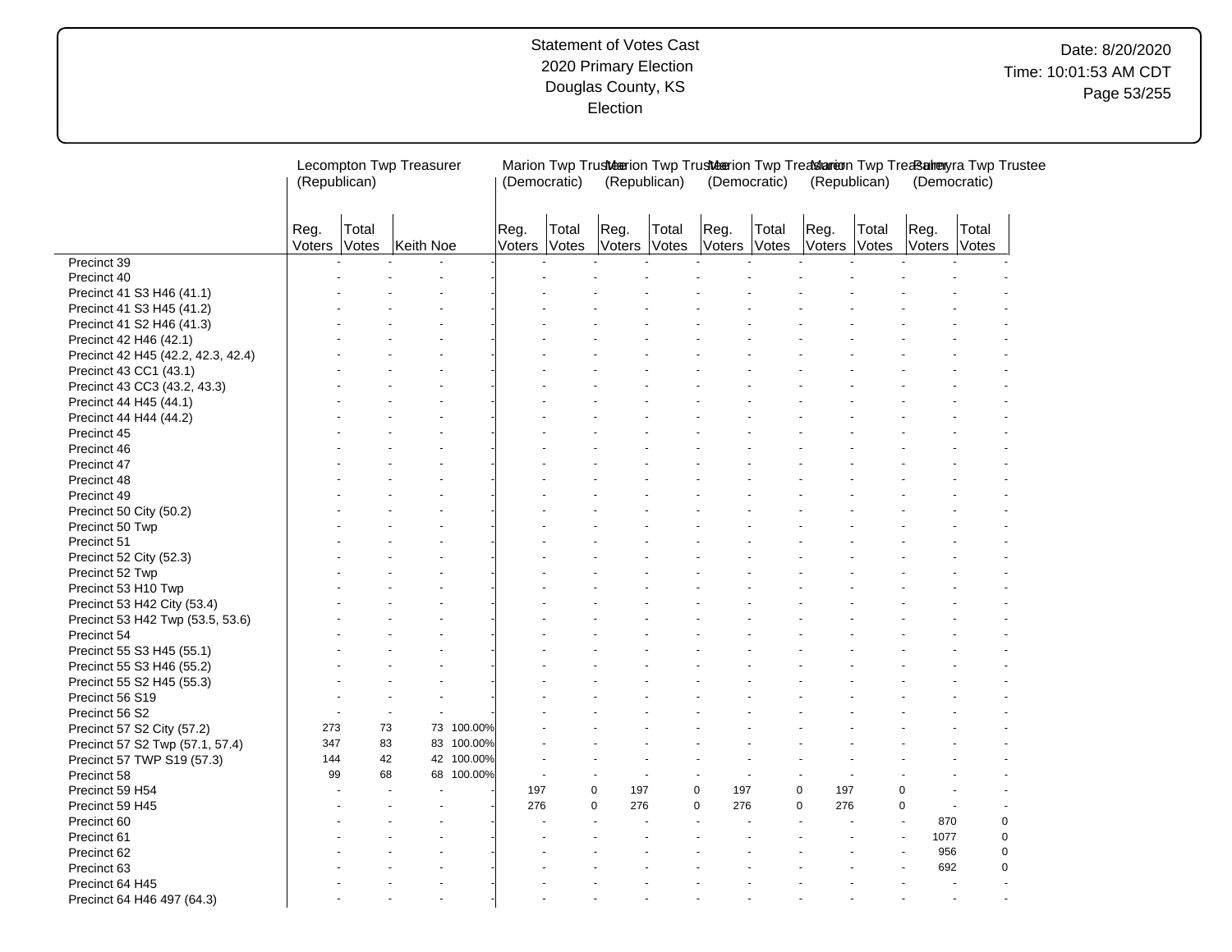# Date: 8/20/2020 Time: 10:01:53 AM CDT Page 53/255

|                                    | Lecompton Twp Treasurer<br>(Republican) |                |           | (Democratic) |                |                | (Republican)       | Marion Twp Trusteerion Twp Trusteerion Twp Treatslareon Twp Treats alreayra Twp Trustee | (Democratic)   |                | (Republican)       |                       | (Democratic)   |                |  |
|------------------------------------|-----------------------------------------|----------------|-----------|--------------|----------------|----------------|--------------------|-----------------------------------------------------------------------------------------|----------------|----------------|--------------------|-----------------------|----------------|----------------|--|
|                                    | Reg.<br>Voters                          | Total<br>Votes | Keith Noe |              | Reg.<br>Voters | Total<br>Votes | Reg.               | Total<br>Voters Votes                                                                   | Reg.<br>Voters | Total<br>Votes | Reg.               | Total<br>Voters Votes | Reg.<br>Voters | Total<br>Votes |  |
| Precinct 39                        |                                         |                |           |              |                |                |                    |                                                                                         |                |                |                    |                       |                |                |  |
| Precinct 40                        |                                         |                |           |              |                |                |                    |                                                                                         |                |                |                    |                       |                |                |  |
| Precinct 41 S3 H46 (41.1)          |                                         |                |           |              |                |                |                    |                                                                                         |                |                |                    |                       |                |                |  |
| Precinct 41 S3 H45 (41.2)          |                                         |                |           |              |                |                |                    |                                                                                         |                |                |                    |                       |                |                |  |
| Precinct 41 S2 H46 (41.3)          |                                         |                |           |              |                |                |                    |                                                                                         |                |                |                    |                       |                |                |  |
| Precinct 42 H46 (42.1)             |                                         |                |           |              |                |                |                    |                                                                                         |                |                |                    |                       |                |                |  |
| Precinct 42 H45 (42.2, 42.3, 42.4) |                                         |                |           |              |                |                |                    |                                                                                         |                |                |                    |                       |                |                |  |
| Precinct 43 CC1 (43.1)             |                                         |                |           |              |                |                |                    |                                                                                         |                |                |                    |                       |                |                |  |
| Precinct 43 CC3 (43.2, 43.3)       |                                         |                |           |              |                |                |                    |                                                                                         |                |                |                    |                       |                |                |  |
| Precinct 44 H45 (44.1)             |                                         |                |           |              |                |                |                    |                                                                                         |                |                |                    |                       |                |                |  |
| Precinct 44 H44 (44.2)             |                                         |                |           |              |                |                |                    |                                                                                         |                |                |                    |                       |                |                |  |
| Precinct 45                        |                                         |                |           |              |                |                |                    |                                                                                         |                |                |                    |                       |                |                |  |
| Precinct 46                        |                                         |                |           |              |                |                |                    |                                                                                         |                |                |                    |                       |                |                |  |
| Precinct 47                        |                                         |                |           |              |                |                |                    |                                                                                         |                |                |                    |                       |                |                |  |
| Precinct 48                        |                                         |                |           |              |                |                |                    |                                                                                         |                |                |                    |                       |                |                |  |
| Precinct 49                        |                                         |                |           |              |                |                |                    |                                                                                         |                |                |                    |                       |                |                |  |
| Precinct 50 City (50.2)            |                                         |                |           |              |                |                |                    |                                                                                         |                |                |                    |                       |                |                |  |
| Precinct 50 Twp                    |                                         |                |           |              |                |                |                    |                                                                                         |                |                |                    |                       |                |                |  |
| Precinct 51                        |                                         |                |           |              |                |                |                    |                                                                                         |                |                |                    |                       |                |                |  |
|                                    |                                         |                |           |              |                |                |                    |                                                                                         |                |                |                    |                       |                |                |  |
| Precinct 52 City (52.3)            |                                         |                |           |              |                |                |                    |                                                                                         |                |                |                    |                       |                |                |  |
| Precinct 52 Twp                    |                                         |                |           |              |                |                |                    |                                                                                         |                |                |                    |                       |                |                |  |
| Precinct 53 H10 Twp                |                                         |                |           |              |                |                |                    |                                                                                         |                |                |                    |                       |                |                |  |
| Precinct 53 H42 City (53.4)        |                                         |                |           |              |                |                |                    |                                                                                         |                |                |                    |                       |                |                |  |
| Precinct 53 H42 Twp (53.5, 53.6)   |                                         |                |           |              |                |                |                    |                                                                                         |                |                |                    |                       |                |                |  |
| Precinct 54                        |                                         |                |           |              |                |                |                    |                                                                                         |                |                |                    |                       |                |                |  |
| Precinct 55 S3 H45 (55.1)          |                                         |                |           |              |                |                |                    |                                                                                         |                |                |                    |                       |                |                |  |
| Precinct 55 S3 H46 (55.2)          |                                         |                |           |              |                |                |                    |                                                                                         |                |                |                    |                       |                |                |  |
| Precinct 55 S2 H45 (55.3)          |                                         |                |           |              |                |                |                    |                                                                                         |                |                |                    |                       |                |                |  |
| Precinct 56 S19                    |                                         |                |           |              |                |                |                    |                                                                                         |                |                |                    |                       |                |                |  |
| Precinct 56 S2                     |                                         |                |           |              |                |                |                    |                                                                                         |                |                |                    |                       |                |                |  |
| Precinct 57 S2 City (57.2)         | 273                                     | 73             |           | 73 100.00%   |                |                |                    |                                                                                         |                |                |                    |                       |                |                |  |
| Precinct 57 S2 Twp (57.1, 57.4)    | 347                                     | 83             |           | 83 100.00%   |                |                |                    |                                                                                         |                |                |                    |                       |                |                |  |
| Precinct 57 TWP S19 (57.3)         | 144                                     | 42             |           | 42 100.00%   |                |                |                    |                                                                                         |                |                |                    |                       |                |                |  |
| Precinct 58                        | 99                                      | 68             |           | 68 100.00%   |                |                |                    |                                                                                         |                |                |                    |                       |                |                |  |
| Precinct 59 H54                    |                                         |                |           |              | 197            |                | $\mathbf 0$<br>197 |                                                                                         | 0<br>197       |                | 197<br>0           |                       | 0              |                |  |
| Precinct 59 H45                    |                                         |                |           |              | 276            |                | $\Omega$<br>276    |                                                                                         | 0<br>276       |                | $\mathbf 0$<br>276 |                       | $\mathbf 0$    |                |  |
| Precinct 60                        |                                         |                |           |              |                |                |                    |                                                                                         |                |                |                    |                       | 870            | $\mathbf 0$    |  |
| Precinct 61                        |                                         |                |           |              |                |                |                    |                                                                                         |                |                |                    |                       | 1077           | $\mathbf 0$    |  |
| Precinct 62                        |                                         |                |           |              |                |                |                    |                                                                                         |                |                |                    |                       | 956            | $\mathbf 0$    |  |
| Precinct 63                        |                                         |                |           |              |                |                |                    |                                                                                         |                |                |                    |                       | 692            | $\mathbf 0$    |  |
| Precinct 64 H45                    |                                         |                |           |              |                |                |                    |                                                                                         |                |                |                    |                       |                |                |  |
| Precinct 64 H46 497 (64.3)         |                                         |                |           |              |                |                |                    |                                                                                         |                |                |                    |                       |                |                |  |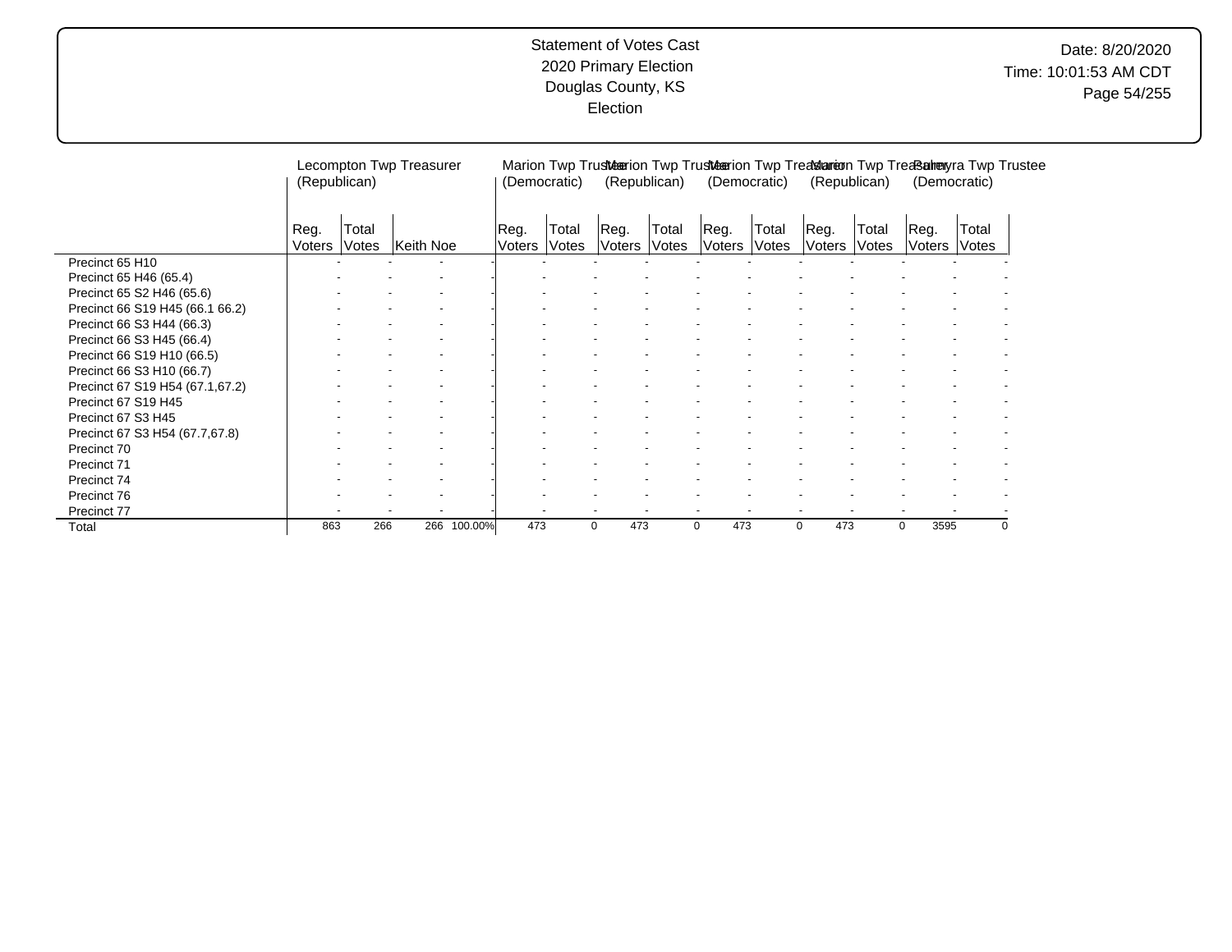# Date: 8/20/2020 Time: 10:01:53 AM CDT Page 54/255

|                                 | (Republican)   |                | Lecompton Twp Treasurer |             | (Democratic)   |                |                              | (Republican)   | Marion Twp Trusteterion Twp Trusteterion Twp Treat announced Twp Treated Twp Trustee<br>(Democratic) |                              | (Republican)   |                |                | (Democratic)   |          |
|---------------------------------|----------------|----------------|-------------------------|-------------|----------------|----------------|------------------------------|----------------|------------------------------------------------------------------------------------------------------|------------------------------|----------------|----------------|----------------|----------------|----------|
|                                 | Reg.<br>Voters | Total<br>Votes | Keith Noe               |             | Reg.<br>Voters | Total<br>Votes | Reg.<br><i><b>Voters</b></i> | Total<br>Votes | Reg.<br>Voters                                                                                       | Total<br><i><b>Votes</b></i> | Reg.<br>Voters | Total<br>Votes | Reg.<br>Voters | Total<br>Votes |          |
| Precinct 65 H10                 |                |                |                         |             |                |                |                              |                |                                                                                                      |                              |                |                |                |                |          |
| Precinct 65 H46 (65.4)          |                |                |                         |             |                |                |                              |                |                                                                                                      |                              |                |                |                |                |          |
| Precinct 65 S2 H46 (65.6)       |                |                |                         |             |                |                |                              |                |                                                                                                      |                              |                |                |                |                |          |
| Precinct 66 S19 H45 (66.1 66.2) |                |                |                         |             |                |                |                              |                |                                                                                                      |                              |                |                |                |                |          |
| Precinct 66 S3 H44 (66.3)       |                |                |                         |             |                |                |                              |                |                                                                                                      |                              |                |                |                |                |          |
| Precinct 66 S3 H45 (66.4)       |                |                |                         |             |                |                |                              |                |                                                                                                      |                              |                |                |                |                |          |
| Precinct 66 S19 H10 (66.5)      |                |                |                         |             |                |                |                              |                |                                                                                                      |                              |                |                |                |                |          |
| Precinct 66 S3 H10 (66.7)       |                |                |                         |             |                |                |                              |                |                                                                                                      |                              |                |                |                |                |          |
| Precinct 67 S19 H54 (67.1,67.2) |                |                |                         |             |                |                |                              |                |                                                                                                      |                              |                |                |                |                |          |
| Precinct 67 S19 H45             |                |                |                         |             |                |                |                              |                |                                                                                                      |                              |                |                |                |                |          |
| Precinct 67 S3 H45              |                |                |                         |             |                |                |                              |                |                                                                                                      |                              |                |                |                |                |          |
| Precinct 67 S3 H54 (67.7,67.8)  |                |                |                         |             |                |                |                              |                |                                                                                                      |                              |                |                |                |                |          |
| Precinct 70                     |                |                |                         |             |                |                |                              |                |                                                                                                      |                              |                |                |                |                |          |
| Precinct 71                     |                |                |                         |             |                |                |                              |                |                                                                                                      |                              |                |                |                |                |          |
| Precinct 74                     |                |                |                         |             |                |                |                              |                |                                                                                                      |                              |                |                |                |                |          |
| Precinct 76                     |                |                |                         |             |                |                |                              |                |                                                                                                      |                              |                |                |                |                |          |
| Precinct 77                     |                |                |                         |             |                |                |                              |                |                                                                                                      |                              |                |                |                |                |          |
| Total                           | 863            | 266            |                         | 266 100.00% | 473            |                | 473<br>0                     |                | 473<br>0                                                                                             |                              | 473<br>0       |                | 3595<br>0      |                | $\Omega$ |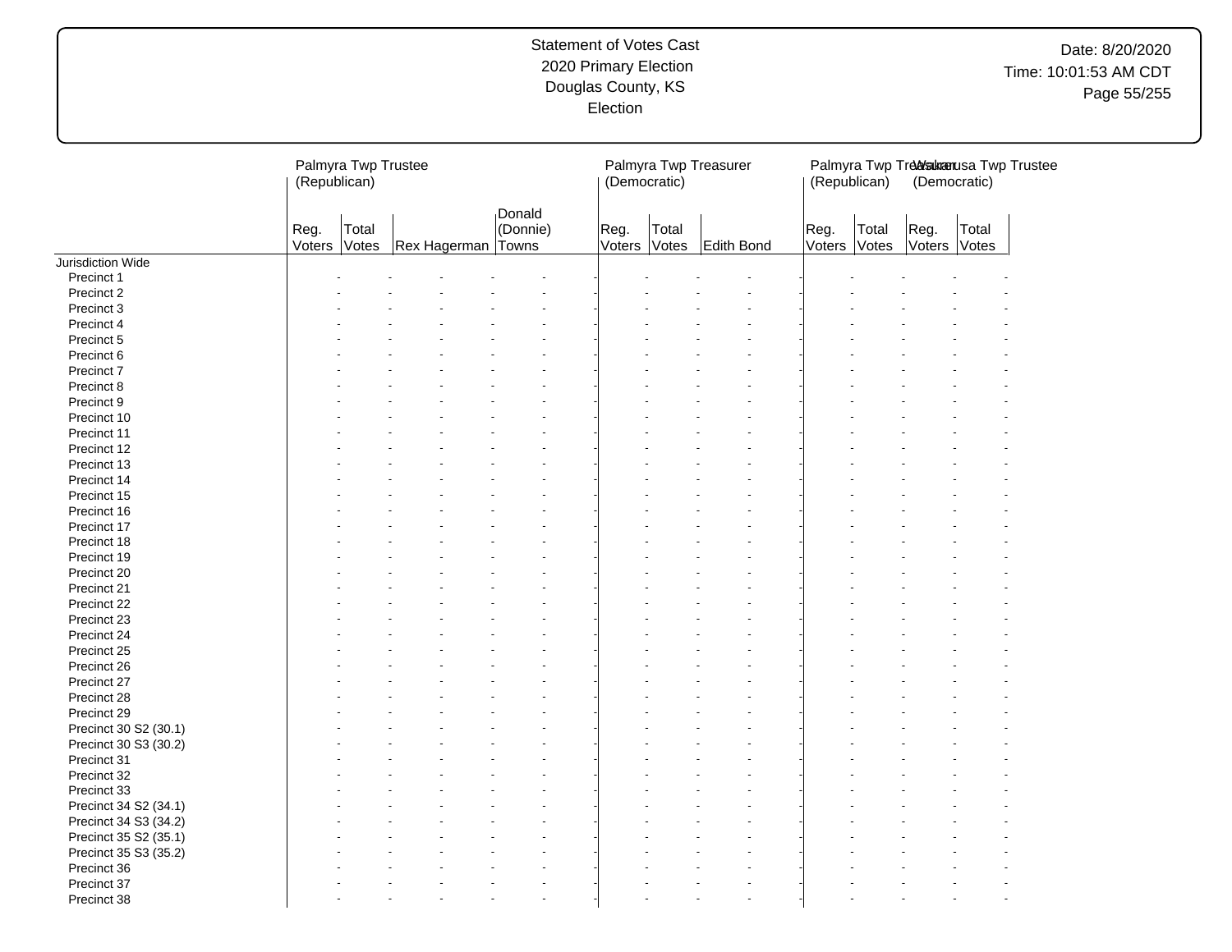# Date: 8/20/2020 Time: 10:01:53 AM CDT Page 55/255

|                       | (Republican)   | Palmyra Twp Trustee |                    |                    | (Democratic)   |                | Palmyra Twp Treasurer | (Republican)         |       | (Democratic)         | Palmyra Twp Treakanusa Twp Trustee |  |
|-----------------------|----------------|---------------------|--------------------|--------------------|----------------|----------------|-----------------------|----------------------|-------|----------------------|------------------------------------|--|
|                       | Reg.<br>Voters | Total<br>Votes      | Rex Hagerman Towns | Donald<br>(Donnie) | Reg.<br>Voters | Total<br>Votes | Edith Bond            | Reg.<br>Voters Votes | Total | Reg.<br>Voters Votes | Total                              |  |
| Jurisdiction Wide     |                |                     |                    |                    |                |                |                       |                      |       |                      |                                    |  |
| Precinct 1            |                |                     |                    |                    |                |                |                       |                      |       |                      |                                    |  |
| Precinct 2            |                |                     |                    |                    |                |                |                       |                      |       |                      |                                    |  |
| Precinct 3            |                |                     |                    |                    |                |                |                       |                      |       |                      |                                    |  |
| Precinct 4            |                |                     |                    |                    |                |                |                       |                      |       |                      |                                    |  |
| Precinct 5            |                |                     |                    |                    |                |                |                       |                      |       |                      |                                    |  |
| Precinct 6            |                |                     |                    |                    |                |                |                       |                      |       |                      |                                    |  |
| Precinct 7            |                |                     |                    |                    |                |                |                       |                      |       |                      |                                    |  |
| Precinct 8            |                |                     |                    |                    |                |                |                       |                      |       |                      |                                    |  |
| Precinct 9            |                |                     |                    |                    |                |                |                       |                      |       |                      |                                    |  |
| Precinct 10           |                |                     |                    |                    |                |                |                       |                      |       |                      |                                    |  |
| Precinct 11           |                |                     |                    |                    |                |                |                       |                      |       |                      |                                    |  |
| Precinct 12           |                |                     |                    |                    |                |                |                       |                      |       |                      |                                    |  |
| Precinct 13           |                |                     |                    |                    |                |                |                       |                      |       |                      |                                    |  |
| Precinct 14           |                |                     |                    |                    |                |                |                       |                      |       |                      |                                    |  |
| Precinct 15           |                |                     |                    |                    |                |                |                       |                      |       |                      |                                    |  |
| Precinct 16           |                |                     |                    |                    |                |                |                       |                      |       |                      |                                    |  |
| Precinct 17           |                |                     |                    |                    |                |                |                       |                      |       |                      |                                    |  |
| Precinct 18           |                |                     |                    |                    |                |                |                       |                      |       |                      |                                    |  |
| Precinct 19           |                |                     |                    |                    |                |                |                       |                      |       |                      |                                    |  |
| Precinct 20           |                |                     |                    |                    |                |                |                       |                      |       |                      |                                    |  |
| Precinct 21           |                |                     |                    |                    |                |                |                       |                      |       |                      |                                    |  |
| Precinct 22           |                |                     |                    |                    |                |                |                       |                      |       |                      |                                    |  |
| Precinct 23           |                |                     |                    |                    |                |                |                       |                      |       |                      |                                    |  |
| Precinct 24           |                |                     |                    |                    |                |                |                       |                      |       |                      |                                    |  |
| Precinct 25           |                |                     |                    |                    |                |                |                       |                      |       |                      |                                    |  |
| Precinct 26           |                |                     |                    |                    |                |                |                       |                      |       |                      |                                    |  |
| Precinct 27           |                |                     |                    |                    |                |                |                       |                      |       |                      |                                    |  |
| Precinct 28           |                |                     |                    |                    |                |                |                       |                      |       |                      |                                    |  |
| Precinct 29           |                |                     |                    |                    |                |                |                       |                      |       |                      |                                    |  |
| Precinct 30 S2 (30.1) |                |                     |                    |                    |                |                |                       |                      |       |                      |                                    |  |
| Precinct 30 S3 (30.2) |                |                     |                    |                    |                |                |                       |                      |       |                      |                                    |  |
| Precinct 31           |                |                     |                    |                    |                |                |                       |                      |       |                      |                                    |  |
| Precinct 32           |                |                     |                    |                    |                |                |                       |                      |       |                      |                                    |  |
| Precinct 33           |                |                     |                    |                    |                |                |                       |                      |       |                      |                                    |  |
| Precinct 34 S2 (34.1) |                |                     |                    |                    |                |                |                       |                      |       |                      |                                    |  |
| Precinct 34 S3 (34.2) |                |                     |                    |                    |                |                |                       |                      |       |                      |                                    |  |
| Precinct 35 S2 (35.1) |                |                     |                    |                    |                |                |                       |                      |       |                      |                                    |  |
| Precinct 35 S3 (35.2) |                |                     |                    |                    |                |                |                       |                      |       |                      |                                    |  |
| Precinct 36           |                |                     |                    |                    |                |                |                       |                      |       |                      |                                    |  |
| Precinct 37           |                |                     |                    |                    |                |                | $\sim$                |                      |       |                      |                                    |  |
| Precinct 38           |                |                     |                    |                    |                |                | $\sim$                |                      |       |                      |                                    |  |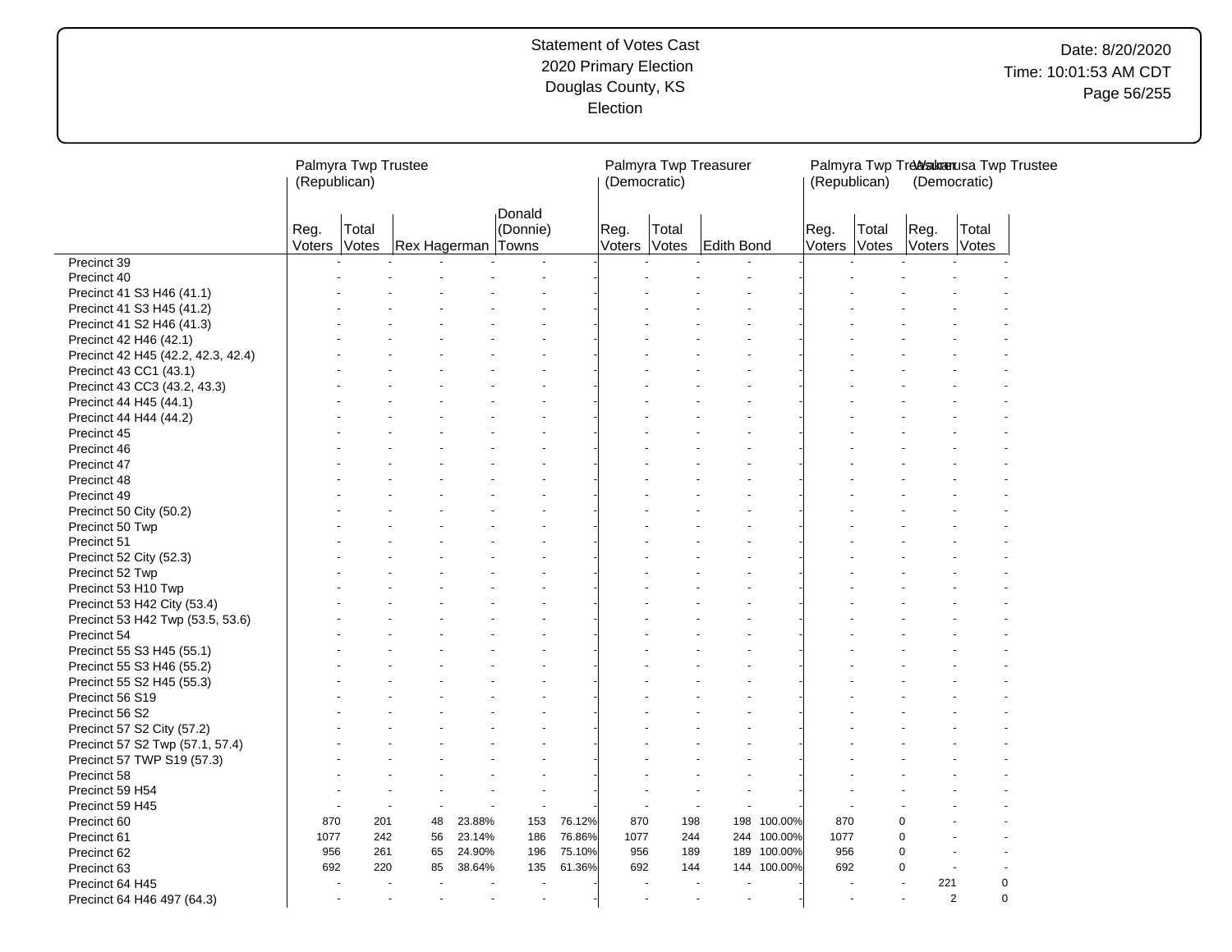# Date: 8/20/2020 Time: 10:01:53 AM CDT Page 56/255

|                                    | (Republican)         | Palmyra Twp Trustee  |                           |        |                      |        | (Democratic)         |                | Palmyra Twp Treasurer |             | (Republican)         |       | (Democratic)         |             | Palmyra Twp Treasurenusa Twp Trustee |
|------------------------------------|----------------------|----------------------|---------------------------|--------|----------------------|--------|----------------------|----------------|-----------------------|-------------|----------------------|-------|----------------------|-------------|--------------------------------------|
|                                    | Reg.<br>Voters Votes | Total                | <b>Rex Hagerman Towns</b> |        | Donald<br>(Donnie)   |        | Reg.<br>Voters       | Total<br>Votes | Edith Bond            |             | Reg.<br>Voters Votes | Total | Reg.<br>Voters Votes | Total       |                                      |
| Precinct 39                        |                      |                      |                           |        |                      |        |                      |                |                       |             |                      |       |                      |             |                                      |
| Precinct 40                        |                      |                      |                           |        |                      |        |                      |                |                       |             |                      |       |                      |             |                                      |
| Precinct 41 S3 H46 (41.1)          |                      |                      |                           |        |                      |        |                      |                |                       |             |                      |       |                      |             |                                      |
| Precinct 41 S3 H45 (41.2)          |                      |                      |                           |        |                      |        |                      |                |                       |             |                      |       |                      |             |                                      |
| Precinct 41 S2 H46 (41.3)          |                      |                      |                           |        |                      |        |                      |                |                       |             |                      |       |                      |             |                                      |
| Precinct 42 H46 (42.1)             |                      |                      |                           |        |                      |        |                      |                |                       |             |                      |       |                      |             |                                      |
| Precinct 42 H45 (42.2, 42.3, 42.4) |                      |                      |                           |        |                      |        |                      |                |                       |             |                      |       |                      |             |                                      |
| Precinct 43 CC1 (43.1)             |                      |                      |                           |        |                      |        |                      |                |                       |             |                      |       |                      |             |                                      |
| Precinct 43 CC3 (43.2, 43.3)       |                      |                      |                           |        |                      |        |                      |                |                       |             |                      |       |                      |             |                                      |
| Precinct 44 H45 (44.1)             |                      |                      |                           |        |                      |        |                      |                |                       |             |                      |       |                      |             |                                      |
| Precinct 44 H44 (44.2)             |                      |                      |                           |        |                      |        |                      |                |                       |             |                      |       |                      |             |                                      |
| Precinct 45                        |                      |                      |                           |        |                      |        |                      |                |                       |             |                      |       |                      |             |                                      |
| Precinct 46                        |                      |                      |                           |        |                      |        |                      |                |                       |             |                      |       |                      |             |                                      |
| Precinct 47                        |                      |                      |                           |        |                      |        |                      |                |                       |             |                      |       |                      |             |                                      |
| Precinct 48                        |                      |                      |                           |        |                      |        |                      |                |                       |             |                      |       |                      |             |                                      |
| Precinct 49                        |                      |                      |                           |        |                      |        |                      |                |                       |             |                      |       |                      |             |                                      |
| Precinct 50 City (50.2)            |                      |                      |                           |        |                      |        |                      |                |                       |             |                      |       |                      |             |                                      |
| Precinct 50 Twp                    |                      |                      |                           |        |                      |        |                      |                |                       |             |                      |       |                      |             |                                      |
| Precinct 51                        |                      |                      |                           |        |                      |        |                      |                |                       |             |                      |       |                      |             |                                      |
| Precinct 52 City (52.3)            |                      |                      |                           |        |                      |        |                      |                |                       |             |                      |       |                      |             |                                      |
| Precinct 52 Twp                    |                      |                      |                           |        |                      |        |                      |                |                       |             |                      |       |                      |             |                                      |
| Precinct 53 H10 Twp                |                      |                      |                           |        |                      |        |                      |                |                       |             |                      |       |                      |             |                                      |
| Precinct 53 H42 City (53.4)        |                      |                      |                           |        |                      |        |                      |                |                       |             |                      |       |                      |             |                                      |
| Precinct 53 H42 Twp (53.5, 53.6)   |                      |                      |                           |        |                      |        |                      |                |                       |             |                      |       |                      |             |                                      |
| Precinct 54                        |                      |                      |                           |        |                      |        |                      |                |                       |             |                      |       |                      |             |                                      |
| Precinct 55 S3 H45 (55.1)          |                      |                      |                           |        |                      |        |                      |                |                       |             |                      |       |                      |             |                                      |
| Precinct 55 S3 H46 (55.2)          |                      |                      |                           |        |                      |        |                      |                |                       |             |                      |       |                      |             |                                      |
| Precinct 55 S2 H45 (55.3)          |                      |                      |                           |        |                      |        |                      |                |                       |             |                      |       |                      |             |                                      |
| Precinct 56 S19                    |                      |                      |                           |        |                      |        |                      |                |                       |             |                      |       |                      |             |                                      |
| Precinct 56 S2                     |                      |                      |                           |        |                      |        |                      |                |                       |             |                      |       |                      |             |                                      |
| Precinct 57 S2 City (57.2)         |                      |                      |                           |        |                      |        |                      |                |                       |             |                      |       |                      |             |                                      |
| Precinct 57 S2 Twp (57.1, 57.4)    |                      |                      |                           |        |                      |        |                      |                |                       |             |                      |       |                      |             |                                      |
| Precinct 57 TWP S19 (57.3)         |                      |                      |                           |        |                      |        |                      |                |                       |             |                      |       |                      |             |                                      |
| Precinct 58                        |                      |                      |                           |        |                      |        |                      |                |                       |             |                      |       |                      |             |                                      |
| Precinct 59 H54                    |                      |                      |                           |        | ٠                    |        |                      |                | $\ddot{\phantom{1}}$  |             |                      |       |                      |             |                                      |
| Precinct 59 H45                    |                      | $\overline{a}$       | $\overline{a}$            |        | $\blacksquare$       |        |                      |                | ÷.                    |             |                      |       |                      |             |                                      |
| Precinct 60                        | 870                  | 201                  | 48                        | 23.88% | 153                  | 76.12% | 870                  | 198            | 198                   | 100.00%     | 870                  |       | 0                    |             |                                      |
| Precinct 61                        | 1077                 | 242                  | 56                        | 23.14% | 186                  | 76.86% | 1077                 | 244            | 244                   | 100.00%     | 1077                 |       | $\Omega$             |             |                                      |
| Precinct 62                        | 956                  | 261                  | 65                        | 24.90% | 196                  | 75.10% | 956                  | 189            |                       | 189 100.00% | 956                  |       | $\Omega$             |             |                                      |
| Precinct 63                        | 692                  | 220                  | 85                        | 38.64% | 135                  | 61.36% | 692                  | 144            |                       | 144 100.00% | 692                  |       | $\Omega$             |             |                                      |
| Precinct 64 H45                    | ÷,                   |                      |                           |        |                      |        |                      |                | $\blacksquare$        |             |                      |       | 221                  |             | $\mathbf 0$                          |
| Precinct 64 H46 497 (64.3)         |                      | $\ddot{\phantom{1}}$ |                           |        | $\ddot{\phantom{1}}$ |        | $\ddot{\phantom{1}}$ |                | $\sim$                |             |                      |       | $\overline{2}$       | $\mathbf 0$ |                                      |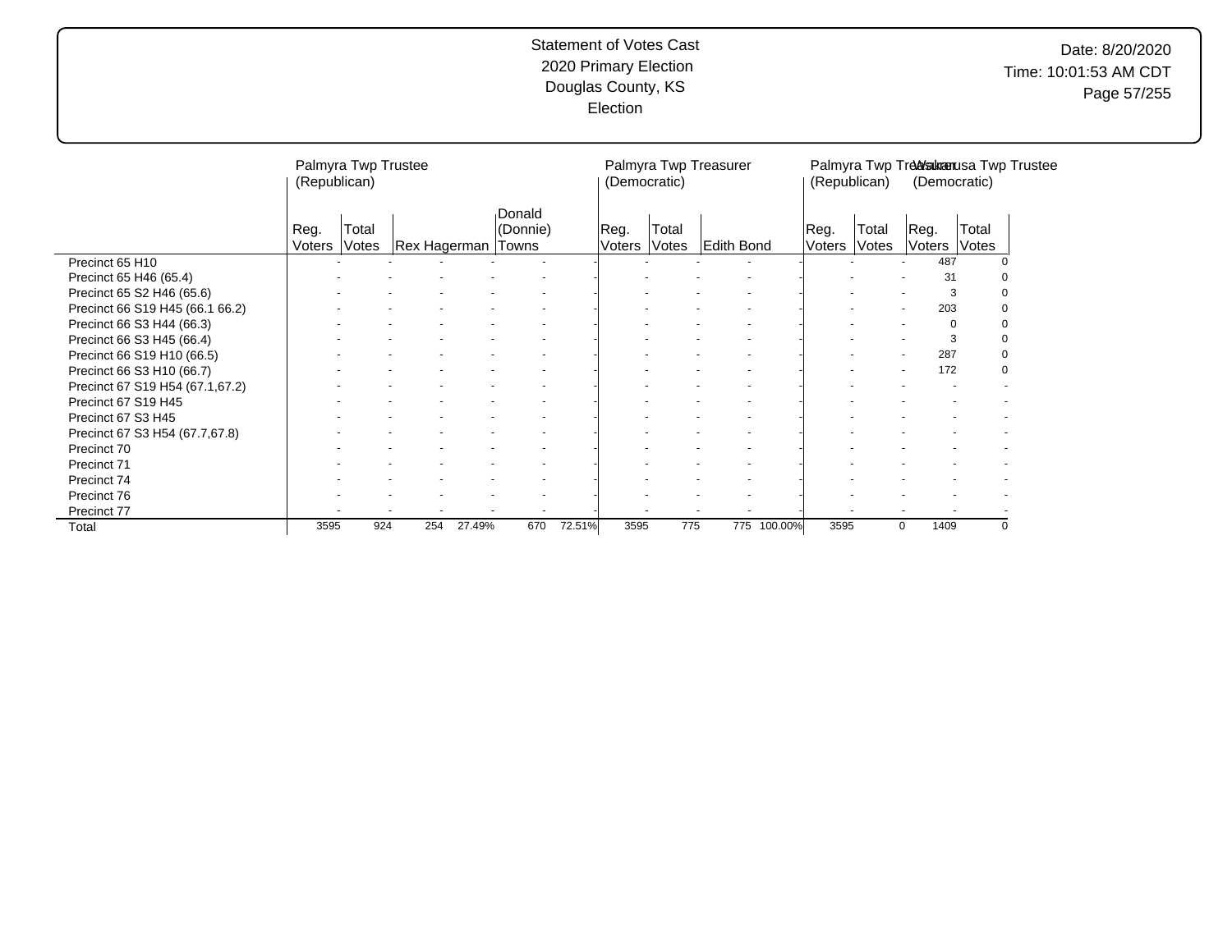|                                 | (Republican)   | Palmyra Twp Trustee |                    |        |                    |        | (Democratic)   |                | Palmyra Twp Treasurer |             | (Republican)    |                | (Democratic)   |                | Palmyra Twp Treasurenusa Twp Trustee |
|---------------------------------|----------------|---------------------|--------------------|--------|--------------------|--------|----------------|----------------|-----------------------|-------------|-----------------|----------------|----------------|----------------|--------------------------------------|
|                                 | Reg.<br>Voters | Total<br>Votes      | Rex Hagerman Towns |        | Donald<br>(Donnie) |        | Reg.<br>Voters | Total<br>Votes | <b>Edith Bond</b>     |             | ∣Reg.<br>Voters | Total<br>Votes | Reg.<br>Voters | Total<br>Votes |                                      |
| Precinct 65 H10                 |                |                     |                    |        |                    |        |                |                |                       |             |                 |                | 487            |                |                                      |
| Precinct 65 H46 (65.4)          |                |                     |                    |        |                    |        |                |                |                       |             |                 |                | 31             |                |                                      |
| Precinct 65 S2 H46 (65.6)       |                |                     |                    |        |                    |        |                |                |                       |             |                 |                | 3              |                | O                                    |
| Precinct 66 S19 H45 (66.1 66.2) |                |                     |                    |        |                    |        |                |                |                       |             |                 |                | 203            |                | 0                                    |
| Precinct 66 S3 H44 (66.3)       |                |                     |                    |        |                    |        |                |                |                       |             |                 |                |                |                | 0                                    |
| Precinct 66 S3 H45 (66.4)       |                |                     |                    |        |                    |        |                |                |                       |             |                 |                | 3              |                | 0                                    |
| Precinct 66 S19 H10 (66.5)      |                |                     |                    |        |                    |        |                |                |                       |             |                 |                | 287            |                | $\Omega$                             |
| Precinct 66 S3 H10 (66.7)       |                |                     |                    |        |                    |        |                |                |                       |             |                 |                | 172            |                | $\Omega$                             |
| Precinct 67 S19 H54 (67.1,67.2) |                |                     |                    |        |                    |        |                |                |                       |             |                 |                |                |                |                                      |
| Precinct 67 S19 H45             |                |                     |                    |        |                    |        |                |                |                       |             |                 |                |                |                |                                      |
| Precinct 67 S3 H45              |                |                     |                    |        |                    |        |                |                |                       |             |                 |                |                |                |                                      |
| Precinct 67 S3 H54 (67.7,67.8)  |                |                     |                    |        |                    |        |                |                |                       |             |                 |                |                |                |                                      |
| Precinct 70                     |                |                     |                    |        |                    |        |                |                |                       |             |                 |                |                |                |                                      |
| Precinct 71                     |                |                     |                    |        |                    |        |                |                |                       |             |                 |                |                |                |                                      |
| Precinct 74                     |                |                     |                    |        |                    |        |                |                |                       |             |                 |                |                |                |                                      |
| Precinct 76                     |                |                     |                    |        |                    |        |                |                |                       |             |                 |                |                |                |                                      |
| Precinct 77                     |                |                     |                    |        |                    |        |                |                |                       |             |                 |                |                |                |                                      |
| Total                           | 3595           | 924                 | 254                | 27.49% | 670                | 72.51% | 3595           | 775            |                       | 775 100.00% | 3595            |                | 1409<br>0      |                | 0                                    |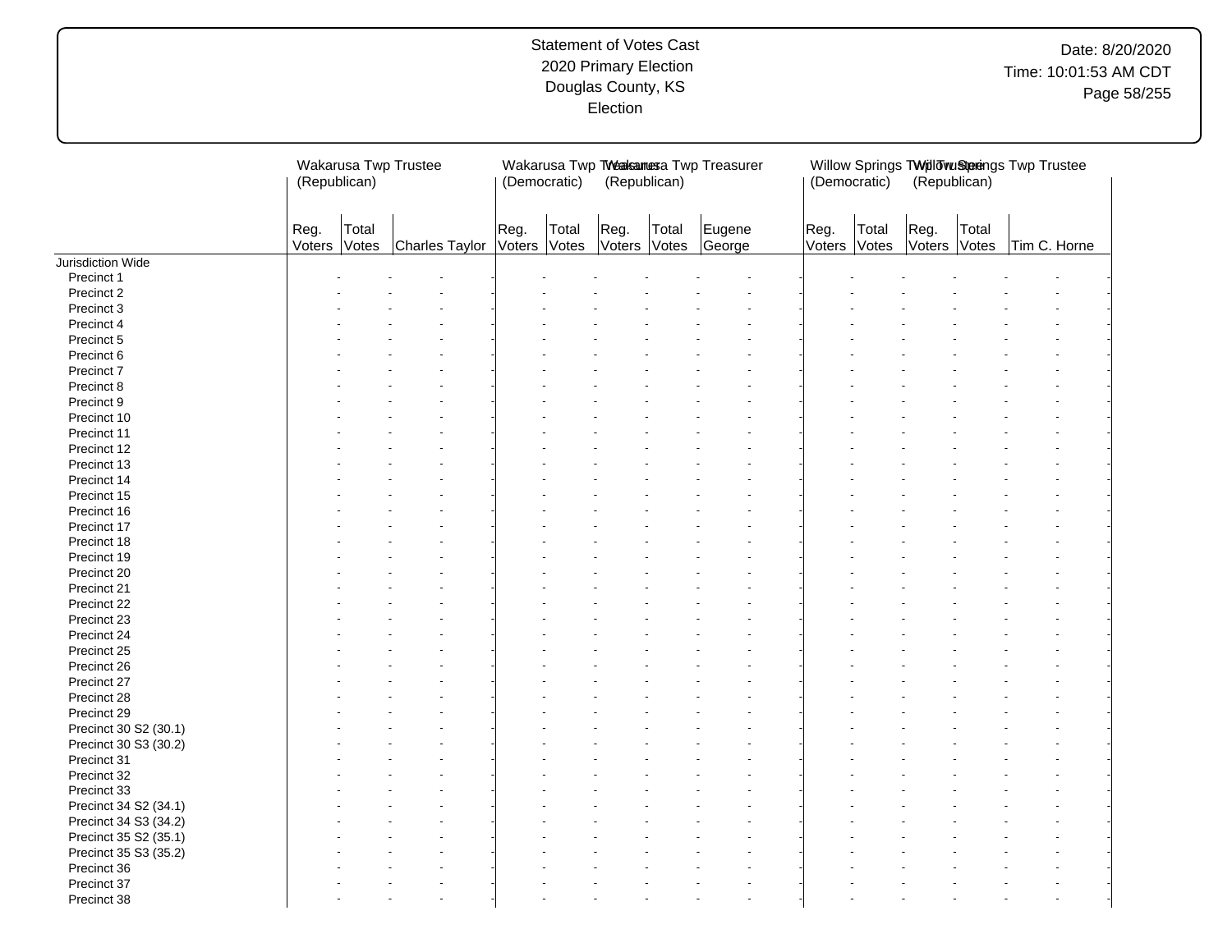|                       | Wakarusa Twp Trustee<br>(Republican) |                |                |                | (Democratic)   | (Republican)         |       | Wakarusa Twp TWeakamesa Twp Treasurer | (Democratic)         |       | (Republican)   |                | Willow Springs TWpllowuStprings Twp Trustee |  |
|-----------------------|--------------------------------------|----------------|----------------|----------------|----------------|----------------------|-------|---------------------------------------|----------------------|-------|----------------|----------------|---------------------------------------------|--|
|                       | Reg.<br>Voters                       | Total<br>Votes | Charles Taylor | Reg.<br>Voters | Total<br>Votes | Reg.<br>Voters Votes | Total | Eugene<br>George                      | Reg.<br>Voters Votes | Total | Reg.<br>Voters | Total<br>Votes | Tim C. Horne                                |  |
| Jurisdiction Wide     |                                      |                |                |                |                |                      |       |                                       |                      |       |                |                |                                             |  |
| Precinct 1            |                                      |                |                |                |                |                      |       |                                       |                      |       |                |                |                                             |  |
| Precinct 2            |                                      |                |                |                |                |                      |       |                                       |                      |       |                |                |                                             |  |
| Precinct 3            |                                      |                |                |                |                |                      |       |                                       |                      |       |                |                |                                             |  |
| Precinct 4            |                                      |                |                |                |                |                      |       |                                       |                      |       |                |                |                                             |  |
| Precinct 5            |                                      |                |                |                |                |                      |       |                                       |                      |       |                |                |                                             |  |
| Precinct 6            |                                      |                |                |                |                |                      |       |                                       |                      |       |                |                |                                             |  |
| Precinct 7            |                                      |                |                |                |                |                      |       |                                       |                      |       |                |                |                                             |  |
| Precinct 8            |                                      |                |                |                |                |                      |       |                                       |                      |       |                |                |                                             |  |
| Precinct 9            |                                      |                |                |                |                |                      |       |                                       |                      |       |                |                |                                             |  |
| Precinct 10           |                                      |                |                |                |                |                      |       |                                       |                      |       |                |                |                                             |  |
| Precinct 11           |                                      |                |                |                |                |                      |       |                                       |                      |       |                |                |                                             |  |
| Precinct 12           |                                      |                |                |                |                |                      |       |                                       |                      |       |                |                |                                             |  |
| Precinct 13           |                                      |                |                |                |                |                      |       |                                       |                      |       |                |                |                                             |  |
| Precinct 14           |                                      |                |                |                |                |                      |       |                                       |                      |       |                |                |                                             |  |
| Precinct 15           |                                      |                |                |                |                |                      |       |                                       |                      |       |                |                |                                             |  |
| Precinct 16           |                                      |                |                |                |                |                      |       |                                       |                      |       |                |                |                                             |  |
| Precinct 17           |                                      |                |                |                |                |                      |       |                                       |                      |       |                |                |                                             |  |
| Precinct 18           |                                      |                |                |                |                |                      |       |                                       |                      |       |                |                |                                             |  |
| Precinct 19           |                                      |                |                |                |                |                      |       |                                       |                      |       |                |                |                                             |  |
| Precinct 20           |                                      |                |                |                |                |                      |       |                                       |                      |       |                |                |                                             |  |
| Precinct 21           |                                      |                |                |                |                |                      |       |                                       |                      |       |                |                |                                             |  |
| Precinct 22           |                                      |                |                |                |                |                      |       |                                       |                      |       |                |                |                                             |  |
| Precinct 23           |                                      |                |                |                |                |                      |       |                                       |                      |       |                |                |                                             |  |
| Precinct 24           |                                      |                |                |                |                |                      |       |                                       |                      |       |                |                |                                             |  |
| Precinct 25           |                                      |                |                |                |                |                      |       |                                       |                      |       |                |                |                                             |  |
|                       |                                      |                |                |                |                |                      |       |                                       |                      |       |                |                |                                             |  |
| Precinct 26           |                                      |                |                |                |                |                      |       |                                       |                      |       |                |                |                                             |  |
| Precinct 27           |                                      |                |                |                |                |                      |       |                                       |                      |       |                |                |                                             |  |
| Precinct 28           |                                      |                |                |                |                |                      |       |                                       |                      |       |                |                |                                             |  |
| Precinct 29           |                                      |                |                |                |                |                      |       |                                       |                      |       |                |                |                                             |  |
| Precinct 30 S2 (30.1) |                                      |                |                |                |                |                      |       |                                       |                      |       |                |                |                                             |  |
| Precinct 30 S3 (30.2) |                                      |                |                |                |                |                      |       |                                       |                      |       |                |                |                                             |  |
| Precinct 31           |                                      |                |                |                |                |                      |       |                                       |                      |       |                |                |                                             |  |
| Precinct 32           |                                      |                |                |                |                |                      |       |                                       |                      |       |                |                |                                             |  |
| Precinct 33           |                                      |                |                |                |                |                      |       |                                       |                      |       |                |                |                                             |  |
| Precinct 34 S2 (34.1) |                                      |                |                |                |                |                      |       |                                       |                      |       |                |                |                                             |  |
| Precinct 34 S3 (34.2) |                                      |                |                |                |                |                      |       |                                       |                      |       |                |                |                                             |  |
| Precinct 35 S2 (35.1) |                                      |                |                |                |                |                      |       |                                       |                      |       |                |                |                                             |  |
| Precinct 35 S3 (35.2) |                                      |                |                |                |                |                      |       |                                       |                      |       |                |                |                                             |  |
| Precinct 36           |                                      |                |                |                |                |                      |       |                                       |                      |       |                |                |                                             |  |
| Precinct 37           |                                      |                |                |                |                |                      |       |                                       |                      |       |                |                |                                             |  |
| Precinct 38           |                                      |                |                |                |                |                      |       |                                       |                      |       |                |                |                                             |  |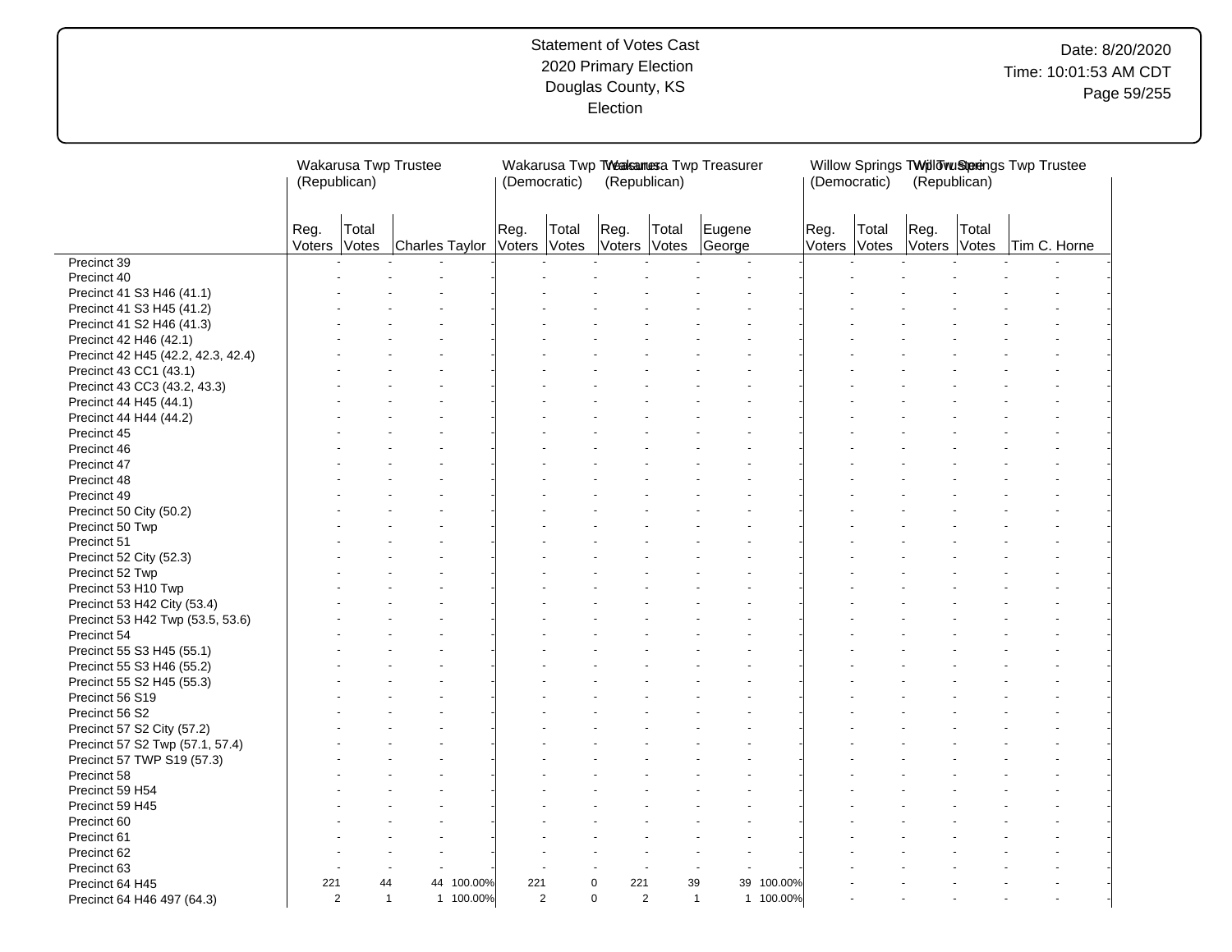|                                    | Wakarusa Twp Trustee<br>(Republican) |                      |                |           | (Democratic)         |       | (Republican)         |                      | Wakarusa Twp TWeaksamesa Twp Treasurer |           | (Democratic)         |       | (Republican)         |       | Willow Springs TWillowuStprings Twp Trustee |  |
|------------------------------------|--------------------------------------|----------------------|----------------|-----------|----------------------|-------|----------------------|----------------------|----------------------------------------|-----------|----------------------|-------|----------------------|-------|---------------------------------------------|--|
|                                    | Reg.<br>Voters Votes                 | Total                | Charles Taylor |           | Reg.<br>Voters Votes | Total | Reg.<br>Voters Votes | Total                | Eugene<br>George                       |           | Reg.<br>Voters Votes | Total | Reg.<br>Voters Votes | Total | Tim C. Horne                                |  |
| Precinct 39                        |                                      |                      |                |           |                      |       |                      |                      |                                        |           |                      |       |                      |       |                                             |  |
| Precinct 40                        |                                      |                      |                |           |                      |       |                      |                      |                                        |           |                      |       |                      |       |                                             |  |
| Precinct 41 S3 H46 (41.1)          |                                      |                      |                |           |                      |       |                      |                      |                                        |           |                      |       |                      |       |                                             |  |
| Precinct 41 S3 H45 (41.2)          |                                      |                      |                |           |                      |       |                      |                      |                                        |           |                      |       |                      |       |                                             |  |
| Precinct 41 S2 H46 (41.3)          |                                      |                      |                |           |                      |       |                      |                      |                                        |           |                      |       |                      |       |                                             |  |
| Precinct 42 H46 (42.1)             |                                      |                      |                |           |                      |       |                      |                      |                                        |           |                      |       |                      |       |                                             |  |
| Precinct 42 H45 (42.2, 42.3, 42.4) |                                      |                      |                |           |                      |       |                      |                      |                                        |           |                      |       |                      |       |                                             |  |
| Precinct 43 CC1 (43.1)             |                                      |                      |                |           |                      |       |                      |                      |                                        |           |                      |       |                      |       |                                             |  |
| Precinct 43 CC3 (43.2, 43.3)       |                                      |                      |                |           |                      |       |                      |                      |                                        |           |                      |       |                      |       |                                             |  |
| Precinct 44 H45 (44.1)             |                                      |                      |                |           |                      |       |                      |                      |                                        |           |                      |       |                      |       |                                             |  |
| Precinct 44 H44 (44.2)             |                                      |                      |                |           |                      |       |                      |                      |                                        |           |                      |       |                      |       |                                             |  |
| Precinct 45                        |                                      |                      |                |           |                      |       |                      |                      |                                        |           |                      |       |                      |       |                                             |  |
| Precinct 46                        |                                      |                      |                |           |                      |       |                      |                      |                                        |           |                      |       |                      |       |                                             |  |
| Precinct 47                        |                                      |                      |                |           |                      |       |                      |                      |                                        |           |                      |       |                      |       |                                             |  |
| Precinct 48                        |                                      |                      |                |           |                      |       |                      |                      |                                        |           |                      |       |                      |       |                                             |  |
| Precinct 49                        |                                      |                      |                |           |                      |       |                      |                      |                                        |           |                      |       |                      |       |                                             |  |
| Precinct 50 City (50.2)            |                                      |                      |                |           |                      |       |                      |                      |                                        |           |                      |       |                      |       |                                             |  |
| Precinct 50 Twp                    |                                      |                      |                |           |                      |       |                      |                      |                                        |           |                      |       |                      |       |                                             |  |
| Precinct 51                        |                                      |                      |                |           |                      |       |                      |                      |                                        |           |                      |       |                      |       |                                             |  |
| Precinct 52 City (52.3)            |                                      |                      |                |           |                      |       |                      |                      |                                        |           |                      |       |                      |       |                                             |  |
| Precinct 52 Twp                    |                                      |                      |                |           |                      |       |                      |                      |                                        |           |                      |       |                      |       |                                             |  |
| Precinct 53 H10 Twp                |                                      |                      |                |           |                      |       |                      |                      |                                        |           |                      |       |                      |       |                                             |  |
| Precinct 53 H42 City (53.4)        |                                      |                      |                |           |                      |       |                      |                      |                                        |           |                      |       |                      |       |                                             |  |
| Precinct 53 H42 Twp (53.5, 53.6)   |                                      |                      |                |           |                      |       |                      |                      |                                        |           |                      |       |                      |       |                                             |  |
| Precinct 54                        |                                      |                      |                |           |                      |       |                      |                      |                                        |           |                      |       |                      |       |                                             |  |
| Precinct 55 S3 H45 (55.1)          |                                      |                      |                |           |                      |       |                      |                      |                                        |           |                      |       |                      |       |                                             |  |
| Precinct 55 S3 H46 (55.2)          |                                      |                      |                |           |                      |       |                      |                      |                                        |           |                      |       |                      |       |                                             |  |
| Precinct 55 S2 H45 (55.3)          |                                      |                      |                |           |                      |       |                      |                      |                                        |           |                      |       |                      |       |                                             |  |
| Precinct 56 S19                    |                                      |                      |                |           |                      |       |                      |                      |                                        |           |                      |       |                      |       |                                             |  |
| Precinct 56 S2                     |                                      |                      |                |           |                      |       |                      |                      |                                        |           |                      |       |                      |       |                                             |  |
| Precinct 57 S2 City (57.2)         |                                      |                      |                |           |                      |       |                      |                      |                                        |           |                      |       |                      |       |                                             |  |
| Precinct 57 S2 Twp (57.1, 57.4)    |                                      |                      |                |           |                      |       |                      |                      |                                        |           |                      |       |                      |       |                                             |  |
| Precinct 57 TWP S19 (57.3)         |                                      |                      |                |           |                      |       |                      |                      |                                        |           |                      |       |                      |       |                                             |  |
| Precinct 58                        |                                      |                      |                |           |                      |       |                      |                      |                                        |           |                      |       |                      |       |                                             |  |
| Precinct 59 H54                    |                                      |                      |                |           |                      |       |                      |                      |                                        |           |                      |       |                      |       |                                             |  |
|                                    |                                      |                      |                |           |                      |       |                      |                      |                                        |           |                      |       |                      |       |                                             |  |
| Precinct 59 H45                    |                                      |                      |                |           |                      |       |                      |                      |                                        |           |                      |       |                      |       |                                             |  |
| Precinct 60                        |                                      |                      |                |           |                      |       |                      |                      |                                        |           |                      |       |                      |       |                                             |  |
| Precinct 61                        |                                      |                      |                |           |                      |       |                      |                      |                                        |           |                      |       |                      |       |                                             |  |
| Precinct 62                        |                                      |                      |                |           |                      |       |                      |                      |                                        |           |                      |       |                      |       |                                             |  |
| Precinct 63                        |                                      |                      |                |           |                      |       | $\Omega$             |                      |                                        |           |                      |       |                      |       |                                             |  |
| Precinct 64 H45                    | 221<br>2                             | 44<br>$\overline{1}$ | 44             | 100.00%   | 221<br>2             |       | 221<br>$\Omega$      | 39<br>$\overline{2}$ | 39<br>$\mathbf{1}$                     | 100.00%   |                      |       |                      |       |                                             |  |
| Precinct 64 H46 497 (64.3)         |                                      |                      |                | 1 100.00% |                      |       |                      |                      |                                        | 1 100.00% |                      |       |                      |       |                                             |  |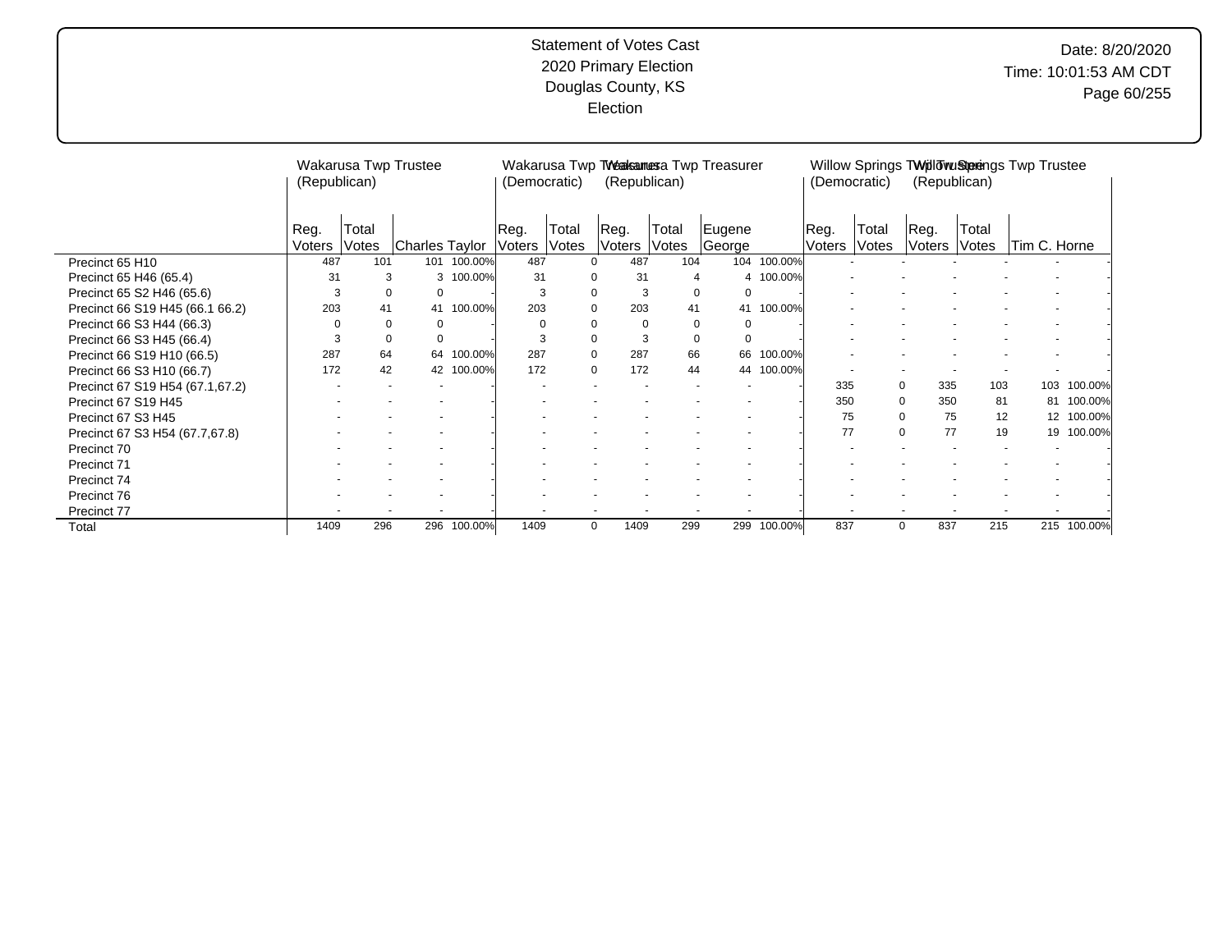|                                 |                | Wakarusa Twp Trustee<br>(Republican) |                |            |                    | (Democratic)   | (Republican)       |                | Wakarusa Twp TWeakamesa Twp Treasurer |             | (Democratic)          |                |                 | (Republican)          | Willow Springs TWillowuSterengs Twp Trustee |             |
|---------------------------------|----------------|--------------------------------------|----------------|------------|--------------------|----------------|--------------------|----------------|---------------------------------------|-------------|-----------------------|----------------|-----------------|-----------------------|---------------------------------------------|-------------|
|                                 | Reg.<br>Voters | Total<br>Votes                       | Charles Taylor |            | ∣Reg.<br>Voters l' | Total<br>Votes | ∣Reg.<br>Voters    | Total<br>Votes | Eugene<br>George                      |             | Reg.<br><b>Voters</b> | Total<br>Votes | ⊺Reg.<br>Voters | Total<br><b>Votes</b> | Tim C. Horne                                |             |
| Precinct 65 H10                 | 487            | 101                                  | 101            | 100.00%    | 487                |                | 487<br>$\Omega$    | 104            |                                       | 104 100.00% |                       |                |                 |                       |                                             |             |
| Precinct 65 H46 (65.4)          | 31             | 3                                    | 3              | 100.00%    | 31                 |                | 31<br>0            | 4              |                                       | 4 100.00%   |                       |                |                 |                       |                                             |             |
| Precinct 65 S2 H46 (65.6)       | 3              |                                      | 0<br>0         |            | 3                  |                | 0<br>3             |                | 0<br>$\Omega$                         |             |                       |                |                 |                       |                                             |             |
| Precinct 66 S19 H45 (66.1 66.2) | 203            | 41                                   | 41             | 100.00%    | 203                |                | 0<br>203           | 41             |                                       | 41 100.00%  |                       |                |                 |                       |                                             |             |
| Precinct 66 S3 H44 (66.3)       | 0              |                                      | 0<br>0         |            | 0                  |                | 0<br>$\Omega$      |                | 0<br>$\Omega$                         |             |                       |                |                 |                       |                                             |             |
| Precinct 66 S3 H45 (66.4)       | 3              |                                      | 0<br>0         |            | 3                  |                | $\mathbf 0$<br>3   |                | 0<br>$\Omega$                         |             |                       |                |                 |                       |                                             |             |
| Precinct 66 S19 H10 (66.5)      | 287            | 64                                   | 64             | 100.00%    | 287                |                | $\mathbf 0$<br>287 | 66             | 66                                    | 100.00%     |                       |                |                 |                       |                                             |             |
| Precinct 66 S3 H10 (66.7)       | 172            | 42                                   |                | 42 100.00% | 172                |                | $\mathbf 0$<br>172 | 44             |                                       | 44 100.00%  |                       |                |                 |                       |                                             |             |
| Precinct 67 S19 H54 (67.1,67.2) |                |                                      |                |            |                    |                |                    |                |                                       |             | 335                   |                | 0<br>335        | 103                   | 103                                         | 100.00%     |
| Precinct 67 S19 H45             |                |                                      |                |            |                    |                |                    |                |                                       |             | 350                   |                | 0<br>350        |                       | 81<br>81                                    | 100.00%     |
| Precinct 67 S3 H45              |                |                                      |                |            |                    |                |                    |                |                                       |             | 75                    |                | 0               | 75                    | 12<br>12                                    | 100.00%     |
| Precinct 67 S3 H54 (67.7,67.8)  |                |                                      |                |            |                    |                |                    |                |                                       |             | 77                    |                | 0               | 77                    | 19                                          | 19 100.00%  |
| Precinct 70                     |                |                                      |                |            |                    |                |                    |                |                                       |             |                       |                |                 |                       |                                             |             |
| Precinct 71                     |                |                                      |                |            |                    |                |                    |                |                                       |             |                       |                |                 |                       |                                             |             |
| Precinct 74                     |                |                                      |                |            |                    |                |                    |                |                                       |             |                       |                |                 |                       |                                             |             |
| Precinct 76                     |                |                                      |                |            |                    |                |                    |                |                                       |             |                       |                |                 |                       |                                             |             |
| Precinct 77                     |                |                                      |                |            |                    |                |                    |                |                                       |             |                       |                |                 |                       |                                             |             |
| Total                           | 1409           | 296                                  | 296            | 100.00%    | 1409               |                | 1409<br>0          | 299            | 299                                   | 100.00%     | 837                   |                | 837<br>0        | 215                   |                                             | 215 100.00% |